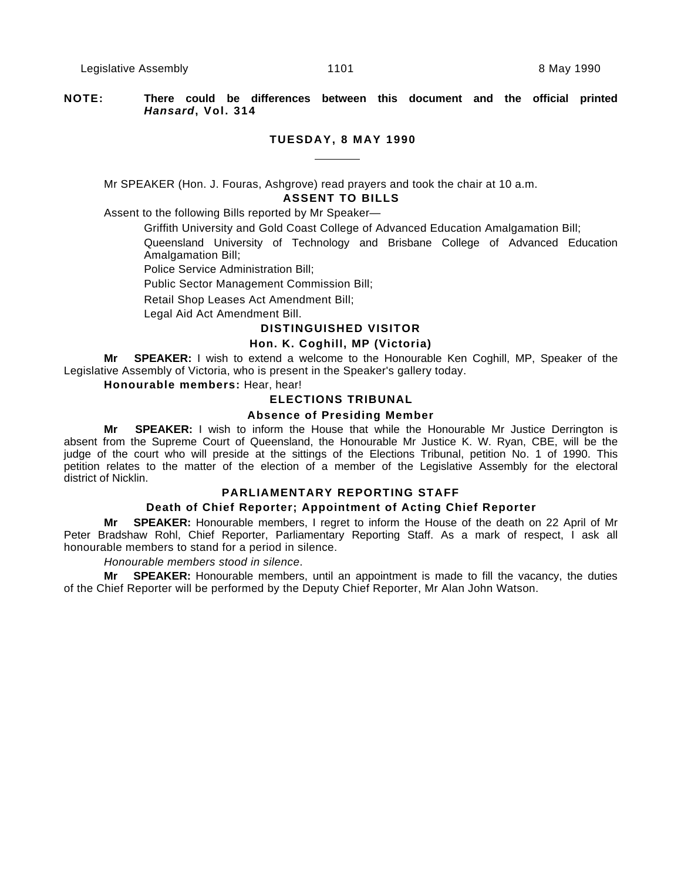# **NOTE: There could be differences between this document and the official printed Hansard, Vol. 314**

#### **TUESDAY, 8 MAY 1990**

Mr SPEAKER (Hon. J. Fouras, Ashgrove) read prayers and took the chair at 10 a.m.

# **ASSENT TO BILLS**

Assent to the following Bills reported by Mr Speaker—

Griffith University and Gold Coast College of Advanced Education Amalgamation Bill;

Queensland University of Technology and Brisbane College of Advanced Education Amalgamation Bill;

Police Service Administration Bill;

Public Sector Management Commission Bill;

Retail Shop Leases Act Amendment Bill;

Legal Aid Act Amendment Bill.

## **DISTINGUISHED VISITOR**

# **Hon. K. Coghill, MP (Victoria)**

**Mr SPEAKER:** I wish to extend a welcome to the Honourable Ken Coghill, MP, Speaker of the Legislative Assembly of Victoria, who is present in the Speaker's gallery today.

# **Honourable members:** Hear, hear!

# **ELECTIONS TRIBUNAL**

# **Absence of Presiding Member**

**Mr SPEAKER:** I wish to inform the House that while the Honourable Mr Justice Derrington is absent from the Supreme Court of Queensland, the Honourable Mr Justice K. W. Ryan, CBE, will be the judge of the court who will preside at the sittings of the Elections Tribunal, petition No. 1 of 1990. This petition relates to the matter of the election of a member of the Legislative Assembly for the electoral district of Nicklin.

# **PARLIAMENTARY REPORTING STAFF**

#### **Death of Chief Reporter; Appointment of Acting Chief Reporter**

**Mr SPEAKER:** Honourable members, I regret to inform the House of the death on 22 April of Mr Peter Bradshaw Rohl, Chief Reporter, Parliamentary Reporting Staff. As a mark of respect, I ask all honourable members to stand for a period in silence.

# Honourable members stood in silence.

**Mr SPEAKER:** Honourable members, until an appointment is made to fill the vacancy, the duties of the Chief Reporter will be performed by the Deputy Chief Reporter, Mr Alan John Watson.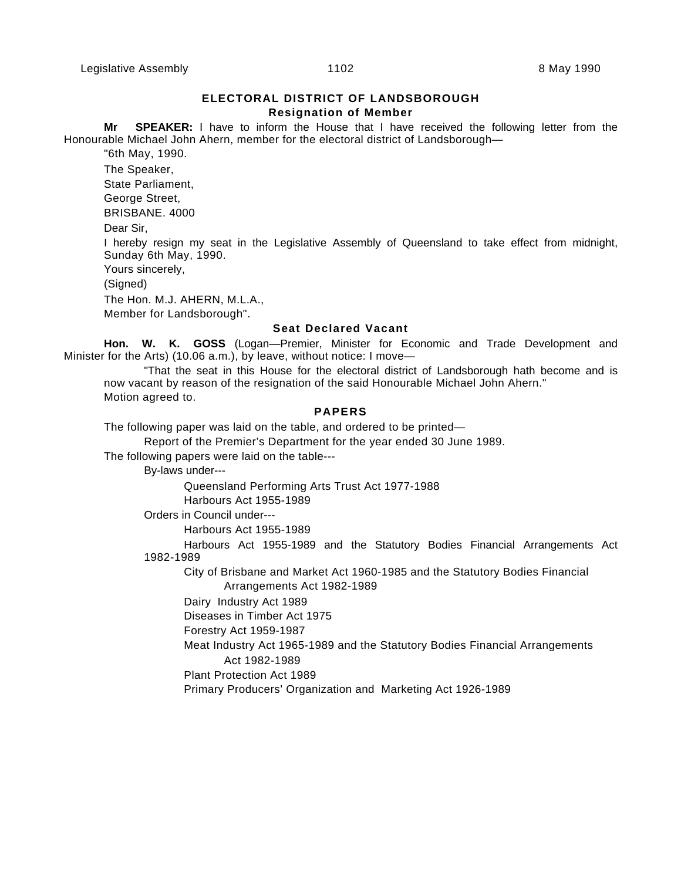# **ELECTORAL DISTRICT OF LANDSBOROUGH Resignation of Member**

**Mr SPEAKER:** I have to inform the House that I have received the following letter from the Honourable Michael John Ahern, member for the electoral district of Landsborough—

"6th May, 1990.

The Speaker,

State Parliament,

George Street,

BRISBANE. 4000

Dear Sir,

I hereby resign my seat in the Legislative Assembly of Queensland to take effect from midnight, Sunday 6th May, 1990.

Yours sincerely,

(Signed)

The Hon. M.J. AHERN, M.L.A.,

Member for Landsborough".

#### **Seat Declared Vacant**

**Hon. W. K. GOSS** (Logan—Premier, Minister for Economic and Trade Development and Minister for the Arts) (10.06 a.m.), by leave, without notice: I move—

"That the seat in this House for the electoral district of Landsborough hath become and is now vacant by reason of the resignation of the said Honourable Michael John Ahern." Motion agreed to.

# **PAPERS**

The following paper was laid on the table, and ordered to be printed—

Report of the Premier's Department for the year ended 30 June 1989.

The following papers were laid on the table---

By-laws under---

Queensland Performing Arts Trust Act 1977-1988 Harbours Act 1955-1989

Orders in Council under---

Harbours Act 1955-1989

Harbours Act 1955-1989 and the Statutory Bodies Financial Arrangements Act 1982-1989

City of Brisbane and Market Act 1960-1985 and the Statutory Bodies Financial Arrangements Act 1982-1989

Dairy Industry Act 1989

Diseases in Timber Act 1975

Forestry Act 1959-1987

Meat Industry Act 1965-1989 and the Statutory Bodies Financial Arrangements Act 1982-1989

Plant Protection Act 1989

Primary Producers' Organization and Marketing Act 1926-1989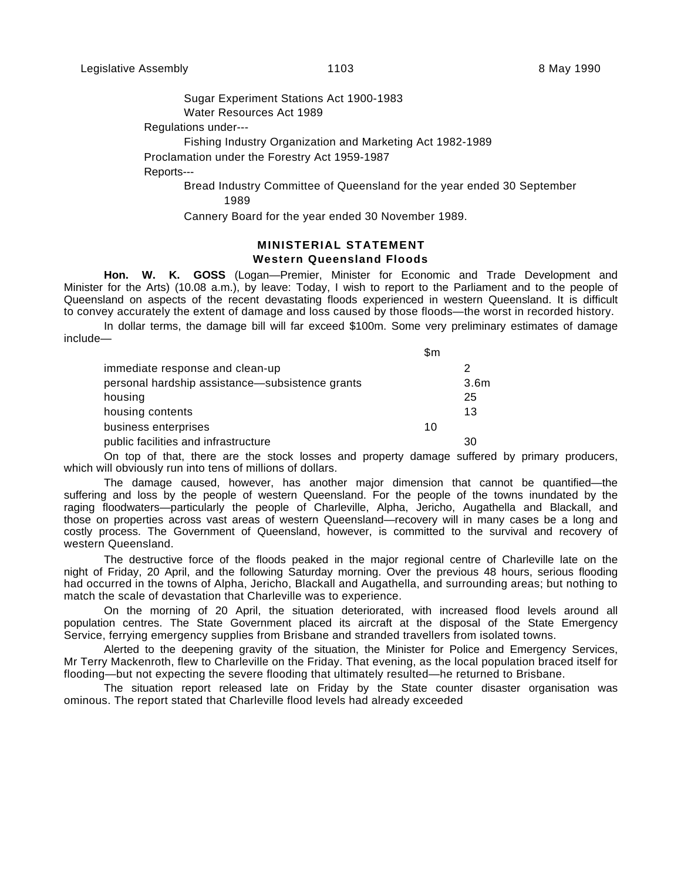Sugar Experiment Stations Act 1900-1983 Water Resources Act 1989

Regulations under---

Fishing Industry Organization and Marketing Act 1982-1989

Proclamation under the Forestry Act 1959-1987

Reports---

Bread Industry Committee of Queensland for the year ended 30 September 1989

Cannery Board for the year ended 30 November 1989.

# **MINISTERIAL STATEMENT Western Queensland Floods**

**Hon. W. K. GOSS** (Logan—Premier, Minister for Economic and Trade Development and Minister for the Arts) (10.08 a.m.), by leave: Today, I wish to report to the Parliament and to the people of Queensland on aspects of the recent devastating floods experienced in western Queensland. It is difficult to convey accurately the extent of damage and loss caused by those floods—the worst in recorded history.

In dollar terms, the damage bill will far exceed \$100m. Some very preliminary estimates of damage include—

|                                                 | \$m |      |
|-------------------------------------------------|-----|------|
| immediate response and clean-up                 |     | 2    |
| personal hardship assistance-subsistence grants |     | 3.6m |
| housing                                         |     | 25   |
| housing contents                                |     | 13   |
| business enterprises                            | 10  |      |
| public facilities and infrastructure            |     | 30   |

On top of that, there are the stock losses and property damage suffered by primary producers, which will obviously run into tens of millions of dollars.

The damage caused, however, has another major dimension that cannot be quantified—the suffering and loss by the people of western Queensland. For the people of the towns inundated by the raging floodwaters—particularly the people of Charleville, Alpha, Jericho, Augathella and Blackall, and those on properties across vast areas of western Queensland—recovery will in many cases be a long and costly process. The Government of Queensland, however, is committed to the survival and recovery of western Queensland.

The destructive force of the floods peaked in the major regional centre of Charleville late on the night of Friday, 20 April, and the following Saturday morning. Over the previous 48 hours, serious flooding had occurred in the towns of Alpha, Jericho, Blackall and Augathella, and surrounding areas; but nothing to match the scale of devastation that Charleville was to experience.

On the morning of 20 April, the situation deteriorated, with increased flood levels around all population centres. The State Government placed its aircraft at the disposal of the State Emergency Service, ferrying emergency supplies from Brisbane and stranded travellers from isolated towns.

Alerted to the deepening gravity of the situation, the Minister for Police and Emergency Services, Mr Terry Mackenroth, flew to Charleville on the Friday. That evening, as the local population braced itself for flooding—but not expecting the severe flooding that ultimately resulted—he returned to Brisbane.

The situation report released late on Friday by the State counter disaster organisation was ominous. The report stated that Charleville flood levels had already exceeded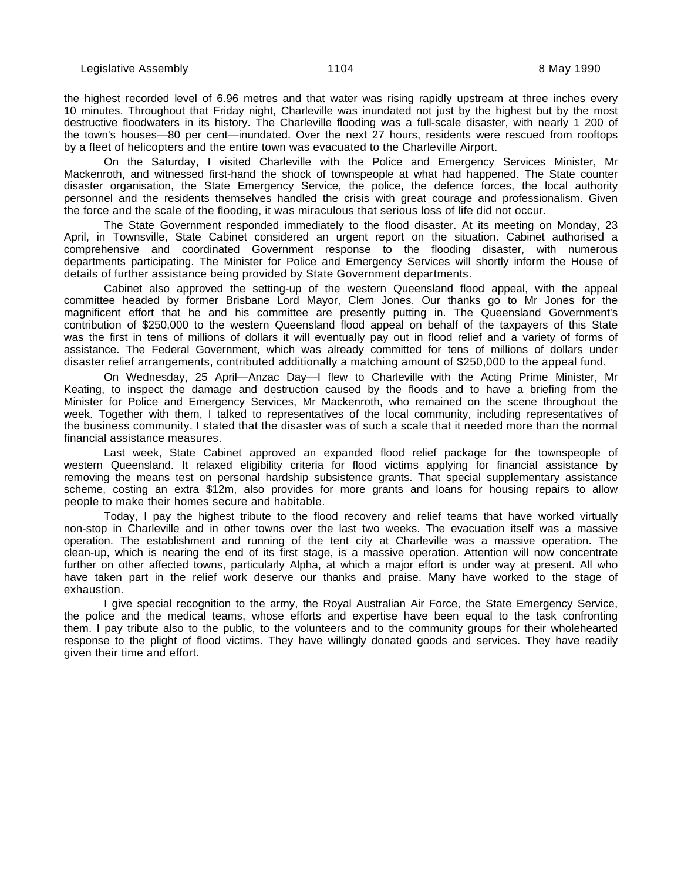the highest recorded level of 6.96 metres and that water was rising rapidly upstream at three inches every 10 minutes. Throughout that Friday night, Charleville was inundated not just by the highest but by the most destructive floodwaters in its history. The Charleville flooding was a full-scale disaster, with nearly 1 200 of the town's houses—80 per cent—inundated. Over the next 27 hours, residents were rescued from rooftops by a fleet of helicopters and the entire town was evacuated to the Charleville Airport.

On the Saturday, I visited Charleville with the Police and Emergency Services Minister, Mr Mackenroth, and witnessed first-hand the shock of townspeople at what had happened. The State counter disaster organisation, the State Emergency Service, the police, the defence forces, the local authority personnel and the residents themselves handled the crisis with great courage and professionalism. Given the force and the scale of the flooding, it was miraculous that serious loss of life did not occur.

The State Government responded immediately to the flood disaster. At its meeting on Monday, 23 April, in Townsville, State Cabinet considered an urgent report on the situation. Cabinet authorised a comprehensive and coordinated Government response to the flooding disaster, with numerous departments participating. The Minister for Police and Emergency Services will shortly inform the House of details of further assistance being provided by State Government departments.

Cabinet also approved the setting-up of the western Queensland flood appeal, with the appeal committee headed by former Brisbane Lord Mayor, Clem Jones. Our thanks go to Mr Jones for the magnificent effort that he and his committee are presently putting in. The Queensland Government's contribution of \$250,000 to the western Queensland flood appeal on behalf of the taxpayers of this State was the first in tens of millions of dollars it will eventually pay out in flood relief and a variety of forms of assistance. The Federal Government, which was already committed for tens of millions of dollars under disaster relief arrangements, contributed additionally a matching amount of \$250,000 to the appeal fund.

On Wednesday, 25 April—Anzac Day—I flew to Charleville with the Acting Prime Minister, Mr Keating, to inspect the damage and destruction caused by the floods and to have a briefing from the Minister for Police and Emergency Services, Mr Mackenroth, who remained on the scene throughout the week. Together with them, I talked to representatives of the local community, including representatives of the business community. I stated that the disaster was of such a scale that it needed more than the normal financial assistance measures.

Last week, State Cabinet approved an expanded flood relief package for the townspeople of western Queensland. It relaxed eligibility criteria for flood victims applying for financial assistance by removing the means test on personal hardship subsistence grants. That special supplementary assistance scheme, costing an extra \$12m, also provides for more grants and loans for housing repairs to allow people to make their homes secure and habitable.

Today, I pay the highest tribute to the flood recovery and relief teams that have worked virtually non-stop in Charleville and in other towns over the last two weeks. The evacuation itself was a massive operation. The establishment and running of the tent city at Charleville was a massive operation. The clean-up, which is nearing the end of its first stage, is a massive operation. Attention will now concentrate further on other affected towns, particularly Alpha, at which a major effort is under way at present. All who have taken part in the relief work deserve our thanks and praise. Many have worked to the stage of exhaustion.

I give special recognition to the army, the Royal Australian Air Force, the State Emergency Service, the police and the medical teams, whose efforts and expertise have been equal to the task confronting them. I pay tribute also to the public, to the volunteers and to the community groups for their wholehearted response to the plight of flood victims. They have willingly donated goods and services. They have readily given their time and effort.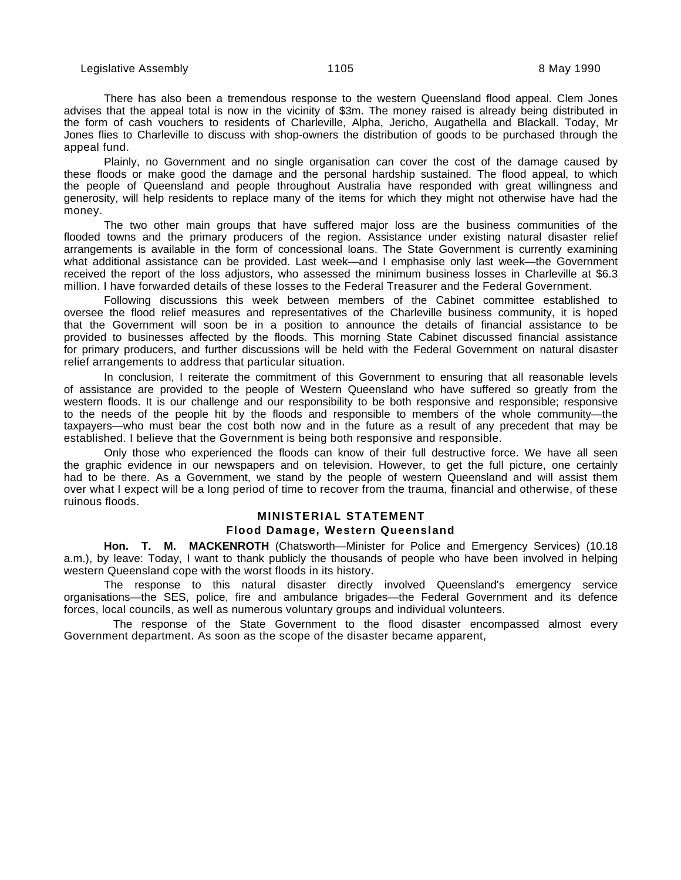There has also been a tremendous response to the western Queensland flood appeal. Clem Jones advises that the appeal total is now in the vicinity of \$3m. The money raised is already being distributed in the form of cash vouchers to residents of Charleville, Alpha, Jericho, Augathella and Blackall. Today, Mr Jones flies to Charleville to discuss with shop-owners the distribution of goods to be purchased through the appeal fund.

Plainly, no Government and no single organisation can cover the cost of the damage caused by these floods or make good the damage and the personal hardship sustained. The flood appeal, to which the people of Queensland and people throughout Australia have responded with great willingness and generosity, will help residents to replace many of the items for which they might not otherwise have had the money.

The two other main groups that have suffered major loss are the business communities of the flooded towns and the primary producers of the region. Assistance under existing natural disaster relief arrangements is available in the form of concessional loans. The State Government is currently examining what additional assistance can be provided. Last week—and I emphasise only last week—the Government received the report of the loss adjustors, who assessed the minimum business losses in Charleville at \$6.3 million. I have forwarded details of these losses to the Federal Treasurer and the Federal Government.

Following discussions this week between members of the Cabinet committee established to oversee the flood relief measures and representatives of the Charleville business community, it is hoped that the Government will soon be in a position to announce the details of financial assistance to be provided to businesses affected by the floods. This morning State Cabinet discussed financial assistance for primary producers, and further discussions will be held with the Federal Government on natural disaster relief arrangements to address that particular situation.

In conclusion, I reiterate the commitment of this Government to ensuring that all reasonable levels of assistance are provided to the people of Western Queensland who have suffered so greatly from the western floods. It is our challenge and our responsibility to be both responsive and responsible; responsive to the needs of the people hit by the floods and responsible to members of the whole community—the taxpayers—who must bear the cost both now and in the future as a result of any precedent that may be established. I believe that the Government is being both responsive and responsible.

Only those who experienced the floods can know of their full destructive force. We have all seen the graphic evidence in our newspapers and on television. However, to get the full picture, one certainly had to be there. As a Government, we stand by the people of western Queensland and will assist them over what I expect will be a long period of time to recover from the trauma, financial and otherwise, of these ruinous floods.

# **MINISTERIAL STATEMENT**

# **Flood Damage, Western Queensland**

**Hon. T. M. MACKENROTH** (Chatsworth—Minister for Police and Emergency Services) (10.18 a.m.), by leave: Today, I want to thank publicly the thousands of people who have been involved in helping western Queensland cope with the worst floods in its history.

The response to this natural disaster directly involved Queensland's emergency service organisations—the SES, police, fire and ambulance brigades—the Federal Government and its defence forces, local councils, as well as numerous voluntary groups and individual volunteers.

 The response of the State Government to the flood disaster encompassed almost every Government department. As soon as the scope of the disaster became apparent,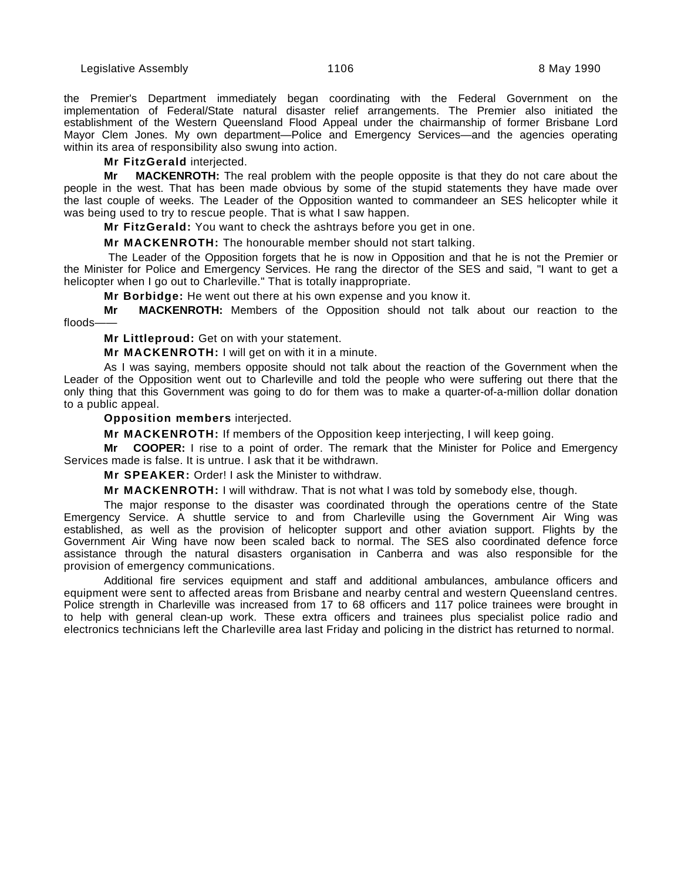the Premier's Department immediately began coordinating with the Federal Government on the implementation of Federal/State natural disaster relief arrangements. The Premier also initiated the establishment of the Western Queensland Flood Appeal under the chairmanship of former Brisbane Lord Mayor Clem Jones. My own department—Police and Emergency Services—and the agencies operating within its area of responsibility also swung into action.

**Mr FitzGerald** interjected.

**Mr MACKENROTH:** The real problem with the people opposite is that they do not care about the people in the west. That has been made obvious by some of the stupid statements they have made over the last couple of weeks. The Leader of the Opposition wanted to commandeer an SES helicopter while it was being used to try to rescue people. That is what I saw happen.

**Mr FitzGerald:** You want to check the ashtrays before you get in one.

**Mr MACKENROTH:** The honourable member should not start talking.

 The Leader of the Opposition forgets that he is now in Opposition and that he is not the Premier or the Minister for Police and Emergency Services. He rang the director of the SES and said, "I want to get a helicopter when I go out to Charleville." That is totally inappropriate.

**Mr Borbidge:** He went out there at his own expense and you know it.

**Mr MACKENROTH:** Members of the Opposition should not talk about our reaction to the floods-

**Mr Littleproud:** Get on with your statement.

**Mr MACKENROTH:** I will get on with it in a minute.

As I was saying, members opposite should not talk about the reaction of the Government when the Leader of the Opposition went out to Charleville and told the people who were suffering out there that the only thing that this Government was going to do for them was to make a quarter-of-a-million dollar donation to a public appeal.

#### **Opposition members** interjected.

**Mr MACKENROTH:** If members of the Opposition keep interjecting, I will keep going.

**Mr COOPER:** I rise to a point of order. The remark that the Minister for Police and Emergency Services made is false. It is untrue. I ask that it be withdrawn.

**Mr SPEAKER:** Order! I ask the Minister to withdraw.

**Mr MACKENROTH:** I will withdraw. That is not what I was told by somebody else, though.

The major response to the disaster was coordinated through the operations centre of the State Emergency Service. A shuttle service to and from Charleville using the Government Air Wing was established, as well as the provision of helicopter support and other aviation support. Flights by the Government Air Wing have now been scaled back to normal. The SES also coordinated defence force assistance through the natural disasters organisation in Canberra and was also responsible for the provision of emergency communications.

Additional fire services equipment and staff and additional ambulances, ambulance officers and equipment were sent to affected areas from Brisbane and nearby central and western Queensland centres. Police strength in Charleville was increased from 17 to 68 officers and 117 police trainees were brought in to help with general clean-up work. These extra officers and trainees plus specialist police radio and electronics technicians left the Charleville area last Friday and policing in the district has returned to normal.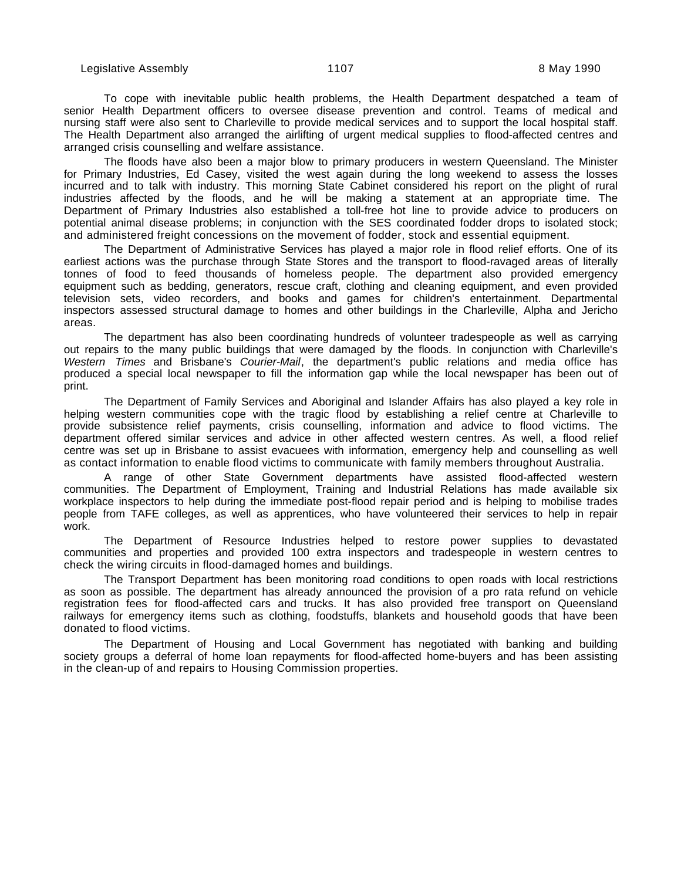To cope with inevitable public health problems, the Health Department despatched a team of senior Health Department officers to oversee disease prevention and control. Teams of medical and nursing staff were also sent to Charleville to provide medical services and to support the local hospital staff. The Health Department also arranged the airlifting of urgent medical supplies to flood-affected centres and arranged crisis counselling and welfare assistance.

The floods have also been a major blow to primary producers in western Queensland. The Minister for Primary Industries, Ed Casey, visited the west again during the long weekend to assess the losses incurred and to talk with industry. This morning State Cabinet considered his report on the plight of rural industries affected by the floods, and he will be making a statement at an appropriate time. The Department of Primary Industries also established a toll-free hot line to provide advice to producers on potential animal disease problems; in conjunction with the SES coordinated fodder drops to isolated stock; and administered freight concessions on the movement of fodder, stock and essential equipment.

The Department of Administrative Services has played a major role in flood relief efforts. One of its earliest actions was the purchase through State Stores and the transport to flood-ravaged areas of literally tonnes of food to feed thousands of homeless people. The department also provided emergency equipment such as bedding, generators, rescue craft, clothing and cleaning equipment, and even provided television sets, video recorders, and books and games for children's entertainment. Departmental inspectors assessed structural damage to homes and other buildings in the Charleville, Alpha and Jericho areas.

The department has also been coordinating hundreds of volunteer tradespeople as well as carrying out repairs to the many public buildings that were damaged by the floods. In conjunction with Charleville's Western Times and Brisbane's Courier-Mail, the department's public relations and media office has produced a special local newspaper to fill the information gap while the local newspaper has been out of print.

The Department of Family Services and Aboriginal and Islander Affairs has also played a key role in helping western communities cope with the tragic flood by establishing a relief centre at Charleville to provide subsistence relief payments, crisis counselling, information and advice to flood victims. The department offered similar services and advice in other affected western centres. As well, a flood relief centre was set up in Brisbane to assist evacuees with information, emergency help and counselling as well as contact information to enable flood victims to communicate with family members throughout Australia.

A range of other State Government departments have assisted flood-affected western communities. The Department of Employment, Training and Industrial Relations has made available six workplace inspectors to help during the immediate post-flood repair period and is helping to mobilise trades people from TAFE colleges, as well as apprentices, who have volunteered their services to help in repair work.

The Department of Resource Industries helped to restore power supplies to devastated communities and properties and provided 100 extra inspectors and tradespeople in western centres to check the wiring circuits in flood-damaged homes and buildings.

The Transport Department has been monitoring road conditions to open roads with local restrictions as soon as possible. The department has already announced the provision of a pro rata refund on vehicle registration fees for flood-affected cars and trucks. It has also provided free transport on Queensland railways for emergency items such as clothing, foodstuffs, blankets and household goods that have been donated to flood victims.

The Department of Housing and Local Government has negotiated with banking and building society groups a deferral of home loan repayments for flood-affected home-buyers and has been assisting in the clean-up of and repairs to Housing Commission properties.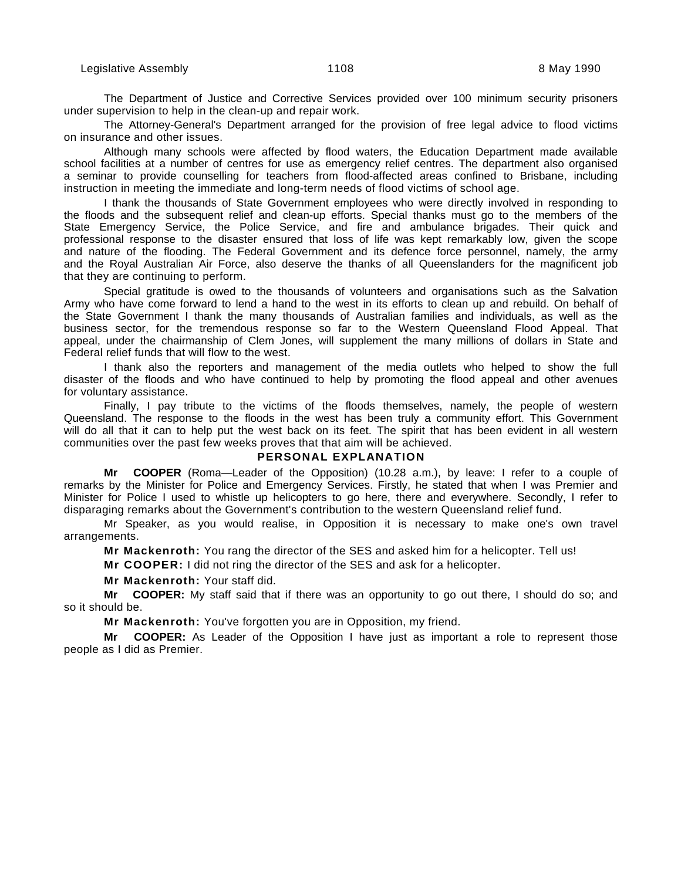The Department of Justice and Corrective Services provided over 100 minimum security prisoners under supervision to help in the clean-up and repair work.

The Attorney-General's Department arranged for the provision of free legal advice to flood victims on insurance and other issues.

Although many schools were affected by flood waters, the Education Department made available school facilities at a number of centres for use as emergency relief centres. The department also organised a seminar to provide counselling for teachers from flood-affected areas confined to Brisbane, including instruction in meeting the immediate and long-term needs of flood victims of school age.

I thank the thousands of State Government employees who were directly involved in responding to the floods and the subsequent relief and clean-up efforts. Special thanks must go to the members of the State Emergency Service, the Police Service, and fire and ambulance brigades. Their quick and professional response to the disaster ensured that loss of life was kept remarkably low, given the scope and nature of the flooding. The Federal Government and its defence force personnel, namely, the army and the Royal Australian Air Force, also deserve the thanks of all Queenslanders for the magnificent job that they are continuing to perform.

Special gratitude is owed to the thousands of volunteers and organisations such as the Salvation Army who have come forward to lend a hand to the west in its efforts to clean up and rebuild. On behalf of the State Government I thank the many thousands of Australian families and individuals, as well as the business sector, for the tremendous response so far to the Western Queensland Flood Appeal. That appeal, under the chairmanship of Clem Jones, will supplement the many millions of dollars in State and Federal relief funds that will flow to the west.

I thank also the reporters and management of the media outlets who helped to show the full disaster of the floods and who have continued to help by promoting the flood appeal and other avenues for voluntary assistance.

Finally, I pay tribute to the victims of the floods themselves, namely, the people of western Queensland. The response to the floods in the west has been truly a community effort. This Government will do all that it can to help put the west back on its feet. The spirit that has been evident in all western communities over the past few weeks proves that that aim will be achieved.

## **PERSONAL EXPLANATION**

**Mr COOPER** (Roma—Leader of the Opposition) (10.28 a.m.), by leave: I refer to a couple of remarks by the Minister for Police and Emergency Services. Firstly, he stated that when I was Premier and Minister for Police I used to whistle up helicopters to go here, there and everywhere. Secondly, I refer to disparaging remarks about the Government's contribution to the western Queensland relief fund.

Mr Speaker, as you would realise, in Opposition it is necessary to make one's own travel arrangements.

**Mr Mackenroth:** You rang the director of the SES and asked him for a helicopter. Tell us!

**Mr COOPER:** I did not ring the director of the SES and ask for a helicopter.

**Mr Mackenroth:** Your staff did.

**Mr COOPER:** My staff said that if there was an opportunity to go out there, I should do so; and so it should be.

**Mr Mackenroth:** You've forgotten you are in Opposition, my friend.

**Mr COOPER:** As Leader of the Opposition I have just as important a role to represent those people as I did as Premier.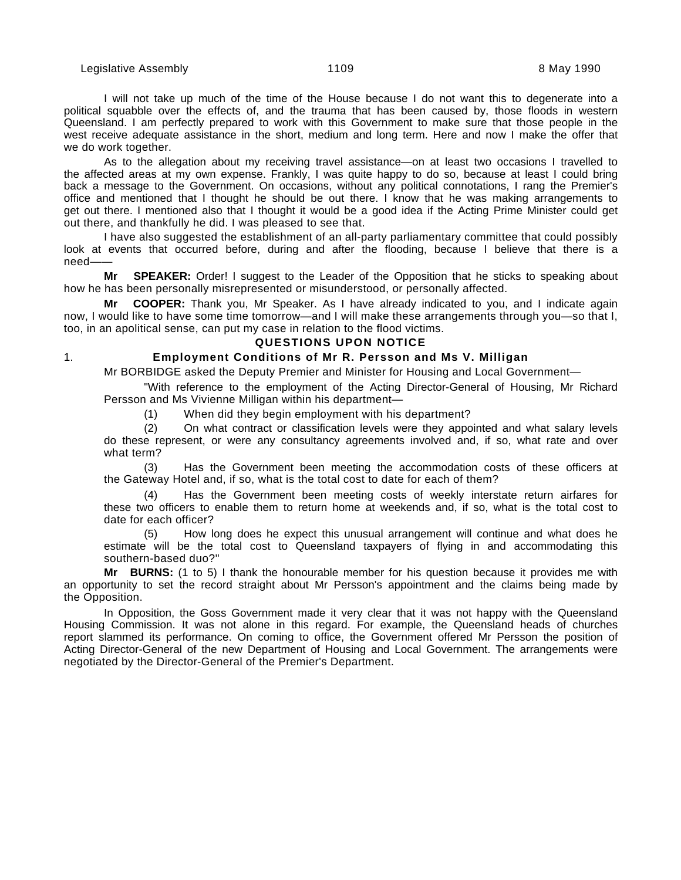I will not take up much of the time of the House because I do not want this to degenerate into a political squabble over the effects of, and the trauma that has been caused by, those floods in western Queensland. I am perfectly prepared to work with this Government to make sure that those people in the west receive adequate assistance in the short, medium and long term. Here and now I make the offer that we do work together.

As to the allegation about my receiving travel assistance—on at least two occasions I travelled to the affected areas at my own expense. Frankly, I was quite happy to do so, because at least I could bring back a message to the Government. On occasions, without any political connotations, I rang the Premier's office and mentioned that I thought he should be out there. I know that he was making arrangements to get out there. I mentioned also that I thought it would be a good idea if the Acting Prime Minister could get out there, and thankfully he did. I was pleased to see that.

I have also suggested the establishment of an all-party parliamentary committee that could possibly look at events that occurred before, during and after the flooding, because I believe that there is a need-

**Mr SPEAKER:** Order! I suggest to the Leader of the Opposition that he sticks to speaking about how he has been personally misrepresented or misunderstood, or personally affected.

**Mr COOPER:** Thank you, Mr Speaker. As I have already indicated to you, and I indicate again now, I would like to have some time tomorrow—and I will make these arrangements through you—so that I, too, in an apolitical sense, can put my case in relation to the flood victims.

#### **QUESTIONS UPON NOTICE**

# 1. **Employment Conditions of Mr R. Persson and Ms V. Milligan**

Mr BORBIDGE asked the Deputy Premier and Minister for Housing and Local Government—

"With reference to the employment of the Acting Director-General of Housing, Mr Richard Persson and Ms Vivienne Milligan within his department—

(1) When did they begin employment with his department?

(2) On what contract or classification levels were they appointed and what salary levels do these represent, or were any consultancy agreements involved and, if so, what rate and over what term?

(3) Has the Government been meeting the accommodation costs of these officers at the Gateway Hotel and, if so, what is the total cost to date for each of them?

(4) Has the Government been meeting costs of weekly interstate return airfares for these two officers to enable them to return home at weekends and, if so, what is the total cost to date for each officer?

How long does he expect this unusual arrangement will continue and what does he estimate will be the total cost to Queensland taxpayers of flying in and accommodating this southern-based duo?"

**Mr BURNS:** (1 to 5) I thank the honourable member for his question because it provides me with an opportunity to set the record straight about Mr Persson's appointment and the claims being made by the Opposition.

In Opposition, the Goss Government made it very clear that it was not happy with the Queensland Housing Commission. It was not alone in this regard. For example, the Queensland heads of churches report slammed its performance. On coming to office, the Government offered Mr Persson the position of Acting Director-General of the new Department of Housing and Local Government. The arrangements were negotiated by the Director-General of the Premier's Department.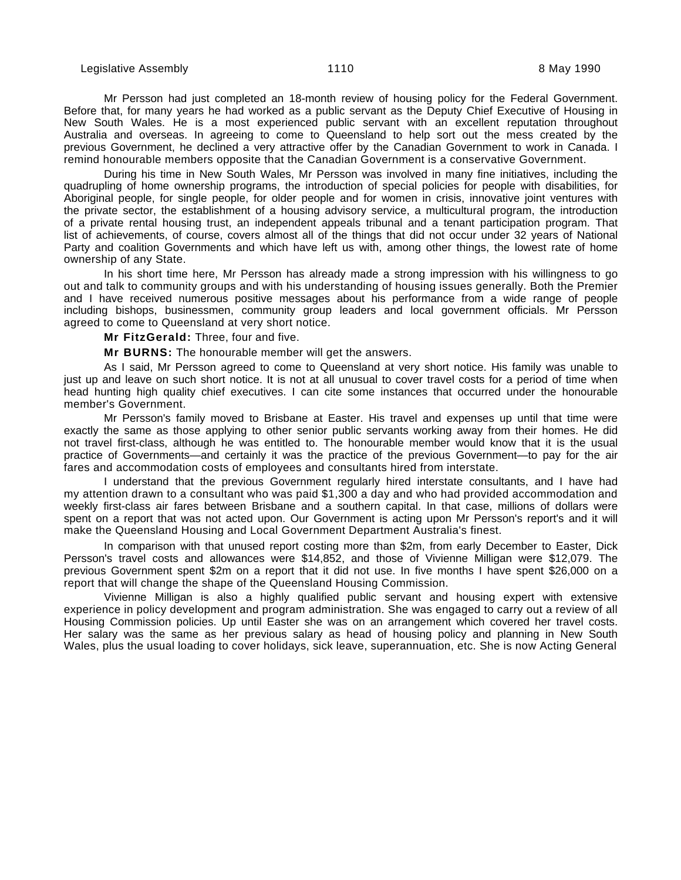Mr Persson had just completed an 18-month review of housing policy for the Federal Government. Before that, for many years he had worked as a public servant as the Deputy Chief Executive of Housing in New South Wales. He is a most experienced public servant with an excellent reputation throughout Australia and overseas. In agreeing to come to Queensland to help sort out the mess created by the previous Government, he declined a very attractive offer by the Canadian Government to work in Canada. I remind honourable members opposite that the Canadian Government is a conservative Government.

During his time in New South Wales, Mr Persson was involved in many fine initiatives, including the quadrupling of home ownership programs, the introduction of special policies for people with disabilities, for Aboriginal people, for single people, for older people and for women in crisis, innovative joint ventures with the private sector, the establishment of a housing advisory service, a multicultural program, the introduction of a private rental housing trust, an independent appeals tribunal and a tenant participation program. That list of achievements, of course, covers almost all of the things that did not occur under 32 years of National Party and coalition Governments and which have left us with, among other things, the lowest rate of home ownership of any State.

In his short time here, Mr Persson has already made a strong impression with his willingness to go out and talk to community groups and with his understanding of housing issues generally. Both the Premier and I have received numerous positive messages about his performance from a wide range of people including bishops, businessmen, community group leaders and local government officials. Mr Persson agreed to come to Queensland at very short notice.

**Mr FitzGerald:** Three, four and five.

**Mr BURNS:** The honourable member will get the answers.

As I said, Mr Persson agreed to come to Queensland at very short notice. His family was unable to just up and leave on such short notice. It is not at all unusual to cover travel costs for a period of time when head hunting high quality chief executives. I can cite some instances that occurred under the honourable member's Government.

Mr Persson's family moved to Brisbane at Easter. His travel and expenses up until that time were exactly the same as those applying to other senior public servants working away from their homes. He did not travel first-class, although he was entitled to. The honourable member would know that it is the usual practice of Governments—and certainly it was the practice of the previous Government—to pay for the air fares and accommodation costs of employees and consultants hired from interstate.

I understand that the previous Government regularly hired interstate consultants, and I have had my attention drawn to a consultant who was paid \$1,300 a day and who had provided accommodation and weekly first-class air fares between Brisbane and a southern capital. In that case, millions of dollars were spent on a report that was not acted upon. Our Government is acting upon Mr Persson's report's and it will make the Queensland Housing and Local Government Department Australia's finest.

In comparison with that unused report costing more than \$2m, from early December to Easter, Dick Persson's travel costs and allowances were \$14,852, and those of Vivienne Milligan were \$12,079. The previous Government spent \$2m on a report that it did not use. In five months I have spent \$26,000 on a report that will change the shape of the Queensland Housing Commission.

Vivienne Milligan is also a highly qualified public servant and housing expert with extensive experience in policy development and program administration. She was engaged to carry out a review of all Housing Commission policies. Up until Easter she was on an arrangement which covered her travel costs. Her salary was the same as her previous salary as head of housing policy and planning in New South Wales, plus the usual loading to cover holidays, sick leave, superannuation, etc. She is now Acting General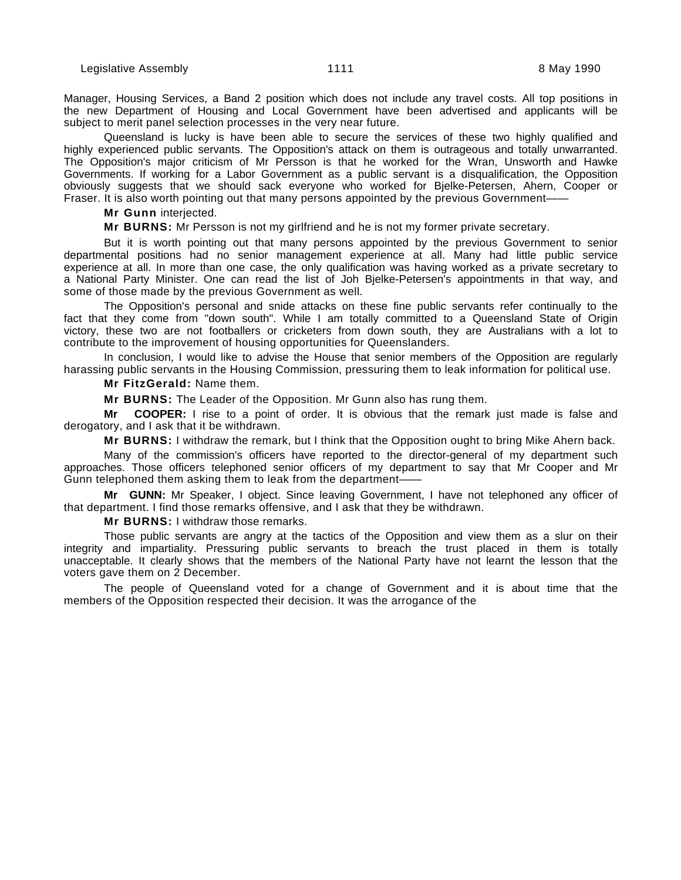Manager, Housing Services, a Band 2 position which does not include any travel costs. All top positions in the new Department of Housing and Local Government have been advertised and applicants will be subject to merit panel selection processes in the very near future.

Queensland is lucky is have been able to secure the services of these two highly qualified and highly experienced public servants. The Opposition's attack on them is outrageous and totally unwarranted. The Opposition's major criticism of Mr Persson is that he worked for the Wran, Unsworth and Hawke Governments. If working for a Labor Government as a public servant is a disqualification, the Opposition obviously suggests that we should sack everyone who worked for Bjelke-Petersen, Ahern, Cooper or Fraser. It is also worth pointing out that many persons appointed by the previous Government-

**Mr Gunn** interjected.

**Mr BURNS:** Mr Persson is not my girlfriend and he is not my former private secretary.

But it is worth pointing out that many persons appointed by the previous Government to senior departmental positions had no senior management experience at all. Many had little public service experience at all. In more than one case, the only qualification was having worked as a private secretary to a National Party Minister. One can read the list of Joh Bjelke-Petersen's appointments in that way, and some of those made by the previous Government as well.

The Opposition's personal and snide attacks on these fine public servants refer continually to the fact that they come from "down south". While I am totally committed to a Queensland State of Origin victory, these two are not footballers or cricketers from down south, they are Australians with a lot to contribute to the improvement of housing opportunities for Queenslanders.

In conclusion, I would like to advise the House that senior members of the Opposition are regularly harassing public servants in the Housing Commission, pressuring them to leak information for political use.

**Mr FitzGerald:** Name them.

**Mr BURNS:** The Leader of the Opposition. Mr Gunn also has rung them.

**Mr COOPER:** I rise to a point of order. It is obvious that the remark just made is false and derogatory, and I ask that it be withdrawn.

**Mr BURNS:** I withdraw the remark, but I think that the Opposition ought to bring Mike Ahern back.

Many of the commission's officers have reported to the director-general of my department such approaches. Those officers telephoned senior officers of my department to say that Mr Cooper and Mr Gunn telephoned them asking them to leak from the department——

**Mr GUNN:** Mr Speaker, I object. Since leaving Government, I have not telephoned any officer of that department. I find those remarks offensive, and I ask that they be withdrawn.

**Mr BURNS:** I withdraw those remarks.

Those public servants are angry at the tactics of the Opposition and view them as a slur on their integrity and impartiality. Pressuring public servants to breach the trust placed in them is totally unacceptable. It clearly shows that the members of the National Party have not learnt the lesson that the voters gave them on 2 December.

The people of Queensland voted for a change of Government and it is about time that the members of the Opposition respected their decision. It was the arrogance of the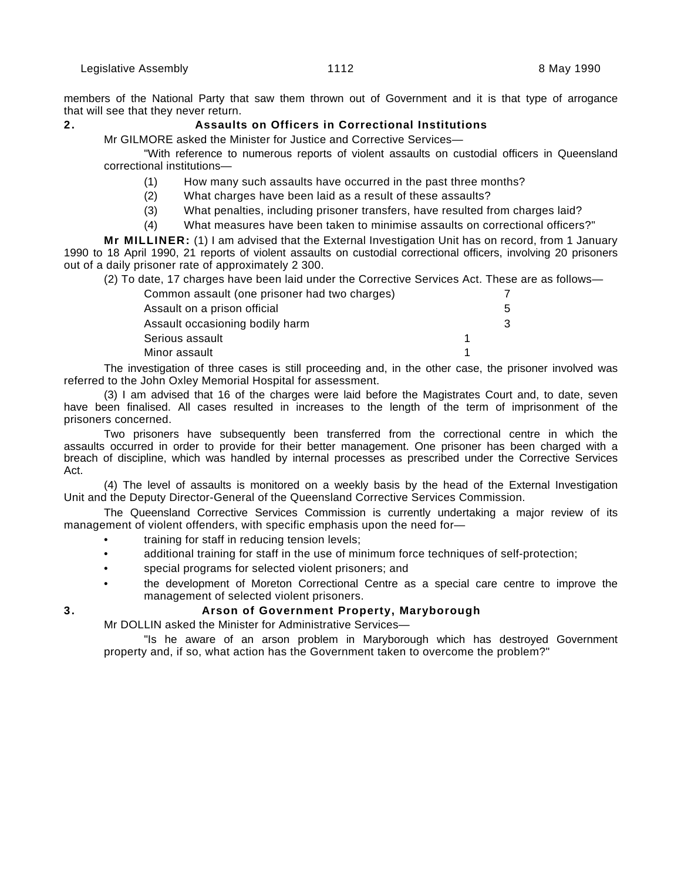members of the National Party that saw them thrown out of Government and it is that type of arrogance that will see that they never return.

# **2. Assaults on Officers in Correctional Institutions**

Mr GILMORE asked the Minister for Justice and Corrective Services—

"With reference to numerous reports of violent assaults on custodial officers in Queensland correctional institutions—

- (1) How many such assaults have occurred in the past three months?
- (2) What charges have been laid as a result of these assaults?
- (3) What penalties, including prisoner transfers, have resulted from charges laid?
- (4) What measures have been taken to minimise assaults on correctional officers?"

**Mr MILLINER:** (1) I am advised that the External Investigation Unit has on record, from 1 January 1990 to 18 April 1990, 21 reports of violent assaults on custodial correctional officers, involving 20 prisoners out of a daily prisoner rate of approximately 2 300.

(2) To date, 17 charges have been laid under the Corrective Services Act. These are as follows—

| Common assault (one prisoner had two charges) |   |
|-----------------------------------------------|---|
| Assault on a prison official                  | 5 |
| Assault occasioning bodily harm               | 3 |
| Serious assault                               |   |
| Minor assault                                 |   |

The investigation of three cases is still proceeding and, in the other case, the prisoner involved was referred to the John Oxley Memorial Hospital for assessment.

(3) I am advised that 16 of the charges were laid before the Magistrates Court and, to date, seven have been finalised. All cases resulted in increases to the length of the term of imprisonment of the prisoners concerned.

Two prisoners have subsequently been transferred from the correctional centre in which the assaults occurred in order to provide for their better management. One prisoner has been charged with a breach of discipline, which was handled by internal processes as prescribed under the Corrective Services Act.

(4) The level of assaults is monitored on a weekly basis by the head of the External Investigation Unit and the Deputy Director-General of the Queensland Corrective Services Commission.

The Queensland Corrective Services Commission is currently undertaking a major review of its management of violent offenders, with specific emphasis upon the need for—

- training for staff in reducing tension levels;
- additional training for staff in the use of minimum force techniques of self-protection;
- special programs for selected violent prisoners; and
- the development of Moreton Correctional Centre as a special care centre to improve the management of selected violent prisoners.

# **3. Arson of Government Property, Maryborough**

Mr DOLLIN asked the Minister for Administrative Services—

"Is he aware of an arson problem in Maryborough which has destroyed Government property and, if so, what action has the Government taken to overcome the problem?"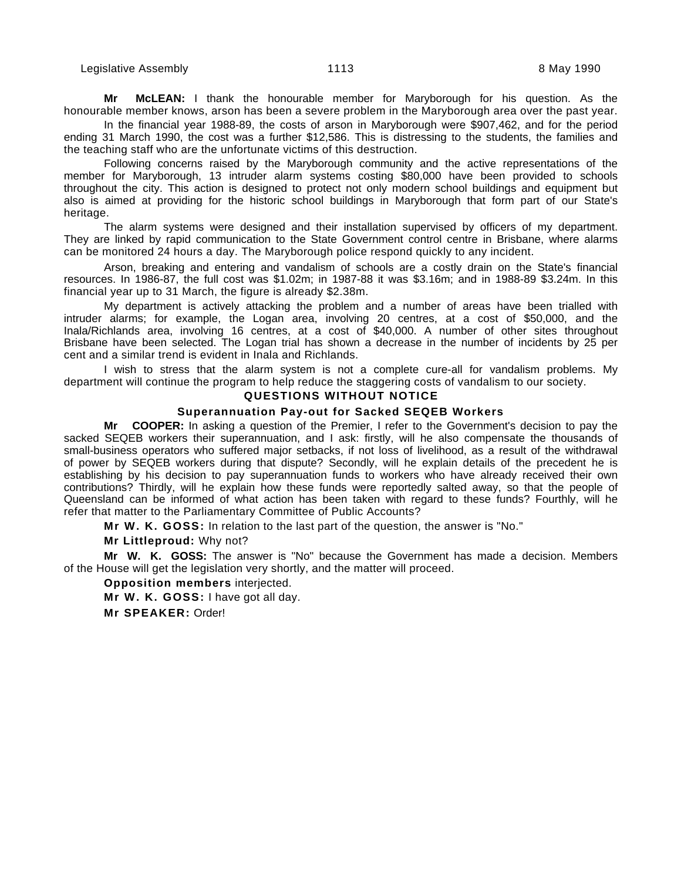**Mr McLEAN:** I thank the honourable member for Maryborough for his question. As the honourable member knows, arson has been a severe problem in the Maryborough area over the past year.

In the financial year 1988-89, the costs of arson in Maryborough were \$907,462, and for the period ending 31 March 1990, the cost was a further \$12,586. This is distressing to the students, the families and the teaching staff who are the unfortunate victims of this destruction.

Following concerns raised by the Maryborough community and the active representations of the member for Maryborough, 13 intruder alarm systems costing \$80,000 have been provided to schools throughout the city. This action is designed to protect not only modern school buildings and equipment but also is aimed at providing for the historic school buildings in Maryborough that form part of our State's heritage.

The alarm systems were designed and their installation supervised by officers of my department. They are linked by rapid communication to the State Government control centre in Brisbane, where alarms can be monitored 24 hours a day. The Maryborough police respond quickly to any incident.

Arson, breaking and entering and vandalism of schools are a costly drain on the State's financial resources. In 1986-87, the full cost was \$1.02m; in 1987-88 it was \$3.16m; and in 1988-89 \$3.24m. In this financial year up to 31 March, the figure is already \$2.38m.

My department is actively attacking the problem and a number of areas have been trialled with intruder alarms; for example, the Logan area, involving 20 centres, at a cost of \$50,000, and the Inala/Richlands area, involving 16 centres, at a cost of \$40,000. A number of other sites throughout Brisbane have been selected. The Logan trial has shown a decrease in the number of incidents by 25 per cent and a similar trend is evident in Inala and Richlands.

I wish to stress that the alarm system is not a complete cure-all for vandalism problems. My department will continue the program to help reduce the staggering costs of vandalism to our society.

#### **QUESTIONS WITHOUT NOTICE**

#### **Superannuation Pay-out for Sacked SEQEB Workers**

**Mr COOPER:** In asking a question of the Premier, I refer to the Government's decision to pay the sacked SEQEB workers their superannuation, and I ask: firstly, will he also compensate the thousands of small-business operators who suffered major setbacks, if not loss of livelihood, as a result of the withdrawal of power by SEQEB workers during that dispute? Secondly, will he explain details of the precedent he is establishing by his decision to pay superannuation funds to workers who have already received their own contributions? Thirdly, will he explain how these funds were reportedly salted away, so that the people of Queensland can be informed of what action has been taken with regard to these funds? Fourthly, will he refer that matter to the Parliamentary Committee of Public Accounts?

**Mr W. K. GOSS:** In relation to the last part of the question, the answer is "No."

**Mr Littleproud:** Why not?

**Mr W. K. GOSS:** The answer is "No" because the Government has made a decision. Members of the House will get the legislation very shortly, and the matter will proceed.

**Opposition members** interjected.

**Mr W. K. GOSS:** I have got all day.

**Mr SPEAKER:** Order!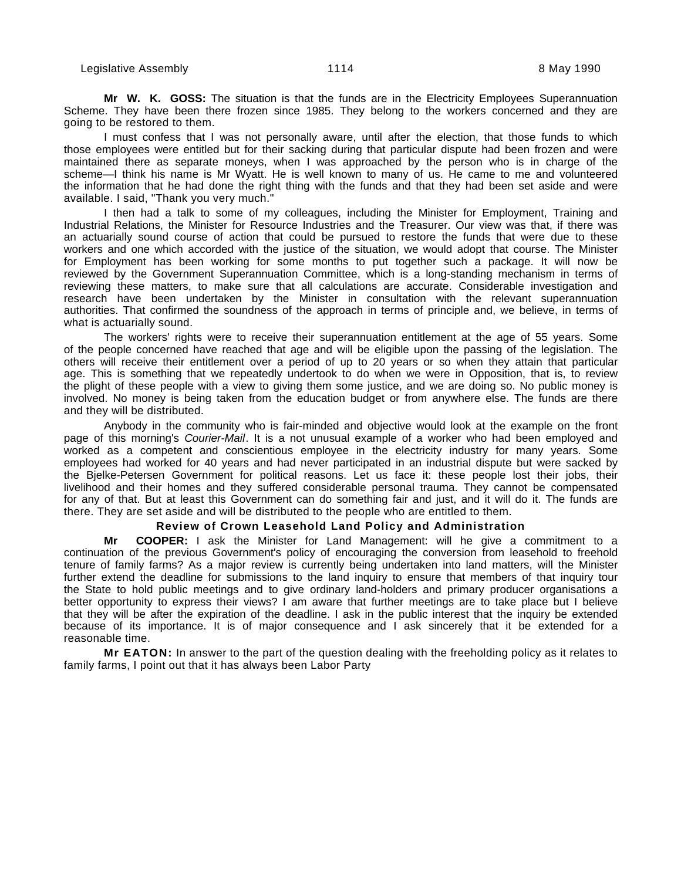**Mr W. K. GOSS:** The situation is that the funds are in the Electricity Employees Superannuation Scheme. They have been there frozen since 1985. They belong to the workers concerned and they are going to be restored to them.

I must confess that I was not personally aware, until after the election, that those funds to which those employees were entitled but for their sacking during that particular dispute had been frozen and were maintained there as separate moneys, when I was approached by the person who is in charge of the scheme—I think his name is Mr Wyatt. He is well known to many of us. He came to me and volunteered the information that he had done the right thing with the funds and that they had been set aside and were available. I said, "Thank you very much."

I then had a talk to some of my colleagues, including the Minister for Employment, Training and Industrial Relations, the Minister for Resource Industries and the Treasurer. Our view was that, if there was an actuarially sound course of action that could be pursued to restore the funds that were due to these workers and one which accorded with the justice of the situation, we would adopt that course. The Minister for Employment has been working for some months to put together such a package. It will now be reviewed by the Government Superannuation Committee, which is a long-standing mechanism in terms of reviewing these matters, to make sure that all calculations are accurate. Considerable investigation and research have been undertaken by the Minister in consultation with the relevant superannuation authorities. That confirmed the soundness of the approach in terms of principle and, we believe, in terms of what is actuarially sound.

The workers' rights were to receive their superannuation entitlement at the age of 55 years. Some of the people concerned have reached that age and will be eligible upon the passing of the legislation. The others will receive their entitlement over a period of up to 20 years or so when they attain that particular age. This is something that we repeatedly undertook to do when we were in Opposition, that is, to review the plight of these people with a view to giving them some justice, and we are doing so. No public money is involved. No money is being taken from the education budget or from anywhere else. The funds are there and they will be distributed.

Anybody in the community who is fair-minded and objective would look at the example on the front page of this morning's Courier-Mail. It is a not unusual example of a worker who had been employed and worked as a competent and conscientious employee in the electricity industry for many years. Some employees had worked for 40 years and had never participated in an industrial dispute but were sacked by the Bjelke-Petersen Government for political reasons. Let us face it: these people lost their jobs, their livelihood and their homes and they suffered considerable personal trauma. They cannot be compensated for any of that. But at least this Government can do something fair and just, and it will do it. The funds are there. They are set aside and will be distributed to the people who are entitled to them.

#### **Review of Crown Leasehold Land Policy and Administration**

**Mr COOPER:** I ask the Minister for Land Management: will he give a commitment to a continuation of the previous Government's policy of encouraging the conversion from leasehold to freehold tenure of family farms? As a major review is currently being undertaken into land matters, will the Minister further extend the deadline for submissions to the land inquiry to ensure that members of that inquiry tour the State to hold public meetings and to give ordinary land-holders and primary producer organisations a better opportunity to express their views? I am aware that further meetings are to take place but I believe that they will be after the expiration of the deadline. I ask in the public interest that the inquiry be extended because of its importance. It is of major consequence and I ask sincerely that it be extended for a reasonable time.

**Mr EATON:** In answer to the part of the question dealing with the freeholding policy as it relates to family farms, I point out that it has always been Labor Party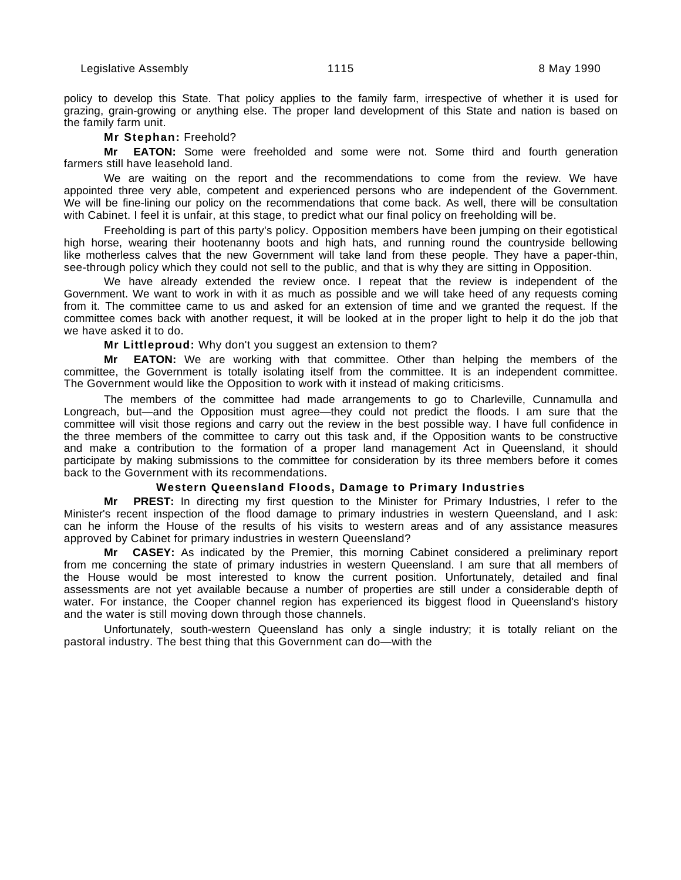policy to develop this State. That policy applies to the family farm, irrespective of whether it is used for grazing, grain-growing or anything else. The proper land development of this State and nation is based on the family farm unit.

#### **Mr Stephan:** Freehold?

**Mr EATON:** Some were freeholded and some were not. Some third and fourth generation farmers still have leasehold land.

We are waiting on the report and the recommendations to come from the review. We have appointed three very able, competent and experienced persons who are independent of the Government. We will be fine-lining our policy on the recommendations that come back. As well, there will be consultation with Cabinet. I feel it is unfair, at this stage, to predict what our final policy on freeholding will be.

Freeholding is part of this party's policy. Opposition members have been jumping on their egotistical high horse, wearing their hootenanny boots and high hats, and running round the countryside bellowing like motherless calves that the new Government will take land from these people. They have a paper-thin, see-through policy which they could not sell to the public, and that is why they are sitting in Opposition.

We have already extended the review once. I repeat that the review is independent of the Government. We want to work in with it as much as possible and we will take heed of any requests coming from it. The committee came to us and asked for an extension of time and we granted the request. If the committee comes back with another request, it will be looked at in the proper light to help it do the job that we have asked it to do.

#### **Mr Littleproud:** Why don't you suggest an extension to them?

**Mr EATON:** We are working with that committee. Other than helping the members of the committee, the Government is totally isolating itself from the committee. It is an independent committee. The Government would like the Opposition to work with it instead of making criticisms.

The members of the committee had made arrangements to go to Charleville, Cunnamulla and Longreach, but—and the Opposition must agree—they could not predict the floods. I am sure that the committee will visit those regions and carry out the review in the best possible way. I have full confidence in the three members of the committee to carry out this task and, if the Opposition wants to be constructive and make a contribution to the formation of a proper land management Act in Queensland, it should participate by making submissions to the committee for consideration by its three members before it comes back to the Government with its recommendations.

# **Western Queensland Floods, Damage to Primary Industries**

**Mr PREST:** In directing my first question to the Minister for Primary Industries, I refer to the Minister's recent inspection of the flood damage to primary industries in western Queensland, and I ask: can he inform the House of the results of his visits to western areas and of any assistance measures approved by Cabinet for primary industries in western Queensland?

**Mr CASEY:** As indicated by the Premier, this morning Cabinet considered a preliminary report from me concerning the state of primary industries in western Queensland. I am sure that all members of the House would be most interested to know the current position. Unfortunately, detailed and final assessments are not yet available because a number of properties are still under a considerable depth of water. For instance, the Cooper channel region has experienced its biggest flood in Queensland's history and the water is still moving down through those channels.

Unfortunately, south-western Queensland has only a single industry; it is totally reliant on the pastoral industry. The best thing that this Government can do—with the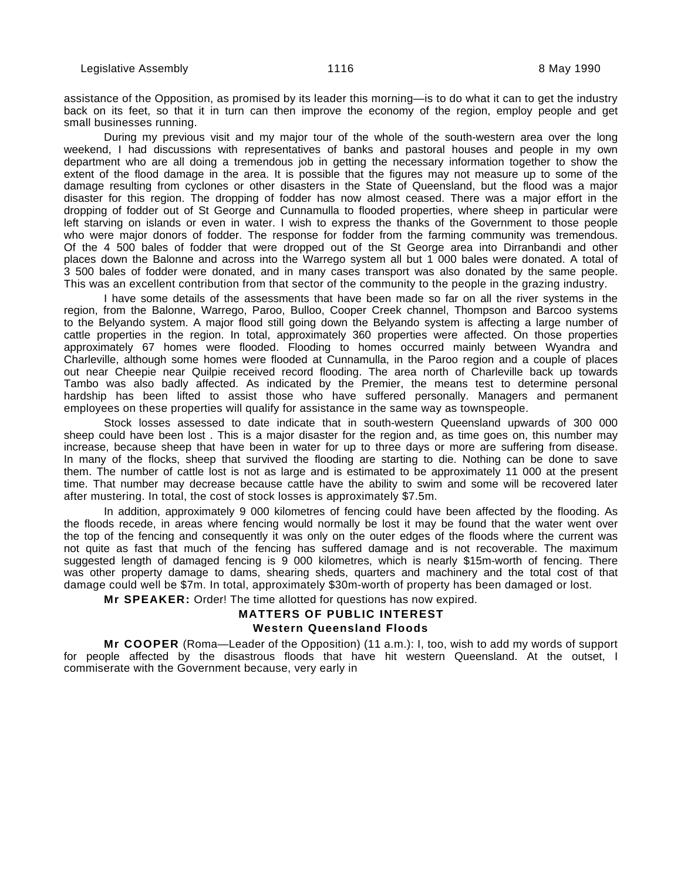assistance of the Opposition, as promised by its leader this morning—is to do what it can to get the industry back on its feet, so that it in turn can then improve the economy of the region, employ people and get small businesses running.

During my previous visit and my major tour of the whole of the south-western area over the long weekend, I had discussions with representatives of banks and pastoral houses and people in my own department who are all doing a tremendous job in getting the necessary information together to show the extent of the flood damage in the area. It is possible that the figures may not measure up to some of the damage resulting from cyclones or other disasters in the State of Queensland, but the flood was a major disaster for this region. The dropping of fodder has now almost ceased. There was a major effort in the dropping of fodder out of St George and Cunnamulla to flooded properties, where sheep in particular were left starving on islands or even in water. I wish to express the thanks of the Government to those people who were major donors of fodder. The response for fodder from the farming community was tremendous. Of the 4 500 bales of fodder that were dropped out of the St George area into Dirranbandi and other places down the Balonne and across into the Warrego system all but 1 000 bales were donated. A total of 3 500 bales of fodder were donated, and in many cases transport was also donated by the same people. This was an excellent contribution from that sector of the community to the people in the grazing industry.

I have some details of the assessments that have been made so far on all the river systems in the region, from the Balonne, Warrego, Paroo, Bulloo, Cooper Creek channel, Thompson and Barcoo systems to the Belyando system. A major flood still going down the Belyando system is affecting a large number of cattle properties in the region. In total, approximately 360 properties were affected. On those properties approximately 67 homes were flooded. Flooding to homes occurred mainly between Wyandra and Charleville, although some homes were flooded at Cunnamulla, in the Paroo region and a couple of places out near Cheepie near Quilpie received record flooding. The area north of Charleville back up towards Tambo was also badly affected. As indicated by the Premier, the means test to determine personal hardship has been lifted to assist those who have suffered personally. Managers and permanent employees on these properties will qualify for assistance in the same way as townspeople.

Stock losses assessed to date indicate that in south-western Queensland upwards of 300 000 sheep could have been lost . This is a major disaster for the region and, as time goes on, this number may increase, because sheep that have been in water for up to three days or more are suffering from disease. In many of the flocks, sheep that survived the flooding are starting to die. Nothing can be done to save them. The number of cattle lost is not as large and is estimated to be approximately 11 000 at the present time. That number may decrease because cattle have the ability to swim and some will be recovered later after mustering. In total, the cost of stock losses is approximately \$7.5m.

In addition, approximately 9 000 kilometres of fencing could have been affected by the flooding. As the floods recede, in areas where fencing would normally be lost it may be found that the water went over the top of the fencing and consequently it was only on the outer edges of the floods where the current was not quite as fast that much of the fencing has suffered damage and is not recoverable. The maximum suggested length of damaged fencing is 9 000 kilometres, which is nearly \$15m-worth of fencing. There was other property damage to dams, shearing sheds, quarters and machinery and the total cost of that damage could well be \$7m. In total, approximately \$30m-worth of property has been damaged or lost.

**Mr SPEAKER:** Order! The time allotted for questions has now expired.

# **MATTERS OF PUBLIC INTEREST**

# **Western Queensland Floods**

**Mr COOPER** (Roma—Leader of the Opposition) (11 a.m.): I, too, wish to add my words of support for people affected by the disastrous floods that have hit western Queensland. At the outset, I commiserate with the Government because, very early in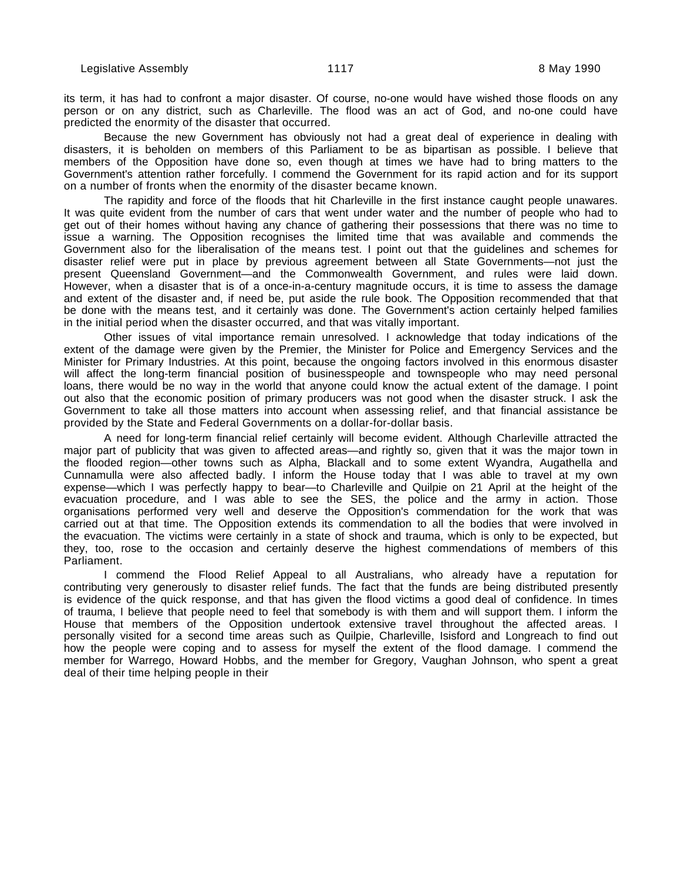its term, it has had to confront a major disaster. Of course, no-one would have wished those floods on any person or on any district, such as Charleville. The flood was an act of God, and no-one could have predicted the enormity of the disaster that occurred.

Because the new Government has obviously not had a great deal of experience in dealing with disasters, it is beholden on members of this Parliament to be as bipartisan as possible. I believe that members of the Opposition have done so, even though at times we have had to bring matters to the Government's attention rather forcefully. I commend the Government for its rapid action and for its support on a number of fronts when the enormity of the disaster became known.

The rapidity and force of the floods that hit Charleville in the first instance caught people unawares. It was quite evident from the number of cars that went under water and the number of people who had to get out of their homes without having any chance of gathering their possessions that there was no time to issue a warning. The Opposition recognises the limited time that was available and commends the Government also for the liberalisation of the means test. I point out that the guidelines and schemes for disaster relief were put in place by previous agreement between all State Governments—not just the present Queensland Government—and the Commonwealth Government, and rules were laid down. However, when a disaster that is of a once-in-a-century magnitude occurs, it is time to assess the damage and extent of the disaster and, if need be, put aside the rule book. The Opposition recommended that that be done with the means test, and it certainly was done. The Government's action certainly helped families in the initial period when the disaster occurred, and that was vitally important.

Other issues of vital importance remain unresolved. I acknowledge that today indications of the extent of the damage were given by the Premier, the Minister for Police and Emergency Services and the Minister for Primary Industries. At this point, because the ongoing factors involved in this enormous disaster will affect the long-term financial position of businesspeople and townspeople who may need personal loans, there would be no way in the world that anyone could know the actual extent of the damage. I point out also that the economic position of primary producers was not good when the disaster struck. I ask the Government to take all those matters into account when assessing relief, and that financial assistance be provided by the State and Federal Governments on a dollar-for-dollar basis.

A need for long-term financial relief certainly will become evident. Although Charleville attracted the major part of publicity that was given to affected areas—and rightly so, given that it was the major town in the flooded region—other towns such as Alpha, Blackall and to some extent Wyandra, Augathella and Cunnamulla were also affected badly. I inform the House today that I was able to travel at my own expense—which I was perfectly happy to bear—to Charleville and Quilpie on 21 April at the height of the evacuation procedure, and I was able to see the SES, the police and the army in action. Those organisations performed very well and deserve the Opposition's commendation for the work that was carried out at that time. The Opposition extends its commendation to all the bodies that were involved in the evacuation. The victims were certainly in a state of shock and trauma, which is only to be expected, but they, too, rose to the occasion and certainly deserve the highest commendations of members of this Parliament.

I commend the Flood Relief Appeal to all Australians, who already have a reputation for contributing very generously to disaster relief funds. The fact that the funds are being distributed presently is evidence of the quick response, and that has given the flood victims a good deal of confidence. In times of trauma, I believe that people need to feel that somebody is with them and will support them. I inform the House that members of the Opposition undertook extensive travel throughout the affected areas. I personally visited for a second time areas such as Quilpie, Charleville, Isisford and Longreach to find out how the people were coping and to assess for myself the extent of the flood damage. I commend the member for Warrego, Howard Hobbs, and the member for Gregory, Vaughan Johnson, who spent a great deal of their time helping people in their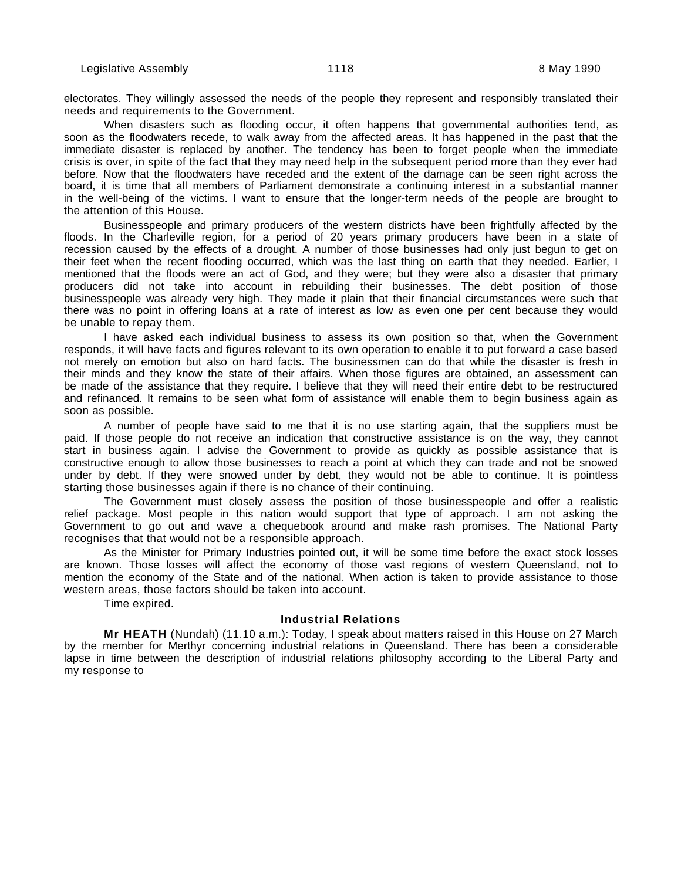electorates. They willingly assessed the needs of the people they represent and responsibly translated their needs and requirements to the Government.

When disasters such as flooding occur, it often happens that governmental authorities tend, as soon as the floodwaters recede, to walk away from the affected areas. It has happened in the past that the immediate disaster is replaced by another. The tendency has been to forget people when the immediate crisis is over, in spite of the fact that they may need help in the subsequent period more than they ever had before. Now that the floodwaters have receded and the extent of the damage can be seen right across the board, it is time that all members of Parliament demonstrate a continuing interest in a substantial manner in the well-being of the victims. I want to ensure that the longer-term needs of the people are brought to the attention of this House.

Businesspeople and primary producers of the western districts have been frightfully affected by the floods. In the Charleville region, for a period of 20 years primary producers have been in a state of recession caused by the effects of a drought. A number of those businesses had only just begun to get on their feet when the recent flooding occurred, which was the last thing on earth that they needed. Earlier, I mentioned that the floods were an act of God, and they were; but they were also a disaster that primary producers did not take into account in rebuilding their businesses. The debt position of those businesspeople was already very high. They made it plain that their financial circumstances were such that there was no point in offering loans at a rate of interest as low as even one per cent because they would be unable to repay them.

I have asked each individual business to assess its own position so that, when the Government responds, it will have facts and figures relevant to its own operation to enable it to put forward a case based not merely on emotion but also on hard facts. The businessmen can do that while the disaster is fresh in their minds and they know the state of their affairs. When those figures are obtained, an assessment can be made of the assistance that they require. I believe that they will need their entire debt to be restructured and refinanced. It remains to be seen what form of assistance will enable them to begin business again as soon as possible.

A number of people have said to me that it is no use starting again, that the suppliers must be paid. If those people do not receive an indication that constructive assistance is on the way, they cannot start in business again. I advise the Government to provide as quickly as possible assistance that is constructive enough to allow those businesses to reach a point at which they can trade and not be snowed under by debt. If they were snowed under by debt, they would not be able to continue. It is pointless starting those businesses again if there is no chance of their continuing.

The Government must closely assess the position of those businesspeople and offer a realistic relief package. Most people in this nation would support that type of approach. I am not asking the Government to go out and wave a chequebook around and make rash promises. The National Party recognises that that would not be a responsible approach.

As the Minister for Primary Industries pointed out, it will be some time before the exact stock losses are known. Those losses will affect the economy of those vast regions of western Queensland, not to mention the economy of the State and of the national. When action is taken to provide assistance to those western areas, those factors should be taken into account.

Time expired.

#### **Industrial Relations**

**Mr HEATH** (Nundah) (11.10 a.m.): Today, I speak about matters raised in this House on 27 March by the member for Merthyr concerning industrial relations in Queensland. There has been a considerable lapse in time between the description of industrial relations philosophy according to the Liberal Party and my response to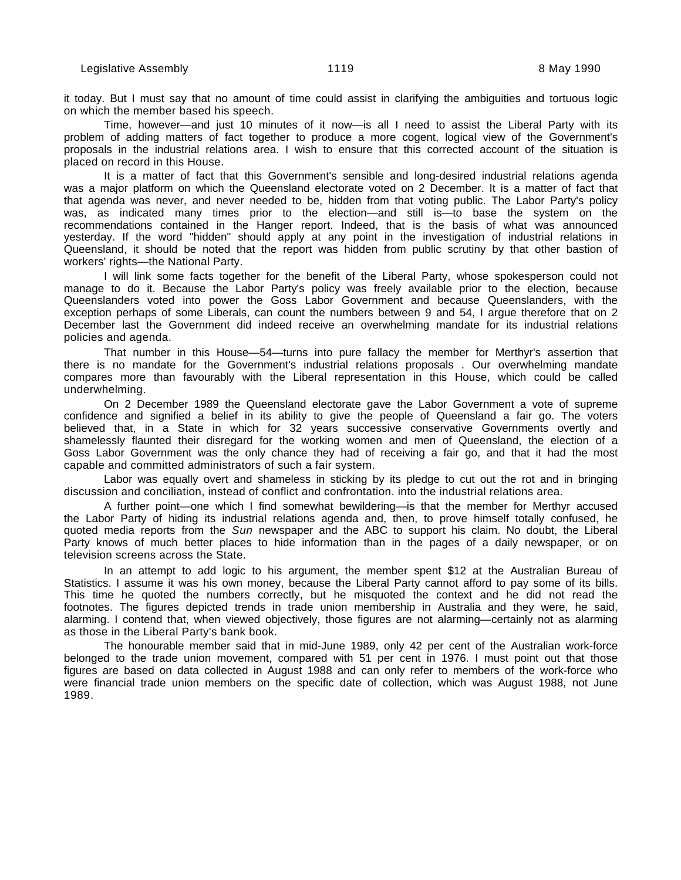it today. But I must say that no amount of time could assist in clarifying the ambiguities and tortuous logic on which the member based his speech.

Time, however—and just 10 minutes of it now—is all I need to assist the Liberal Party with its problem of adding matters of fact together to produce a more cogent, logical view of the Government's proposals in the industrial relations area. I wish to ensure that this corrected account of the situation is placed on record in this House.

It is a matter of fact that this Government's sensible and long-desired industrial relations agenda was a major platform on which the Queensland electorate voted on 2 December. It is a matter of fact that that agenda was never, and never needed to be, hidden from that voting public. The Labor Party's policy was, as indicated many times prior to the election—and still is—to base the system on the recommendations contained in the Hanger report. Indeed, that is the basis of what was announced yesterday. If the word "hidden" should apply at any point in the investigation of industrial relations in Queensland, it should be noted that the report was hidden from public scrutiny by that other bastion of workers' rights—the National Party.

I will link some facts together for the benefit of the Liberal Party, whose spokesperson could not manage to do it. Because the Labor Party's policy was freely available prior to the election, because Queenslanders voted into power the Goss Labor Government and because Queenslanders, with the exception perhaps of some Liberals, can count the numbers between 9 and 54, I argue therefore that on 2 December last the Government did indeed receive an overwhelming mandate for its industrial relations policies and agenda.

That number in this House—54—turns into pure fallacy the member for Merthyr's assertion that there is no mandate for the Government's industrial relations proposals . Our overwhelming mandate compares more than favourably with the Liberal representation in this House, which could be called underwhelming.

On 2 December 1989 the Queensland electorate gave the Labor Government a vote of supreme confidence and signified a belief in its ability to give the people of Queensland a fair go. The voters believed that, in a State in which for 32 years successive conservative Governments overtly and shamelessly flaunted their disregard for the working women and men of Queensland, the election of a Goss Labor Government was the only chance they had of receiving a fair go, and that it had the most capable and committed administrators of such a fair system.

Labor was equally overt and shameless in sticking by its pledge to cut out the rot and in bringing discussion and conciliation, instead of conflict and confrontation. into the industrial relations area.

A further point—one which I find somewhat bewildering—is that the member for Merthyr accused the Labor Party of hiding its industrial relations agenda and, then, to prove himself totally confused, he quoted media reports from the Sun newspaper and the ABC to support his claim. No doubt, the Liberal Party knows of much better places to hide information than in the pages of a daily newspaper, or on television screens across the State.

In an attempt to add logic to his argument, the member spent \$12 at the Australian Bureau of Statistics. I assume it was his own money, because the Liberal Party cannot afford to pay some of its bills. This time he quoted the numbers correctly, but he misquoted the context and he did not read the footnotes. The figures depicted trends in trade union membership in Australia and they were, he said, alarming. I contend that, when viewed objectively, those figures are not alarming—certainly not as alarming as those in the Liberal Party's bank book.

The honourable member said that in mid-June 1989, only 42 per cent of the Australian work-force belonged to the trade union movement, compared with 51 per cent in 1976. I must point out that those figures are based on data collected in August 1988 and can only refer to members of the work-force who were financial trade union members on the specific date of collection, which was August 1988, not June 1989.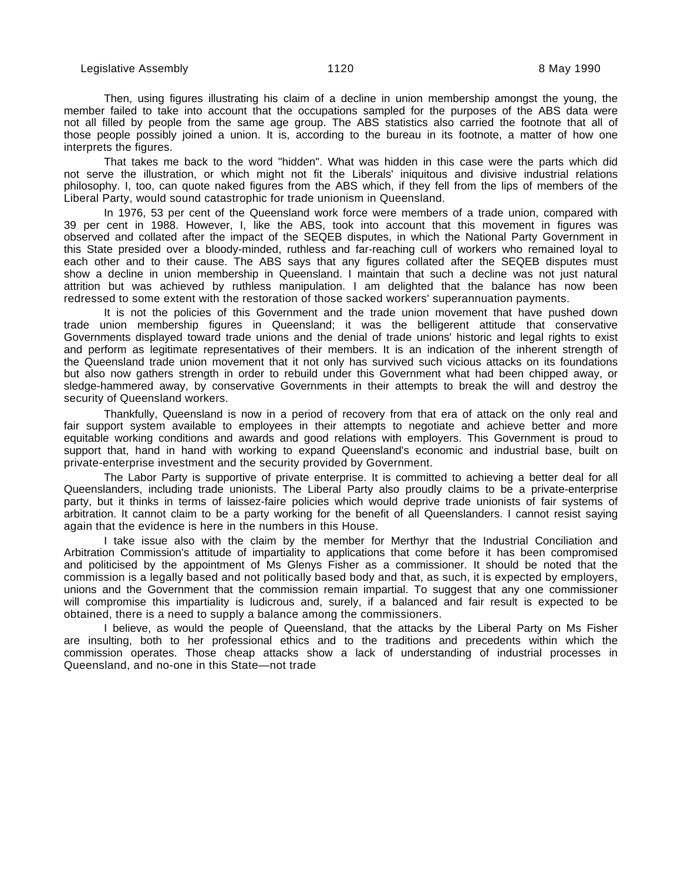Then, using figures illustrating his claim of a decline in union membership amongst the young, the member failed to take into account that the occupations sampled for the purposes of the ABS data were not all filled by people from the same age group. The ABS statistics also carried the footnote that all of those people possibly joined a union. It is, according to the bureau in its footnote, a matter of how one interprets the figures.

That takes me back to the word "hidden". What was hidden in this case were the parts which did not serve the illustration, or which might not fit the Liberals' iniquitous and divisive industrial relations philosophy. I, too, can quote naked figures from the ABS which, if they fell from the lips of members of the Liberal Party, would sound catastrophic for trade unionism in Queensland.

In 1976, 53 per cent of the Queensland work force were members of a trade union, compared with 39 per cent in 1988. However, I, like the ABS, took into account that this movement in figures was observed and collated after the impact of the SEQEB disputes, in which the National Party Government in this State presided over a bloody-minded, ruthless and far-reaching cull of workers who remained loyal to each other and to their cause. The ABS says that any figures collated after the SEQEB disputes must show a decline in union membership in Queensland. I maintain that such a decline was not just natural attrition but was achieved by ruthless manipulation. I am delighted that the balance has now been redressed to some extent with the restoration of those sacked workers' superannuation payments.

It is not the policies of this Government and the trade union movement that have pushed down trade union membership figures in Queensland; it was the belligerent attitude that conservative Governments displayed toward trade unions and the denial of trade unions' historic and legal rights to exist and perform as legitimate representatives of their members. It is an indication of the inherent strength of the Queensland trade union movement that it not only has survived such vicious attacks on its foundations but also now gathers strength in order to rebuild under this Government what had been chipped away, or sledge-hammered away, by conservative Governments in their attempts to break the will and destroy the security of Queensland workers.

Thankfully, Queensland is now in a period of recovery from that era of attack on the only real and fair support system available to employees in their attempts to negotiate and achieve better and more equitable working conditions and awards and good relations with employers. This Government is proud to support that, hand in hand with working to expand Queensland's economic and industrial base, built on private-enterprise investment and the security provided by Government.

The Labor Party is supportive of private enterprise. It is committed to achieving a better deal for all Queenslanders, including trade unionists. The Liberal Party also proudly claims to be a private-enterprise party, but it thinks in terms of laissez-faire policies which would deprive trade unionists of fair systems of arbitration. It cannot claim to be a party working for the benefit of all Queenslanders. I cannot resist saying again that the evidence is here in the numbers in this House.

I take issue also with the claim by the member for Merthyr that the Industrial Conciliation and Arbitration Commission's attitude of impartiality to applications that come before it has been compromised and politicised by the appointment of Ms Glenys Fisher as a commissioner. It should be noted that the commission is a legally based and not politically based body and that, as such, it is expected by employers, unions and the Government that the commission remain impartial. To suggest that any one commissioner will compromise this impartiality is ludicrous and, surely, if a balanced and fair result is expected to be obtained, there is a need to supply a balance among the commissioners.

I believe, as would the people of Queensland, that the attacks by the Liberal Party on Ms Fisher are insulting, both to her professional ethics and to the traditions and precedents within which the commission operates. Those cheap attacks show a lack of understanding of industrial processes in Queensland, and no-one in this State—not trade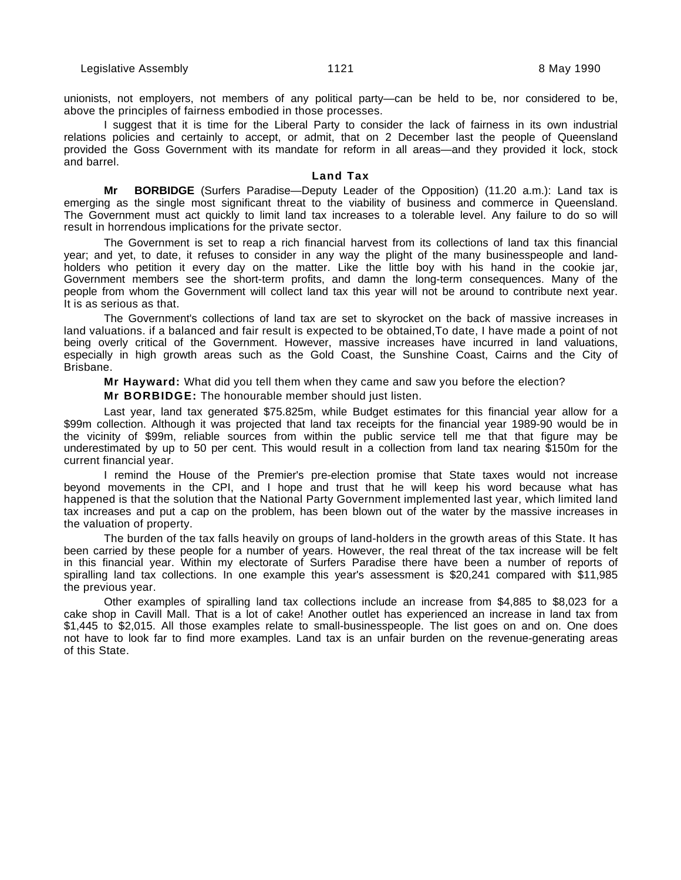unionists, not employers, not members of any political party—can be held to be, nor considered to be, above the principles of fairness embodied in those processes.

I suggest that it is time for the Liberal Party to consider the lack of fairness in its own industrial relations policies and certainly to accept, or admit, that on 2 December last the people of Queensland provided the Goss Government with its mandate for reform in all areas—and they provided it lock, stock and barrel.

#### **Land Tax**

**Mr BORBIDGE** (Surfers Paradise—Deputy Leader of the Opposition) (11.20 a.m.): Land tax is emerging as the single most significant threat to the viability of business and commerce in Queensland. The Government must act quickly to limit land tax increases to a tolerable level. Any failure to do so will result in horrendous implications for the private sector.

The Government is set to reap a rich financial harvest from its collections of land tax this financial year; and yet, to date, it refuses to consider in any way the plight of the many businesspeople and landholders who petition it every day on the matter. Like the little boy with his hand in the cookie jar, Government members see the short-term profits, and damn the long-term consequences. Many of the people from whom the Government will collect land tax this year will not be around to contribute next year. It is as serious as that.

The Government's collections of land tax are set to skyrocket on the back of massive increases in land valuations. if a balanced and fair result is expected to be obtained,To date, I have made a point of not being overly critical of the Government. However, massive increases have incurred in land valuations, especially in high growth areas such as the Gold Coast, the Sunshine Coast, Cairns and the City of Brisbane.

**Mr Hayward:** What did you tell them when they came and saw you before the election?

**Mr BORBIDGE:** The honourable member should just listen.

Last year, land tax generated \$75.825m, while Budget estimates for this financial year allow for a \$99m collection. Although it was projected that land tax receipts for the financial year 1989-90 would be in the vicinity of \$99m, reliable sources from within the public service tell me that that figure may be underestimated by up to 50 per cent. This would result in a collection from land tax nearing \$150m for the current financial year.

I remind the House of the Premier's pre-election promise that State taxes would not increase beyond movements in the CPI, and I hope and trust that he will keep his word because what has happened is that the solution that the National Party Government implemented last year, which limited land tax increases and put a cap on the problem, has been blown out of the water by the massive increases in the valuation of property.

The burden of the tax falls heavily on groups of land-holders in the growth areas of this State. It has been carried by these people for a number of years. However, the real threat of the tax increase will be felt in this financial year. Within my electorate of Surfers Paradise there have been a number of reports of spiralling land tax collections. In one example this year's assessment is \$20,241 compared with \$11,985 the previous year.

Other examples of spiralling land tax collections include an increase from \$4,885 to \$8,023 for a cake shop in Cavill Mall. That is a lot of cake! Another outlet has experienced an increase in land tax from \$1,445 to \$2,015. All those examples relate to small-businesspeople. The list goes on and on. One does not have to look far to find more examples. Land tax is an unfair burden on the revenue-generating areas of this State.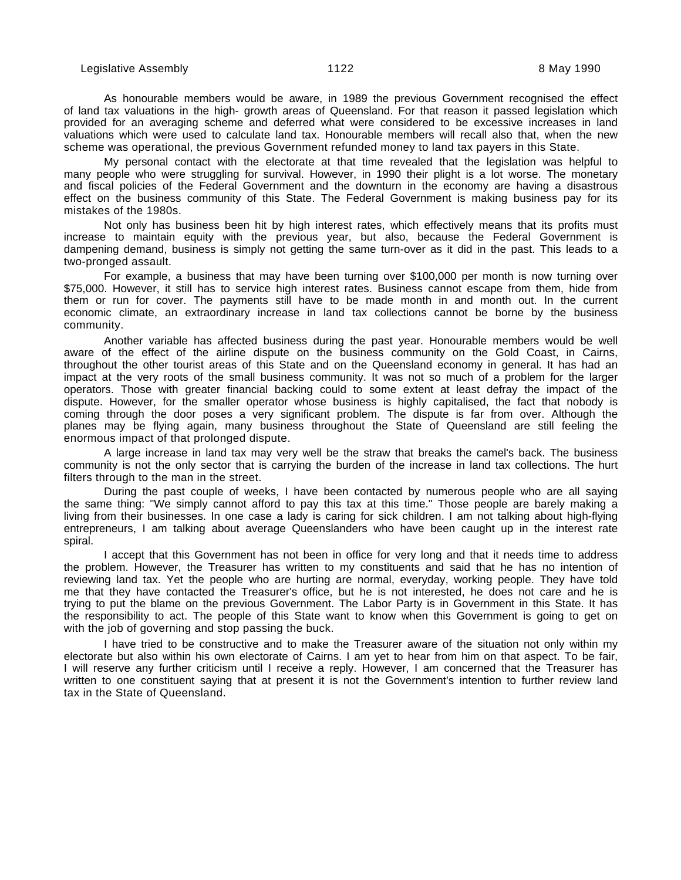As honourable members would be aware, in 1989 the previous Government recognised the effect of land tax valuations in the high- growth areas of Queensland. For that reason it passed legislation which provided for an averaging scheme and deferred what were considered to be excessive increases in land valuations which were used to calculate land tax. Honourable members will recall also that, when the new scheme was operational, the previous Government refunded money to land tax payers in this State.

My personal contact with the electorate at that time revealed that the legislation was helpful to many people who were struggling for survival. However, in 1990 their plight is a lot worse. The monetary and fiscal policies of the Federal Government and the downturn in the economy are having a disastrous effect on the business community of this State. The Federal Government is making business pay for its mistakes of the 1980s.

Not only has business been hit by high interest rates, which effectively means that its profits must increase to maintain equity with the previous year, but also, because the Federal Government is dampening demand, business is simply not getting the same turn-over as it did in the past. This leads to a two-pronged assault.

For example, a business that may have been turning over \$100,000 per month is now turning over \$75,000. However, it still has to service high interest rates. Business cannot escape from them, hide from them or run for cover. The payments still have to be made month in and month out. In the current economic climate, an extraordinary increase in land tax collections cannot be borne by the business community.

Another variable has affected business during the past year. Honourable members would be well aware of the effect of the airline dispute on the business community on the Gold Coast, in Cairns, throughout the other tourist areas of this State and on the Queensland economy in general. It has had an impact at the very roots of the small business community. It was not so much of a problem for the larger operators. Those with greater financial backing could to some extent at least defray the impact of the dispute. However, for the smaller operator whose business is highly capitalised, the fact that nobody is coming through the door poses a very significant problem. The dispute is far from over. Although the planes may be flying again, many business throughout the State of Queensland are still feeling the enormous impact of that prolonged dispute.

A large increase in land tax may very well be the straw that breaks the camel's back. The business community is not the only sector that is carrying the burden of the increase in land tax collections. The hurt filters through to the man in the street.

During the past couple of weeks, I have been contacted by numerous people who are all saying the same thing: "We simply cannot afford to pay this tax at this time." Those people are barely making a living from their businesses. In one case a lady is caring for sick children. I am not talking about high-flying entrepreneurs, I am talking about average Queenslanders who have been caught up in the interest rate spiral.

I accept that this Government has not been in office for very long and that it needs time to address the problem. However, the Treasurer has written to my constituents and said that he has no intention of reviewing land tax. Yet the people who are hurting are normal, everyday, working people. They have told me that they have contacted the Treasurer's office, but he is not interested, he does not care and he is trying to put the blame on the previous Government. The Labor Party is in Government in this State. It has the responsibility to act. The people of this State want to know when this Government is going to get on with the job of governing and stop passing the buck.

I have tried to be constructive and to make the Treasurer aware of the situation not only within my electorate but also within his own electorate of Cairns. I am yet to hear from him on that aspect. To be fair, I will reserve any further criticism until I receive a reply. However, I am concerned that the Treasurer has written to one constituent saying that at present it is not the Government's intention to further review land tax in the State of Queensland.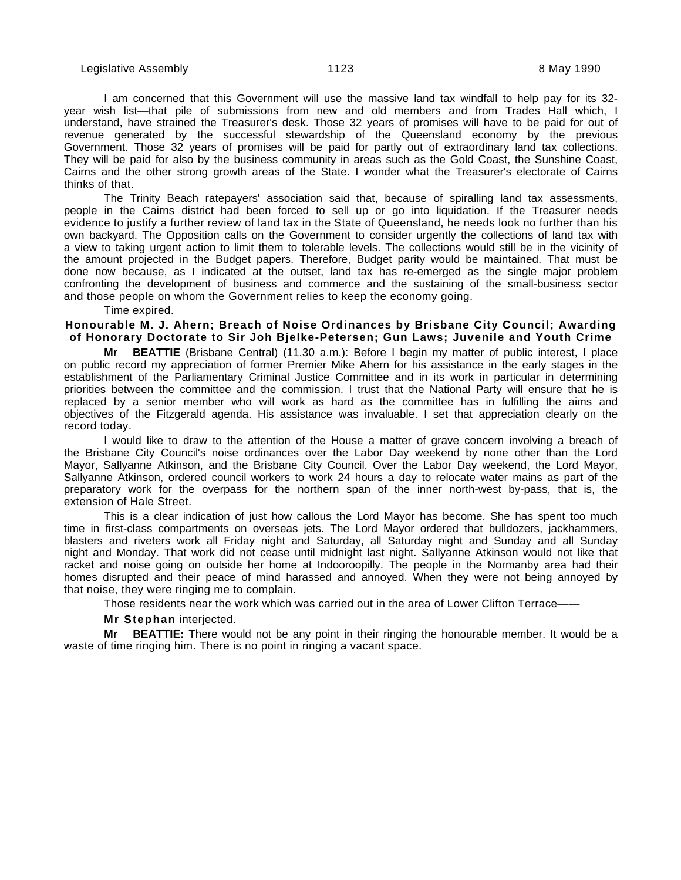I am concerned that this Government will use the massive land tax windfall to help pay for its 32 year wish list—that pile of submissions from new and old members and from Trades Hall which, I understand, have strained the Treasurer's desk. Those 32 years of promises will have to be paid for out of revenue generated by the successful stewardship of the Queensland economy by the previous Government. Those 32 years of promises will be paid for partly out of extraordinary land tax collections. They will be paid for also by the business community in areas such as the Gold Coast, the Sunshine Coast, Cairns and the other strong growth areas of the State. I wonder what the Treasurer's electorate of Cairns thinks of that.

The Trinity Beach ratepayers' association said that, because of spiralling land tax assessments, people in the Cairns district had been forced to sell up or go into liquidation. If the Treasurer needs evidence to justify a further review of land tax in the State of Queensland, he needs look no further than his own backyard. The Opposition calls on the Government to consider urgently the collections of land tax with a view to taking urgent action to limit them to tolerable levels. The collections would still be in the vicinity of the amount projected in the Budget papers. Therefore, Budget parity would be maintained. That must be done now because, as I indicated at the outset, land tax has re-emerged as the single major problem confronting the development of business and commerce and the sustaining of the small-business sector and those people on whom the Government relies to keep the economy going.

Time expired.

#### **Honourable M. J. Ahern; Breach of Noise Ordinances by Brisbane City Council; Awarding of Honorary Doctorate to Sir Joh Bjelke-Petersen; Gun Laws; Juvenile and Youth Crime**

**Mr BEATTIE** (Brisbane Central) (11.30 a.m.): Before I begin my matter of public interest, I place on public record my appreciation of former Premier Mike Ahern for his assistance in the early stages in the establishment of the Parliamentary Criminal Justice Committee and in its work in particular in determining priorities between the committee and the commission. I trust that the National Party will ensure that he is replaced by a senior member who will work as hard as the committee has in fulfilling the aims and objectives of the Fitzgerald agenda. His assistance was invaluable. I set that appreciation clearly on the record today.

I would like to draw to the attention of the House a matter of grave concern involving a breach of the Brisbane City Council's noise ordinances over the Labor Day weekend by none other than the Lord Mayor, Sallyanne Atkinson, and the Brisbane City Council. Over the Labor Day weekend, the Lord Mayor, Sallyanne Atkinson, ordered council workers to work 24 hours a day to relocate water mains as part of the preparatory work for the overpass for the northern span of the inner north-west by-pass, that is, the extension of Hale Street.

This is a clear indication of just how callous the Lord Mayor has become. She has spent too much time in first-class compartments on overseas jets. The Lord Mayor ordered that bulldozers, jackhammers, blasters and riveters work all Friday night and Saturday, all Saturday night and Sunday and all Sunday night and Monday. That work did not cease until midnight last night. Sallyanne Atkinson would not like that racket and noise going on outside her home at Indooroopilly. The people in the Normanby area had their homes disrupted and their peace of mind harassed and annoyed. When they were not being annoyed by that noise, they were ringing me to complain.

Those residents near the work which was carried out in the area of Lower Clifton Terrace——

#### **Mr Stephan** interjected.

**Mr BEATTIE:** There would not be any point in their ringing the honourable member. It would be a waste of time ringing him. There is no point in ringing a vacant space.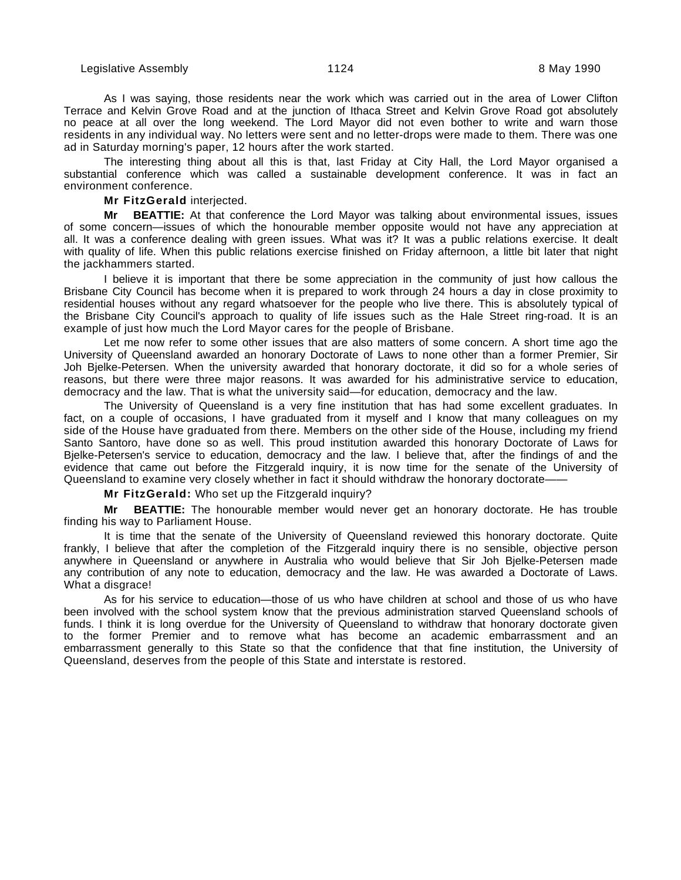As I was saying, those residents near the work which was carried out in the area of Lower Clifton Terrace and Kelvin Grove Road and at the junction of Ithaca Street and Kelvin Grove Road got absolutely no peace at all over the long weekend. The Lord Mayor did not even bother to write and warn those residents in any individual way. No letters were sent and no letter-drops were made to them. There was one ad in Saturday morning's paper, 12 hours after the work started.

The interesting thing about all this is that, last Friday at City Hall, the Lord Mayor organised a substantial conference which was called a sustainable development conference. It was in fact an environment conference.

**Mr FitzGerald** interjected.

**Mr BEATTIE:** At that conference the Lord Mayor was talking about environmental issues, issues of some concern—issues of which the honourable member opposite would not have any appreciation at all. It was a conference dealing with green issues. What was it? It was a public relations exercise. It dealt with quality of life. When this public relations exercise finished on Friday afternoon, a little bit later that night the jackhammers started.

I believe it is important that there be some appreciation in the community of just how callous the Brisbane City Council has become when it is prepared to work through 24 hours a day in close proximity to residential houses without any regard whatsoever for the people who live there. This is absolutely typical of the Brisbane City Council's approach to quality of life issues such as the Hale Street ring-road. It is an example of just how much the Lord Mayor cares for the people of Brisbane.

Let me now refer to some other issues that are also matters of some concern. A short time ago the University of Queensland awarded an honorary Doctorate of Laws to none other than a former Premier, Sir Joh Bjelke-Petersen. When the university awarded that honorary doctorate, it did so for a whole series of reasons, but there were three major reasons. It was awarded for his administrative service to education, democracy and the law. That is what the university said—for education, democracy and the law.

The University of Queensland is a very fine institution that has had some excellent graduates. In fact, on a couple of occasions, I have graduated from it myself and I know that many colleagues on my side of the House have graduated from there. Members on the other side of the House, including my friend Santo Santoro, have done so as well. This proud institution awarded this honorary Doctorate of Laws for Bjelke-Petersen's service to education, democracy and the law. I believe that, after the findings of and the evidence that came out before the Fitzgerald inquiry, it is now time for the senate of the University of Queensland to examine very closely whether in fact it should withdraw the honorary doctorate——

**Mr FitzGerald:** Who set up the Fitzgerald inquiry?

**Mr BEATTIE:** The honourable member would never get an honorary doctorate. He has trouble finding his way to Parliament House.

It is time that the senate of the University of Queensland reviewed this honorary doctorate. Quite frankly, I believe that after the completion of the Fitzgerald inquiry there is no sensible, objective person anywhere in Queensland or anywhere in Australia who would believe that Sir Joh Bjelke-Petersen made any contribution of any note to education, democracy and the law. He was awarded a Doctorate of Laws. What a disgrace!

As for his service to education—those of us who have children at school and those of us who have been involved with the school system know that the previous administration starved Queensland schools of funds. I think it is long overdue for the University of Queensland to withdraw that honorary doctorate given to the former Premier and to remove what has become an academic embarrassment and an embarrassment generally to this State so that the confidence that that fine institution, the University of Queensland, deserves from the people of this State and interstate is restored.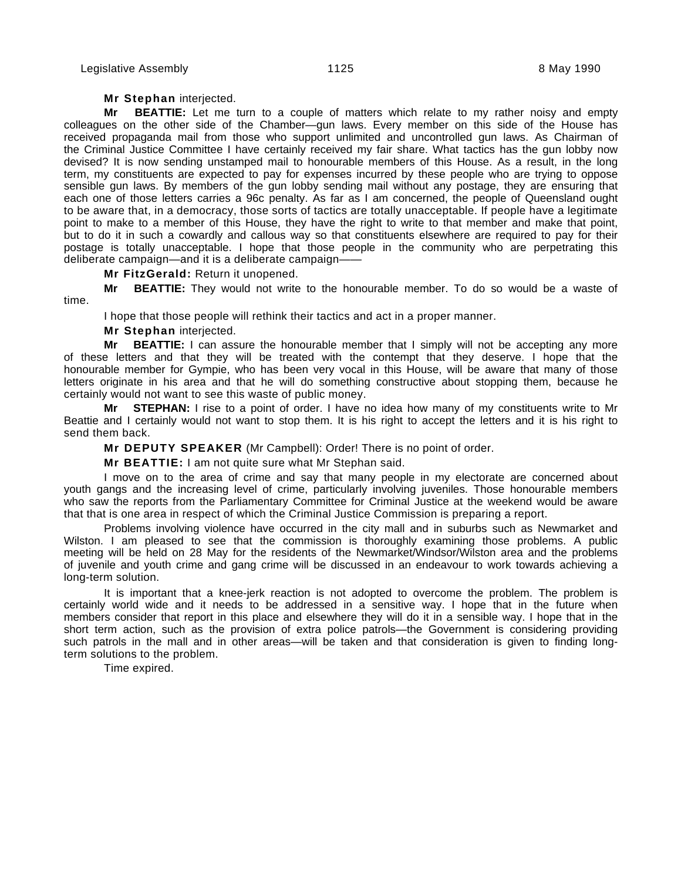#### **Mr Stephan** interjected.

**Mr BEATTIE:** Let me turn to a couple of matters which relate to my rather noisy and empty colleagues on the other side of the Chamber—gun laws. Every member on this side of the House has received propaganda mail from those who support unlimited and uncontrolled gun laws. As Chairman of the Criminal Justice Committee I have certainly received my fair share. What tactics has the gun lobby now devised? It is now sending unstamped mail to honourable members of this House. As a result, in the long term, my constituents are expected to pay for expenses incurred by these people who are trying to oppose sensible gun laws. By members of the gun lobby sending mail without any postage, they are ensuring that each one of those letters carries a 96c penalty. As far as I am concerned, the people of Queensland ought to be aware that, in a democracy, those sorts of tactics are totally unacceptable. If people have a legitimate point to make to a member of this House, they have the right to write to that member and make that point, but to do it in such a cowardly and callous way so that constituents elsewhere are required to pay for their postage is totally unacceptable. I hope that those people in the community who are perpetrating this deliberate campaign—and it is a deliberate campaign——

**Mr FitzGerald:** Return it unopened.

**Mr BEATTIE:** They would not write to the honourable member. To do so would be a waste of time.

I hope that those people will rethink their tactics and act in a proper manner.

**Mr Stephan** interjected.

**Mr BEATTIE:** I can assure the honourable member that I simply will not be accepting any more of these letters and that they will be treated with the contempt that they deserve. I hope that the honourable member for Gympie, who has been very vocal in this House, will be aware that many of those letters originate in his area and that he will do something constructive about stopping them, because he certainly would not want to see this waste of public money.

**Mr STEPHAN:** I rise to a point of order. I have no idea how many of my constituents write to Mr Beattie and I certainly would not want to stop them. It is his right to accept the letters and it is his right to send them back.

**Mr DEPUTY SPEAKER** (Mr Campbell): Order! There is no point of order.

**Mr BEATTIE:** I am not quite sure what Mr Stephan said.

I move on to the area of crime and say that many people in my electorate are concerned about youth gangs and the increasing level of crime, particularly involving juveniles. Those honourable members who saw the reports from the Parliamentary Committee for Criminal Justice at the weekend would be aware that that is one area in respect of which the Criminal Justice Commission is preparing a report.

Problems involving violence have occurred in the city mall and in suburbs such as Newmarket and Wilston. I am pleased to see that the commission is thoroughly examining those problems. A public meeting will be held on 28 May for the residents of the Newmarket/Windsor/Wilston area and the problems of juvenile and youth crime and gang crime will be discussed in an endeavour to work towards achieving a long-term solution.

It is important that a knee-jerk reaction is not adopted to overcome the problem. The problem is certainly world wide and it needs to be addressed in a sensitive way. I hope that in the future when members consider that report in this place and elsewhere they will do it in a sensible way. I hope that in the short term action, such as the provision of extra police patrols—the Government is considering providing such patrols in the mall and in other areas—will be taken and that consideration is given to finding longterm solutions to the problem.

Time expired.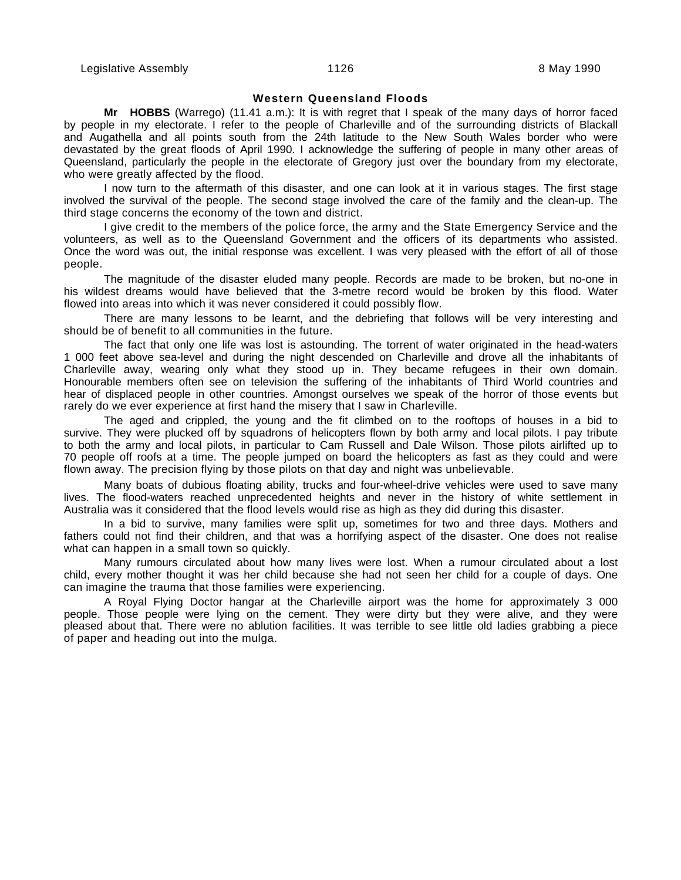#### **Western Queensland Floods**

**Mr HOBBS** (Warrego) (11.41 a.m.): It is with regret that I speak of the many days of horror faced by people in my electorate. I refer to the people of Charleville and of the surrounding districts of Blackall and Augathella and all points south from the 24th latitude to the New South Wales border who were devastated by the great floods of April 1990. I acknowledge the suffering of people in many other areas of Queensland, particularly the people in the electorate of Gregory just over the boundary from my electorate, who were greatly affected by the flood.

I now turn to the aftermath of this disaster, and one can look at it in various stages. The first stage involved the survival of the people. The second stage involved the care of the family and the clean-up. The third stage concerns the economy of the town and district.

I give credit to the members of the police force, the army and the State Emergency Service and the volunteers, as well as to the Queensland Government and the officers of its departments who assisted. Once the word was out, the initial response was excellent. I was very pleased with the effort of all of those people.

The magnitude of the disaster eluded many people. Records are made to be broken, but no-one in his wildest dreams would have believed that the 3-metre record would be broken by this flood. Water flowed into areas into which it was never considered it could possibly flow.

There are many lessons to be learnt, and the debriefing that follows will be very interesting and should be of benefit to all communities in the future.

The fact that only one life was lost is astounding. The torrent of water originated in the head-waters 1 000 feet above sea-level and during the night descended on Charleville and drove all the inhabitants of Charleville away, wearing only what they stood up in. They became refugees in their own domain. Honourable members often see on television the suffering of the inhabitants of Third World countries and hear of displaced people in other countries. Amongst ourselves we speak of the horror of those events but rarely do we ever experience at first hand the misery that I saw in Charleville.

The aged and crippled, the young and the fit climbed on to the rooftops of houses in a bid to survive. They were plucked off by squadrons of helicopters flown by both army and local pilots. I pay tribute to both the army and local pilots, in particular to Cam Russell and Dale Wilson. Those pilots airlifted up to 70 people off roofs at a time. The people jumped on board the helicopters as fast as they could and were flown away. The precision flying by those pilots on that day and night was unbelievable.

Many boats of dubious floating ability, trucks and four-wheel-drive vehicles were used to save many lives. The flood-waters reached unprecedented heights and never in the history of white settlement in Australia was it considered that the flood levels would rise as high as they did during this disaster.

In a bid to survive, many families were split up, sometimes for two and three days. Mothers and fathers could not find their children, and that was a horrifying aspect of the disaster. One does not realise what can happen in a small town so quickly.

Many rumours circulated about how many lives were lost. When a rumour circulated about a lost child, every mother thought it was her child because she had not seen her child for a couple of days. One can imagine the trauma that those families were experiencing.

A Royal Flying Doctor hangar at the Charleville airport was the home for approximately 3 000 people. Those people were lying on the cement. They were dirty but they were alive, and they were pleased about that. There were no ablution facilities. It was terrible to see little old ladies grabbing a piece of paper and heading out into the mulga.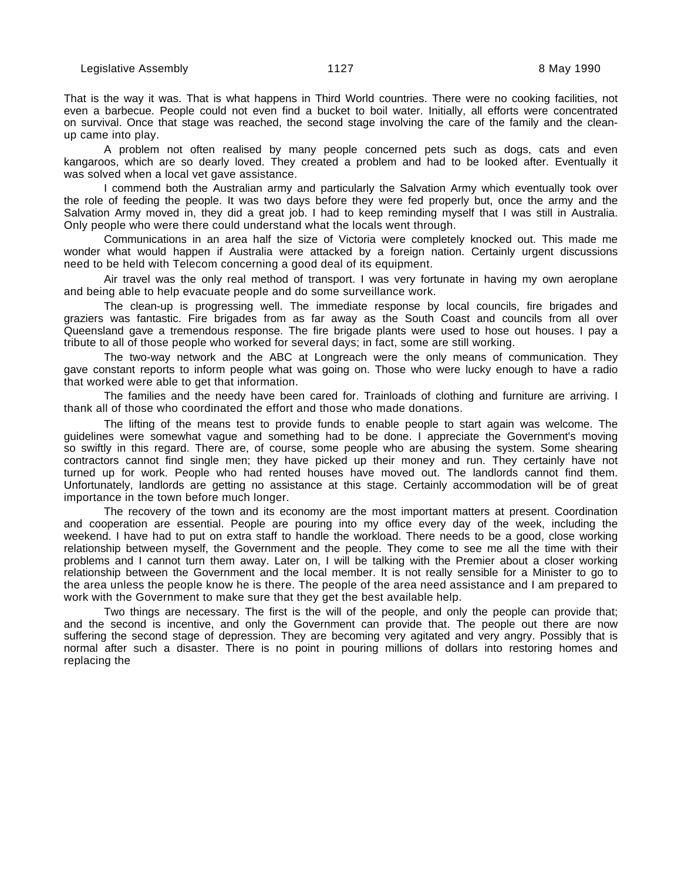That is the way it was. That is what happens in Third World countries. There were no cooking facilities, not even a barbecue. People could not even find a bucket to boil water. Initially, all efforts were concentrated on survival. Once that stage was reached, the second stage involving the care of the family and the cleanup came into play.

A problem not often realised by many people concerned pets such as dogs, cats and even kangaroos, which are so dearly loved. They created a problem and had to be looked after. Eventually it was solved when a local vet gave assistance.

I commend both the Australian army and particularly the Salvation Army which eventually took over the role of feeding the people. It was two days before they were fed properly but, once the army and the Salvation Army moved in, they did a great job. I had to keep reminding myself that I was still in Australia. Only people who were there could understand what the locals went through.

Communications in an area half the size of Victoria were completely knocked out. This made me wonder what would happen if Australia were attacked by a foreign nation. Certainly urgent discussions need to be held with Telecom concerning a good deal of its equipment.

Air travel was the only real method of transport. I was very fortunate in having my own aeroplane and being able to help evacuate people and do some surveillance work.

The clean-up is progressing well. The immediate response by local councils, fire brigades and graziers was fantastic. Fire brigades from as far away as the South Coast and councils from all over Queensland gave a tremendous response. The fire brigade plants were used to hose out houses. I pay a tribute to all of those people who worked for several days; in fact, some are still working.

The two-way network and the ABC at Longreach were the only means of communication. They gave constant reports to inform people what was going on. Those who were lucky enough to have a radio that worked were able to get that information.

The families and the needy have been cared for. Trainloads of clothing and furniture are arriving. I thank all of those who coordinated the effort and those who made donations.

The lifting of the means test to provide funds to enable people to start again was welcome. The guidelines were somewhat vague and something had to be done. I appreciate the Government's moving so swiftly in this regard. There are, of course, some people who are abusing the system. Some shearing contractors cannot find single men; they have picked up their money and run. They certainly have not turned up for work. People who had rented houses have moved out. The landlords cannot find them. Unfortunately, landlords are getting no assistance at this stage. Certainly accommodation will be of great importance in the town before much longer.

The recovery of the town and its economy are the most important matters at present. Coordination and cooperation are essential. People are pouring into my office every day of the week, including the weekend. I have had to put on extra staff to handle the workload. There needs to be a good, close working relationship between myself, the Government and the people. They come to see me all the time with their problems and I cannot turn them away. Later on, I will be talking with the Premier about a closer working relationship between the Government and the local member. It is not really sensible for a Minister to go to the area unless the people know he is there. The people of the area need assistance and I am prepared to work with the Government to make sure that they get the best available help.

Two things are necessary. The first is the will of the people, and only the people can provide that; and the second is incentive, and only the Government can provide that. The people out there are now suffering the second stage of depression. They are becoming very agitated and very angry. Possibly that is normal after such a disaster. There is no point in pouring millions of dollars into restoring homes and replacing the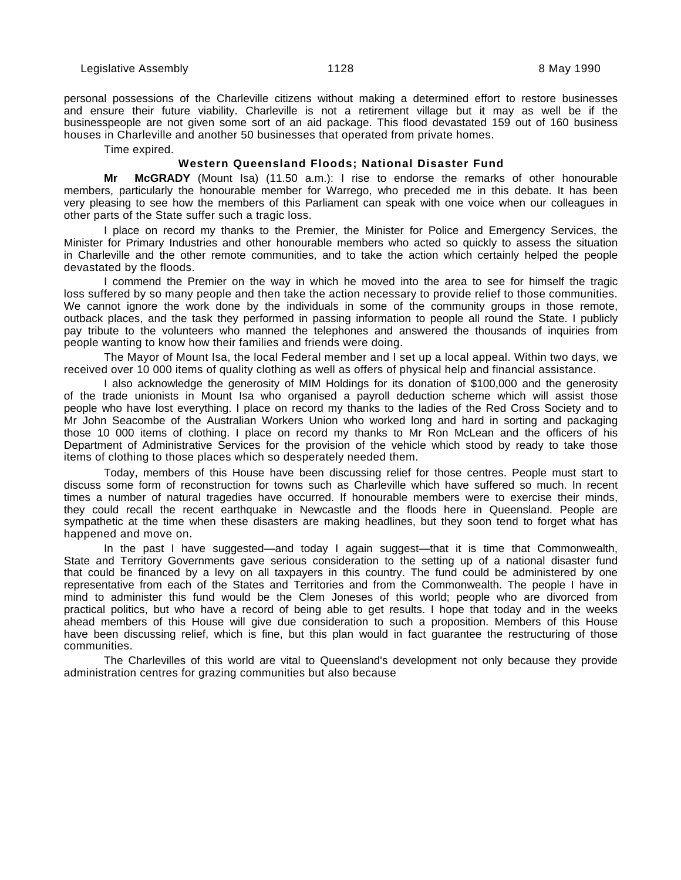personal possessions of the Charleville citizens without making a determined effort to restore businesses and ensure their future viability. Charleville is not a retirement village but it may as well be if the businesspeople are not given some sort of an aid package. This flood devastated 159 out of 160 business houses in Charleville and another 50 businesses that operated from private homes.

Time expired.

#### **Western Queensland Floods; National Disaster Fund**

**Mr McGRADY** (Mount Isa) (11.50 a.m.): I rise to endorse the remarks of other honourable members, particularly the honourable member for Warrego, who preceded me in this debate. It has been very pleasing to see how the members of this Parliament can speak with one voice when our colleagues in other parts of the State suffer such a tragic loss.

I place on record my thanks to the Premier, the Minister for Police and Emergency Services, the Minister for Primary Industries and other honourable members who acted so quickly to assess the situation in Charleville and the other remote communities, and to take the action which certainly helped the people devastated by the floods.

I commend the Premier on the way in which he moved into the area to see for himself the tragic loss suffered by so many people and then take the action necessary to provide relief to those communities. We cannot ignore the work done by the individuals in some of the community groups in those remote, outback places, and the task they performed in passing information to people all round the State. I publicly pay tribute to the volunteers who manned the telephones and answered the thousands of inquiries from people wanting to know how their families and friends were doing.

The Mayor of Mount Isa, the local Federal member and I set up a local appeal. Within two days, we received over 10 000 items of quality clothing as well as offers of physical help and financial assistance.

I also acknowledge the generosity of MIM Holdings for its donation of \$100,000 and the generosity of the trade unionists in Mount Isa who organised a payroll deduction scheme which will assist those people who have lost everything. I place on record my thanks to the ladies of the Red Cross Society and to Mr John Seacombe of the Australian Workers Union who worked long and hard in sorting and packaging those 10 000 items of clothing. I place on record my thanks to Mr Ron McLean and the officers of his Department of Administrative Services for the provision of the vehicle which stood by ready to take those items of clothing to those places which so desperately needed them.

Today, members of this House have been discussing relief for those centres. People must start to discuss some form of reconstruction for towns such as Charleville which have suffered so much. In recent times a number of natural tragedies have occurred. If honourable members were to exercise their minds, they could recall the recent earthquake in Newcastle and the floods here in Queensland. People are sympathetic at the time when these disasters are making headlines, but they soon tend to forget what has happened and move on.

In the past I have suggested—and today I again suggest—that it is time that Commonwealth, State and Territory Governments gave serious consideration to the setting up of a national disaster fund that could be financed by a levy on all taxpayers in this country. The fund could be administered by one representative from each of the States and Territories and from the Commonwealth. The people I have in mind to administer this fund would be the Clem Joneses of this world; people who are divorced from practical politics, but who have a record of being able to get results. I hope that today and in the weeks ahead members of this House will give due consideration to such a proposition. Members of this House have been discussing relief, which is fine, but this plan would in fact guarantee the restructuring of those communities.

The Charlevilles of this world are vital to Queensland's development not only because they provide administration centres for grazing communities but also because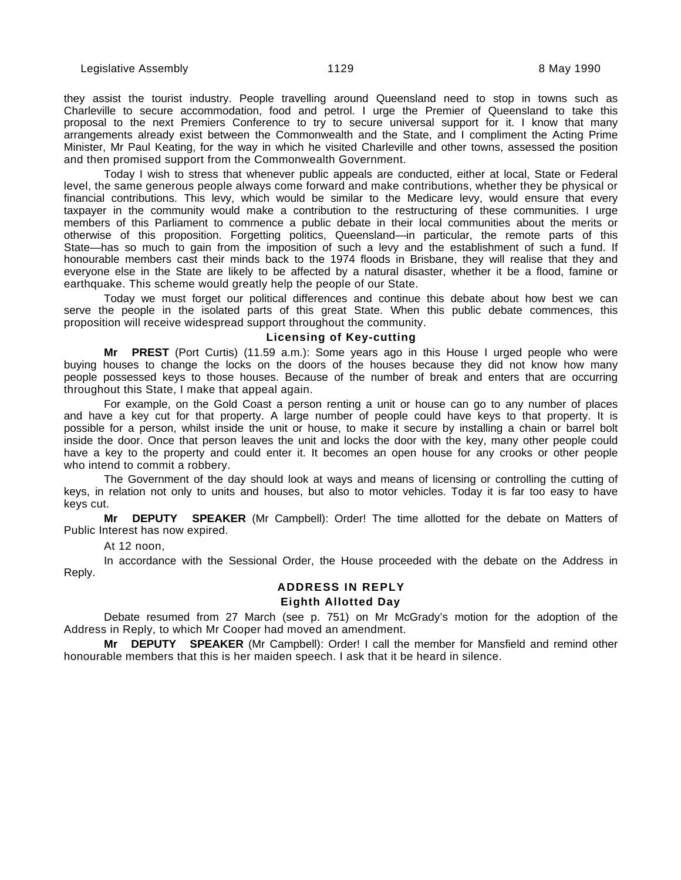they assist the tourist industry. People travelling around Queensland need to stop in towns such as Charleville to secure accommodation, food and petrol. I urge the Premier of Queensland to take this proposal to the next Premiers Conference to try to secure universal support for it. I know that many arrangements already exist between the Commonwealth and the State, and I compliment the Acting Prime Minister, Mr Paul Keating, for the way in which he visited Charleville and other towns, assessed the position and then promised support from the Commonwealth Government.

Today I wish to stress that whenever public appeals are conducted, either at local, State or Federal level, the same generous people always come forward and make contributions, whether they be physical or financial contributions. This levy, which would be similar to the Medicare levy, would ensure that every taxpayer in the community would make a contribution to the restructuring of these communities. I urge members of this Parliament to commence a public debate in their local communities about the merits or otherwise of this proposition. Forgetting politics, Queensland—in particular, the remote parts of this State—has so much to gain from the imposition of such a levy and the establishment of such a fund. If honourable members cast their minds back to the 1974 floods in Brisbane, they will realise that they and everyone else in the State are likely to be affected by a natural disaster, whether it be a flood, famine or earthquake. This scheme would greatly help the people of our State.

Today we must forget our political differences and continue this debate about how best we can serve the people in the isolated parts of this great State. When this public debate commences, this proposition will receive widespread support throughout the community.

# **Licensing of Key-cutting**

**Mr PREST** (Port Curtis) (11.59 a.m.): Some years ago in this House I urged people who were buying houses to change the locks on the doors of the houses because they did not know how many people possessed keys to those houses. Because of the number of break and enters that are occurring throughout this State, I make that appeal again.

For example, on the Gold Coast a person renting a unit or house can go to any number of places and have a key cut for that property. A large number of people could have keys to that property. It is possible for a person, whilst inside the unit or house, to make it secure by installing a chain or barrel bolt inside the door. Once that person leaves the unit and locks the door with the key, many other people could have a key to the property and could enter it. It becomes an open house for any crooks or other people who intend to commit a robbery.

The Government of the day should look at ways and means of licensing or controlling the cutting of keys, in relation not only to units and houses, but also to motor vehicles. Today it is far too easy to have keys cut.

**Mr DEPUTY SPEAKER** (Mr Campbell): Order! The time allotted for the debate on Matters of Public Interest has now expired.

#### At 12 noon,

In accordance with the Sessional Order, the House proceeded with the debate on the Address in Reply.

# **ADDRESS IN REPLY**

# **Eighth Allotted Day**

Debate resumed from 27 March (see p. 751) on Mr McGrady's motion for the adoption of the Address in Reply, to which Mr Cooper had moved an amendment.

**Mr DEPUTY SPEAKER** (Mr Campbell): Order! I call the member for Mansfield and remind other honourable members that this is her maiden speech. I ask that it be heard in silence.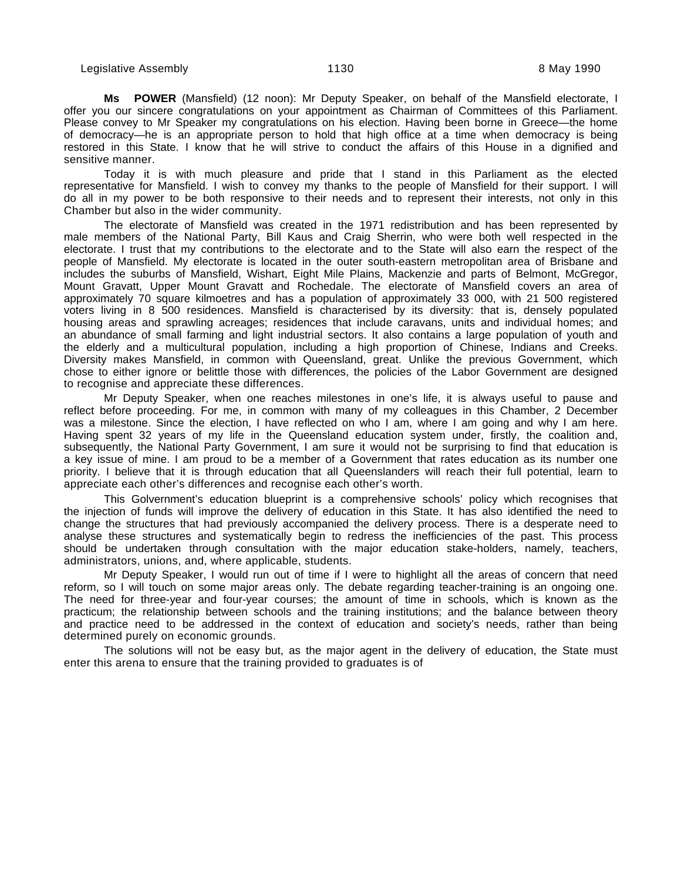**Ms POWER** (Mansfield) (12 noon): Mr Deputy Speaker, on behalf of the Mansfield electorate, I offer you our sincere congratulations on your appointment as Chairman of Committees of this Parliament. Please convey to Mr Speaker my congratulations on his election. Having been borne in Greece—the home of democracy—he is an appropriate person to hold that high office at a time when democracy is being restored in this State. I know that he will strive to conduct the affairs of this House in a dignified and sensitive manner.

Today it is with much pleasure and pride that I stand in this Parliament as the elected representative for Mansfield. I wish to convey my thanks to the people of Mansfield for their support. I will do all in my power to be both responsive to their needs and to represent their interests, not only in this Chamber but also in the wider community.

The electorate of Mansfield was created in the 1971 redistribution and has been represented by male members of the National Party, Bill Kaus and Craig Sherrin, who were both well respected in the electorate. I trust that my contributions to the electorate and to the State will also earn the respect of the people of Mansfield. My electorate is located in the outer south-eastern metropolitan area of Brisbane and includes the suburbs of Mansfield, Wishart, Eight Mile Plains, Mackenzie and parts of Belmont, McGregor, Mount Gravatt, Upper Mount Gravatt and Rochedale. The electorate of Mansfield covers an area of approximately 70 square kilmoetres and has a population of approximately 33 000, with 21 500 registered voters living in 8 500 residences. Mansfield is characterised by its diversity: that is, densely populated housing areas and sprawling acreages; residences that include caravans, units and individual homes; and an abundance of small farming and light industrial sectors. It also contains a large population of youth and the elderly and a multicultural population, including a high proportion of Chinese, Indians and Creeks. Diversity makes Mansfield, in common with Queensland, great. Unlike the previous Government, which chose to either ignore or belittle those with differences, the policies of the Labor Government are designed to recognise and appreciate these differences.

Mr Deputy Speaker, when one reaches milestones in one's life, it is always useful to pause and reflect before proceeding. For me, in common with many of my colleagues in this Chamber, 2 December was a milestone. Since the election, I have reflected on who I am, where I am going and why I am here. Having spent 32 years of my life in the Queensland education system under, firstly, the coalition and, subsequently, the National Party Government, I am sure it would not be surprising to find that education is a key issue of mine. I am proud to be a member of a Government that rates education as its number one priority. I believe that it is through education that all Queenslanders will reach their full potential, learn to appreciate each other's differences and recognise each other's worth.

This Golvernment's education blueprint is a comprehensive schools' policy which recognises that the injection of funds will improve the delivery of education in this State. It has also identified the need to change the structures that had previously accompanied the delivery process. There is a desperate need to analyse these structures and systematically begin to redress the inefficiencies of the past. This process should be undertaken through consultation with the major education stake-holders, namely, teachers, administrators, unions, and, where applicable, students.

Mr Deputy Speaker, I would run out of time if I were to highlight all the areas of concern that need reform, so I will touch on some major areas only. The debate regarding teacher-training is an ongoing one. The need for three-year and four-year courses; the amount of time in schools, which is known as the practicum; the relationship between schools and the training institutions; and the balance between theory and practice need to be addressed in the context of education and society's needs, rather than being determined purely on economic grounds.

The solutions will not be easy but, as the major agent in the delivery of education, the State must enter this arena to ensure that the training provided to graduates is of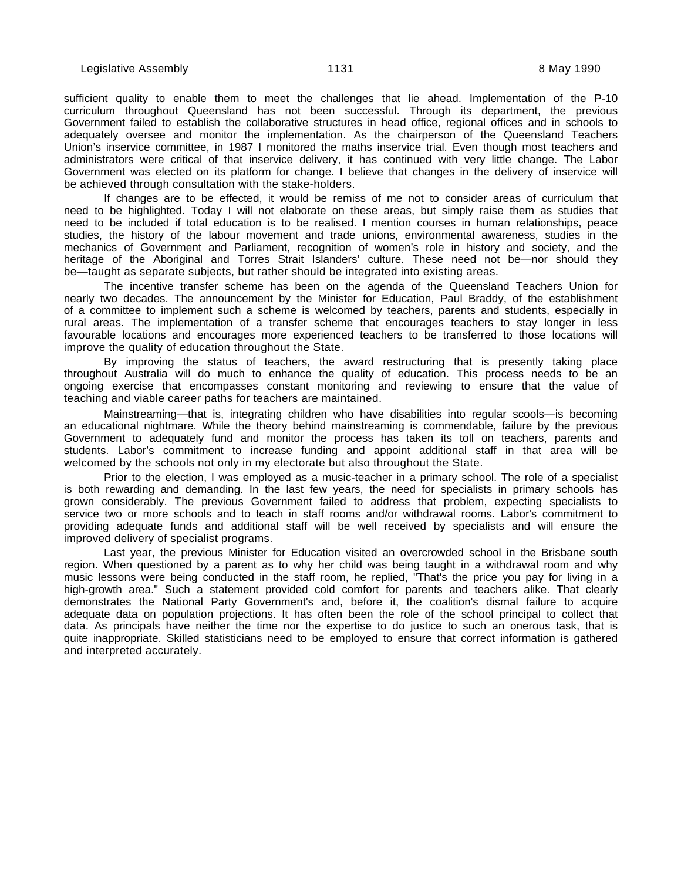sufficient quality to enable them to meet the challenges that lie ahead. Implementation of the P-10 curriculum throughout Queensland has not been successful. Through its department, the previous Government failed to establish the collaborative structures in head office, regional offices and in schools to adequately oversee and monitor the implementation. As the chairperson of the Queensland Teachers Union's inservice committee, in 1987 I monitored the maths inservice trial. Even though most teachers and administrators were critical of that inservice delivery, it has continued with very little change. The Labor Government was elected on its platform for change. I believe that changes in the delivery of inservice will be achieved through consultation with the stake-holders.

If changes are to be effected, it would be remiss of me not to consider areas of curriculum that need to be highlighted. Today I will not elaborate on these areas, but simply raise them as studies that need to be included if total education is to be realised. I mention courses in human relationships, peace studies, the history of the labour movement and trade unions, environmental awareness, studies in the mechanics of Government and Parliament, recognition of women's role in history and society, and the heritage of the Aboriginal and Torres Strait Islanders' culture. These need not be—nor should they be—taught as separate subjects, but rather should be integrated into existing areas.

The incentive transfer scheme has been on the agenda of the Queensland Teachers Union for nearly two decades. The announcement by the Minister for Education, Paul Braddy, of the establishment of a committee to implement such a scheme is welcomed by teachers, parents and students, especially in rural areas. The implementation of a transfer scheme that encourages teachers to stay longer in less favourable locations and encourages more experienced teachers to be transferred to those locations will improve the quality of education throughout the State.

By improving the status of teachers, the award restructuring that is presently taking place throughout Australia will do much to enhance the quality of education. This process needs to be an ongoing exercise that encompasses constant monitoring and reviewing to ensure that the value of teaching and viable career paths for teachers are maintained.

Mainstreaming—that is, integrating children who have disabilities into regular scools—is becoming an educational nightmare. While the theory behind mainstreaming is commendable, failure by the previous Government to adequately fund and monitor the process has taken its toll on teachers, parents and students. Labor's commitment to increase funding and appoint additional staff in that area will be welcomed by the schools not only in my electorate but also throughout the State.

Prior to the election, I was employed as a music-teacher in a primary school. The role of a specialist is both rewarding and demanding. In the last few years, the need for specialists in primary schools has grown considerably. The previous Government failed to address that problem, expecting specialists to service two or more schools and to teach in staff rooms and/or withdrawal rooms. Labor's commitment to providing adequate funds and additional staff will be well received by specialists and will ensure the improved delivery of specialist programs.

Last year, the previous Minister for Education visited an overcrowded school in the Brisbane south region. When questioned by a parent as to why her child was being taught in a withdrawal room and why music lessons were being conducted in the staff room, he replied, "That's the price you pay for living in a high-growth area." Such a statement provided cold comfort for parents and teachers alike. That clearly demonstrates the National Party Government's and, before it, the coalition's dismal failure to acquire adequate data on population projections. It has often been the role of the school principal to collect that data. As principals have neither the time nor the expertise to do justice to such an onerous task, that is quite inappropriate. Skilled statisticians need to be employed to ensure that correct information is gathered and interpreted accurately.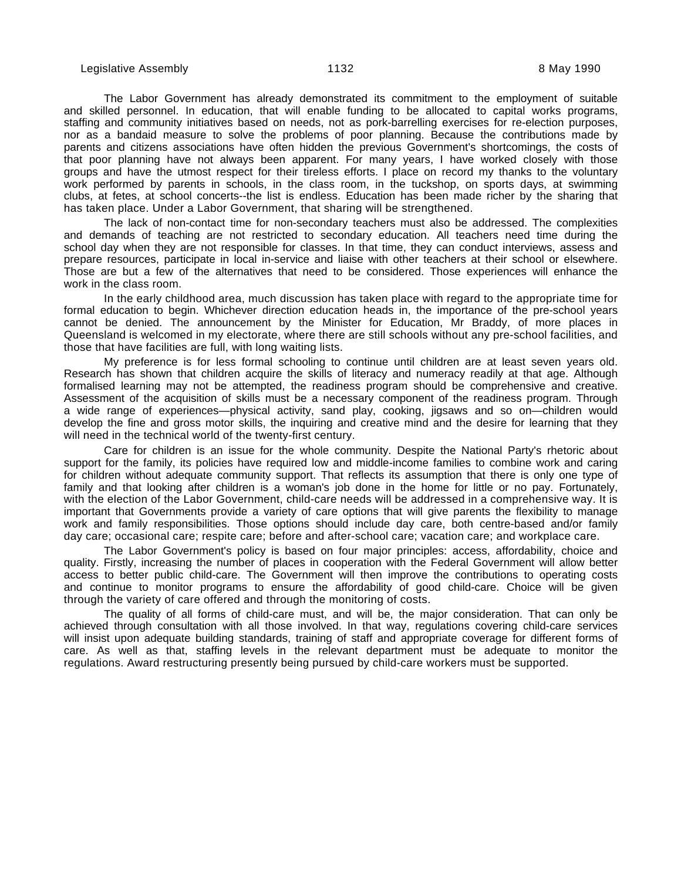The Labor Government has already demonstrated its commitment to the employment of suitable and skilled personnel. In education, that will enable funding to be allocated to capital works programs, staffing and community initiatives based on needs, not as pork-barrelling exercises for re-election purposes, nor as a bandaid measure to solve the problems of poor planning. Because the contributions made by parents and citizens associations have often hidden the previous Government's shortcomings, the costs of that poor planning have not always been apparent. For many years, I have worked closely with those groups and have the utmost respect for their tireless efforts. I place on record my thanks to the voluntary work performed by parents in schools, in the class room, in the tuckshop, on sports days, at swimming clubs, at fetes, at school concerts--the list is endless. Education has been made richer by the sharing that has taken place. Under a Labor Government, that sharing will be strengthened.

The lack of non-contact time for non-secondary teachers must also be addressed. The complexities and demands of teaching are not restricted to secondary education. All teachers need time during the school day when they are not responsible for classes. In that time, they can conduct interviews, assess and prepare resources, participate in local in-service and liaise with other teachers at their school or elsewhere. Those are but a few of the alternatives that need to be considered. Those experiences will enhance the work in the class room.

In the early childhood area, much discussion has taken place with regard to the appropriate time for formal education to begin. Whichever direction education heads in, the importance of the pre-school years cannot be denied. The announcement by the Minister for Education, Mr Braddy, of more places in Queensland is welcomed in my electorate, where there are still schools without any pre-school facilities, and those that have facilities are full, with long waiting lists.

My preference is for less formal schooling to continue until children are at least seven years old. Research has shown that children acquire the skills of literacy and numeracy readily at that age. Although formalised learning may not be attempted, the readiness program should be comprehensive and creative. Assessment of the acquisition of skills must be a necessary component of the readiness program. Through a wide range of experiences—physical activity, sand play, cooking, jigsaws and so on—children would develop the fine and gross motor skills, the inquiring and creative mind and the desire for learning that they will need in the technical world of the twenty-first century.

Care for children is an issue for the whole community. Despite the National Party's rhetoric about support for the family, its policies have required low and middle-income families to combine work and caring for children without adequate community support. That reflects its assumption that there is only one type of family and that looking after children is a woman's job done in the home for little or no pay. Fortunately, with the election of the Labor Government, child-care needs will be addressed in a comprehensive way. It is important that Governments provide a variety of care options that will give parents the flexibility to manage work and family responsibilities. Those options should include day care, both centre-based and/or family day care; occasional care; respite care; before and after-school care; vacation care; and workplace care.

The Labor Government's policy is based on four major principles: access, affordability, choice and quality. Firstly, increasing the number of places in cooperation with the Federal Government will allow better access to better public child-care. The Government will then improve the contributions to operating costs and continue to monitor programs to ensure the affordability of good child-care. Choice will be given through the variety of care offered and through the monitoring of costs.

The quality of all forms of child-care must, and will be, the major consideration. That can only be achieved through consultation with all those involved. In that way, regulations covering child-care services will insist upon adequate building standards, training of staff and appropriate coverage for different forms of care. As well as that, staffing levels in the relevant department must be adequate to monitor the regulations. Award restructuring presently being pursued by child-care workers must be supported.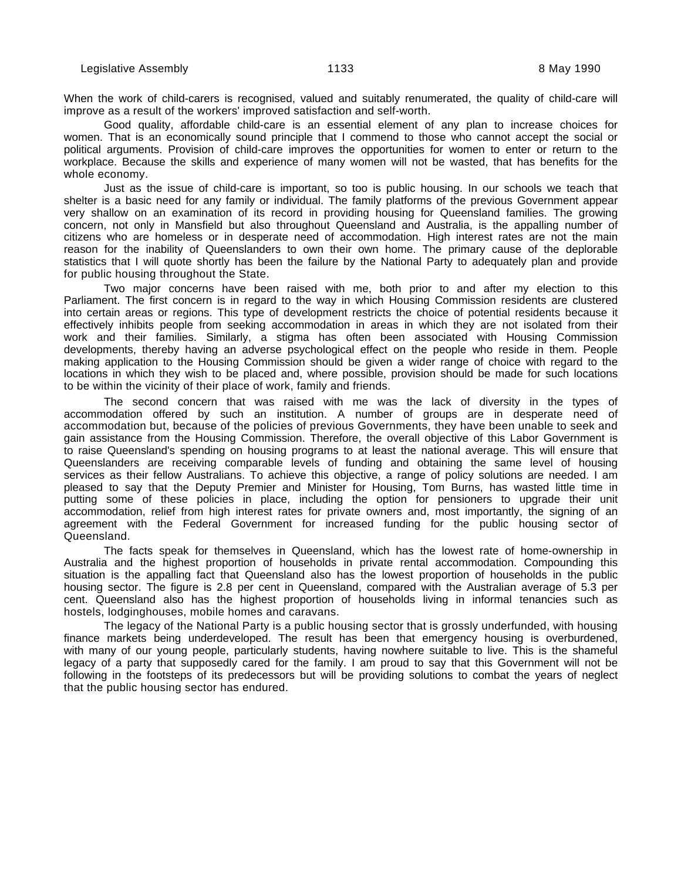When the work of child-carers is recognised, valued and suitably renumerated, the quality of child-care will improve as a result of the workers' improved satisfaction and self-worth.

Good quality, affordable child-care is an essential element of any plan to increase choices for women. That is an economically sound principle that I commend to those who cannot accept the social or political arguments. Provision of child-care improves the opportunities for women to enter or return to the workplace. Because the skills and experience of many women will not be wasted, that has benefits for the whole economy.

Just as the issue of child-care is important, so too is public housing. In our schools we teach that shelter is a basic need for any family or individual. The family platforms of the previous Government appear very shallow on an examination of its record in providing housing for Queensland families. The growing concern, not only in Mansfield but also throughout Queensland and Australia, is the appalling number of citizens who are homeless or in desperate need of accommodation. High interest rates are not the main reason for the inability of Queenslanders to own their own home. The primary cause of the deplorable statistics that I will quote shortly has been the failure by the National Party to adequately plan and provide for public housing throughout the State.

Two major concerns have been raised with me, both prior to and after my election to this Parliament. The first concern is in regard to the way in which Housing Commission residents are clustered into certain areas or regions. This type of development restricts the choice of potential residents because it effectively inhibits people from seeking accommodation in areas in which they are not isolated from their work and their families. Similarly, a stigma has often been associated with Housing Commission developments, thereby having an adverse psychological effect on the people who reside in them. People making application to the Housing Commission should be given a wider range of choice with regard to the locations in which they wish to be placed and, where possible, provision should be made for such locations to be within the vicinity of their place of work, family and friends.

The second concern that was raised with me was the lack of diversity in the types of accommodation offered by such an institution. A number of groups are in desperate need of accommodation but, because of the policies of previous Governments, they have been unable to seek and gain assistance from the Housing Commission. Therefore, the overall objective of this Labor Government is to raise Queensland's spending on housing programs to at least the national average. This will ensure that Queenslanders are receiving comparable levels of funding and obtaining the same level of housing services as their fellow Australians. To achieve this objective, a range of policy solutions are needed. I am pleased to say that the Deputy Premier and Minister for Housing, Tom Burns, has wasted little time in putting some of these policies in place, including the option for pensioners to upgrade their unit accommodation, relief from high interest rates for private owners and, most importantly, the signing of an agreement with the Federal Government for increased funding for the public housing sector of Queensland.

The facts speak for themselves in Queensland, which has the lowest rate of home-ownership in Australia and the highest proportion of households in private rental accommodation. Compounding this situation is the appalling fact that Queensland also has the lowest proportion of households in the public housing sector. The figure is 2.8 per cent in Queensland, compared with the Australian average of 5.3 per cent. Queensland also has the highest proportion of households living in informal tenancies such as hostels, lodginghouses, mobile homes and caravans.

The legacy of the National Party is a public housing sector that is grossly underfunded, with housing finance markets being underdeveloped. The result has been that emergency housing is overburdened, with many of our young people, particularly students, having nowhere suitable to live. This is the shameful legacy of a party that supposedly cared for the family. I am proud to say that this Government will not be following in the footsteps of its predecessors but will be providing solutions to combat the years of neglect that the public housing sector has endured.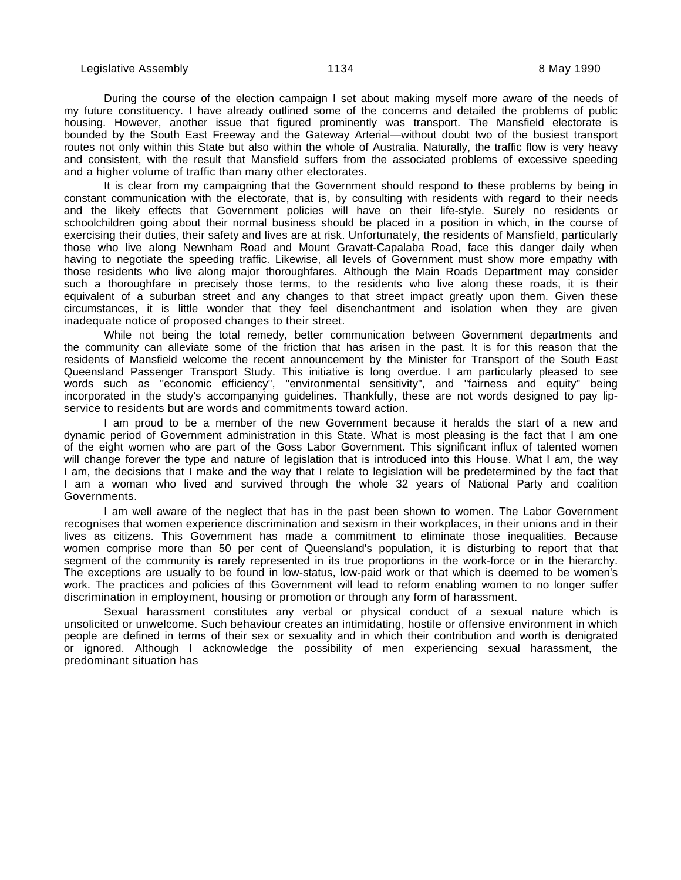During the course of the election campaign I set about making myself more aware of the needs of my future constituency. I have already outlined some of the concerns and detailed the problems of public housing. However, another issue that figured prominently was transport. The Mansfield electorate is bounded by the South East Freeway and the Gateway Arterial—without doubt two of the busiest transport routes not only within this State but also within the whole of Australia. Naturally, the traffic flow is very heavy and consistent, with the result that Mansfield suffers from the associated problems of excessive speeding and a higher volume of traffic than many other electorates.

It is clear from my campaigning that the Government should respond to these problems by being in constant communication with the electorate, that is, by consulting with residents with regard to their needs and the likely effects that Government policies will have on their life-style. Surely no residents or schoolchildren going about their normal business should be placed in a position in which, in the course of exercising their duties, their safety and lives are at risk. Unfortunately, the residents of Mansfield, particularly those who live along Newnham Road and Mount Gravatt-Capalaba Road, face this danger daily when having to negotiate the speeding traffic. Likewise, all levels of Government must show more empathy with those residents who live along major thoroughfares. Although the Main Roads Department may consider such a thoroughfare in precisely those terms, to the residents who live along these roads, it is their equivalent of a suburban street and any changes to that street impact greatly upon them. Given these circumstances, it is little wonder that they feel disenchantment and isolation when they are given inadequate notice of proposed changes to their street.

While not being the total remedy, better communication between Government departments and the community can alleviate some of the friction that has arisen in the past. It is for this reason that the residents of Mansfield welcome the recent announcement by the Minister for Transport of the South East Queensland Passenger Transport Study. This initiative is long overdue. I am particularly pleased to see words such as "economic efficiency", "environmental sensitivity", and "fairness and equity" being incorporated in the study's accompanying guidelines. Thankfully, these are not words designed to pay lipservice to residents but are words and commitments toward action.

I am proud to be a member of the new Government because it heralds the start of a new and dynamic period of Government administration in this State. What is most pleasing is the fact that I am one of the eight women who are part of the Goss Labor Government. This significant influx of talented women will change forever the type and nature of legislation that is introduced into this House. What I am, the way I am, the decisions that I make and the way that I relate to legislation will be predetermined by the fact that I am a woman who lived and survived through the whole 32 years of National Party and coalition Governments.

I am well aware of the neglect that has in the past been shown to women. The Labor Government recognises that women experience discrimination and sexism in their workplaces, in their unions and in their lives as citizens. This Government has made a commitment to eliminate those inequalities. Because women comprise more than 50 per cent of Queensland's population, it is disturbing to report that that segment of the community is rarely represented in its true proportions in the work-force or in the hierarchy. The exceptions are usually to be found in low-status, low-paid work or that which is deemed to be women's work. The practices and policies of this Government will lead to reform enabling women to no longer suffer discrimination in employment, housing or promotion or through any form of harassment.

Sexual harassment constitutes any verbal or physical conduct of a sexual nature which is unsolicited or unwelcome. Such behaviour creates an intimidating, hostile or offensive environment in which people are defined in terms of their sex or sexuality and in which their contribution and worth is denigrated or ignored. Although I acknowledge the possibility of men experiencing sexual harassment, the predominant situation has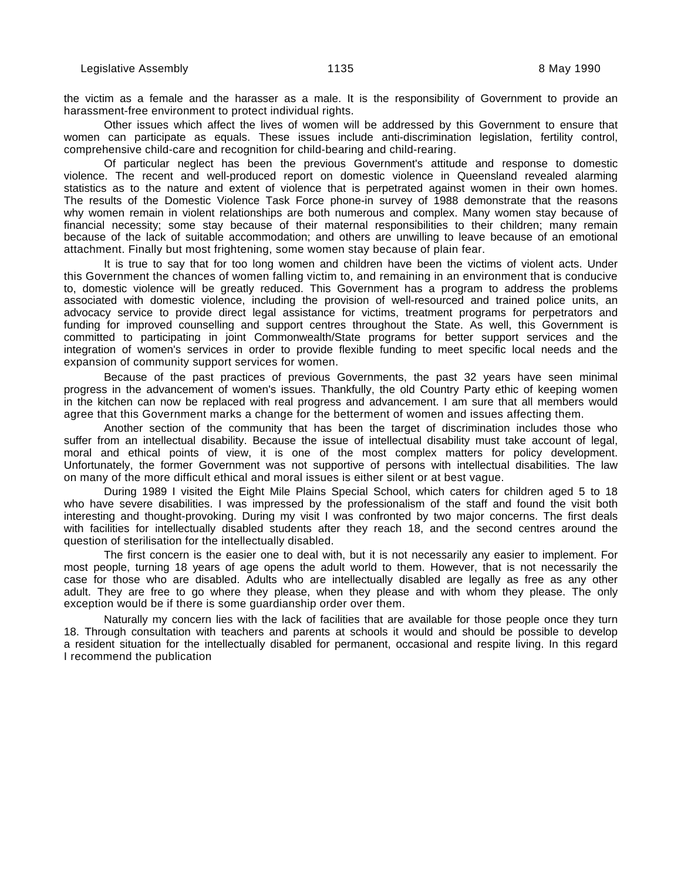the victim as a female and the harasser as a male. It is the responsibility of Government to provide an harassment-free environment to protect individual rights.

Other issues which affect the lives of women will be addressed by this Government to ensure that women can participate as equals. These issues include anti-discrimination legislation, fertility control, comprehensive child-care and recognition for child-bearing and child-rearing.

Of particular neglect has been the previous Government's attitude and response to domestic violence. The recent and well-produced report on domestic violence in Queensland revealed alarming statistics as to the nature and extent of violence that is perpetrated against women in their own homes. The results of the Domestic Violence Task Force phone-in survey of 1988 demonstrate that the reasons why women remain in violent relationships are both numerous and complex. Many women stay because of financial necessity; some stay because of their maternal responsibilities to their children; many remain because of the lack of suitable accommodation; and others are unwilling to leave because of an emotional attachment. Finally but most frightening, some women stay because of plain fear.

It is true to say that for too long women and children have been the victims of violent acts. Under this Government the chances of women falling victim to, and remaining in an environment that is conducive to, domestic violence will be greatly reduced. This Government has a program to address the problems associated with domestic violence, including the provision of well-resourced and trained police units, an advocacy service to provide direct legal assistance for victims, treatment programs for perpetrators and funding for improved counselling and support centres throughout the State. As well, this Government is committed to participating in joint Commonwealth/State programs for better support services and the integration of women's services in order to provide flexible funding to meet specific local needs and the expansion of community support services for women.

Because of the past practices of previous Governments, the past 32 years have seen minimal progress in the advancement of women's issues. Thankfully, the old Country Party ethic of keeping women in the kitchen can now be replaced with real progress and advancement. I am sure that all members would agree that this Government marks a change for the betterment of women and issues affecting them.

Another section of the community that has been the target of discrimination includes those who suffer from an intellectual disability. Because the issue of intellectual disability must take account of legal, moral and ethical points of view, it is one of the most complex matters for policy development. Unfortunately, the former Government was not supportive of persons with intellectual disabilities. The law on many of the more difficult ethical and moral issues is either silent or at best vague.

During 1989 I visited the Eight Mile Plains Special School, which caters for children aged 5 to 18 who have severe disabilities. I was impressed by the professionalism of the staff and found the visit both interesting and thought-provoking. During my visit I was confronted by two major concerns. The first deals with facilities for intellectually disabled students after they reach 18, and the second centres around the question of sterilisation for the intellectually disabled.

The first concern is the easier one to deal with, but it is not necessarily any easier to implement. For most people, turning 18 years of age opens the adult world to them. However, that is not necessarily the case for those who are disabled. Adults who are intellectually disabled are legally as free as any other adult. They are free to go where they please, when they please and with whom they please. The only exception would be if there is some guardianship order over them.

Naturally my concern lies with the lack of facilities that are available for those people once they turn 18. Through consultation with teachers and parents at schools it would and should be possible to develop a resident situation for the intellectually disabled for permanent, occasional and respite living. In this regard I recommend the publication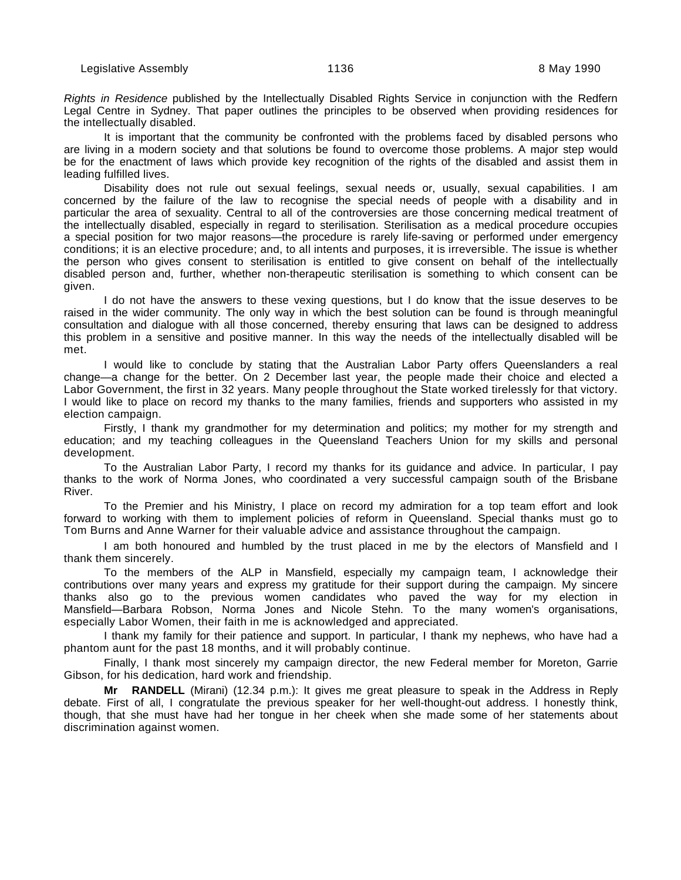Rights in Residence published by the Intellectually Disabled Rights Service in conjunction with the Redfern Legal Centre in Sydney. That paper outlines the principles to be observed when providing residences for the intellectually disabled.

It is important that the community be confronted with the problems faced by disabled persons who are living in a modern society and that solutions be found to overcome those problems. A major step would be for the enactment of laws which provide key recognition of the rights of the disabled and assist them in leading fulfilled lives.

Disability does not rule out sexual feelings, sexual needs or, usually, sexual capabilities. I am concerned by the failure of the law to recognise the special needs of people with a disability and in particular the area of sexuality. Central to all of the controversies are those concerning medical treatment of the intellectually disabled, especially in regard to sterilisation. Sterilisation as a medical procedure occupies a special position for two major reasons—the procedure is rarely life-saving or performed under emergency conditions; it is an elective procedure; and, to all intents and purposes, it is irreversible. The issue is whether the person who gives consent to sterilisation is entitled to give consent on behalf of the intellectually disabled person and, further, whether non-therapeutic sterilisation is something to which consent can be given.

I do not have the answers to these vexing questions, but I do know that the issue deserves to be raised in the wider community. The only way in which the best solution can be found is through meaningful consultation and dialogue with all those concerned, thereby ensuring that laws can be designed to address this problem in a sensitive and positive manner. In this way the needs of the intellectually disabled will be met.

I would like to conclude by stating that the Australian Labor Party offers Queenslanders a real change—a change for the better. On 2 December last year, the people made their choice and elected a Labor Government, the first in 32 years. Many people throughout the State worked tirelessly for that victory. I would like to place on record my thanks to the many families, friends and supporters who assisted in my election campaign.

Firstly, I thank my grandmother for my determination and politics; my mother for my strength and education; and my teaching colleagues in the Queensland Teachers Union for my skills and personal development.

To the Australian Labor Party, I record my thanks for its guidance and advice. In particular, I pay thanks to the work of Norma Jones, who coordinated a very successful campaign south of the Brisbane River.

To the Premier and his Ministry, I place on record my admiration for a top team effort and look forward to working with them to implement policies of reform in Queensland. Special thanks must go to Tom Burns and Anne Warner for their valuable advice and assistance throughout the campaign.

I am both honoured and humbled by the trust placed in me by the electors of Mansfield and I thank them sincerely.

To the members of the ALP in Mansfield, especially my campaign team, I acknowledge their contributions over many years and express my gratitude for their support during the campaign. My sincere thanks also go to the previous women candidates who paved the way for my election in Mansfield—Barbara Robson, Norma Jones and Nicole Stehn. To the many women's organisations, especially Labor Women, their faith in me is acknowledged and appreciated.

I thank my family for their patience and support. In particular, I thank my nephews, who have had a phantom aunt for the past 18 months, and it will probably continue.

Finally, I thank most sincerely my campaign director, the new Federal member for Moreton, Garrie Gibson, for his dedication, hard work and friendship.

**Mr RANDELL** (Mirani) (12.34 p.m.): It gives me great pleasure to speak in the Address in Reply debate. First of all, I congratulate the previous speaker for her well-thought-out address. I honestly think, though, that she must have had her tongue in her cheek when she made some of her statements about discrimination against women.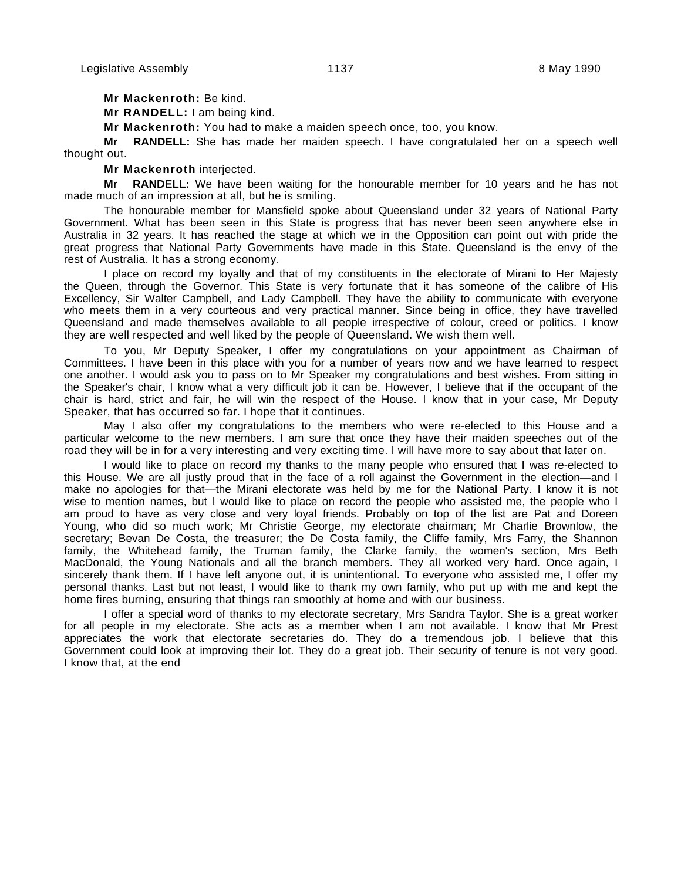**Mr Mackenroth:** Be kind.

**Mr RANDELL:** I am being kind.

**Mr Mackenroth:** You had to make a maiden speech once, too, you know.

**Mr RANDELL:** She has made her maiden speech. I have congratulated her on a speech well thought out.

**Mr Mackenroth** interjected.

**Mr RANDELL:** We have been waiting for the honourable member for 10 years and he has not made much of an impression at all, but he is smiling.

The honourable member for Mansfield spoke about Queensland under 32 years of National Party Government. What has been seen in this State is progress that has never been seen anywhere else in Australia in 32 years. It has reached the stage at which we in the Opposition can point out with pride the great progress that National Party Governments have made in this State. Queensland is the envy of the rest of Australia. It has a strong economy.

I place on record my loyalty and that of my constituents in the electorate of Mirani to Her Majesty the Queen, through the Governor. This State is very fortunate that it has someone of the calibre of His Excellency, Sir Walter Campbell, and Lady Campbell. They have the ability to communicate with everyone who meets them in a very courteous and very practical manner. Since being in office, they have travelled Queensland and made themselves available to all people irrespective of colour, creed or politics. I know they are well respected and well liked by the people of Queensland. We wish them well.

To you, Mr Deputy Speaker, I offer my congratulations on your appointment as Chairman of Committees. I have been in this place with you for a number of years now and we have learned to respect one another. I would ask you to pass on to Mr Speaker my congratulations and best wishes. From sitting in the Speaker's chair, I know what a very difficult job it can be. However, I believe that if the occupant of the chair is hard, strict and fair, he will win the respect of the House. I know that in your case, Mr Deputy Speaker, that has occurred so far. I hope that it continues.

May I also offer my congratulations to the members who were re-elected to this House and a particular welcome to the new members. I am sure that once they have their maiden speeches out of the road they will be in for a very interesting and very exciting time. I will have more to say about that later on.

I would like to place on record my thanks to the many people who ensured that I was re-elected to this House. We are all justly proud that in the face of a roll against the Government in the election—and I make no apologies for that—the Mirani electorate was held by me for the National Party. I know it is not wise to mention names, but I would like to place on record the people who assisted me, the people who I am proud to have as very close and very loyal friends. Probably on top of the list are Pat and Doreen Young, who did so much work; Mr Christie George, my electorate chairman; Mr Charlie Brownlow, the secretary; Bevan De Costa, the treasurer; the De Costa family, the Cliffe family, Mrs Farry, the Shannon family, the Whitehead family, the Truman family, the Clarke family, the women's section, Mrs Beth MacDonald, the Young Nationals and all the branch members. They all worked very hard. Once again, I sincerely thank them. If I have left anyone out, it is unintentional. To everyone who assisted me, I offer my personal thanks. Last but not least, I would like to thank my own family, who put up with me and kept the home fires burning, ensuring that things ran smoothly at home and with our business.

I offer a special word of thanks to my electorate secretary, Mrs Sandra Taylor. She is a great worker for all people in my electorate. She acts as a member when I am not available. I know that Mr Prest appreciates the work that electorate secretaries do. They do a tremendous job. I believe that this Government could look at improving their lot. They do a great job. Their security of tenure is not very good. I know that, at the end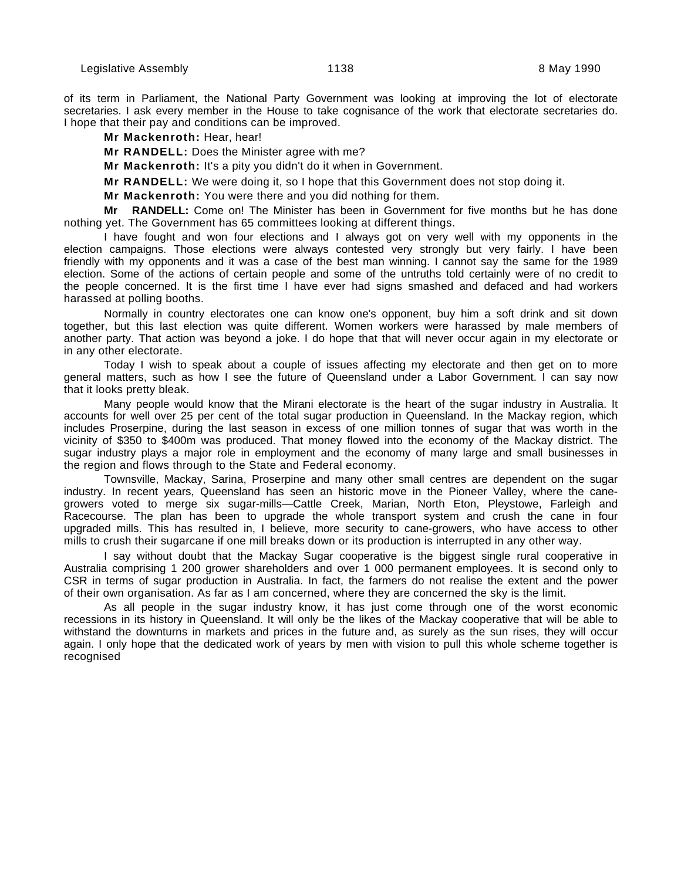of its term in Parliament, the National Party Government was looking at improving the lot of electorate secretaries. I ask every member in the House to take cognisance of the work that electorate secretaries do. I hope that their pay and conditions can be improved.

## **Mr Mackenroth:** Hear, hear!

**Mr RANDELL:** Does the Minister agree with me?

**Mr Mackenroth:** It's a pity you didn't do it when in Government.

**Mr RANDELL:** We were doing it, so I hope that this Government does not stop doing it.

**Mr Mackenroth:** You were there and you did nothing for them.

**Mr RANDELL:** Come on! The Minister has been in Government for five months but he has done nothing yet. The Government has 65 committees looking at different things.

I have fought and won four elections and I always got on very well with my opponents in the election campaigns. Those elections were always contested very strongly but very fairly. I have been friendly with my opponents and it was a case of the best man winning. I cannot say the same for the 1989 election. Some of the actions of certain people and some of the untruths told certainly were of no credit to the people concerned. It is the first time I have ever had signs smashed and defaced and had workers harassed at polling booths.

Normally in country electorates one can know one's opponent, buy him a soft drink and sit down together, but this last election was quite different. Women workers were harassed by male members of another party. That action was beyond a joke. I do hope that that will never occur again in my electorate or in any other electorate.

Today I wish to speak about a couple of issues affecting my electorate and then get on to more general matters, such as how I see the future of Queensland under a Labor Government. I can say now that it looks pretty bleak.

Many people would know that the Mirani electorate is the heart of the sugar industry in Australia. It accounts for well over 25 per cent of the total sugar production in Queensland. In the Mackay region, which includes Proserpine, during the last season in excess of one million tonnes of sugar that was worth in the vicinity of \$350 to \$400m was produced. That money flowed into the economy of the Mackay district. The sugar industry plays a major role in employment and the economy of many large and small businesses in the region and flows through to the State and Federal economy.

Townsville, Mackay, Sarina, Proserpine and many other small centres are dependent on the sugar industry. In recent years, Queensland has seen an historic move in the Pioneer Valley, where the canegrowers voted to merge six sugar-mills—Cattle Creek, Marian, North Eton, Pleystowe, Farleigh and Racecourse. The plan has been to upgrade the whole transport system and crush the cane in four upgraded mills. This has resulted in, I believe, more security to cane-growers, who have access to other mills to crush their sugarcane if one mill breaks down or its production is interrupted in any other way.

I say without doubt that the Mackay Sugar cooperative is the biggest single rural cooperative in Australia comprising 1 200 grower shareholders and over 1 000 permanent employees. It is second only to CSR in terms of sugar production in Australia. In fact, the farmers do not realise the extent and the power of their own organisation. As far as I am concerned, where they are concerned the sky is the limit.

As all people in the sugar industry know, it has just come through one of the worst economic recessions in its history in Queensland. It will only be the likes of the Mackay cooperative that will be able to withstand the downturns in markets and prices in the future and, as surely as the sun rises, they will occur again. I only hope that the dedicated work of years by men with vision to pull this whole scheme together is recognised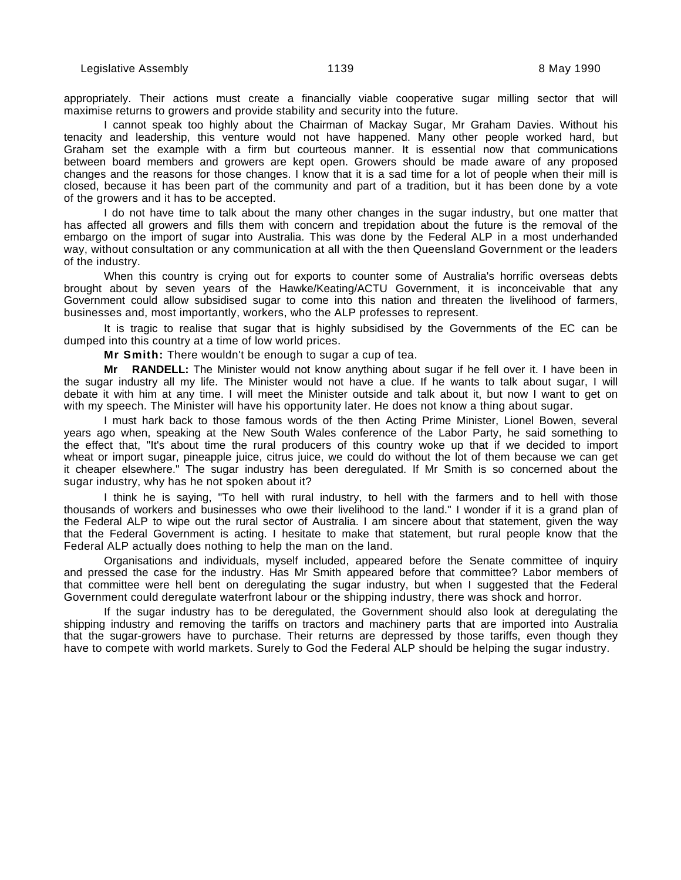appropriately. Their actions must create a financially viable cooperative sugar milling sector that will maximise returns to growers and provide stability and security into the future.

I cannot speak too highly about the Chairman of Mackay Sugar, Mr Graham Davies. Without his tenacity and leadership, this venture would not have happened. Many other people worked hard, but Graham set the example with a firm but courteous manner. It is essential now that communications between board members and growers are kept open. Growers should be made aware of any proposed changes and the reasons for those changes. I know that it is a sad time for a lot of people when their mill is closed, because it has been part of the community and part of a tradition, but it has been done by a vote of the growers and it has to be accepted.

I do not have time to talk about the many other changes in the sugar industry, but one matter that has affected all growers and fills them with concern and trepidation about the future is the removal of the embargo on the import of sugar into Australia. This was done by the Federal ALP in a most underhanded way, without consultation or any communication at all with the then Queensland Government or the leaders of the industry.

When this country is crying out for exports to counter some of Australia's horrific overseas debts brought about by seven years of the Hawke/Keating/ACTU Government, it is inconceivable that any Government could allow subsidised sugar to come into this nation and threaten the livelihood of farmers, businesses and, most importantly, workers, who the ALP professes to represent.

It is tragic to realise that sugar that is highly subsidised by the Governments of the EC can be dumped into this country at a time of low world prices.

**Mr Smith:** There wouldn't be enough to sugar a cup of tea.

**Mr RANDELL:** The Minister would not know anything about sugar if he fell over it. I have been in the sugar industry all my life. The Minister would not have a clue. If he wants to talk about sugar, I will debate it with him at any time. I will meet the Minister outside and talk about it, but now I want to get on with my speech. The Minister will have his opportunity later. He does not know a thing about sugar.

I must hark back to those famous words of the then Acting Prime Minister, Lionel Bowen, several years ago when, speaking at the New South Wales conference of the Labor Party, he said something to the effect that, "It's about time the rural producers of this country woke up that if we decided to import wheat or import sugar, pineapple juice, citrus juice, we could do without the lot of them because we can get it cheaper elsewhere." The sugar industry has been deregulated. If Mr Smith is so concerned about the sugar industry, why has he not spoken about it?

I think he is saying, "To hell with rural industry, to hell with the farmers and to hell with those thousands of workers and businesses who owe their livelihood to the land." I wonder if it is a grand plan of the Federal ALP to wipe out the rural sector of Australia. I am sincere about that statement, given the way that the Federal Government is acting. I hesitate to make that statement, but rural people know that the Federal ALP actually does nothing to help the man on the land.

Organisations and individuals, myself included, appeared before the Senate committee of inquiry and pressed the case for the industry. Has Mr Smith appeared before that committee? Labor members of that committee were hell bent on deregulating the sugar industry, but when I suggested that the Federal Government could deregulate waterfront labour or the shipping industry, there was shock and horror.

If the sugar industry has to be deregulated, the Government should also look at deregulating the shipping industry and removing the tariffs on tractors and machinery parts that are imported into Australia that the sugar-growers have to purchase. Their returns are depressed by those tariffs, even though they have to compete with world markets. Surely to God the Federal ALP should be helping the sugar industry.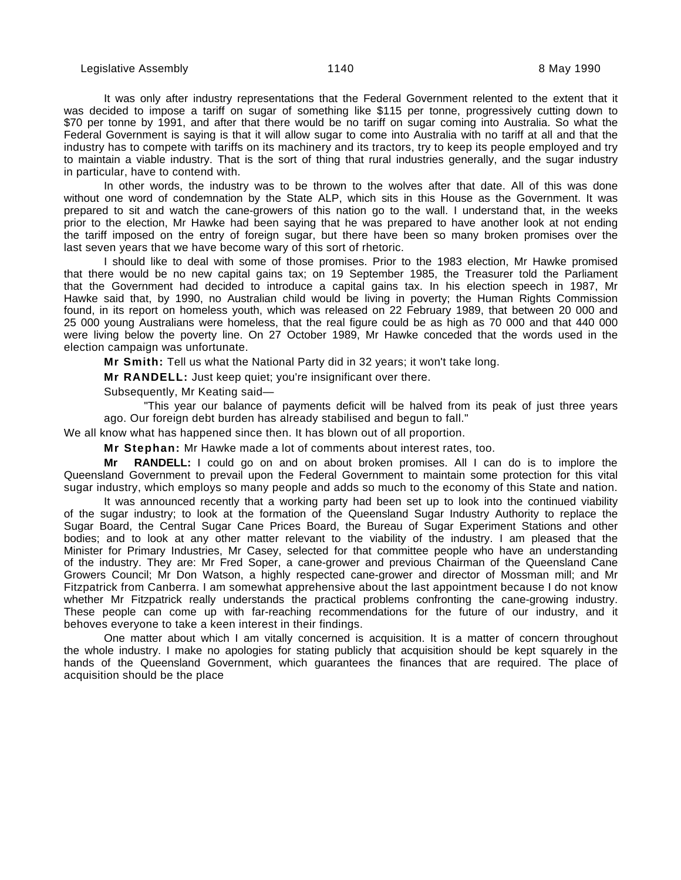It was only after industry representations that the Federal Government relented to the extent that it was decided to impose a tariff on sugar of something like \$115 per tonne, progressively cutting down to \$70 per tonne by 1991, and after that there would be no tariff on sugar coming into Australia. So what the Federal Government is saying is that it will allow sugar to come into Australia with no tariff at all and that the industry has to compete with tariffs on its machinery and its tractors, try to keep its people employed and try to maintain a viable industry. That is the sort of thing that rural industries generally, and the sugar industry in particular, have to contend with.

In other words, the industry was to be thrown to the wolves after that date. All of this was done without one word of condemnation by the State ALP, which sits in this House as the Government. It was prepared to sit and watch the cane-growers of this nation go to the wall. I understand that, in the weeks prior to the election, Mr Hawke had been saying that he was prepared to have another look at not ending the tariff imposed on the entry of foreign sugar, but there have been so many broken promises over the last seven years that we have become wary of this sort of rhetoric.

I should like to deal with some of those promises. Prior to the 1983 election, Mr Hawke promised that there would be no new capital gains tax; on 19 September 1985, the Treasurer told the Parliament that the Government had decided to introduce a capital gains tax. In his election speech in 1987, Mr Hawke said that, by 1990, no Australian child would be living in poverty; the Human Rights Commission found, in its report on homeless youth, which was released on 22 February 1989, that between 20 000 and 25 000 young Australians were homeless, that the real figure could be as high as 70 000 and that 440 000 were living below the poverty line. On 27 October 1989, Mr Hawke conceded that the words used in the election campaign was unfortunate.

**Mr Smith:** Tell us what the National Party did in 32 years; it won't take long.

**Mr RANDELL:** Just keep quiet; you're insignificant over there.

Subsequently, Mr Keating said—

"This year our balance of payments deficit will be halved from its peak of just three years ago. Our foreign debt burden has already stabilised and begun to fall."

We all know what has happened since then. It has blown out of all proportion.

**Mr Stephan:** Mr Hawke made a lot of comments about interest rates, too.

**Mr RANDELL:** I could go on and on about broken promises. All I can do is to implore the Queensland Government to prevail upon the Federal Government to maintain some protection for this vital sugar industry, which employs so many people and adds so much to the economy of this State and nation.

It was announced recently that a working party had been set up to look into the continued viability of the sugar industry; to look at the formation of the Queensland Sugar Industry Authority to replace the Sugar Board, the Central Sugar Cane Prices Board, the Bureau of Sugar Experiment Stations and other bodies; and to look at any other matter relevant to the viability of the industry. I am pleased that the Minister for Primary Industries, Mr Casey, selected for that committee people who have an understanding of the industry. They are: Mr Fred Soper, a cane-grower and previous Chairman of the Queensland Cane Growers Council; Mr Don Watson, a highly respected cane-grower and director of Mossman mill; and Mr Fitzpatrick from Canberra. I am somewhat apprehensive about the last appointment because I do not know whether Mr Fitzpatrick really understands the practical problems confronting the cane-growing industry. These people can come up with far-reaching recommendations for the future of our industry, and it behoves everyone to take a keen interest in their findings.

One matter about which I am vitally concerned is acquisition. It is a matter of concern throughout the whole industry. I make no apologies for stating publicly that acquisition should be kept squarely in the hands of the Queensland Government, which guarantees the finances that are required. The place of acquisition should be the place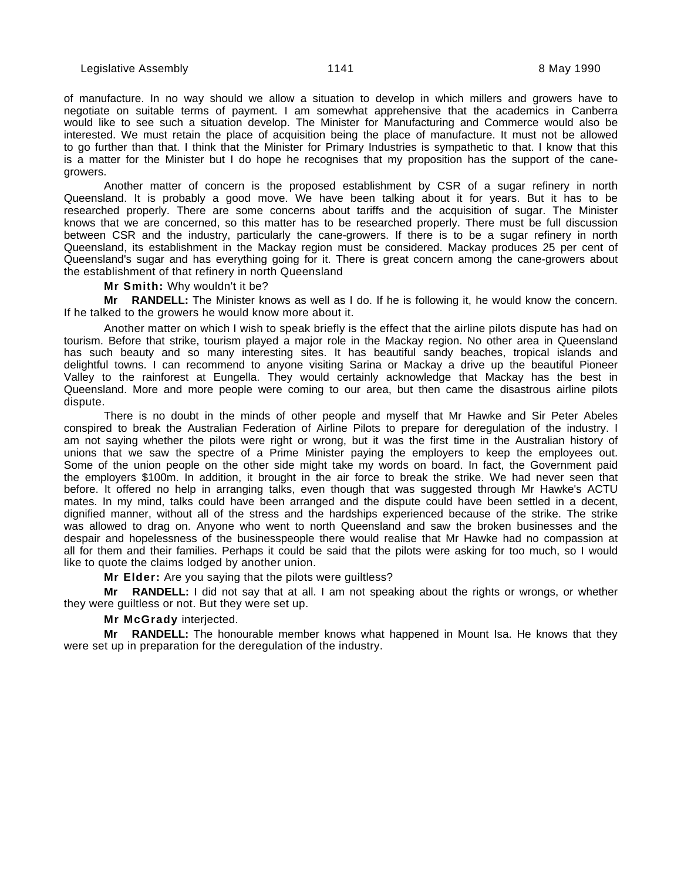of manufacture. In no way should we allow a situation to develop in which millers and growers have to negotiate on suitable terms of payment. I am somewhat apprehensive that the academics in Canberra would like to see such a situation develop. The Minister for Manufacturing and Commerce would also be interested. We must retain the place of acquisition being the place of manufacture. It must not be allowed to go further than that. I think that the Minister for Primary Industries is sympathetic to that. I know that this is a matter for the Minister but I do hope he recognises that my proposition has the support of the canegrowers.

Another matter of concern is the proposed establishment by CSR of a sugar refinery in north Queensland. It is probably a good move. We have been talking about it for years. But it has to be researched properly. There are some concerns about tariffs and the acquisition of sugar. The Minister knows that we are concerned, so this matter has to be researched properly. There must be full discussion between CSR and the industry, particularly the cane-growers. If there is to be a sugar refinery in north Queensland, its establishment in the Mackay region must be considered. Mackay produces 25 per cent of Queensland's sugar and has everything going for it. There is great concern among the cane-growers about the establishment of that refinery in north Queensland

**Mr Smith:** Why wouldn't it be?

**Mr RANDELL:** The Minister knows as well as I do. If he is following it, he would know the concern. If he talked to the growers he would know more about it.

Another matter on which I wish to speak briefly is the effect that the airline pilots dispute has had on tourism. Before that strike, tourism played a major role in the Mackay region. No other area in Queensland has such beauty and so many interesting sites. It has beautiful sandy beaches, tropical islands and delightful towns. I can recommend to anyone visiting Sarina or Mackay a drive up the beautiful Pioneer Valley to the rainforest at Eungella. They would certainly acknowledge that Mackay has the best in Queensland. More and more people were coming to our area, but then came the disastrous airline pilots dispute.

There is no doubt in the minds of other people and myself that Mr Hawke and Sir Peter Abeles conspired to break the Australian Federation of Airline Pilots to prepare for deregulation of the industry. I am not saying whether the pilots were right or wrong, but it was the first time in the Australian history of unions that we saw the spectre of a Prime Minister paying the employers to keep the employees out. Some of the union people on the other side might take my words on board. In fact, the Government paid the employers \$100m. In addition, it brought in the air force to break the strike. We had never seen that before. It offered no help in arranging talks, even though that was suggested through Mr Hawke's ACTU mates. In my mind, talks could have been arranged and the dispute could have been settled in a decent, dignified manner, without all of the stress and the hardships experienced because of the strike. The strike was allowed to drag on. Anyone who went to north Queensland and saw the broken businesses and the despair and hopelessness of the businesspeople there would realise that Mr Hawke had no compassion at all for them and their families. Perhaps it could be said that the pilots were asking for too much, so I would like to quote the claims lodged by another union.

**Mr Elder:** Are you saying that the pilots were guiltless?

**Mr RANDELL:** I did not say that at all. I am not speaking about the rights or wrongs, or whether they were guiltless or not. But they were set up.

# **Mr McGrady** interjected.

**Mr RANDELL:** The honourable member knows what happened in Mount Isa. He knows that they were set up in preparation for the deregulation of the industry.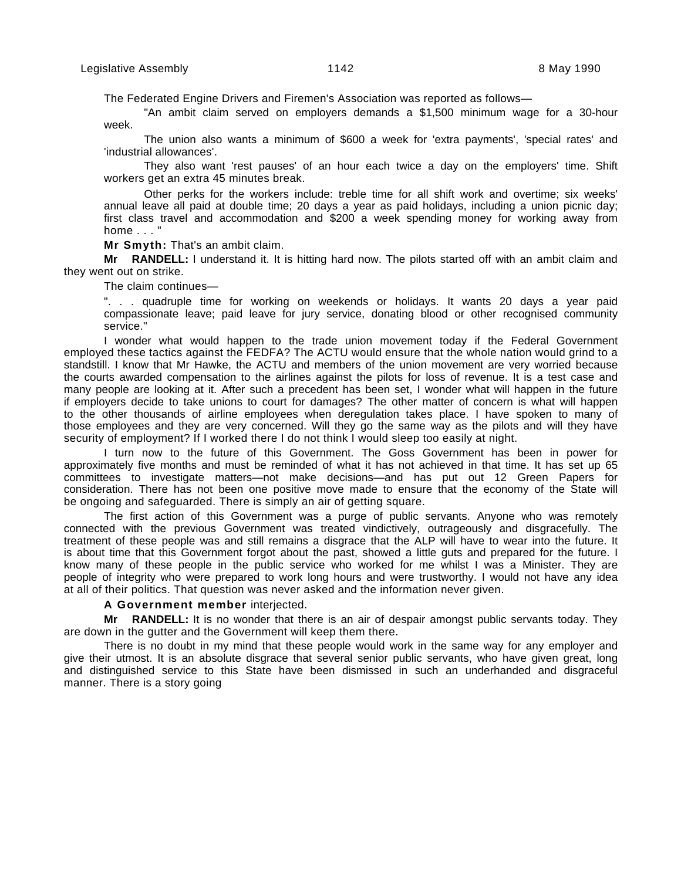The Federated Engine Drivers and Firemen's Association was reported as follows—

"An ambit claim served on employers demands a \$1,500 minimum wage for a 30-hour week.

The union also wants a minimum of \$600 a week for 'extra payments', 'special rates' and 'industrial allowances'.

They also want 'rest pauses' of an hour each twice a day on the employers' time. Shift workers get an extra 45 minutes break.

Other perks for the workers include: treble time for all shift work and overtime; six weeks' annual leave all paid at double time; 20 days a year as paid holidays, including a union picnic day; first class travel and accommodation and \$200 a week spending money for working away from home . . . '

**Mr Smyth:** That's an ambit claim.

**Mr RANDELL:** I understand it. It is hitting hard now. The pilots started off with an ambit claim and they went out on strike.

The claim continues—

". . . quadruple time for working on weekends or holidays. It wants 20 days a year paid compassionate leave; paid leave for jury service, donating blood or other recognised community service."

I wonder what would happen to the trade union movement today if the Federal Government employed these tactics against the FEDFA? The ACTU would ensure that the whole nation would grind to a standstill. I know that Mr Hawke, the ACTU and members of the union movement are very worried because the courts awarded compensation to the airlines against the pilots for loss of revenue. It is a test case and many people are looking at it. After such a precedent has been set, I wonder what will happen in the future if employers decide to take unions to court for damages? The other matter of concern is what will happen to the other thousands of airline employees when deregulation takes place. I have spoken to many of those employees and they are very concerned. Will they go the same way as the pilots and will they have security of employment? If I worked there I do not think I would sleep too easily at night.

I turn now to the future of this Government. The Goss Government has been in power for approximately five months and must be reminded of what it has not achieved in that time. It has set up 65 committees to investigate matters—not make decisions—and has put out 12 Green Papers for consideration. There has not been one positive move made to ensure that the economy of the State will be ongoing and safeguarded. There is simply an air of getting square.

The first action of this Government was a purge of public servants. Anyone who was remotely connected with the previous Government was treated vindictively, outrageously and disgracefully. The treatment of these people was and still remains a disgrace that the ALP will have to wear into the future. It is about time that this Government forgot about the past, showed a little guts and prepared for the future. I know many of these people in the public service who worked for me whilst I was a Minister. They are people of integrity who were prepared to work long hours and were trustworthy. I would not have any idea at all of their politics. That question was never asked and the information never given.

# **A Government member** interjected.

**Mr RANDELL:** It is no wonder that there is an air of despair amongst public servants today. They are down in the gutter and the Government will keep them there.

There is no doubt in my mind that these people would work in the same way for any employer and give their utmost. It is an absolute disgrace that several senior public servants, who have given great, long and distinguished service to this State have been dismissed in such an underhanded and disgraceful manner. There is a story going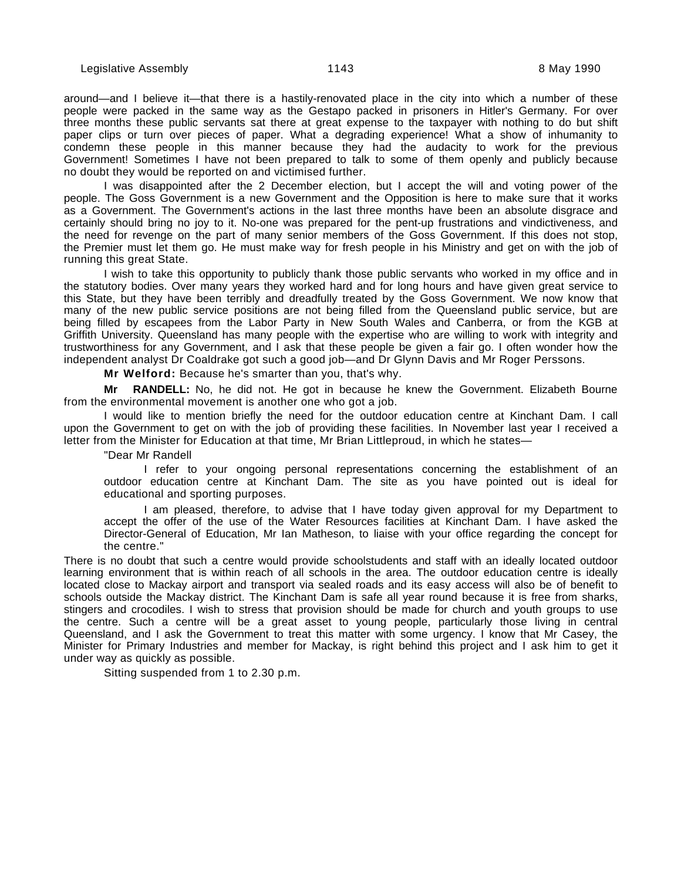around—and I believe it—that there is a hastily-renovated place in the city into which a number of these people were packed in the same way as the Gestapo packed in prisoners in Hitler's Germany. For over three months these public servants sat there at great expense to the taxpayer with nothing to do but shift paper clips or turn over pieces of paper. What a degrading experience! What a show of inhumanity to condemn these people in this manner because they had the audacity to work for the previous Government! Sometimes I have not been prepared to talk to some of them openly and publicly because no doubt they would be reported on and victimised further.

I was disappointed after the 2 December election, but I accept the will and voting power of the people. The Goss Government is a new Government and the Opposition is here to make sure that it works as a Government. The Government's actions in the last three months have been an absolute disgrace and certainly should bring no joy to it. No-one was prepared for the pent-up frustrations and vindictiveness, and the need for revenge on the part of many senior members of the Goss Government. If this does not stop, the Premier must let them go. He must make way for fresh people in his Ministry and get on with the job of running this great State.

I wish to take this opportunity to publicly thank those public servants who worked in my office and in the statutory bodies. Over many years they worked hard and for long hours and have given great service to this State, but they have been terribly and dreadfully treated by the Goss Government. We now know that many of the new public service positions are not being filled from the Queensland public service, but are being filled by escapees from the Labor Party in New South Wales and Canberra, or from the KGB at Griffith University. Queensland has many people with the expertise who are willing to work with integrity and trustworthiness for any Government, and I ask that these people be given a fair go. I often wonder how the independent analyst Dr Coaldrake got such a good job—and Dr Glynn Davis and Mr Roger Perssons.

**Mr Welford:** Because he's smarter than you, that's why.

**Mr RANDELL:** No, he did not. He got in because he knew the Government. Elizabeth Bourne from the environmental movement is another one who got a job.

I would like to mention briefly the need for the outdoor education centre at Kinchant Dam. I call upon the Government to get on with the job of providing these facilities. In November last year I received a letter from the Minister for Education at that time, Mr Brian Littleproud, in which he states—

"Dear Mr Randell

I refer to your ongoing personal representations concerning the establishment of an outdoor education centre at Kinchant Dam. The site as you have pointed out is ideal for educational and sporting purposes.

I am pleased, therefore, to advise that I have today given approval for my Department to accept the offer of the use of the Water Resources facilities at Kinchant Dam. I have asked the Director-General of Education, Mr Ian Matheson, to liaise with your office regarding the concept for the centre."

There is no doubt that such a centre would provide schoolstudents and staff with an ideally located outdoor learning environment that is within reach of all schools in the area. The outdoor education centre is ideally located close to Mackay airport and transport via sealed roads and its easy access will also be of benefit to schools outside the Mackay district. The Kinchant Dam is safe all year round because it is free from sharks, stingers and crocodiles. I wish to stress that provision should be made for church and youth groups to use the centre. Such a centre will be a great asset to young people, particularly those living in central Queensland, and I ask the Government to treat this matter with some urgency. I know that Mr Casey, the Minister for Primary Industries and member for Mackay, is right behind this project and I ask him to get it under way as quickly as possible.

Sitting suspended from 1 to 2.30 p.m.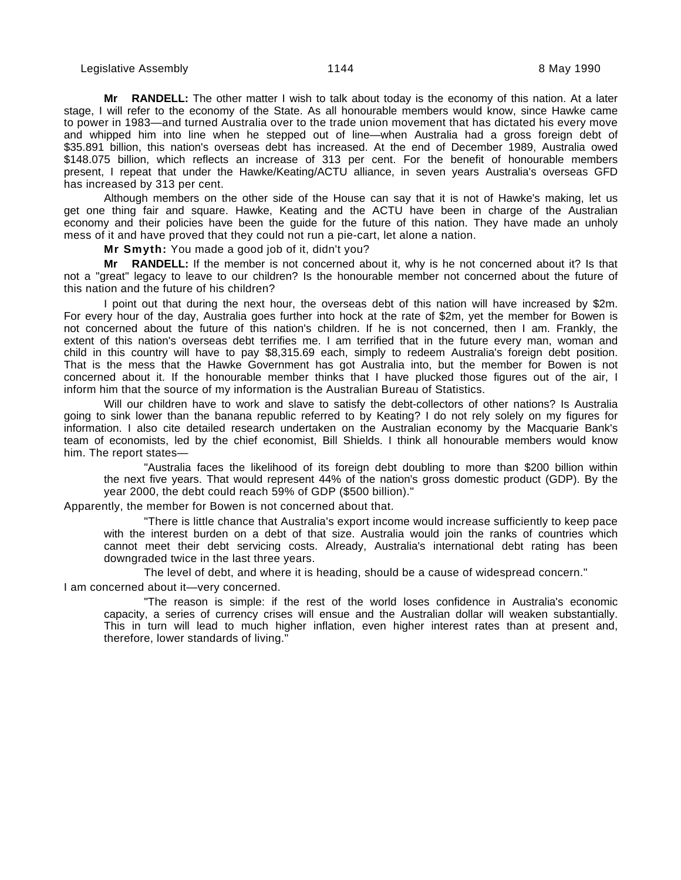**Mr RANDELL:** The other matter I wish to talk about today is the economy of this nation. At a later stage, I will refer to the economy of the State. As all honourable members would know, since Hawke came to power in 1983—and turned Australia over to the trade union movement that has dictated his every move and whipped him into line when he stepped out of line—when Australia had a gross foreign debt of \$35.891 billion, this nation's overseas debt has increased. At the end of December 1989, Australia owed \$148.075 billion, which reflects an increase of 313 per cent. For the benefit of honourable members present, I repeat that under the Hawke/Keating/ACTU alliance, in seven years Australia's overseas GFD has increased by 313 per cent.

Although members on the other side of the House can say that it is not of Hawke's making, let us get one thing fair and square. Hawke, Keating and the ACTU have been in charge of the Australian economy and their policies have been the guide for the future of this nation. They have made an unholy mess of it and have proved that they could not run a pie-cart, let alone a nation.

**Mr Smyth:** You made a good job of it, didn't you?

**Mr RANDELL:** If the member is not concerned about it, why is he not concerned about it? Is that not a "great" legacy to leave to our children? Is the honourable member not concerned about the future of this nation and the future of his children?

I point out that during the next hour, the overseas debt of this nation will have increased by \$2m. For every hour of the day, Australia goes further into hock at the rate of \$2m, yet the member for Bowen is not concerned about the future of this nation's children. If he is not concerned, then I am. Frankly, the extent of this nation's overseas debt terrifies me. I am terrified that in the future every man, woman and child in this country will have to pay \$8,315.69 each, simply to redeem Australia's foreign debt position. That is the mess that the Hawke Government has got Australia into, but the member for Bowen is not concerned about it. If the honourable member thinks that I have plucked those figures out of the air, I inform him that the source of my information is the Australian Bureau of Statistics.

Will our children have to work and slave to satisfy the debt-collectors of other nations? Is Australia going to sink lower than the banana republic referred to by Keating? I do not rely solely on my figures for information. I also cite detailed research undertaken on the Australian economy by the Macquarie Bank's team of economists, led by the chief economist, Bill Shields. I think all honourable members would know him. The report states—

"Australia faces the likelihood of its foreign debt doubling to more than \$200 billion within the next five years. That would represent 44% of the nation's gross domestic product (GDP). By the year 2000, the debt could reach 59% of GDP (\$500 billion)."

Apparently, the member for Bowen is not concerned about that.

"There is little chance that Australia's export income would increase sufficiently to keep pace with the interest burden on a debt of that size. Australia would join the ranks of countries which cannot meet their debt servicing costs. Already, Australia's international debt rating has been downgraded twice in the last three years.

The level of debt, and where it is heading, should be a cause of widespread concern." I am concerned about it—very concerned.

"The reason is simple: if the rest of the world loses confidence in Australia's economic capacity, a series of currency crises will ensue and the Australian dollar will weaken substantially. This in turn will lead to much higher inflation, even higher interest rates than at present and, therefore, lower standards of living."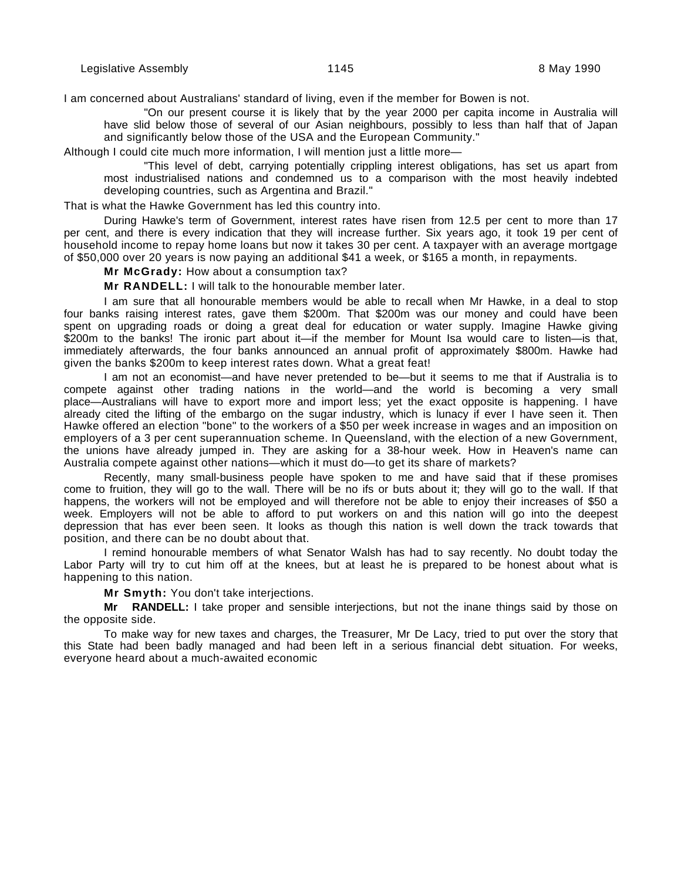I am concerned about Australians' standard of living, even if the member for Bowen is not.

"On our present course it is likely that by the year 2000 per capita income in Australia will have slid below those of several of our Asian neighbours, possibly to less than half that of Japan and significantly below those of the USA and the European Community."

Although I could cite much more information, I will mention just a little more—

"This level of debt, carrying potentially crippling interest obligations, has set us apart from most industrialised nations and condemned us to a comparison with the most heavily indebted developing countries, such as Argentina and Brazil."

That is what the Hawke Government has led this country into.

During Hawke's term of Government, interest rates have risen from 12.5 per cent to more than 17 per cent, and there is every indication that they will increase further. Six years ago, it took 19 per cent of household income to repay home loans but now it takes 30 per cent. A taxpayer with an average mortgage of \$50,000 over 20 years is now paying an additional \$41 a week, or \$165 a month, in repayments.

**Mr McGrady:** How about a consumption tax?

**Mr RANDELL:** I will talk to the honourable member later.

I am sure that all honourable members would be able to recall when Mr Hawke, in a deal to stop four banks raising interest rates, gave them \$200m. That \$200m was our money and could have been spent on upgrading roads or doing a great deal for education or water supply. Imagine Hawke giving \$200m to the banks! The ironic part about it—if the member for Mount Isa would care to listen—is that, immediately afterwards, the four banks announced an annual profit of approximately \$800m. Hawke had given the banks \$200m to keep interest rates down. What a great feat!

I am not an economist—and have never pretended to be—but it seems to me that if Australia is to compete against other trading nations in the world—and the world is becoming a very small place—Australians will have to export more and import less; yet the exact opposite is happening. I have already cited the lifting of the embargo on the sugar industry, which is lunacy if ever I have seen it. Then Hawke offered an election "bone" to the workers of a \$50 per week increase in wages and an imposition on employers of a 3 per cent superannuation scheme. In Queensland, with the election of a new Government, the unions have already jumped in. They are asking for a 38-hour week. How in Heaven's name can Australia compete against other nations—which it must do—to get its share of markets?

Recently, many small-business people have spoken to me and have said that if these promises come to fruition, they will go to the wall. There will be no ifs or buts about it; they will go to the wall. If that happens, the workers will not be employed and will therefore not be able to enjoy their increases of \$50 a week. Employers will not be able to afford to put workers on and this nation will go into the deepest depression that has ever been seen. It looks as though this nation is well down the track towards that position, and there can be no doubt about that.

I remind honourable members of what Senator Walsh has had to say recently. No doubt today the Labor Party will try to cut him off at the knees, but at least he is prepared to be honest about what is happening to this nation.

**Mr Smyth:** You don't take interjections.

**Mr RANDELL:** I take proper and sensible interjections, but not the inane things said by those on the opposite side.

To make way for new taxes and charges, the Treasurer, Mr De Lacy, tried to put over the story that this State had been badly managed and had been left in a serious financial debt situation. For weeks, everyone heard about a much-awaited economic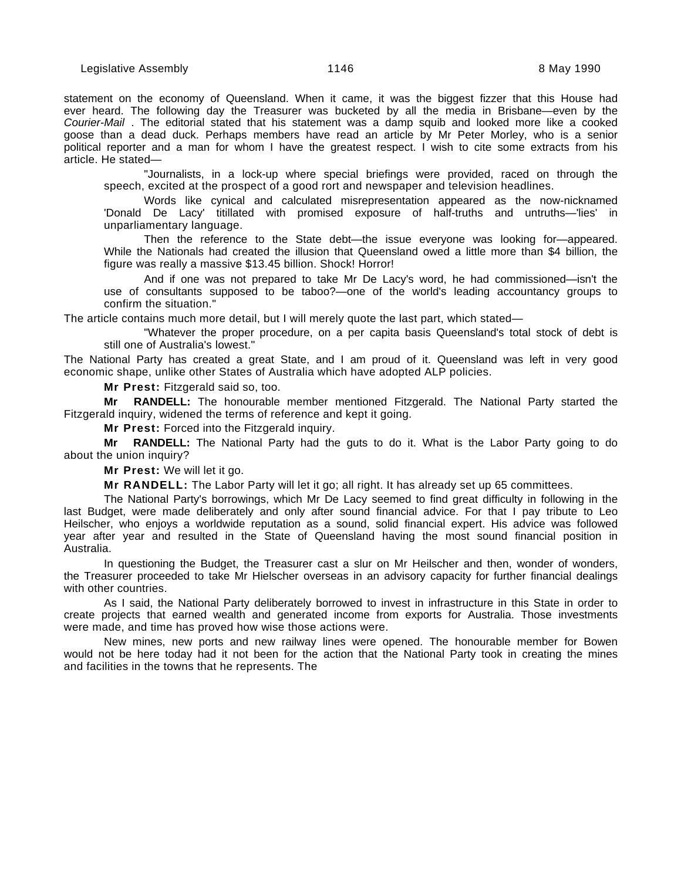statement on the economy of Queensland. When it came, it was the biggest fizzer that this House had ever heard. The following day the Treasurer was bucketed by all the media in Brisbane—even by the Courier-Mail . The editorial stated that his statement was a damp squib and looked more like a cooked goose than a dead duck. Perhaps members have read an article by Mr Peter Morley, who is a senior political reporter and a man for whom I have the greatest respect. I wish to cite some extracts from his article. He stated—

"Journalists, in a lock-up where special briefings were provided, raced on through the speech, excited at the prospect of a good rort and newspaper and television headlines.

Words like cynical and calculated misrepresentation appeared as the now-nicknamed 'Donald De Lacy' titillated with promised exposure of half-truths and untruths—'lies' in unparliamentary language.

Then the reference to the State debt—the issue everyone was looking for—appeared. While the Nationals had created the illusion that Queensland owed a little more than \$4 billion, the figure was really a massive \$13.45 billion. Shock! Horror!

And if one was not prepared to take Mr De Lacy's word, he had commissioned—isn't the use of consultants supposed to be taboo?—one of the world's leading accountancy groups to confirm the situation."

The article contains much more detail, but I will merely quote the last part, which stated—

"Whatever the proper procedure, on a per capita basis Queensland's total stock of debt is still one of Australia's lowest."

The National Party has created a great State, and I am proud of it. Queensland was left in very good economic shape, unlike other States of Australia which have adopted ALP policies.

**Mr Prest:** Fitzgerald said so, too.

**Mr RANDELL:** The honourable member mentioned Fitzgerald. The National Party started the Fitzgerald inquiry, widened the terms of reference and kept it going.

**Mr Prest:** Forced into the Fitzgerald inquiry.

**Mr RANDELL:** The National Party had the guts to do it. What is the Labor Party going to do about the union inquiry?

**Mr Prest:** We will let it go.

**Mr RANDELL:** The Labor Party will let it go; all right. It has already set up 65 committees.

The National Party's borrowings, which Mr De Lacy seemed to find great difficulty in following in the last Budget, were made deliberately and only after sound financial advice. For that I pay tribute to Leo Heilscher, who enjoys a worldwide reputation as a sound, solid financial expert. His advice was followed year after year and resulted in the State of Queensland having the most sound financial position in Australia.

In questioning the Budget, the Treasurer cast a slur on Mr Heilscher and then, wonder of wonders, the Treasurer proceeded to take Mr Hielscher overseas in an advisory capacity for further financial dealings with other countries.

As I said, the National Party deliberately borrowed to invest in infrastructure in this State in order to create projects that earned wealth and generated income from exports for Australia. Those investments were made, and time has proved how wise those actions were.

New mines, new ports and new railway lines were opened. The honourable member for Bowen would not be here today had it not been for the action that the National Party took in creating the mines and facilities in the towns that he represents. The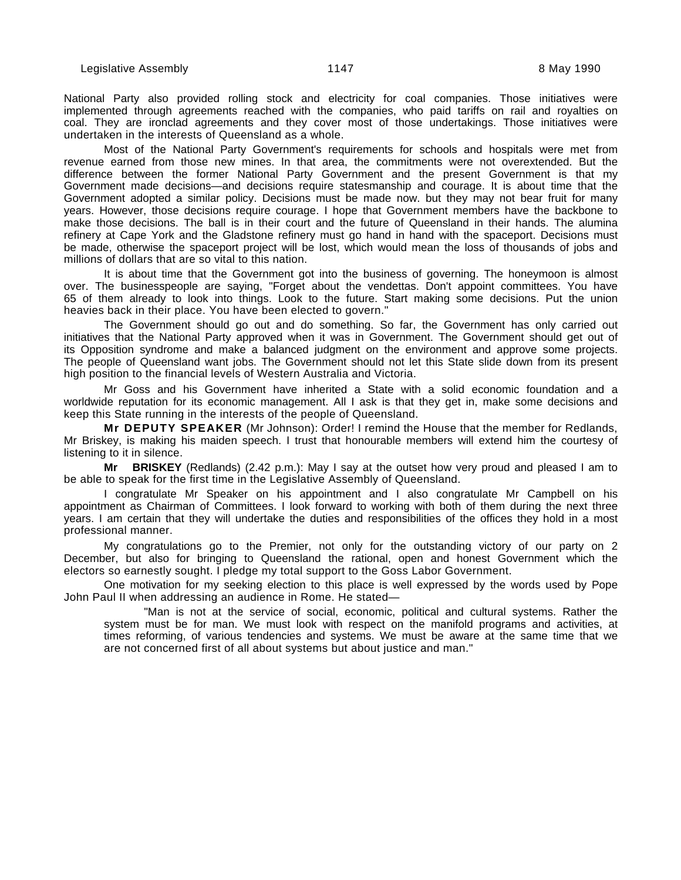National Party also provided rolling stock and electricity for coal companies. Those initiatives were implemented through agreements reached with the companies, who paid tariffs on rail and royalties on coal. They are ironclad agreements and they cover most of those undertakings. Those initiatives were undertaken in the interests of Queensland as a whole.

Most of the National Party Government's requirements for schools and hospitals were met from revenue earned from those new mines. In that area, the commitments were not overextended. But the difference between the former National Party Government and the present Government is that my Government made decisions—and decisions require statesmanship and courage. It is about time that the Government adopted a similar policy. Decisions must be made now. but they may not bear fruit for many years. However, those decisions require courage. I hope that Government members have the backbone to make those decisions. The ball is in their court and the future of Queensland in their hands. The alumina refinery at Cape York and the Gladstone refinery must go hand in hand with the spaceport. Decisions must be made, otherwise the spaceport project will be lost, which would mean the loss of thousands of jobs and millions of dollars that are so vital to this nation.

It is about time that the Government got into the business of governing. The honeymoon is almost over. The businesspeople are saying, "Forget about the vendettas. Don't appoint committees. You have 65 of them already to look into things. Look to the future. Start making some decisions. Put the union heavies back in their place. You have been elected to govern."

The Government should go out and do something. So far, the Government has only carried out initiatives that the National Party approved when it was in Government. The Government should get out of its Opposition syndrome and make a balanced judgment on the environment and approve some projects. The people of Queensland want jobs. The Government should not let this State slide down from its present high position to the financial levels of Western Australia and Victoria.

Mr Goss and his Government have inherited a State with a solid economic foundation and a worldwide reputation for its economic management. All I ask is that they get in, make some decisions and keep this State running in the interests of the people of Queensland.

**Mr DEPUTY SPEAKER** (Mr Johnson): Order! I remind the House that the member for Redlands, Mr Briskey, is making his maiden speech. I trust that honourable members will extend him the courtesy of listening to it in silence.

**Mr BRISKEY** (Redlands) (2.42 p.m.): May I say at the outset how very proud and pleased I am to be able to speak for the first time in the Legislative Assembly of Queensland.

I congratulate Mr Speaker on his appointment and I also congratulate Mr Campbell on his appointment as Chairman of Committees. I look forward to working with both of them during the next three years. I am certain that they will undertake the duties and responsibilities of the offices they hold in a most professional manner.

My congratulations go to the Premier, not only for the outstanding victory of our party on 2 December, but also for bringing to Queensland the rational, open and honest Government which the electors so earnestly sought. I pledge my total support to the Goss Labor Government.

One motivation for my seeking election to this place is well expressed by the words used by Pope John Paul II when addressing an audience in Rome. He stated—

"Man is not at the service of social, economic, political and cultural systems. Rather the system must be for man. We must look with respect on the manifold programs and activities, at times reforming, of various tendencies and systems. We must be aware at the same time that we are not concerned first of all about systems but about justice and man."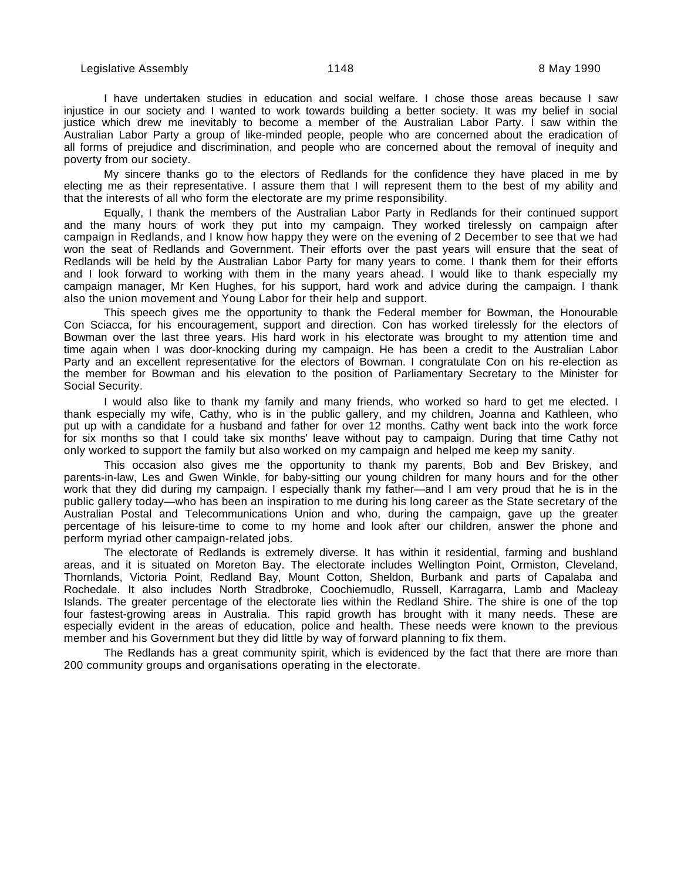I have undertaken studies in education and social welfare. I chose those areas because I saw injustice in our society and I wanted to work towards building a better society. It was my belief in social justice which drew me inevitably to become a member of the Australian Labor Party. I saw within the Australian Labor Party a group of like-minded people, people who are concerned about the eradication of all forms of prejudice and discrimination, and people who are concerned about the removal of inequity and poverty from our society.

My sincere thanks go to the electors of Redlands for the confidence they have placed in me by electing me as their representative. I assure them that I will represent them to the best of my ability and that the interests of all who form the electorate are my prime responsibility.

Equally, I thank the members of the Australian Labor Party in Redlands for their continued support and the many hours of work they put into my campaign. They worked tirelessly on campaign after campaign in Redlands, and I know how happy they were on the evening of 2 December to see that we had won the seat of Redlands and Government. Their efforts over the past years will ensure that the seat of Redlands will be held by the Australian Labor Party for many years to come. I thank them for their efforts and I look forward to working with them in the many years ahead. I would like to thank especially my campaign manager, Mr Ken Hughes, for his support, hard work and advice during the campaign. I thank also the union movement and Young Labor for their help and support.

This speech gives me the opportunity to thank the Federal member for Bowman, the Honourable Con Sciacca, for his encouragement, support and direction. Con has worked tirelessly for the electors of Bowman over the last three years. His hard work in his electorate was brought to my attention time and time again when I was door-knocking during my campaign. He has been a credit to the Australian Labor Party and an excellent representative for the electors of Bowman. I congratulate Con on his re-election as the member for Bowman and his elevation to the position of Parliamentary Secretary to the Minister for Social Security.

I would also like to thank my family and many friends, who worked so hard to get me elected. I thank especially my wife, Cathy, who is in the public gallery, and my children, Joanna and Kathleen, who put up with a candidate for a husband and father for over 12 months. Cathy went back into the work force for six months so that I could take six months' leave without pay to campaign. During that time Cathy not only worked to support the family but also worked on my campaign and helped me keep my sanity.

This occasion also gives me the opportunity to thank my parents, Bob and Bev Briskey, and parents-in-law, Les and Gwen Winkle, for baby-sitting our young children for many hours and for the other work that they did during my campaign. I especially thank my father—and I am very proud that he is in the public gallery today—who has been an inspiration to me during his long career as the State secretary of the Australian Postal and Telecommunications Union and who, during the campaign, gave up the greater percentage of his leisure-time to come to my home and look after our children, answer the phone and perform myriad other campaign-related jobs.

The electorate of Redlands is extremely diverse. It has within it residential, farming and bushland areas, and it is situated on Moreton Bay. The electorate includes Wellington Point, Ormiston, Cleveland, Thornlands, Victoria Point, Redland Bay, Mount Cotton, Sheldon, Burbank and parts of Capalaba and Rochedale. It also includes North Stradbroke, Coochiemudlo, Russell, Karragarra, Lamb and Macleay Islands. The greater percentage of the electorate lies within the Redland Shire. The shire is one of the top four fastest-growing areas in Australia. This rapid growth has brought with it many needs. These are especially evident in the areas of education, police and health. These needs were known to the previous member and his Government but they did little by way of forward planning to fix them.

The Redlands has a great community spirit, which is evidenced by the fact that there are more than 200 community groups and organisations operating in the electorate.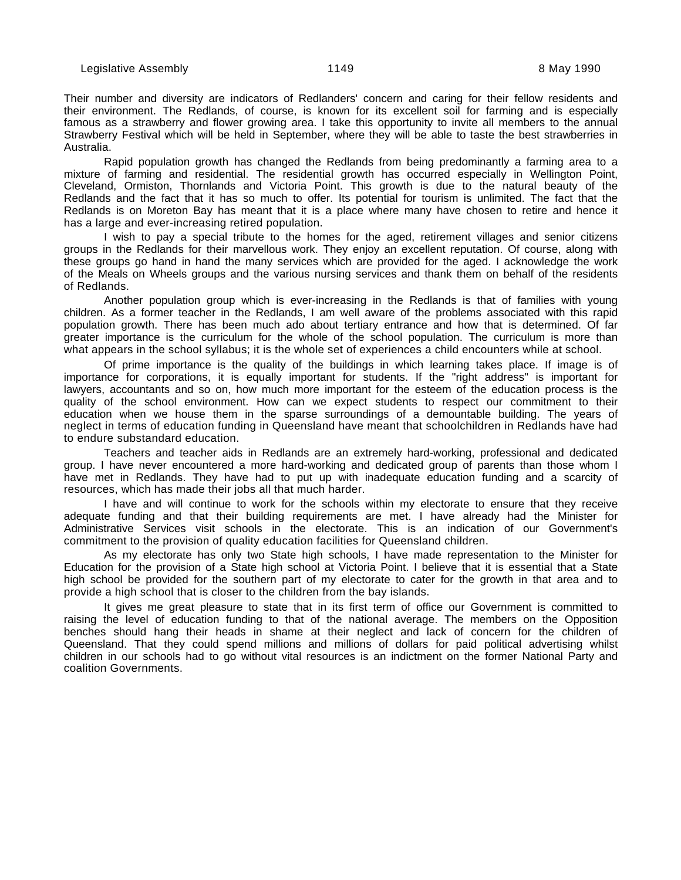Their number and diversity are indicators of Redlanders' concern and caring for their fellow residents and their environment. The Redlands, of course, is known for its excellent soil for farming and is especially famous as a strawberry and flower growing area. I take this opportunity to invite all members to the annual Strawberry Festival which will be held in September, where they will be able to taste the best strawberries in Australia.

Rapid population growth has changed the Redlands from being predominantly a farming area to a mixture of farming and residential. The residential growth has occurred especially in Wellington Point, Cleveland, Ormiston, Thornlands and Victoria Point. This growth is due to the natural beauty of the Redlands and the fact that it has so much to offer. Its potential for tourism is unlimited. The fact that the Redlands is on Moreton Bay has meant that it is a place where many have chosen to retire and hence it has a large and ever-increasing retired population.

I wish to pay a special tribute to the homes for the aged, retirement villages and senior citizens groups in the Redlands for their marvellous work. They enjoy an excellent reputation. Of course, along with these groups go hand in hand the many services which are provided for the aged. I acknowledge the work of the Meals on Wheels groups and the various nursing services and thank them on behalf of the residents of Redlands.

Another population group which is ever-increasing in the Redlands is that of families with young children. As a former teacher in the Redlands, I am well aware of the problems associated with this rapid population growth. There has been much ado about tertiary entrance and how that is determined. Of far greater importance is the curriculum for the whole of the school population. The curriculum is more than what appears in the school syllabus; it is the whole set of experiences a child encounters while at school.

Of prime importance is the quality of the buildings in which learning takes place. If image is of importance for corporations, it is equally important for students. If the "right address" is important for lawyers, accountants and so on, how much more important for the esteem of the education process is the quality of the school environment. How can we expect students to respect our commitment to their education when we house them in the sparse surroundings of a demountable building. The years of neglect in terms of education funding in Queensland have meant that schoolchildren in Redlands have had to endure substandard education.

Teachers and teacher aids in Redlands are an extremely hard-working, professional and dedicated group. I have never encountered a more hard-working and dedicated group of parents than those whom I have met in Redlands. They have had to put up with inadequate education funding and a scarcity of resources, which has made their jobs all that much harder.

I have and will continue to work for the schools within my electorate to ensure that they receive adequate funding and that their building requirements are met. I have already had the Minister for Administrative Services visit schools in the electorate. This is an indication of our Government's commitment to the provision of quality education facilities for Queensland children.

As my electorate has only two State high schools, I have made representation to the Minister for Education for the provision of a State high school at Victoria Point. I believe that it is essential that a State high school be provided for the southern part of my electorate to cater for the growth in that area and to provide a high school that is closer to the children from the bay islands.

It gives me great pleasure to state that in its first term of office our Government is committed to raising the level of education funding to that of the national average. The members on the Opposition benches should hang their heads in shame at their neglect and lack of concern for the children of Queensland. That they could spend millions and millions of dollars for paid political advertising whilst children in our schools had to go without vital resources is an indictment on the former National Party and coalition Governments.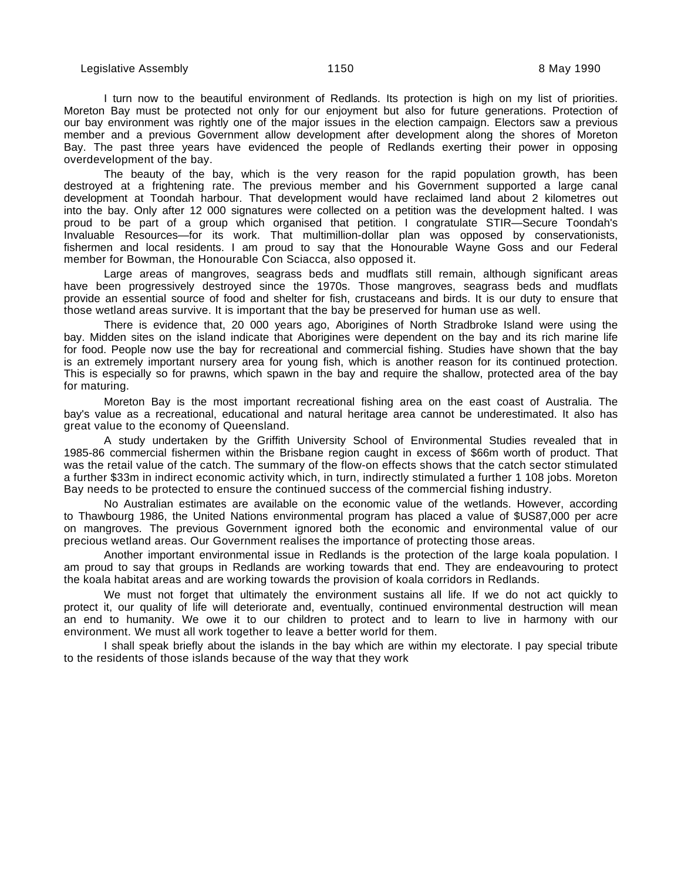I turn now to the beautiful environment of Redlands. Its protection is high on my list of priorities. Moreton Bay must be protected not only for our enjoyment but also for future generations. Protection of our bay environment was rightly one of the major issues in the election campaign. Electors saw a previous member and a previous Government allow development after development along the shores of Moreton Bay. The past three years have evidenced the people of Redlands exerting their power in opposing overdevelopment of the bay.

The beauty of the bay, which is the very reason for the rapid population growth, has been destroyed at a frightening rate. The previous member and his Government supported a large canal development at Toondah harbour. That development would have reclaimed land about 2 kilometres out into the bay. Only after 12 000 signatures were collected on a petition was the development halted. I was proud to be part of a group which organised that petition. I congratulate STIR—Secure Toondah's Invaluable Resources—for its work. That multimillion-dollar plan was opposed by conservationists, fishermen and local residents. I am proud to say that the Honourable Wayne Goss and our Federal member for Bowman, the Honourable Con Sciacca, also opposed it.

Large areas of mangroves, seagrass beds and mudflats still remain, although significant areas have been progressively destroyed since the 1970s. Those mangroves, seagrass beds and mudflats provide an essential source of food and shelter for fish, crustaceans and birds. It is our duty to ensure that those wetland areas survive. It is important that the bay be preserved for human use as well.

There is evidence that, 20 000 years ago, Aborigines of North Stradbroke Island were using the bay. Midden sites on the island indicate that Aborigines were dependent on the bay and its rich marine life for food. People now use the bay for recreational and commercial fishing. Studies have shown that the bay is an extremely important nursery area for young fish, which is another reason for its continued protection. This is especially so for prawns, which spawn in the bay and require the shallow, protected area of the bay for maturing.

Moreton Bay is the most important recreational fishing area on the east coast of Australia. The bay's value as a recreational, educational and natural heritage area cannot be underestimated. It also has great value to the economy of Queensland.

A study undertaken by the Griffith University School of Environmental Studies revealed that in 1985-86 commercial fishermen within the Brisbane region caught in excess of \$66m worth of product. That was the retail value of the catch. The summary of the flow-on effects shows that the catch sector stimulated a further \$33m in indirect economic activity which, in turn, indirectly stimulated a further 1 108 jobs. Moreton Bay needs to be protected to ensure the continued success of the commercial fishing industry.

No Australian estimates are available on the economic value of the wetlands. However, according to Thawbourg 1986, the United Nations environmental program has placed a value of \$US87,000 per acre on mangroves. The previous Government ignored both the economic and environmental value of our precious wetland areas. Our Government realises the importance of protecting those areas.

Another important environmental issue in Redlands is the protection of the large koala population. I am proud to say that groups in Redlands are working towards that end. They are endeavouring to protect the koala habitat areas and are working towards the provision of koala corridors in Redlands.

We must not forget that ultimately the environment sustains all life. If we do not act quickly to protect it, our quality of life will deteriorate and, eventually, continued environmental destruction will mean an end to humanity. We owe it to our children to protect and to learn to live in harmony with our environment. We must all work together to leave a better world for them.

I shall speak briefly about the islands in the bay which are within my electorate. I pay special tribute to the residents of those islands because of the way that they work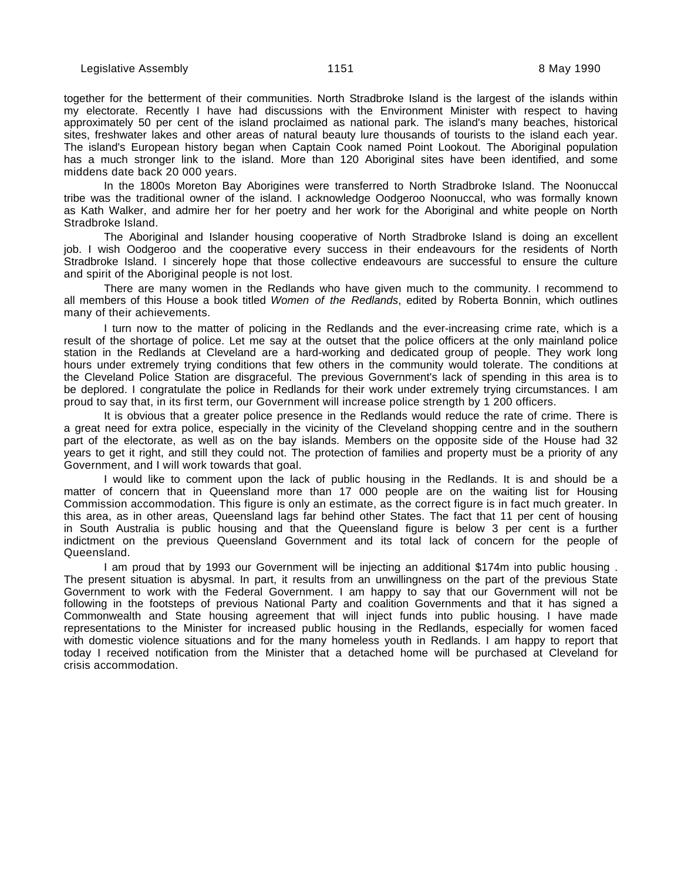together for the betterment of their communities. North Stradbroke Island is the largest of the islands within my electorate. Recently I have had discussions with the Environment Minister with respect to having approximately 50 per cent of the island proclaimed as national park. The island's many beaches, historical sites, freshwater lakes and other areas of natural beauty lure thousands of tourists to the island each year. The island's European history began when Captain Cook named Point Lookout. The Aboriginal population has a much stronger link to the island. More than 120 Aboriginal sites have been identified, and some middens date back 20 000 years.

In the 1800s Moreton Bay Aborigines were transferred to North Stradbroke Island. The Noonuccal tribe was the traditional owner of the island. I acknowledge Oodgeroo Noonuccal, who was formally known as Kath Walker, and admire her for her poetry and her work for the Aboriginal and white people on North Stradbroke Island.

The Aboriginal and Islander housing cooperative of North Stradbroke Island is doing an excellent job. I wish Oodgeroo and the cooperative every success in their endeavours for the residents of North Stradbroke Island. I sincerely hope that those collective endeavours are successful to ensure the culture and spirit of the Aboriginal people is not lost.

There are many women in the Redlands who have given much to the community. I recommend to all members of this House a book titled Women of the Redlands, edited by Roberta Bonnin, which outlines many of their achievements.

I turn now to the matter of policing in the Redlands and the ever-increasing crime rate, which is a result of the shortage of police. Let me say at the outset that the police officers at the only mainland police station in the Redlands at Cleveland are a hard-working and dedicated group of people. They work long hours under extremely trying conditions that few others in the community would tolerate. The conditions at the Cleveland Police Station are disgraceful. The previous Government's lack of spending in this area is to be deplored. I congratulate the police in Redlands for their work under extremely trying circumstances. I am proud to say that, in its first term, our Government will increase police strength by 1 200 officers.

It is obvious that a greater police presence in the Redlands would reduce the rate of crime. There is a great need for extra police, especially in the vicinity of the Cleveland shopping centre and in the southern part of the electorate, as well as on the bay islands. Members on the opposite side of the House had 32 years to get it right, and still they could not. The protection of families and property must be a priority of any Government, and I will work towards that goal.

I would like to comment upon the lack of public housing in the Redlands. It is and should be a matter of concern that in Queensland more than 17 000 people are on the waiting list for Housing Commission accommodation. This figure is only an estimate, as the correct figure is in fact much greater. In this area, as in other areas, Queensland lags far behind other States. The fact that 11 per cent of housing in South Australia is public housing and that the Queensland figure is below 3 per cent is a further indictment on the previous Queensland Government and its total lack of concern for the people of Queensland.

I am proud that by 1993 our Government will be injecting an additional \$174m into public housing . The present situation is abysmal. In part, it results from an unwillingness on the part of the previous State Government to work with the Federal Government. I am happy to say that our Government will not be following in the footsteps of previous National Party and coalition Governments and that it has signed a Commonwealth and State housing agreement that will inject funds into public housing. I have made representations to the Minister for increased public housing in the Redlands, especially for women faced with domestic violence situations and for the many homeless youth in Redlands. I am happy to report that today I received notification from the Minister that a detached home will be purchased at Cleveland for crisis accommodation.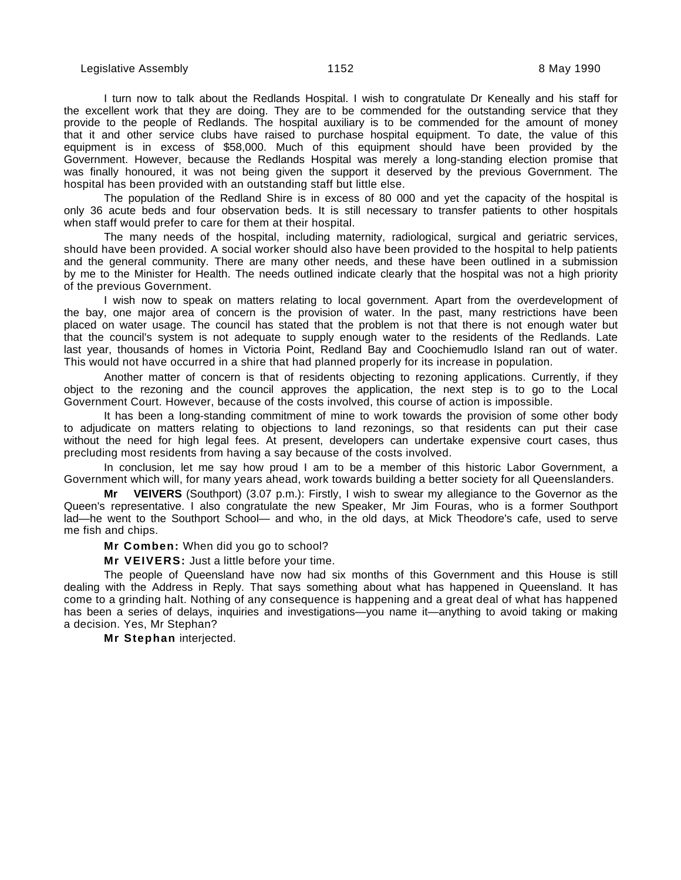I turn now to talk about the Redlands Hospital. I wish to congratulate Dr Keneally and his staff for the excellent work that they are doing. They are to be commended for the outstanding service that they provide to the people of Redlands. The hospital auxiliary is to be commended for the amount of money that it and other service clubs have raised to purchase hospital equipment. To date, the value of this equipment is in excess of \$58,000. Much of this equipment should have been provided by the Government. However, because the Redlands Hospital was merely a long-standing election promise that was finally honoured, it was not being given the support it deserved by the previous Government. The hospital has been provided with an outstanding staff but little else.

The population of the Redland Shire is in excess of 80 000 and yet the capacity of the hospital is only 36 acute beds and four observation beds. It is still necessary to transfer patients to other hospitals when staff would prefer to care for them at their hospital.

The many needs of the hospital, including maternity, radiological, surgical and geriatric services, should have been provided. A social worker should also have been provided to the hospital to help patients and the general community. There are many other needs, and these have been outlined in a submission by me to the Minister for Health. The needs outlined indicate clearly that the hospital was not a high priority of the previous Government.

I wish now to speak on matters relating to local government. Apart from the overdevelopment of the bay, one major area of concern is the provision of water. In the past, many restrictions have been placed on water usage. The council has stated that the problem is not that there is not enough water but that the council's system is not adequate to supply enough water to the residents of the Redlands. Late last year, thousands of homes in Victoria Point, Redland Bay and Coochiemudlo Island ran out of water. This would not have occurred in a shire that had planned properly for its increase in population.

Another matter of concern is that of residents objecting to rezoning applications. Currently, if they object to the rezoning and the council approves the application, the next step is to go to the Local Government Court. However, because of the costs involved, this course of action is impossible.

It has been a long-standing commitment of mine to work towards the provision of some other body to adjudicate on matters relating to objections to land rezonings, so that residents can put their case without the need for high legal fees. At present, developers can undertake expensive court cases, thus precluding most residents from having a say because of the costs involved.

In conclusion, let me say how proud I am to be a member of this historic Labor Government, a Government which will, for many years ahead, work towards building a better society for all Queenslanders.

**Mr VEIVERS** (Southport) (3.07 p.m.): Firstly, I wish to swear my allegiance to the Governor as the Queen's representative. I also congratulate the new Speaker, Mr Jim Fouras, who is a former Southport lad—he went to the Southport School— and who, in the old days, at Mick Theodore's cafe, used to serve me fish and chips.

**Mr Comben:** When did you go to school?

**Mr VEIVERS:** Just a little before your time.

The people of Queensland have now had six months of this Government and this House is still dealing with the Address in Reply. That says something about what has happened in Queensland. It has come to a grinding halt. Nothing of any consequence is happening and a great deal of what has happened has been a series of delays, inquiries and investigations—you name it—anything to avoid taking or making a decision. Yes, Mr Stephan?

**Mr Stephan** interjected.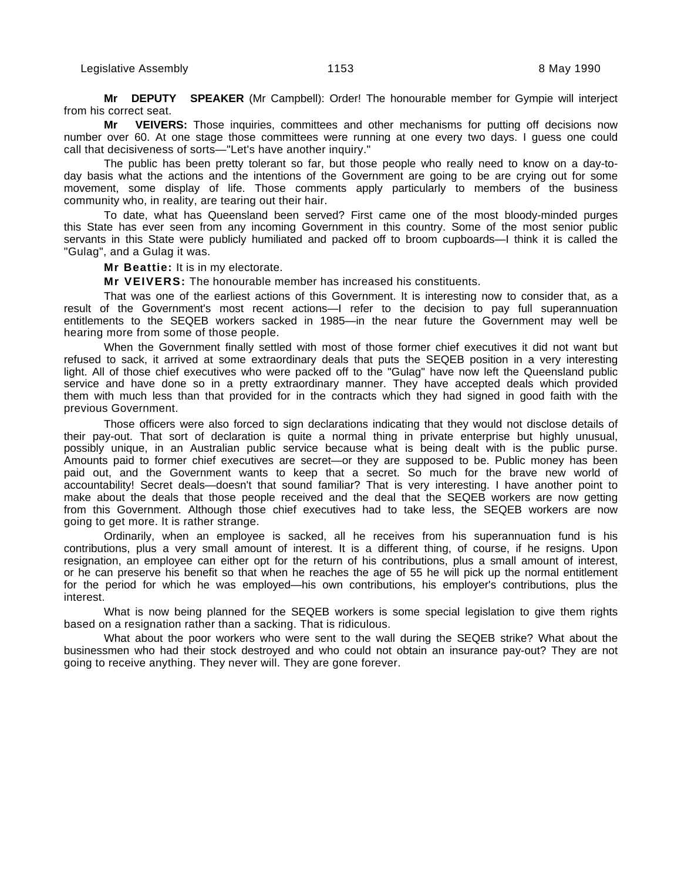**Mr DEPUTY SPEAKER** (Mr Campbell): Order! The honourable member for Gympie will interject from his correct seat.

**Mr VEIVERS:** Those inquiries, committees and other mechanisms for putting off decisions now number over 60. At one stage those committees were running at one every two days. I guess one could call that decisiveness of sorts—"Let's have another inquiry."

The public has been pretty tolerant so far, but those people who really need to know on a day-today basis what the actions and the intentions of the Government are going to be are crying out for some movement, some display of life. Those comments apply particularly to members of the business community who, in reality, are tearing out their hair.

To date, what has Queensland been served? First came one of the most bloody-minded purges this State has ever seen from any incoming Government in this country. Some of the most senior public servants in this State were publicly humiliated and packed off to broom cupboards—I think it is called the "Gulag", and a Gulag it was.

**Mr Beattie:** It is in my electorate.

**Mr VEIVERS:** The honourable member has increased his constituents.

That was one of the earliest actions of this Government. It is interesting now to consider that, as a result of the Government's most recent actions—I refer to the decision to pay full superannuation entitlements to the SEQEB workers sacked in 1985—in the near future the Government may well be hearing more from some of those people.

When the Government finally settled with most of those former chief executives it did not want but refused to sack, it arrived at some extraordinary deals that puts the SEQEB position in a very interesting light. All of those chief executives who were packed off to the "Gulag" have now left the Queensland public service and have done so in a pretty extraordinary manner. They have accepted deals which provided them with much less than that provided for in the contracts which they had signed in good faith with the previous Government.

Those officers were also forced to sign declarations indicating that they would not disclose details of their pay-out. That sort of declaration is quite a normal thing in private enterprise but highly unusual, possibly unique, in an Australian public service because what is being dealt with is the public purse. Amounts paid to former chief executives are secret—or they are supposed to be. Public money has been paid out, and the Government wants to keep that a secret. So much for the brave new world of accountability! Secret deals—doesn't that sound familiar? That is very interesting. I have another point to make about the deals that those people received and the deal that the SEQEB workers are now getting from this Government. Although those chief executives had to take less, the SEQEB workers are now going to get more. It is rather strange.

Ordinarily, when an employee is sacked, all he receives from his superannuation fund is his contributions, plus a very small amount of interest. It is a different thing, of course, if he resigns. Upon resignation, an employee can either opt for the return of his contributions, plus a small amount of interest, or he can preserve his benefit so that when he reaches the age of 55 he will pick up the normal entitlement for the period for which he was employed—his own contributions, his employer's contributions, plus the interest.

What is now being planned for the SEQEB workers is some special legislation to give them rights based on a resignation rather than a sacking. That is ridiculous.

What about the poor workers who were sent to the wall during the SEQEB strike? What about the businessmen who had their stock destroyed and who could not obtain an insurance pay-out? They are not going to receive anything. They never will. They are gone forever.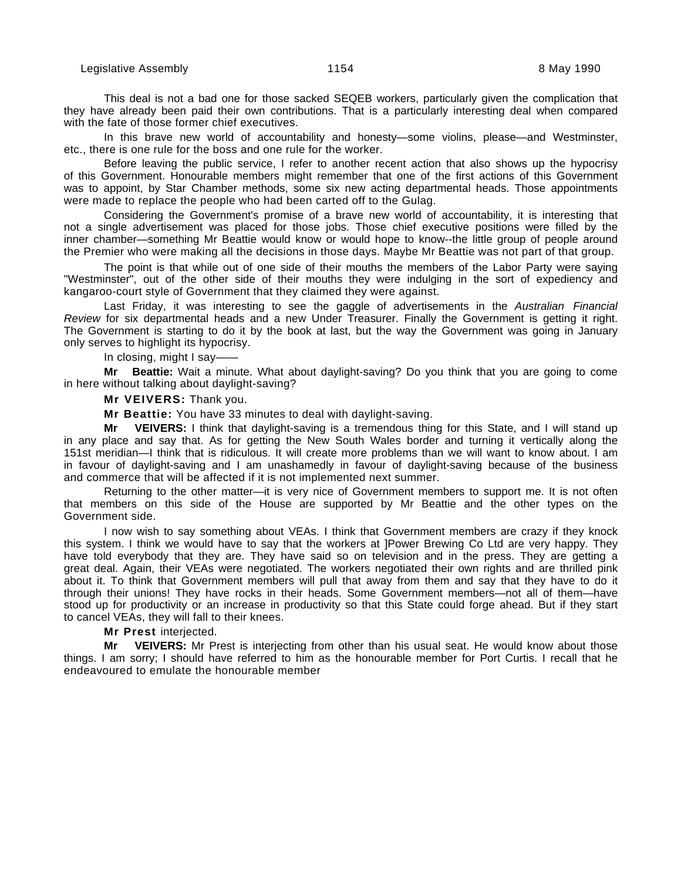This deal is not a bad one for those sacked SEQEB workers, particularly given the complication that they have already been paid their own contributions. That is a particularly interesting deal when compared with the fate of those former chief executives.

In this brave new world of accountability and honesty—some violins, please—and Westminster, etc., there is one rule for the boss and one rule for the worker.

Before leaving the public service, I refer to another recent action that also shows up the hypocrisy of this Government. Honourable members might remember that one of the first actions of this Government was to appoint, by Star Chamber methods, some six new acting departmental heads. Those appointments were made to replace the people who had been carted off to the Gulag.

Considering the Government's promise of a brave new world of accountability, it is interesting that not a single advertisement was placed for those jobs. Those chief executive positions were filled by the inner chamber—something Mr Beattie would know or would hope to know--the little group of people around the Premier who were making all the decisions in those days. Maybe Mr Beattie was not part of that group.

The point is that while out of one side of their mouths the members of the Labor Party were saying "Westminster", out of the other side of their mouths they were indulging in the sort of expediency and kangaroo-court style of Government that they claimed they were against.

Last Friday, it was interesting to see the gaggle of advertisements in the Australian Financial Review for six departmental heads and a new Under Treasurer. Finally the Government is getting it right. The Government is starting to do it by the book at last, but the way the Government was going in January only serves to highlight its hypocrisy.

In closing, might I say——

**Mr Beattie:** Wait a minute. What about daylight-saving? Do you think that you are going to come in here without talking about daylight-saving?

### **Mr VEIVERS:** Thank you.

**Mr Beattie:** You have 33 minutes to deal with daylight-saving.

**Mr VEIVERS:** I think that daylight-saving is a tremendous thing for this State, and I will stand up in any place and say that. As for getting the New South Wales border and turning it vertically along the 151st meridian—I think that is ridiculous. It will create more problems than we will want to know about. I am in favour of daylight-saving and I am unashamedly in favour of daylight-saving because of the business and commerce that will be affected if it is not implemented next summer.

Returning to the other matter—it is very nice of Government members to support me. It is not often that members on this side of the House are supported by Mr Beattie and the other types on the Government side.

I now wish to say something about VEAs. I think that Government members are crazy if they knock this system. I think we would have to say that the workers at ]Power Brewing Co Ltd are very happy. They have told everybody that they are. They have said so on television and in the press. They are getting a great deal. Again, their VEAs were negotiated. The workers negotiated their own rights and are thrilled pink about it. To think that Government members will pull that away from them and say that they have to do it through their unions! They have rocks in their heads. Some Government members—not all of them—have stood up for productivity or an increase in productivity so that this State could forge ahead. But if they start to cancel VEAs, they will fall to their knees.

#### **Mr Prest** interjected.

**Mr VEIVERS:** Mr Prest is interjecting from other than his usual seat. He would know about those things. I am sorry; I should have referred to him as the honourable member for Port Curtis. I recall that he endeavoured to emulate the honourable member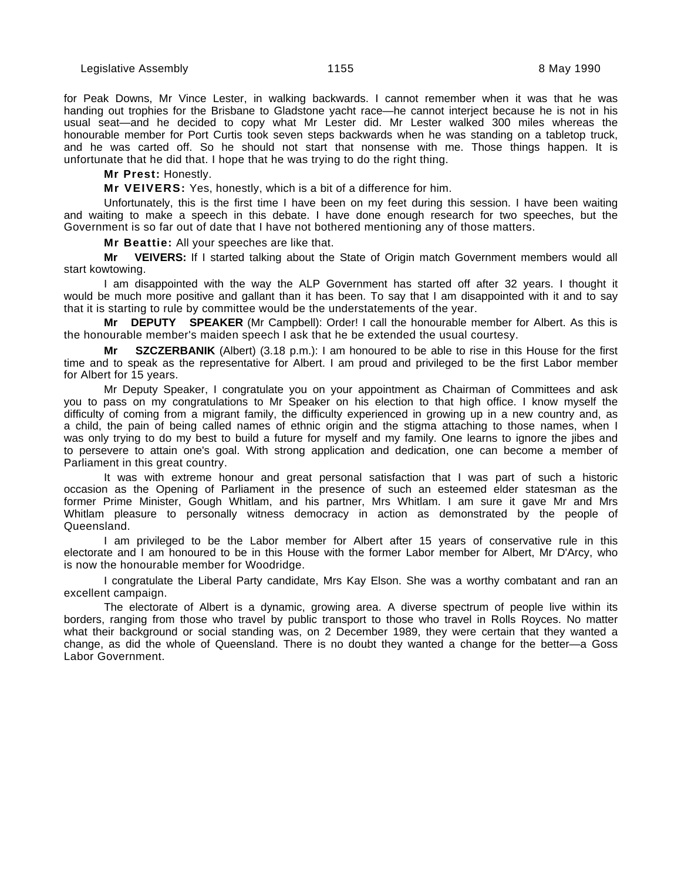for Peak Downs, Mr Vince Lester, in walking backwards. I cannot remember when it was that he was handing out trophies for the Brisbane to Gladstone yacht race—he cannot interject because he is not in his usual seat—and he decided to copy what Mr Lester did. Mr Lester walked 300 miles whereas the honourable member for Port Curtis took seven steps backwards when he was standing on a tabletop truck, and he was carted off. So he should not start that nonsense with me. Those things happen. It is unfortunate that he did that. I hope that he was trying to do the right thing.

## **Mr Prest:** Honestly.

**Mr VEIVERS:** Yes, honestly, which is a bit of a difference for him.

Unfortunately, this is the first time I have been on my feet during this session. I have been waiting and waiting to make a speech in this debate. I have done enough research for two speeches, but the Government is so far out of date that I have not bothered mentioning any of those matters.

**Mr Beattie:** All your speeches are like that.

**Mr VEIVERS:** If I started talking about the State of Origin match Government members would all start kowtowing.

I am disappointed with the way the ALP Government has started off after 32 years. I thought it would be much more positive and gallant than it has been. To say that I am disappointed with it and to say that it is starting to rule by committee would be the understatements of the year.

**Mr DEPUTY SPEAKER** (Mr Campbell): Order! I call the honourable member for Albert. As this is the honourable member's maiden speech I ask that he be extended the usual courtesy.

**Mr SZCZERBANIK** (Albert) (3.18 p.m.): I am honoured to be able to rise in this House for the first time and to speak as the representative for Albert. I am proud and privileged to be the first Labor member for Albert for 15 years.

Mr Deputy Speaker, I congratulate you on your appointment as Chairman of Committees and ask you to pass on my congratulations to Mr Speaker on his election to that high office. I know myself the difficulty of coming from a migrant family, the difficulty experienced in growing up in a new country and, as a child, the pain of being called names of ethnic origin and the stigma attaching to those names, when I was only trying to do my best to build a future for myself and my family. One learns to ignore the jibes and to persevere to attain one's goal. With strong application and dedication, one can become a member of Parliament in this great country.

It was with extreme honour and great personal satisfaction that I was part of such a historic occasion as the Opening of Parliament in the presence of such an esteemed elder statesman as the former Prime Minister, Gough Whitlam, and his partner, Mrs Whitlam. I am sure it gave Mr and Mrs Whitlam pleasure to personally witness democracy in action as demonstrated by the people of Queensland.

I am privileged to be the Labor member for Albert after 15 years of conservative rule in this electorate and I am honoured to be in this House with the former Labor member for Albert, Mr D'Arcy, who is now the honourable member for Woodridge.

I congratulate the Liberal Party candidate, Mrs Kay Elson. She was a worthy combatant and ran an excellent campaign.

The electorate of Albert is a dynamic, growing area. A diverse spectrum of people live within its borders, ranging from those who travel by public transport to those who travel in Rolls Royces. No matter what their background or social standing was, on 2 December 1989, they were certain that they wanted a change, as did the whole of Queensland. There is no doubt they wanted a change for the better—a Goss Labor Government.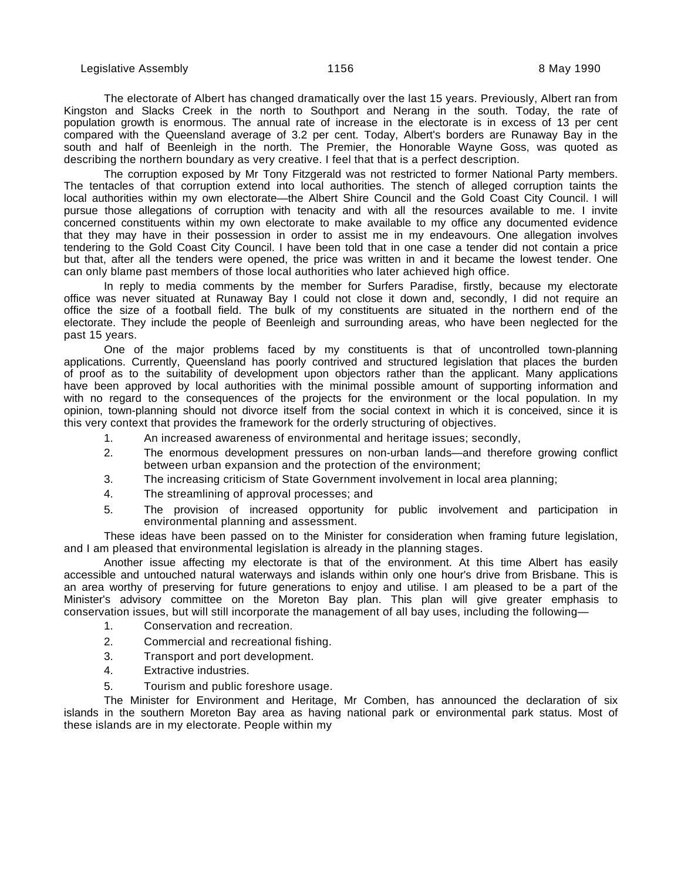The electorate of Albert has changed dramatically over the last 15 years. Previously, Albert ran from Kingston and Slacks Creek in the north to Southport and Nerang in the south. Today, the rate of population growth is enormous. The annual rate of increase in the electorate is in excess of 13 per cent compared with the Queensland average of 3.2 per cent. Today, Albert's borders are Runaway Bay in the south and half of Beenleigh in the north. The Premier, the Honorable Wayne Goss, was quoted as describing the northern boundary as very creative. I feel that that is a perfect description.

The corruption exposed by Mr Tony Fitzgerald was not restricted to former National Party members. The tentacles of that corruption extend into local authorities. The stench of alleged corruption taints the local authorities within my own electorate—the Albert Shire Council and the Gold Coast City Council. I will pursue those allegations of corruption with tenacity and with all the resources available to me. I invite concerned constituents within my own electorate to make available to my office any documented evidence that they may have in their possession in order to assist me in my endeavours. One allegation involves tendering to the Gold Coast City Council. I have been told that in one case a tender did not contain a price but that, after all the tenders were opened, the price was written in and it became the lowest tender. One can only blame past members of those local authorities who later achieved high office.

In reply to media comments by the member for Surfers Paradise, firstly, because my electorate office was never situated at Runaway Bay I could not close it down and, secondly, I did not require an office the size of a football field. The bulk of my constituents are situated in the northern end of the electorate. They include the people of Beenleigh and surrounding areas, who have been neglected for the past 15 years.

One of the major problems faced by my constituents is that of uncontrolled town-planning applications. Currently, Queensland has poorly contrived and structured legislation that places the burden of proof as to the suitability of development upon objectors rather than the applicant. Many applications have been approved by local authorities with the minimal possible amount of supporting information and with no regard to the consequences of the projects for the environment or the local population. In my opinion, town-planning should not divorce itself from the social context in which it is conceived, since it is this very context that provides the framework for the orderly structuring of objectives.

- 1. An increased awareness of environmental and heritage issues; secondly,
- 2. The enormous development pressures on non-urban lands—and therefore growing conflict between urban expansion and the protection of the environment;
- 3. The increasing criticism of State Government involvement in local area planning;
- 4. The streamlining of approval processes; and
- 5. The provision of increased opportunity for public involvement and participation in environmental planning and assessment.

These ideas have been passed on to the Minister for consideration when framing future legislation, and I am pleased that environmental legislation is already in the planning stages.

Another issue affecting my electorate is that of the environment. At this time Albert has easily accessible and untouched natural waterways and islands within only one hour's drive from Brisbane. This is an area worthy of preserving for future generations to enjoy and utilise. I am pleased to be a part of the Minister's advisory committee on the Moreton Bay plan. This plan will give greater emphasis to conservation issues, but will still incorporate the management of all bay uses, including the following—

- 1. Conservation and recreation.
- 2. Commercial and recreational fishing.
- 3. Transport and port development.
- 4. Extractive industries.
- 5. Tourism and public foreshore usage.

The Minister for Environment and Heritage, Mr Comben, has announced the declaration of six islands in the southern Moreton Bay area as having national park or environmental park status. Most of these islands are in my electorate. People within my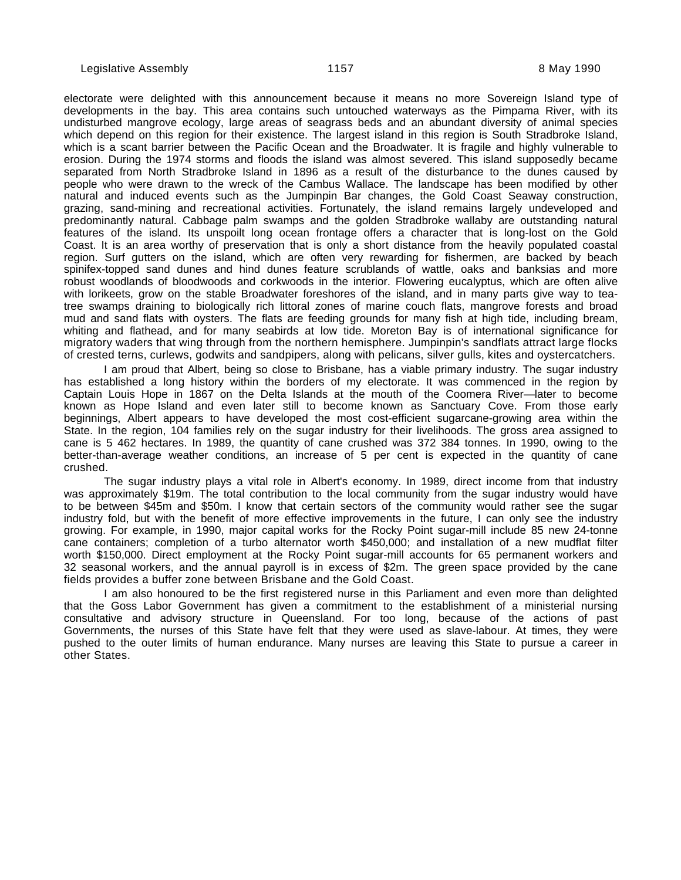electorate were delighted with this announcement because it means no more Sovereign Island type of developments in the bay. This area contains such untouched waterways as the Pimpama River, with its undisturbed mangrove ecology, large areas of seagrass beds and an abundant diversity of animal species which depend on this region for their existence. The largest island in this region is South Stradbroke Island, which is a scant barrier between the Pacific Ocean and the Broadwater. It is fragile and highly vulnerable to erosion. During the 1974 storms and floods the island was almost severed. This island supposedly became separated from North Stradbroke Island in 1896 as a result of the disturbance to the dunes caused by people who were drawn to the wreck of the Cambus Wallace. The landscape has been modified by other natural and induced events such as the Jumpinpin Bar changes, the Gold Coast Seaway construction, grazing, sand-mining and recreational activities. Fortunately, the island remains largely undeveloped and predominantly natural. Cabbage palm swamps and the golden Stradbroke wallaby are outstanding natural features of the island. Its unspoilt long ocean frontage offers a character that is long-lost on the Gold Coast. It is an area worthy of preservation that is only a short distance from the heavily populated coastal region. Surf gutters on the island, which are often very rewarding for fishermen, are backed by beach spinifex-topped sand dunes and hind dunes feature scrublands of wattle, oaks and banksias and more robust woodlands of bloodwoods and corkwoods in the interior. Flowering eucalyptus, which are often alive with lorikeets, grow on the stable Broadwater foreshores of the island, and in many parts give way to teatree swamps draining to biologically rich littoral zones of marine couch flats, mangrove forests and broad mud and sand flats with oysters. The flats are feeding grounds for many fish at high tide, including bream, whiting and flathead, and for many seabirds at low tide. Moreton Bay is of international significance for migratory waders that wing through from the northern hemisphere. Jumpinpin's sandflats attract large flocks of crested terns, curlews, godwits and sandpipers, along with pelicans, silver gulls, kites and oystercatchers.

I am proud that Albert, being so close to Brisbane, has a viable primary industry. The sugar industry has established a long history within the borders of my electorate. It was commenced in the region by Captain Louis Hope in 1867 on the Delta Islands at the mouth of the Coomera River—later to become known as Hope Island and even later still to become known as Sanctuary Cove. From those early beginnings, Albert appears to have developed the most cost-efficient sugarcane-growing area within the State. In the region, 104 families rely on the sugar industry for their livelihoods. The gross area assigned to cane is 5 462 hectares. In 1989, the quantity of cane crushed was 372 384 tonnes. In 1990, owing to the better-than-average weather conditions, an increase of 5 per cent is expected in the quantity of cane crushed.

The sugar industry plays a vital role in Albert's economy. In 1989, direct income from that industry was approximately \$19m. The total contribution to the local community from the sugar industry would have to be between \$45m and \$50m. I know that certain sectors of the community would rather see the sugar industry fold, but with the benefit of more effective improvements in the future, I can only see the industry growing. For example, in 1990, major capital works for the Rocky Point sugar-mill include 85 new 24-tonne cane containers; completion of a turbo alternator worth \$450,000; and installation of a new mudflat filter worth \$150,000. Direct employment at the Rocky Point sugar-mill accounts for 65 permanent workers and 32 seasonal workers, and the annual payroll is in excess of \$2m. The green space provided by the cane fields provides a buffer zone between Brisbane and the Gold Coast.

I am also honoured to be the first registered nurse in this Parliament and even more than delighted that the Goss Labor Government has given a commitment to the establishment of a ministerial nursing consultative and advisory structure in Queensland. For too long, because of the actions of past Governments, the nurses of this State have felt that they were used as slave-labour. At times, they were pushed to the outer limits of human endurance. Many nurses are leaving this State to pursue a career in other States.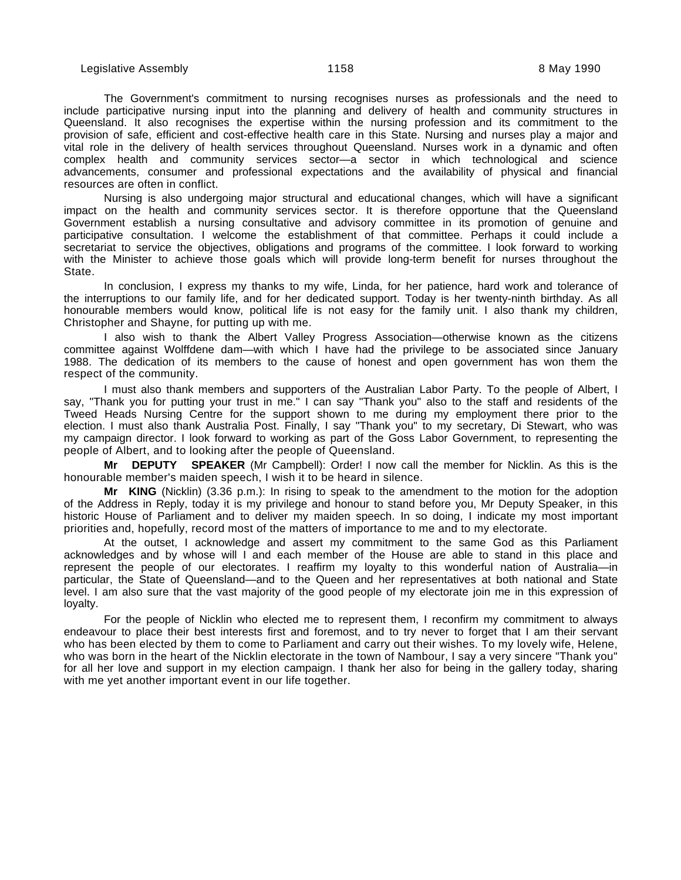The Government's commitment to nursing recognises nurses as professionals and the need to include participative nursing input into the planning and delivery of health and community structures in Queensland. It also recognises the expertise within the nursing profession and its commitment to the provision of safe, efficient and cost-effective health care in this State. Nursing and nurses play a major and vital role in the delivery of health services throughout Queensland. Nurses work in a dynamic and often complex health and community services sector—a sector in which technological and science advancements, consumer and professional expectations and the availability of physical and financial resources are often in conflict.

Nursing is also undergoing major structural and educational changes, which will have a significant impact on the health and community services sector. It is therefore opportune that the Queensland Government establish a nursing consultative and advisory committee in its promotion of genuine and participative consultation. I welcome the establishment of that committee. Perhaps it could include a secretariat to service the objectives, obligations and programs of the committee. I look forward to working with the Minister to achieve those goals which will provide long-term benefit for nurses throughout the State.

In conclusion, I express my thanks to my wife, Linda, for her patience, hard work and tolerance of the interruptions to our family life, and for her dedicated support. Today is her twenty-ninth birthday. As all honourable members would know, political life is not easy for the family unit. I also thank my children, Christopher and Shayne, for putting up with me.

I also wish to thank the Albert Valley Progress Association—otherwise known as the citizens committee against Wolffdene dam—with which I have had the privilege to be associated since January 1988. The dedication of its members to the cause of honest and open government has won them the respect of the community.

I must also thank members and supporters of the Australian Labor Party. To the people of Albert, I say, "Thank you for putting your trust in me." I can say "Thank you" also to the staff and residents of the Tweed Heads Nursing Centre for the support shown to me during my employment there prior to the election. I must also thank Australia Post. Finally, I say "Thank you" to my secretary, Di Stewart, who was my campaign director. I look forward to working as part of the Goss Labor Government, to representing the people of Albert, and to looking after the people of Queensland.

**Mr DEPUTY SPEAKER** (Mr Campbell): Order! I now call the member for Nicklin. As this is the honourable member's maiden speech, I wish it to be heard in silence.

**Mr KING** (Nicklin) (3.36 p.m.): In rising to speak to the amendment to the motion for the adoption of the Address in Reply, today it is my privilege and honour to stand before you, Mr Deputy Speaker, in this historic House of Parliament and to deliver my maiden speech. In so doing, I indicate my most important priorities and, hopefully, record most of the matters of importance to me and to my electorate.

At the outset, I acknowledge and assert my commitment to the same God as this Parliament acknowledges and by whose will I and each member of the House are able to stand in this place and represent the people of our electorates. I reaffirm my loyalty to this wonderful nation of Australia—in particular, the State of Queensland—and to the Queen and her representatives at both national and State level. I am also sure that the vast majority of the good people of my electorate join me in this expression of loyalty.

For the people of Nicklin who elected me to represent them, I reconfirm my commitment to always endeavour to place their best interests first and foremost, and to try never to forget that I am their servant who has been elected by them to come to Parliament and carry out their wishes. To my lovely wife, Helene, who was born in the heart of the Nicklin electorate in the town of Nambour, I say a very sincere "Thank you" for all her love and support in my election campaign. I thank her also for being in the gallery today, sharing with me yet another important event in our life together.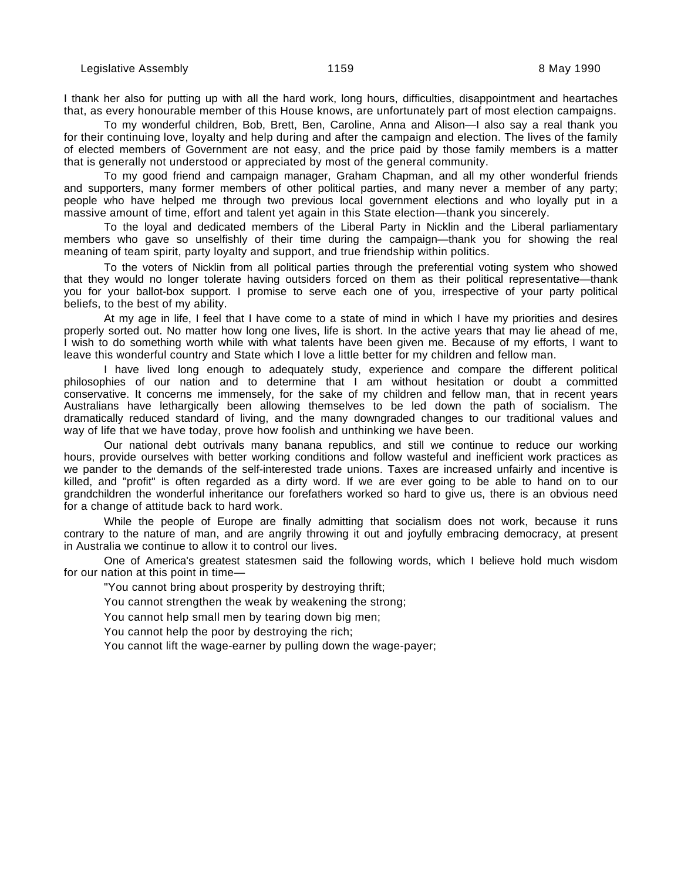I thank her also for putting up with all the hard work, long hours, difficulties, disappointment and heartaches that, as every honourable member of this House knows, are unfortunately part of most election campaigns.

To my wonderful children, Bob, Brett, Ben, Caroline, Anna and Alison—I also say a real thank you for their continuing love, loyalty and help during and after the campaign and election. The lives of the family of elected members of Government are not easy, and the price paid by those family members is a matter that is generally not understood or appreciated by most of the general community.

To my good friend and campaign manager, Graham Chapman, and all my other wonderful friends and supporters, many former members of other political parties, and many never a member of any party; people who have helped me through two previous local government elections and who loyally put in a massive amount of time, effort and talent yet again in this State election—thank you sincerely.

To the loyal and dedicated members of the Liberal Party in Nicklin and the Liberal parliamentary members who gave so unselfishly of their time during the campaign—thank you for showing the real meaning of team spirit, party loyalty and support, and true friendship within politics.

To the voters of Nicklin from all political parties through the preferential voting system who showed that they would no longer tolerate having outsiders forced on them as their political representative—thank you for your ballot-box support. I promise to serve each one of you, irrespective of your party political beliefs, to the best of my ability.

At my age in life, I feel that I have come to a state of mind in which I have my priorities and desires properly sorted out. No matter how long one lives, life is short. In the active years that may lie ahead of me, I wish to do something worth while with what talents have been given me. Because of my efforts, I want to leave this wonderful country and State which I love a little better for my children and fellow man.

I have lived long enough to adequately study, experience and compare the different political philosophies of our nation and to determine that I am without hesitation or doubt a committed conservative. It concerns me immensely, for the sake of my children and fellow man, that in recent years Australians have lethargically been allowing themselves to be led down the path of socialism. The dramatically reduced standard of living, and the many downgraded changes to our traditional values and way of life that we have today, prove how foolish and unthinking we have been.

Our national debt outrivals many banana republics, and still we continue to reduce our working hours, provide ourselves with better working conditions and follow wasteful and inefficient work practices as we pander to the demands of the self-interested trade unions. Taxes are increased unfairly and incentive is killed, and "profit" is often regarded as a dirty word. If we are ever going to be able to hand on to our grandchildren the wonderful inheritance our forefathers worked so hard to give us, there is an obvious need for a change of attitude back to hard work.

While the people of Europe are finally admitting that socialism does not work, because it runs contrary to the nature of man, and are angrily throwing it out and joyfully embracing democracy, at present in Australia we continue to allow it to control our lives.

One of America's greatest statesmen said the following words, which I believe hold much wisdom for our nation at this point in time—

"You cannot bring about prosperity by destroying thrift;

You cannot strengthen the weak by weakening the strong;

You cannot help small men by tearing down big men;

You cannot help the poor by destroying the rich;

You cannot lift the wage-earner by pulling down the wage-payer;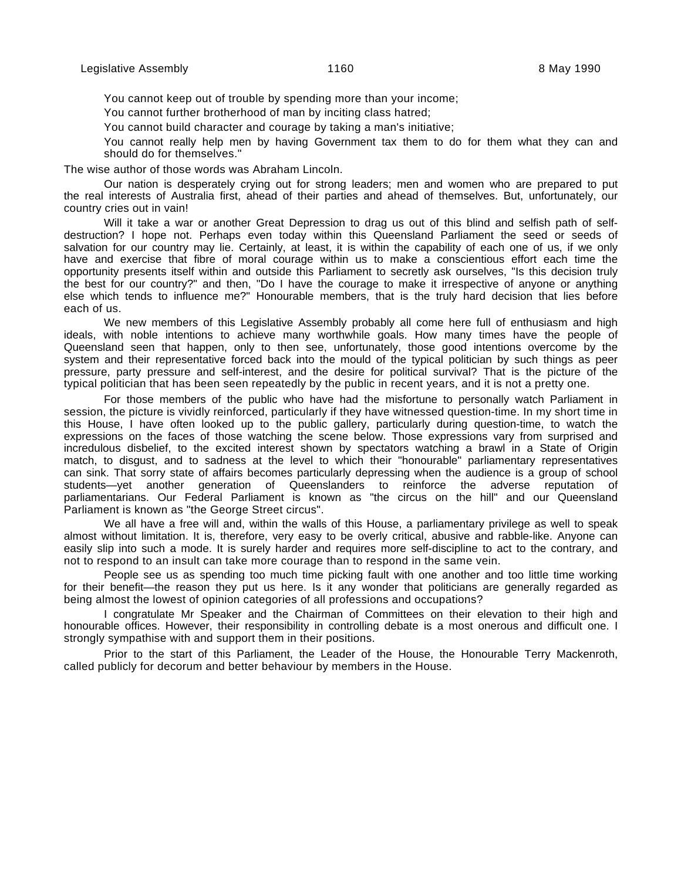You cannot keep out of trouble by spending more than your income;

You cannot further brotherhood of man by inciting class hatred;

You cannot build character and courage by taking a man's initiative;

You cannot really help men by having Government tax them to do for them what they can and should do for themselves."

The wise author of those words was Abraham Lincoln.

Our nation is desperately crying out for strong leaders; men and women who are prepared to put the real interests of Australia first, ahead of their parties and ahead of themselves. But, unfortunately, our country cries out in vain!

Will it take a war or another Great Depression to drag us out of this blind and selfish path of selfdestruction? I hope not. Perhaps even today within this Queensland Parliament the seed or seeds of salvation for our country may lie. Certainly, at least, it is within the capability of each one of us, if we only have and exercise that fibre of moral courage within us to make a conscientious effort each time the opportunity presents itself within and outside this Parliament to secretly ask ourselves, "Is this decision truly the best for our country?" and then, "Do I have the courage to make it irrespective of anyone or anything else which tends to influence me?" Honourable members, that is the truly hard decision that lies before each of us.

We new members of this Legislative Assembly probably all come here full of enthusiasm and high ideals, with noble intentions to achieve many worthwhile goals. How many times have the people of Queensland seen that happen, only to then see, unfortunately, those good intentions overcome by the system and their representative forced back into the mould of the typical politician by such things as peer pressure, party pressure and self-interest, and the desire for political survival? That is the picture of the typical politician that has been seen repeatedly by the public in recent years, and it is not a pretty one.

For those members of the public who have had the misfortune to personally watch Parliament in session, the picture is vividly reinforced, particularly if they have witnessed question-time. In my short time in this House, I have often looked up to the public gallery, particularly during question-time, to watch the expressions on the faces of those watching the scene below. Those expressions vary from surprised and incredulous disbelief, to the excited interest shown by spectators watching a brawl in a State of Origin match, to disgust, and to sadness at the level to which their "honourable" parliamentary representatives can sink. That sorry state of affairs becomes particularly depressing when the audience is a group of school students—yet another generation of Queenslanders to reinforce the adverse reputation of parliamentarians. Our Federal Parliament is known as "the circus on the hill" and our Queensland Parliament is known as "the George Street circus".

We all have a free will and, within the walls of this House, a parliamentary privilege as well to speak almost without limitation. It is, therefore, very easy to be overly critical, abusive and rabble-like. Anyone can easily slip into such a mode. It is surely harder and requires more self-discipline to act to the contrary, and not to respond to an insult can take more courage than to respond in the same vein.

People see us as spending too much time picking fault with one another and too little time working for their benefit—the reason they put us here. Is it any wonder that politicians are generally regarded as being almost the lowest of opinion categories of all professions and occupations?

I congratulate Mr Speaker and the Chairman of Committees on their elevation to their high and honourable offices. However, their responsibility in controlling debate is a most onerous and difficult one. I strongly sympathise with and support them in their positions.

Prior to the start of this Parliament, the Leader of the House, the Honourable Terry Mackenroth, called publicly for decorum and better behaviour by members in the House.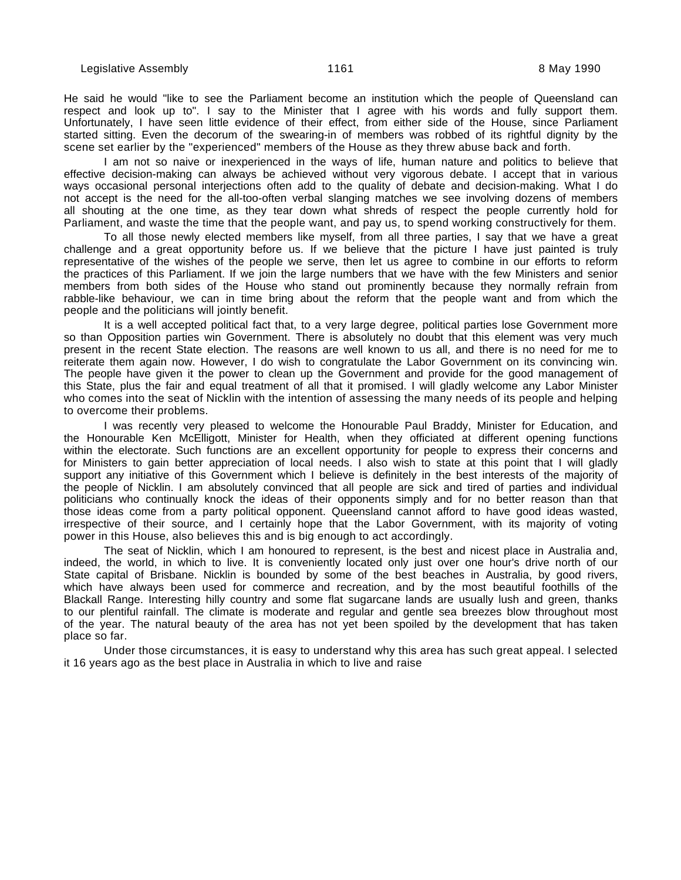He said he would "like to see the Parliament become an institution which the people of Queensland can respect and look up to". I say to the Minister that I agree with his words and fully support them. Unfortunately, I have seen little evidence of their effect, from either side of the House, since Parliament started sitting. Even the decorum of the swearing-in of members was robbed of its rightful dignity by the scene set earlier by the "experienced" members of the House as they threw abuse back and forth.

I am not so naive or inexperienced in the ways of life, human nature and politics to believe that effective decision-making can always be achieved without very vigorous debate. I accept that in various ways occasional personal interjections often add to the quality of debate and decision-making. What I do not accept is the need for the all-too-often verbal slanging matches we see involving dozens of members all shouting at the one time, as they tear down what shreds of respect the people currently hold for Parliament, and waste the time that the people want, and pay us, to spend working constructively for them.

To all those newly elected members like myself, from all three parties, I say that we have a great challenge and a great opportunity before us. If we believe that the picture I have just painted is truly representative of the wishes of the people we serve, then let us agree to combine in our efforts to reform the practices of this Parliament. If we join the large numbers that we have with the few Ministers and senior members from both sides of the House who stand out prominently because they normally refrain from rabble-like behaviour, we can in time bring about the reform that the people want and from which the people and the politicians will jointly benefit.

It is a well accepted political fact that, to a very large degree, political parties lose Government more so than Opposition parties win Government. There is absolutely no doubt that this element was very much present in the recent State election. The reasons are well known to us all, and there is no need for me to reiterate them again now. However, I do wish to congratulate the Labor Government on its convincing win. The people have given it the power to clean up the Government and provide for the good management of this State, plus the fair and equal treatment of all that it promised. I will gladly welcome any Labor Minister who comes into the seat of Nicklin with the intention of assessing the many needs of its people and helping to overcome their problems.

I was recently very pleased to welcome the Honourable Paul Braddy, Minister for Education, and the Honourable Ken McElligott, Minister for Health, when they officiated at different opening functions within the electorate. Such functions are an excellent opportunity for people to express their concerns and for Ministers to gain better appreciation of local needs. I also wish to state at this point that I will gladly support any initiative of this Government which I believe is definitely in the best interests of the majority of the people of Nicklin. I am absolutely convinced that all people are sick and tired of parties and individual politicians who continually knock the ideas of their opponents simply and for no better reason than that those ideas come from a party political opponent. Queensland cannot afford to have good ideas wasted, irrespective of their source, and I certainly hope that the Labor Government, with its majority of voting power in this House, also believes this and is big enough to act accordingly.

The seat of Nicklin, which I am honoured to represent, is the best and nicest place in Australia and, indeed, the world, in which to live. It is conveniently located only just over one hour's drive north of our State capital of Brisbane. Nicklin is bounded by some of the best beaches in Australia, by good rivers, which have always been used for commerce and recreation, and by the most beautiful foothills of the Blackall Range. Interesting hilly country and some flat sugarcane lands are usually lush and green, thanks to our plentiful rainfall. The climate is moderate and regular and gentle sea breezes blow throughout most of the year. The natural beauty of the area has not yet been spoiled by the development that has taken place so far.

Under those circumstances, it is easy to understand why this area has such great appeal. I selected it 16 years ago as the best place in Australia in which to live and raise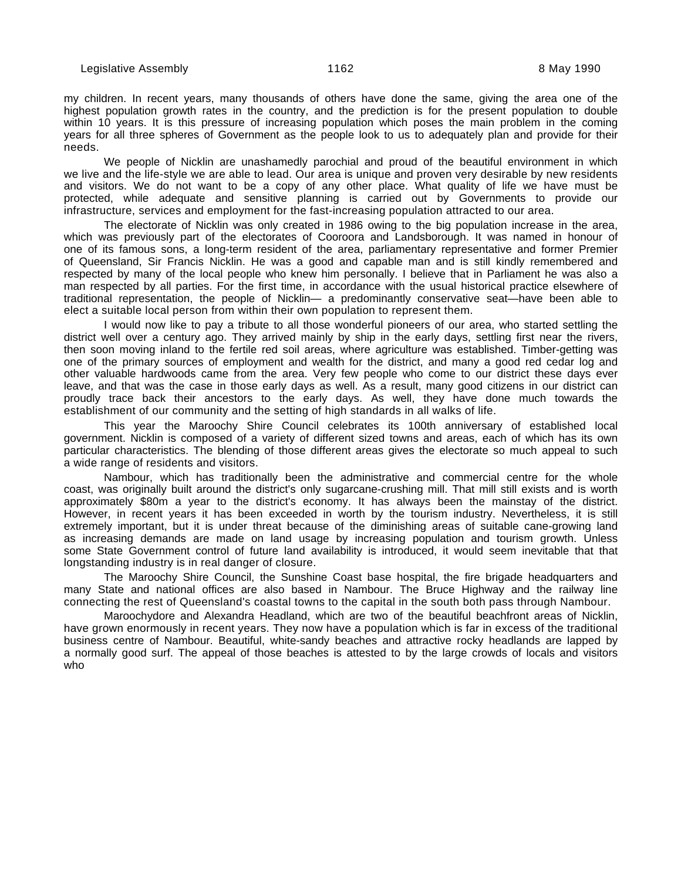my children. In recent years, many thousands of others have done the same, giving the area one of the highest population growth rates in the country, and the prediction is for the present population to double within 10 years. It is this pressure of increasing population which poses the main problem in the coming years for all three spheres of Government as the people look to us to adequately plan and provide for their needs.

We people of Nicklin are unashamedly parochial and proud of the beautiful environment in which we live and the life-style we are able to lead. Our area is unique and proven very desirable by new residents and visitors. We do not want to be a copy of any other place. What quality of life we have must be protected, while adequate and sensitive planning is carried out by Governments to provide our infrastructure, services and employment for the fast-increasing population attracted to our area.

The electorate of Nicklin was only created in 1986 owing to the big population increase in the area, which was previously part of the electorates of Cooroora and Landsborough. It was named in honour of one of its famous sons, a long-term resident of the area, parliamentary representative and former Premier of Queensland, Sir Francis Nicklin. He was a good and capable man and is still kindly remembered and respected by many of the local people who knew him personally. I believe that in Parliament he was also a man respected by all parties. For the first time, in accordance with the usual historical practice elsewhere of traditional representation, the people of Nicklin— a predominantly conservative seat—have been able to elect a suitable local person from within their own population to represent them.

I would now like to pay a tribute to all those wonderful pioneers of our area, who started settling the district well over a century ago. They arrived mainly by ship in the early days, settling first near the rivers, then soon moving inland to the fertile red soil areas, where agriculture was established. Timber-getting was one of the primary sources of employment and wealth for the district, and many a good red cedar log and other valuable hardwoods came from the area. Very few people who come to our district these days ever leave, and that was the case in those early days as well. As a result, many good citizens in our district can proudly trace back their ancestors to the early days. As well, they have done much towards the establishment of our community and the setting of high standards in all walks of life.

This year the Maroochy Shire Council celebrates its 100th anniversary of established local government. Nicklin is composed of a variety of different sized towns and areas, each of which has its own particular characteristics. The blending of those different areas gives the electorate so much appeal to such a wide range of residents and visitors.

Nambour, which has traditionally been the administrative and commercial centre for the whole coast, was originally built around the district's only sugarcane-crushing mill. That mill still exists and is worth approximately \$80m a year to the district's economy. It has always been the mainstay of the district. However, in recent years it has been exceeded in worth by the tourism industry. Nevertheless, it is still extremely important, but it is under threat because of the diminishing areas of suitable cane-growing land as increasing demands are made on land usage by increasing population and tourism growth. Unless some State Government control of future land availability is introduced, it would seem inevitable that that longstanding industry is in real danger of closure.

The Maroochy Shire Council, the Sunshine Coast base hospital, the fire brigade headquarters and many State and national offices are also based in Nambour. The Bruce Highway and the railway line connecting the rest of Queensland's coastal towns to the capital in the south both pass through Nambour.

Maroochydore and Alexandra Headland, which are two of the beautiful beachfront areas of Nicklin, have grown enormously in recent years. They now have a population which is far in excess of the traditional business centre of Nambour. Beautiful, white-sandy beaches and attractive rocky headlands are lapped by a normally good surf. The appeal of those beaches is attested to by the large crowds of locals and visitors who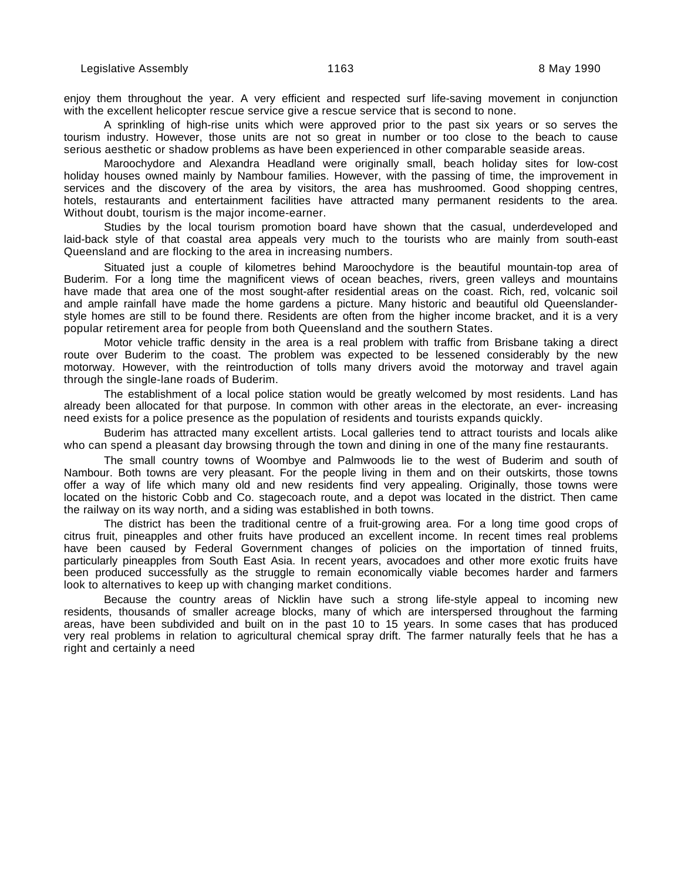enjoy them throughout the year. A very efficient and respected surf life-saving movement in conjunction with the excellent helicopter rescue service give a rescue service that is second to none.

A sprinkling of high-rise units which were approved prior to the past six years or so serves the tourism industry. However, those units are not so great in number or too close to the beach to cause serious aesthetic or shadow problems as have been experienced in other comparable seaside areas.

Maroochydore and Alexandra Headland were originally small, beach holiday sites for low-cost holiday houses owned mainly by Nambour families. However, with the passing of time, the improvement in services and the discovery of the area by visitors, the area has mushroomed. Good shopping centres, hotels, restaurants and entertainment facilities have attracted many permanent residents to the area. Without doubt, tourism is the major income-earner.

Studies by the local tourism promotion board have shown that the casual, underdeveloped and laid-back style of that coastal area appeals very much to the tourists who are mainly from south-east Queensland and are flocking to the area in increasing numbers.

Situated just a couple of kilometres behind Maroochydore is the beautiful mountain-top area of Buderim. For a long time the magnificent views of ocean beaches, rivers, green valleys and mountains have made that area one of the most sought-after residential areas on the coast. Rich, red, volcanic soil and ample rainfall have made the home gardens a picture. Many historic and beautiful old Queenslanderstyle homes are still to be found there. Residents are often from the higher income bracket, and it is a very popular retirement area for people from both Queensland and the southern States.

Motor vehicle traffic density in the area is a real problem with traffic from Brisbane taking a direct route over Buderim to the coast. The problem was expected to be lessened considerably by the new motorway. However, with the reintroduction of tolls many drivers avoid the motorway and travel again through the single-lane roads of Buderim.

The establishment of a local police station would be greatly welcomed by most residents. Land has already been allocated for that purpose. In common with other areas in the electorate, an ever- increasing need exists for a police presence as the population of residents and tourists expands quickly.

Buderim has attracted many excellent artists. Local galleries tend to attract tourists and locals alike who can spend a pleasant day browsing through the town and dining in one of the many fine restaurants.

The small country towns of Woombye and Palmwoods lie to the west of Buderim and south of Nambour. Both towns are very pleasant. For the people living in them and on their outskirts, those towns offer a way of life which many old and new residents find very appealing. Originally, those towns were located on the historic Cobb and Co. stagecoach route, and a depot was located in the district. Then came the railway on its way north, and a siding was established in both towns.

The district has been the traditional centre of a fruit-growing area. For a long time good crops of citrus fruit, pineapples and other fruits have produced an excellent income. In recent times real problems have been caused by Federal Government changes of policies on the importation of tinned fruits, particularly pineapples from South East Asia. In recent years, avocadoes and other more exotic fruits have been produced successfully as the struggle to remain economically viable becomes harder and farmers look to alternatives to keep up with changing market conditions.

Because the country areas of Nicklin have such a strong life-style appeal to incoming new residents, thousands of smaller acreage blocks, many of which are interspersed throughout the farming areas, have been subdivided and built on in the past 10 to 15 years. In some cases that has produced very real problems in relation to agricultural chemical spray drift. The farmer naturally feels that he has a right and certainly a need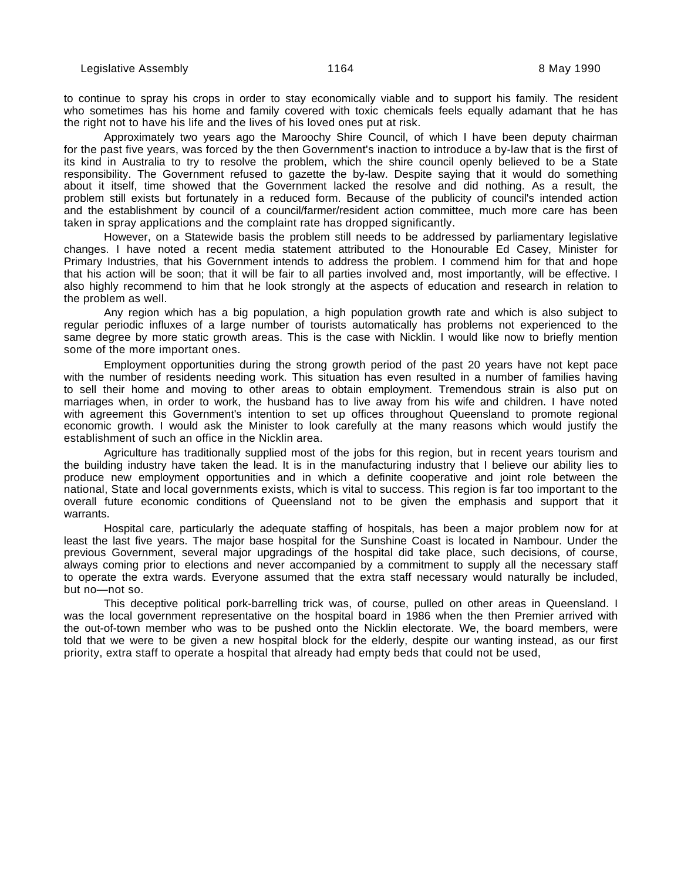to continue to spray his crops in order to stay economically viable and to support his family. The resident who sometimes has his home and family covered with toxic chemicals feels equally adamant that he has the right not to have his life and the lives of his loved ones put at risk.

Approximately two years ago the Maroochy Shire Council, of which I have been deputy chairman for the past five years, was forced by the then Government's inaction to introduce a by-law that is the first of its kind in Australia to try to resolve the problem, which the shire council openly believed to be a State responsibility. The Government refused to gazette the by-law. Despite saying that it would do something about it itself, time showed that the Government lacked the resolve and did nothing. As a result, the problem still exists but fortunately in a reduced form. Because of the publicity of council's intended action and the establishment by council of a council/farmer/resident action committee, much more care has been taken in spray applications and the complaint rate has dropped significantly.

However, on a Statewide basis the problem still needs to be addressed by parliamentary legislative changes. I have noted a recent media statement attributed to the Honourable Ed Casey, Minister for Primary Industries, that his Government intends to address the problem. I commend him for that and hope that his action will be soon; that it will be fair to all parties involved and, most importantly, will be effective. I also highly recommend to him that he look strongly at the aspects of education and research in relation to the problem as well.

Any region which has a big population, a high population growth rate and which is also subject to regular periodic influxes of a large number of tourists automatically has problems not experienced to the same degree by more static growth areas. This is the case with Nicklin. I would like now to briefly mention some of the more important ones.

Employment opportunities during the strong growth period of the past 20 years have not kept pace with the number of residents needing work. This situation has even resulted in a number of families having to sell their home and moving to other areas to obtain employment. Tremendous strain is also put on marriages when, in order to work, the husband has to live away from his wife and children. I have noted with agreement this Government's intention to set up offices throughout Queensland to promote regional economic growth. I would ask the Minister to look carefully at the many reasons which would justify the establishment of such an office in the Nicklin area.

Agriculture has traditionally supplied most of the jobs for this region, but in recent years tourism and the building industry have taken the lead. It is in the manufacturing industry that I believe our ability lies to produce new employment opportunities and in which a definite cooperative and joint role between the national, State and local governments exists, which is vital to success. This region is far too important to the overall future economic conditions of Queensland not to be given the emphasis and support that it warrants.

Hospital care, particularly the adequate staffing of hospitals, has been a major problem now for at least the last five years. The major base hospital for the Sunshine Coast is located in Nambour. Under the previous Government, several major upgradings of the hospital did take place, such decisions, of course, always coming prior to elections and never accompanied by a commitment to supply all the necessary staff to operate the extra wards. Everyone assumed that the extra staff necessary would naturally be included, but no—not so.

This deceptive political pork-barrelling trick was, of course, pulled on other areas in Queensland. I was the local government representative on the hospital board in 1986 when the then Premier arrived with the out-of-town member who was to be pushed onto the Nicklin electorate. We, the board members, were told that we were to be given a new hospital block for the elderly, despite our wanting instead, as our first priority, extra staff to operate a hospital that already had empty beds that could not be used,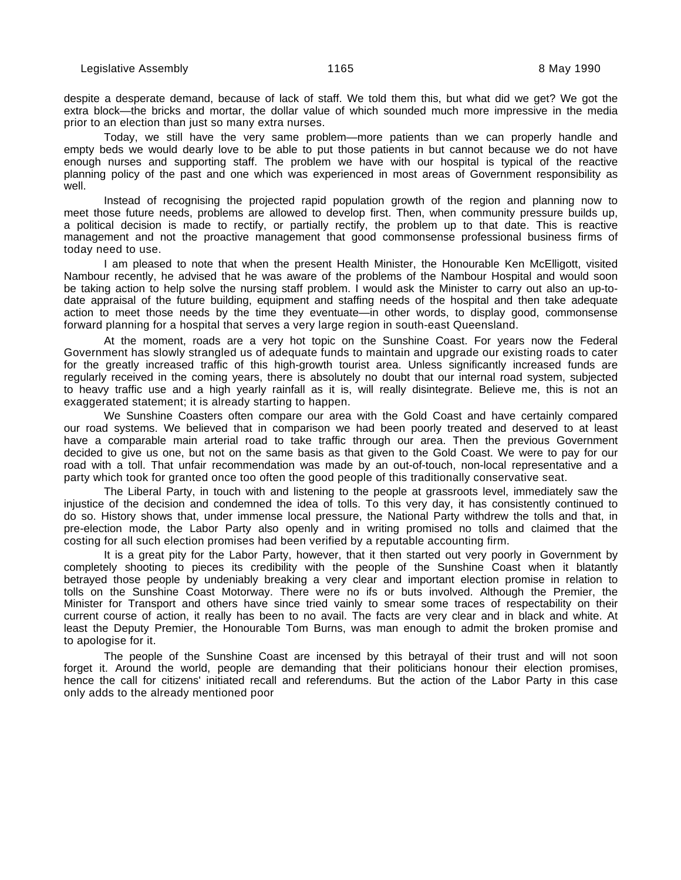despite a desperate demand, because of lack of staff. We told them this, but what did we get? We got the extra block—the bricks and mortar, the dollar value of which sounded much more impressive in the media prior to an election than just so many extra nurses.

Today, we still have the very same problem—more patients than we can properly handle and empty beds we would dearly love to be able to put those patients in but cannot because we do not have enough nurses and supporting staff. The problem we have with our hospital is typical of the reactive planning policy of the past and one which was experienced in most areas of Government responsibility as well.

Instead of recognising the projected rapid population growth of the region and planning now to meet those future needs, problems are allowed to develop first. Then, when community pressure builds up, a political decision is made to rectify, or partially rectify, the problem up to that date. This is reactive management and not the proactive management that good commonsense professional business firms of today need to use.

I am pleased to note that when the present Health Minister, the Honourable Ken McElligott, visited Nambour recently, he advised that he was aware of the problems of the Nambour Hospital and would soon be taking action to help solve the nursing staff problem. I would ask the Minister to carry out also an up-todate appraisal of the future building, equipment and staffing needs of the hospital and then take adequate action to meet those needs by the time they eventuate—in other words, to display good, commonsense forward planning for a hospital that serves a very large region in south-east Queensland.

At the moment, roads are a very hot topic on the Sunshine Coast. For years now the Federal Government has slowly strangled us of adequate funds to maintain and upgrade our existing roads to cater for the greatly increased traffic of this high-growth tourist area. Unless significantly increased funds are regularly received in the coming years, there is absolutely no doubt that our internal road system, subjected to heavy traffic use and a high yearly rainfall as it is, will really disintegrate. Believe me, this is not an exaggerated statement; it is already starting to happen.

We Sunshine Coasters often compare our area with the Gold Coast and have certainly compared our road systems. We believed that in comparison we had been poorly treated and deserved to at least have a comparable main arterial road to take traffic through our area. Then the previous Government decided to give us one, but not on the same basis as that given to the Gold Coast. We were to pay for our road with a toll. That unfair recommendation was made by an out-of-touch, non-local representative and a party which took for granted once too often the good people of this traditionally conservative seat.

The Liberal Party, in touch with and listening to the people at grassroots level, immediately saw the injustice of the decision and condemned the idea of tolls. To this very day, it has consistently continued to do so. History shows that, under immense local pressure, the National Party withdrew the tolls and that, in pre-election mode, the Labor Party also openly and in writing promised no tolls and claimed that the costing for all such election promises had been verified by a reputable accounting firm.

It is a great pity for the Labor Party, however, that it then started out very poorly in Government by completely shooting to pieces its credibility with the people of the Sunshine Coast when it blatantly betrayed those people by undeniably breaking a very clear and important election promise in relation to tolls on the Sunshine Coast Motorway. There were no ifs or buts involved. Although the Premier, the Minister for Transport and others have since tried vainly to smear some traces of respectability on their current course of action, it really has been to no avail. The facts are very clear and in black and white. At least the Deputy Premier, the Honourable Tom Burns, was man enough to admit the broken promise and to apologise for it.

The people of the Sunshine Coast are incensed by this betrayal of their trust and will not soon forget it. Around the world, people are demanding that their politicians honour their election promises, hence the call for citizens' initiated recall and referendums. But the action of the Labor Party in this case only adds to the already mentioned poor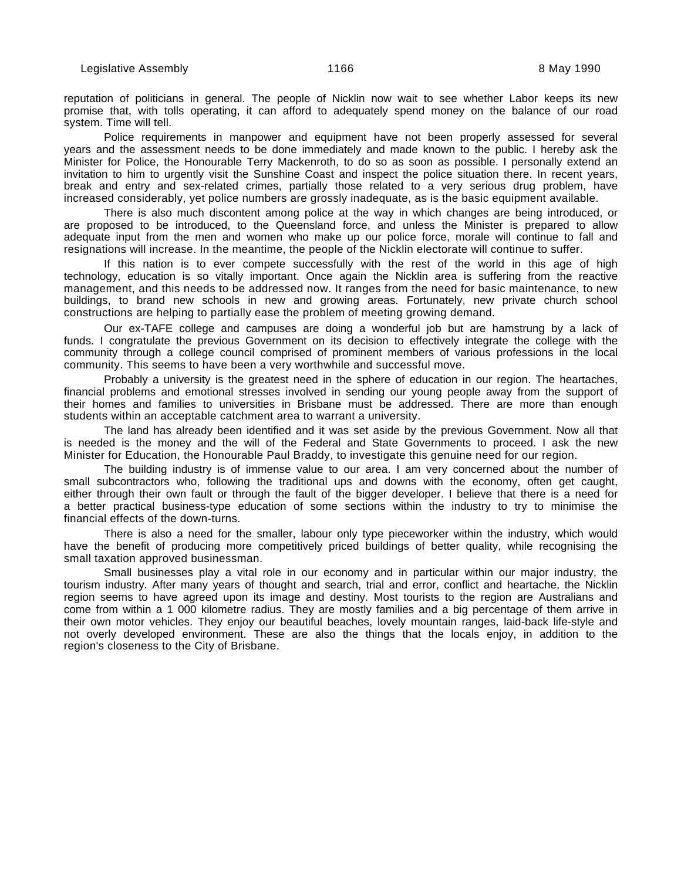reputation of politicians in general. The people of Nicklin now wait to see whether Labor keeps its new promise that, with tolls operating, it can afford to adequately spend money on the balance of our road system. Time will tell.

Police requirements in manpower and equipment have not been properly assessed for several years and the assessment needs to be done immediately and made known to the public. I hereby ask the Minister for Police, the Honourable Terry Mackenroth, to do so as soon as possible. I personally extend an invitation to him to urgently visit the Sunshine Coast and inspect the police situation there. In recent years, break and entry and sex-related crimes, partially those related to a very serious drug problem, have increased considerably, yet police numbers are grossly inadequate, as is the basic equipment available.

There is also much discontent among police at the way in which changes are being introduced, or are proposed to be introduced, to the Queensland force, and unless the Minister is prepared to allow adequate input from the men and women who make up our police force, morale will continue to fall and resignations will increase. In the meantime, the people of the Nicklin electorate will continue to suffer.

If this nation is to ever compete successfully with the rest of the world in this age of high technology, education is so vitally important. Once again the Nicklin area is suffering from the reactive management, and this needs to be addressed now. It ranges from the need for basic maintenance, to new buildings, to brand new schools in new and growing areas. Fortunately, new private church school constructions are helping to partially ease the problem of meeting growing demand.

Our ex-TAFE college and campuses are doing a wonderful job but are hamstrung by a lack of funds. I congratulate the previous Government on its decision to effectively integrate the college with the community through a college council comprised of prominent members of various professions in the local community. This seems to have been a very worthwhile and successful move.

Probably a university is the greatest need in the sphere of education in our region. The heartaches, financial problems and emotional stresses involved in sending our young people away from the support of their homes and families to universities in Brisbane must be addressed. There are more than enough students within an acceptable catchment area to warrant a university.

The land has already been identified and it was set aside by the previous Government. Now all that is needed is the money and the will of the Federal and State Governments to proceed. I ask the new Minister for Education, the Honourable Paul Braddy, to investigate this genuine need for our region.

The building industry is of immense value to our area. I am very concerned about the number of small subcontractors who, following the traditional ups and downs with the economy, often get caught, either through their own fault or through the fault of the bigger developer. I believe that there is a need for a better practical business-type education of some sections within the industry to try to minimise the financial effects of the down-turns.

There is also a need for the smaller, labour only type pieceworker within the industry, which would have the benefit of producing more competitively priced buildings of better quality, while recognising the small taxation approved businessman.

Small businesses play a vital role in our economy and in particular within our major industry, the tourism industry. After many years of thought and search, trial and error, conflict and heartache, the Nicklin region seems to have agreed upon its image and destiny. Most tourists to the region are Australians and come from within a 1 000 kilometre radius. They are mostly families and a big percentage of them arrive in their own motor vehicles. They enjoy our beautiful beaches, lovely mountain ranges, laid-back life-style and not overly developed environment. These are also the things that the locals enjoy, in addition to the region's closeness to the City of Brisbane.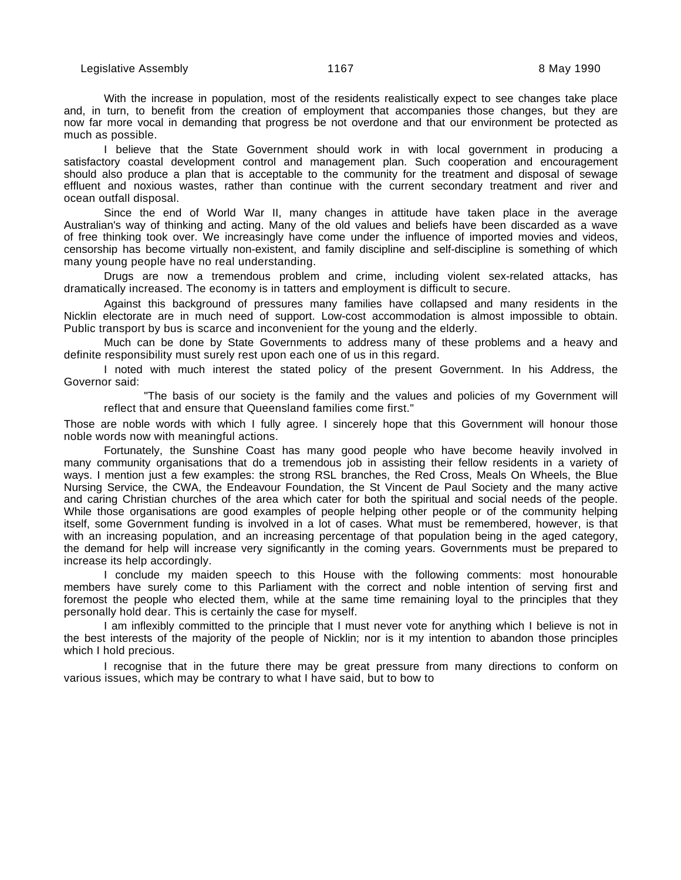With the increase in population, most of the residents realistically expect to see changes take place and, in turn, to benefit from the creation of employment that accompanies those changes, but they are now far more vocal in demanding that progress be not overdone and that our environment be protected as much as possible.

I believe that the State Government should work in with local government in producing a satisfactory coastal development control and management plan. Such cooperation and encouragement should also produce a plan that is acceptable to the community for the treatment and disposal of sewage effluent and noxious wastes, rather than continue with the current secondary treatment and river and ocean outfall disposal.

Since the end of World War II, many changes in attitude have taken place in the average Australian's way of thinking and acting. Many of the old values and beliefs have been discarded as a wave of free thinking took over. We increasingly have come under the influence of imported movies and videos, censorship has become virtually non-existent, and family discipline and self-discipline is something of which many young people have no real understanding.

Drugs are now a tremendous problem and crime, including violent sex-related attacks, has dramatically increased. The economy is in tatters and employment is difficult to secure.

Against this background of pressures many families have collapsed and many residents in the Nicklin electorate are in much need of support. Low-cost accommodation is almost impossible to obtain. Public transport by bus is scarce and inconvenient for the young and the elderly.

Much can be done by State Governments to address many of these problems and a heavy and definite responsibility must surely rest upon each one of us in this regard.

I noted with much interest the stated policy of the present Government. In his Address, the Governor said:

"The basis of our society is the family and the values and policies of my Government will reflect that and ensure that Queensland families come first."

Those are noble words with which I fully agree. I sincerely hope that this Government will honour those noble words now with meaningful actions.

Fortunately, the Sunshine Coast has many good people who have become heavily involved in many community organisations that do a tremendous job in assisting their fellow residents in a variety of ways. I mention just a few examples: the strong RSL branches, the Red Cross, Meals On Wheels, the Blue Nursing Service, the CWA, the Endeavour Foundation, the St Vincent de Paul Society and the many active and caring Christian churches of the area which cater for both the spiritual and social needs of the people. While those organisations are good examples of people helping other people or of the community helping itself, some Government funding is involved in a lot of cases. What must be remembered, however, is that with an increasing population, and an increasing percentage of that population being in the aged category, the demand for help will increase very significantly in the coming years. Governments must be prepared to increase its help accordingly.

I conclude my maiden speech to this House with the following comments: most honourable members have surely come to this Parliament with the correct and noble intention of serving first and foremost the people who elected them, while at the same time remaining loyal to the principles that they personally hold dear. This is certainly the case for myself.

I am inflexibly committed to the principle that I must never vote for anything which I believe is not in the best interests of the majority of the people of Nicklin; nor is it my intention to abandon those principles which I hold precious.

I recognise that in the future there may be great pressure from many directions to conform on various issues, which may be contrary to what I have said, but to bow to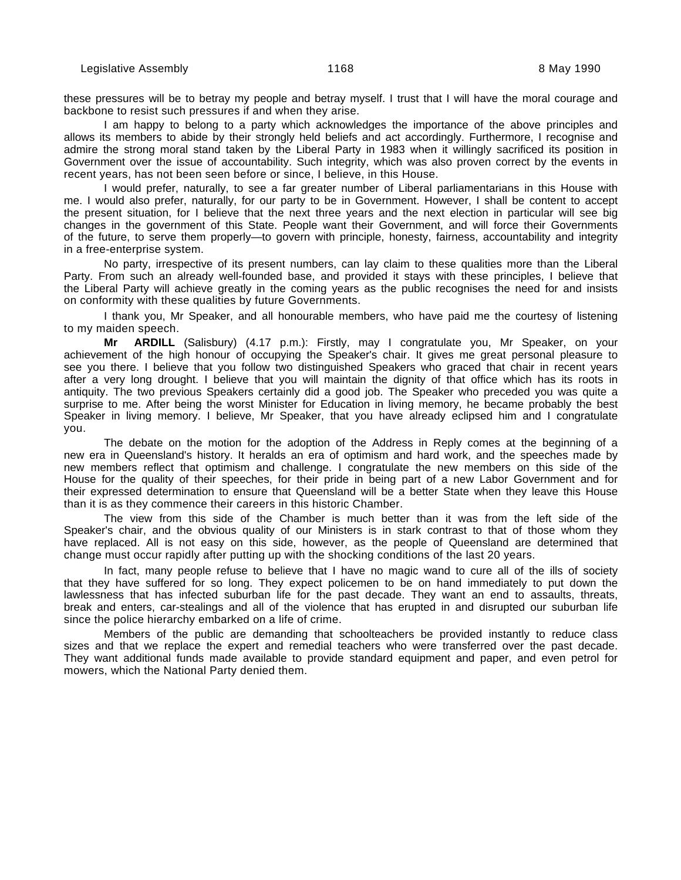these pressures will be to betray my people and betray myself. I trust that I will have the moral courage and backbone to resist such pressures if and when they arise.

I am happy to belong to a party which acknowledges the importance of the above principles and allows its members to abide by their strongly held beliefs and act accordingly. Furthermore, I recognise and admire the strong moral stand taken by the Liberal Party in 1983 when it willingly sacrificed its position in Government over the issue of accountability. Such integrity, which was also proven correct by the events in recent years, has not been seen before or since, I believe, in this House.

I would prefer, naturally, to see a far greater number of Liberal parliamentarians in this House with me. I would also prefer, naturally, for our party to be in Government. However, I shall be content to accept the present situation, for I believe that the next three years and the next election in particular will see big changes in the government of this State. People want their Government, and will force their Governments of the future, to serve them properly—to govern with principle, honesty, fairness, accountability and integrity in a free-enterprise system.

No party, irrespective of its present numbers, can lay claim to these qualities more than the Liberal Party. From such an already well-founded base, and provided it stays with these principles, I believe that the Liberal Party will achieve greatly in the coming years as the public recognises the need for and insists on conformity with these qualities by future Governments.

I thank you, Mr Speaker, and all honourable members, who have paid me the courtesy of listening to my maiden speech.

**Mr ARDILL** (Salisbury) (4.17 p.m.): Firstly, may I congratulate you, Mr Speaker, on your achievement of the high honour of occupying the Speaker's chair. It gives me great personal pleasure to see you there. I believe that you follow two distinguished Speakers who graced that chair in recent years after a very long drought. I believe that you will maintain the dignity of that office which has its roots in antiquity. The two previous Speakers certainly did a good job. The Speaker who preceded you was quite a surprise to me. After being the worst Minister for Education in living memory, he became probably the best Speaker in living memory. I believe, Mr Speaker, that you have already eclipsed him and I congratulate you.

The debate on the motion for the adoption of the Address in Reply comes at the beginning of a new era in Queensland's history. It heralds an era of optimism and hard work, and the speeches made by new members reflect that optimism and challenge. I congratulate the new members on this side of the House for the quality of their speeches, for their pride in being part of a new Labor Government and for their expressed determination to ensure that Queensland will be a better State when they leave this House than it is as they commence their careers in this historic Chamber.

The view from this side of the Chamber is much better than it was from the left side of the Speaker's chair, and the obvious quality of our Ministers is in stark contrast to that of those whom they have replaced. All is not easy on this side, however, as the people of Queensland are determined that change must occur rapidly after putting up with the shocking conditions of the last 20 years.

In fact, many people refuse to believe that I have no magic wand to cure all of the ills of society that they have suffered for so long. They expect policemen to be on hand immediately to put down the lawlessness that has infected suburban life for the past decade. They want an end to assaults, threats, break and enters, car-stealings and all of the violence that has erupted in and disrupted our suburban life since the police hierarchy embarked on a life of crime.

Members of the public are demanding that schoolteachers be provided instantly to reduce class sizes and that we replace the expert and remedial teachers who were transferred over the past decade. They want additional funds made available to provide standard equipment and paper, and even petrol for mowers, which the National Party denied them.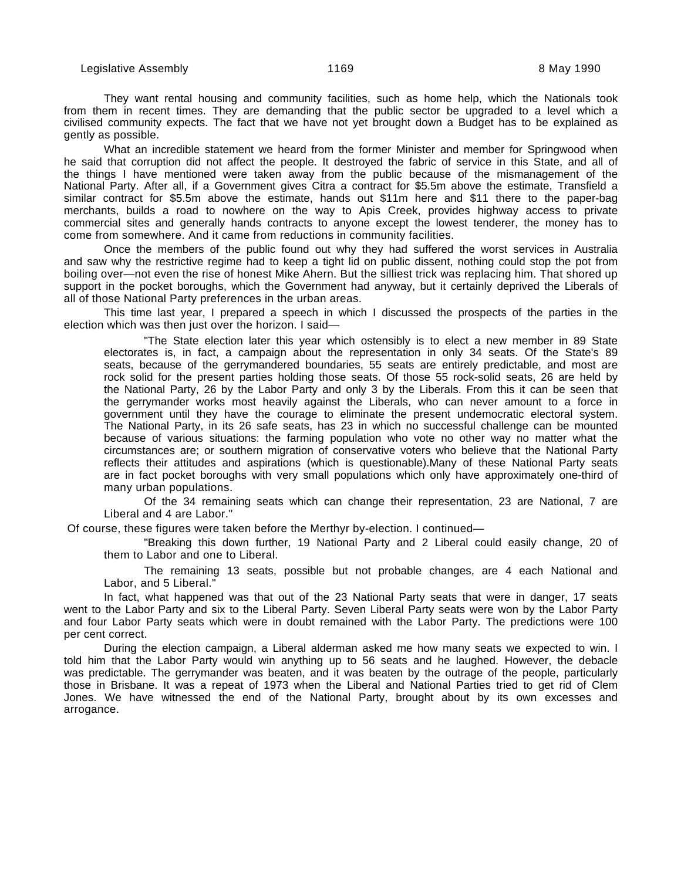They want rental housing and community facilities, such as home help, which the Nationals took from them in recent times. They are demanding that the public sector be upgraded to a level which a civilised community expects. The fact that we have not yet brought down a Budget has to be explained as gently as possible.

What an incredible statement we heard from the former Minister and member for Springwood when he said that corruption did not affect the people. It destroyed the fabric of service in this State, and all of the things I have mentioned were taken away from the public because of the mismanagement of the National Party. After all, if a Government gives Citra a contract for \$5.5m above the estimate, Transfield a similar contract for \$5.5m above the estimate, hands out \$11m here and \$11 there to the paper-bag merchants, builds a road to nowhere on the way to Apis Creek, provides highway access to private commercial sites and generally hands contracts to anyone except the lowest tenderer, the money has to come from somewhere. And it came from reductions in community facilities.

Once the members of the public found out why they had suffered the worst services in Australia and saw why the restrictive regime had to keep a tight lid on public dissent, nothing could stop the pot from boiling over—not even the rise of honest Mike Ahern. But the silliest trick was replacing him. That shored up support in the pocket boroughs, which the Government had anyway, but it certainly deprived the Liberals of all of those National Party preferences in the urban areas.

This time last year, I prepared a speech in which I discussed the prospects of the parties in the election which was then just over the horizon. I said—

"The State election later this year which ostensibly is to elect a new member in 89 State electorates is, in fact, a campaign about the representation in only 34 seats. Of the State's 89 seats, because of the gerrymandered boundaries, 55 seats are entirely predictable, and most are rock solid for the present parties holding those seats. Of those 55 rock-solid seats, 26 are held by the National Party, 26 by the Labor Party and only 3 by the Liberals. From this it can be seen that the gerrymander works most heavily against the Liberals, who can never amount to a force in government until they have the courage to eliminate the present undemocratic electoral system. The National Party, in its 26 safe seats, has 23 in which no successful challenge can be mounted because of various situations: the farming population who vote no other way no matter what the circumstances are; or southern migration of conservative voters who believe that the National Party reflects their attitudes and aspirations (which is questionable).Many of these National Party seats are in fact pocket boroughs with very small populations which only have approximately one-third of many urban populations.

Of the 34 remaining seats which can change their representation, 23 are National, 7 are Liberal and 4 are Labor."

Of course, these figures were taken before the Merthyr by-election. I continued—

"Breaking this down further, 19 National Party and 2 Liberal could easily change, 20 of them to Labor and one to Liberal.

The remaining 13 seats, possible but not probable changes, are 4 each National and Labor, and 5 Liberal."

In fact, what happened was that out of the 23 National Party seats that were in danger, 17 seats went to the Labor Party and six to the Liberal Party. Seven Liberal Party seats were won by the Labor Party and four Labor Party seats which were in doubt remained with the Labor Party. The predictions were 100 per cent correct.

During the election campaign, a Liberal alderman asked me how many seats we expected to win. I told him that the Labor Party would win anything up to 56 seats and he laughed. However, the debacle was predictable. The gerrymander was beaten, and it was beaten by the outrage of the people, particularly those in Brisbane. It was a repeat of 1973 when the Liberal and National Parties tried to get rid of Clem Jones. We have witnessed the end of the National Party, brought about by its own excesses and arrogance.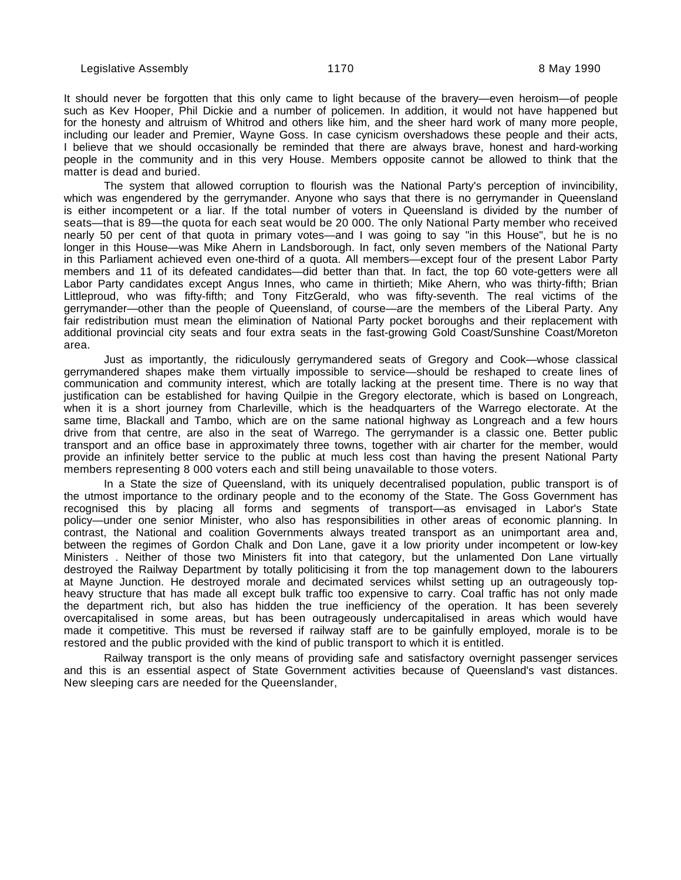It should never be forgotten that this only came to light because of the bravery—even heroism—of people such as Kev Hooper, Phil Dickie and a number of policemen. In addition, it would not have happened but for the honesty and altruism of Whitrod and others like him, and the sheer hard work of many more people, including our leader and Premier, Wayne Goss. In case cynicism overshadows these people and their acts, I believe that we should occasionally be reminded that there are always brave, honest and hard-working people in the community and in this very House. Members opposite cannot be allowed to think that the matter is dead and buried.

The system that allowed corruption to flourish was the National Party's perception of invincibility, which was engendered by the gerrymander. Anyone who says that there is no gerrymander in Queensland is either incompetent or a liar. If the total number of voters in Queensland is divided by the number of seats—that is 89—the quota for each seat would be 20 000. The only National Party member who received nearly 50 per cent of that quota in primary votes—and I was going to say "in this House", but he is no longer in this House—was Mike Ahern in Landsborough. In fact, only seven members of the National Party in this Parliament achieved even one-third of a quota. All members—except four of the present Labor Party members and 11 of its defeated candidates—did better than that. In fact, the top 60 vote-getters were all Labor Party candidates except Angus Innes, who came in thirtieth; Mike Ahern, who was thirty-fifth; Brian Littleproud, who was fifty-fifth; and Tony FitzGerald, who was fifty-seventh. The real victims of the gerrymander—other than the people of Queensland, of course—are the members of the Liberal Party. Any fair redistribution must mean the elimination of National Party pocket boroughs and their replacement with additional provincial city seats and four extra seats in the fast-growing Gold Coast/Sunshine Coast/Moreton area.

Just as importantly, the ridiculously gerrymandered seats of Gregory and Cook—whose classical gerrymandered shapes make them virtually impossible to service—should be reshaped to create lines of communication and community interest, which are totally lacking at the present time. There is no way that justification can be established for having Quilpie in the Gregory electorate, which is based on Longreach, when it is a short journey from Charleville, which is the headquarters of the Warrego electorate. At the same time, Blackall and Tambo, which are on the same national highway as Longreach and a few hours drive from that centre, are also in the seat of Warrego. The gerrymander is a classic one. Better public transport and an office base in approximately three towns, together with air charter for the member, would provide an infinitely better service to the public at much less cost than having the present National Party members representing 8 000 voters each and still being unavailable to those voters.

In a State the size of Queensland, with its uniquely decentralised population, public transport is of the utmost importance to the ordinary people and to the economy of the State. The Goss Government has recognised this by placing all forms and segments of transport—as envisaged in Labor's State policy—under one senior Minister, who also has responsibilities in other areas of economic planning. In contrast, the National and coalition Governments always treated transport as an unimportant area and, between the regimes of Gordon Chalk and Don Lane, gave it a low priority under incompetent or low-key Ministers . Neither of those two Ministers fit into that category, but the unlamented Don Lane virtually destroyed the Railway Department by totally politicising it from the top management down to the labourers at Mayne Junction. He destroyed morale and decimated services whilst setting up an outrageously topheavy structure that has made all except bulk traffic too expensive to carry. Coal traffic has not only made the department rich, but also has hidden the true inefficiency of the operation. It has been severely overcapitalised in some areas, but has been outrageously undercapitalised in areas which would have made it competitive. This must be reversed if railway staff are to be gainfully employed, morale is to be restored and the public provided with the kind of public transport to which it is entitled.

Railway transport is the only means of providing safe and satisfactory overnight passenger services and this is an essential aspect of State Government activities because of Queensland's vast distances. New sleeping cars are needed for the Queenslander,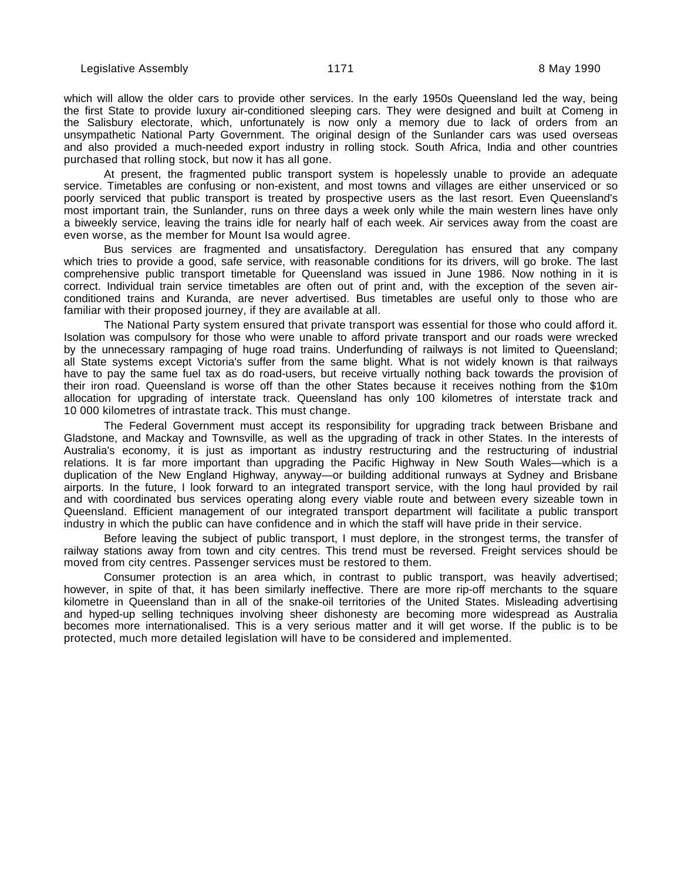which will allow the older cars to provide other services. In the early 1950s Queensland led the way, being the first State to provide luxury air-conditioned sleeping cars. They were designed and built at Comeng in the Salisbury electorate, which, unfortunately is now only a memory due to lack of orders from an unsympathetic National Party Government. The original design of the Sunlander cars was used overseas and also provided a much-needed export industry in rolling stock. South Africa, India and other countries purchased that rolling stock, but now it has all gone.

At present, the fragmented public transport system is hopelessly unable to provide an adequate service. Timetables are confusing or non-existent, and most towns and villages are either unserviced or so poorly serviced that public transport is treated by prospective users as the last resort. Even Queensland's most important train, the Sunlander, runs on three days a week only while the main western lines have only a biweekly service, leaving the trains idle for nearly half of each week. Air services away from the coast are even worse, as the member for Mount Isa would agree.

Bus services are fragmented and unsatisfactory. Deregulation has ensured that any company which tries to provide a good, safe service, with reasonable conditions for its drivers, will go broke. The last comprehensive public transport timetable for Queensland was issued in June 1986. Now nothing in it is correct. Individual train service timetables are often out of print and, with the exception of the seven airconditioned trains and Kuranda, are never advertised. Bus timetables are useful only to those who are familiar with their proposed journey, if they are available at all.

The National Party system ensured that private transport was essential for those who could afford it. Isolation was compulsory for those who were unable to afford private transport and our roads were wrecked by the unnecessary rampaging of huge road trains. Underfunding of railways is not limited to Queensland; all State systems except Victoria's suffer from the same blight. What is not widely known is that railways have to pay the same fuel tax as do road-users, but receive virtually nothing back towards the provision of their iron road. Queensland is worse off than the other States because it receives nothing from the \$10m allocation for upgrading of interstate track. Queensland has only 100 kilometres of interstate track and 10 000 kilometres of intrastate track. This must change.

The Federal Government must accept its responsibility for upgrading track between Brisbane and Gladstone, and Mackay and Townsville, as well as the upgrading of track in other States. In the interests of Australia's economy, it is just as important as industry restructuring and the restructuring of industrial relations. It is far more important than upgrading the Pacific Highway in New South Wales—which is a duplication of the New England Highway, anyway—or building additional runways at Sydney and Brisbane airports. In the future, I look forward to an integrated transport service, with the long haul provided by rail and with coordinated bus services operating along every viable route and between every sizeable town in Queensland. Efficient management of our integrated transport department will facilitate a public transport industry in which the public can have confidence and in which the staff will have pride in their service.

Before leaving the subject of public transport, I must deplore, in the strongest terms, the transfer of railway stations away from town and city centres. This trend must be reversed. Freight services should be moved from city centres. Passenger services must be restored to them.

Consumer protection is an area which, in contrast to public transport, was heavily advertised; however, in spite of that, it has been similarly ineffective. There are more rip-off merchants to the square kilometre in Queensland than in all of the snake-oil territories of the United States. Misleading advertising and hyped-up selling techniques involving sheer dishonesty are becoming more widespread as Australia becomes more internationalised. This is a very serious matter and it will get worse. If the public is to be protected, much more detailed legislation will have to be considered and implemented.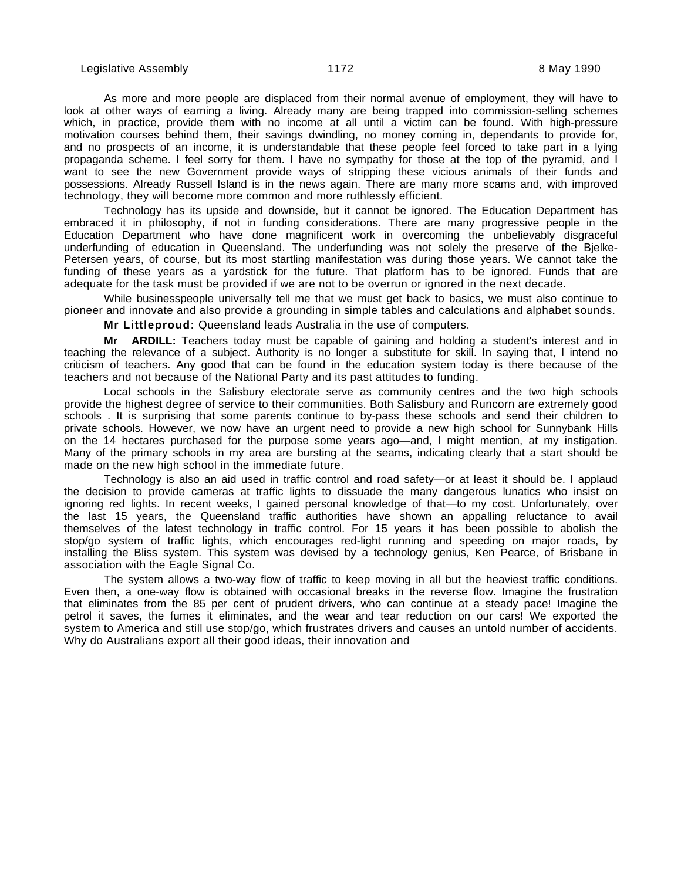As more and more people are displaced from their normal avenue of employment, they will have to look at other ways of earning a living. Already many are being trapped into commission-selling schemes which, in practice, provide them with no income at all until a victim can be found. With high-pressure motivation courses behind them, their savings dwindling, no money coming in, dependants to provide for, and no prospects of an income, it is understandable that these people feel forced to take part in a lying propaganda scheme. I feel sorry for them. I have no sympathy for those at the top of the pyramid, and I want to see the new Government provide ways of stripping these vicious animals of their funds and possessions. Already Russell Island is in the news again. There are many more scams and, with improved technology, they will become more common and more ruthlessly efficient.

Technology has its upside and downside, but it cannot be ignored. The Education Department has embraced it in philosophy, if not in funding considerations. There are many progressive people in the Education Department who have done magnificent work in overcoming the unbelievably disgraceful underfunding of education in Queensland. The underfunding was not solely the preserve of the Bjelke-Petersen years, of course, but its most startling manifestation was during those years. We cannot take the funding of these years as a yardstick for the future. That platform has to be ignored. Funds that are adequate for the task must be provided if we are not to be overrun or ignored in the next decade.

While businesspeople universally tell me that we must get back to basics, we must also continue to pioneer and innovate and also provide a grounding in simple tables and calculations and alphabet sounds.

**Mr Littleproud:** Queensland leads Australia in the use of computers.

**Mr ARDILL:** Teachers today must be capable of gaining and holding a student's interest and in teaching the relevance of a subject. Authority is no longer a substitute for skill. In saying that, I intend no criticism of teachers. Any good that can be found in the education system today is there because of the teachers and not because of the National Party and its past attitudes to funding.

Local schools in the Salisbury electorate serve as community centres and the two high schools provide the highest degree of service to their communities. Both Salisbury and Runcorn are extremely good schools . It is surprising that some parents continue to by-pass these schools and send their children to private schools. However, we now have an urgent need to provide a new high school for Sunnybank Hills on the 14 hectares purchased for the purpose some years ago—and, I might mention, at my instigation. Many of the primary schools in my area are bursting at the seams, indicating clearly that a start should be made on the new high school in the immediate future.

Technology is also an aid used in traffic control and road safety—or at least it should be. I applaud the decision to provide cameras at traffic lights to dissuade the many dangerous lunatics who insist on ignoring red lights. In recent weeks, I gained personal knowledge of that—to my cost. Unfortunately, over the last 15 years, the Queensland traffic authorities have shown an appalling reluctance to avail themselves of the latest technology in traffic control. For 15 years it has been possible to abolish the stop/go system of traffic lights, which encourages red-light running and speeding on major roads, by installing the Bliss system. This system was devised by a technology genius, Ken Pearce, of Brisbane in association with the Eagle Signal Co.

The system allows a two-way flow of traffic to keep moving in all but the heaviest traffic conditions. Even then, a one-way flow is obtained with occasional breaks in the reverse flow. Imagine the frustration that eliminates from the 85 per cent of prudent drivers, who can continue at a steady pace! Imagine the petrol it saves, the fumes it eliminates, and the wear and tear reduction on our cars! We exported the system to America and still use stop/go, which frustrates drivers and causes an untold number of accidents. Why do Australians export all their good ideas, their innovation and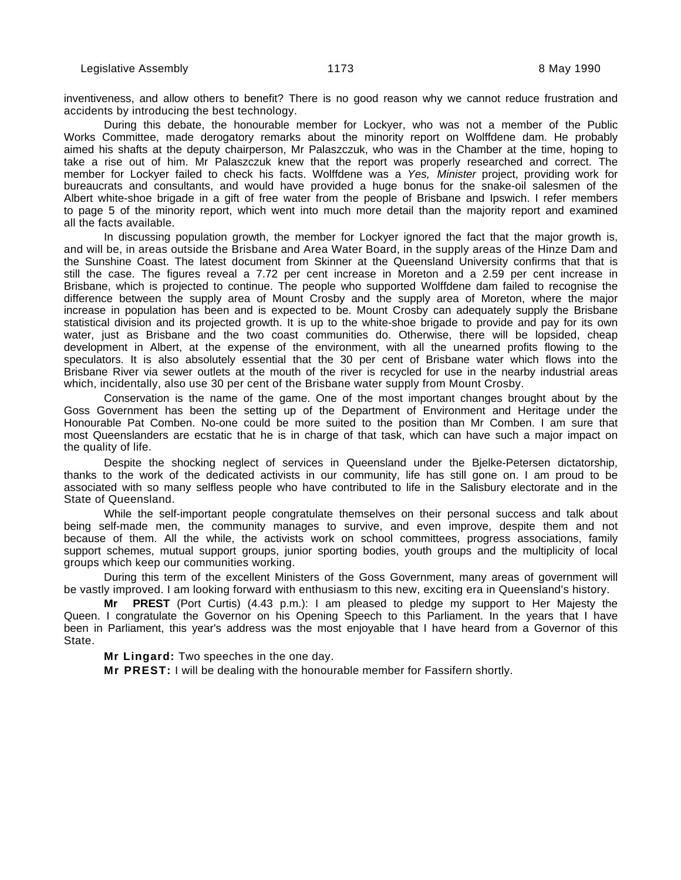inventiveness, and allow others to benefit? There is no good reason why we cannot reduce frustration and accidents by introducing the best technology.

During this debate, the honourable member for Lockyer, who was not a member of the Public Works Committee, made derogatory remarks about the minority report on Wolffdene dam. He probably aimed his shafts at the deputy chairperson, Mr Palaszczuk, who was in the Chamber at the time, hoping to take a rise out of him. Mr Palaszczuk knew that the report was properly researched and correct. The member for Lockyer failed to check his facts. Wolffdene was a Yes, Minister project, providing work for bureaucrats and consultants, and would have provided a huge bonus for the snake-oil salesmen of the Albert white-shoe brigade in a gift of free water from the people of Brisbane and Ipswich. I refer members to page 5 of the minority report, which went into much more detail than the majority report and examined all the facts available.

In discussing population growth, the member for Lockyer ignored the fact that the major growth is, and will be, in areas outside the Brisbane and Area Water Board, in the supply areas of the Hinze Dam and the Sunshine Coast. The latest document from Skinner at the Queensland University confirms that that is still the case. The figures reveal a 7.72 per cent increase in Moreton and a 2.59 per cent increase in Brisbane, which is projected to continue. The people who supported Wolffdene dam failed to recognise the difference between the supply area of Mount Crosby and the supply area of Moreton, where the major increase in population has been and is expected to be. Mount Crosby can adequately supply the Brisbane statistical division and its projected growth. It is up to the white-shoe brigade to provide and pay for its own water, just as Brisbane and the two coast communities do. Otherwise, there will be lopsided, cheap development in Albert, at the expense of the environment, with all the unearned profits flowing to the speculators. It is also absolutely essential that the 30 per cent of Brisbane water which flows into the Brisbane River via sewer outlets at the mouth of the river is recycled for use in the nearby industrial areas which, incidentally, also use 30 per cent of the Brisbane water supply from Mount Crosby.

Conservation is the name of the game. One of the most important changes brought about by the Goss Government has been the setting up of the Department of Environment and Heritage under the Honourable Pat Comben. No-one could be more suited to the position than Mr Comben. I am sure that most Queenslanders are ecstatic that he is in charge of that task, which can have such a major impact on the quality of life.

Despite the shocking neglect of services in Queensland under the Bjelke-Petersen dictatorship, thanks to the work of the dedicated activists in our community, life has still gone on. I am proud to be associated with so many selfless people who have contributed to life in the Salisbury electorate and in the State of Queensland.

While the self-important people congratulate themselves on their personal success and talk about being self-made men, the community manages to survive, and even improve, despite them and not because of them. All the while, the activists work on school committees, progress associations, family support schemes, mutual support groups, junior sporting bodies, youth groups and the multiplicity of local groups which keep our communities working.

During this term of the excellent Ministers of the Goss Government, many areas of government will be vastly improved. I am looking forward with enthusiasm to this new, exciting era in Queensland's history.

**Mr PREST** (Port Curtis) (4.43 p.m.): I am pleased to pledge my support to Her Majesty the Queen. I congratulate the Governor on his Opening Speech to this Parliament. In the years that I have been in Parliament, this year's address was the most enjoyable that I have heard from a Governor of this State.

**Mr Lingard:** Two speeches in the one day.

**Mr PREST:** I will be dealing with the honourable member for Fassifern shortly.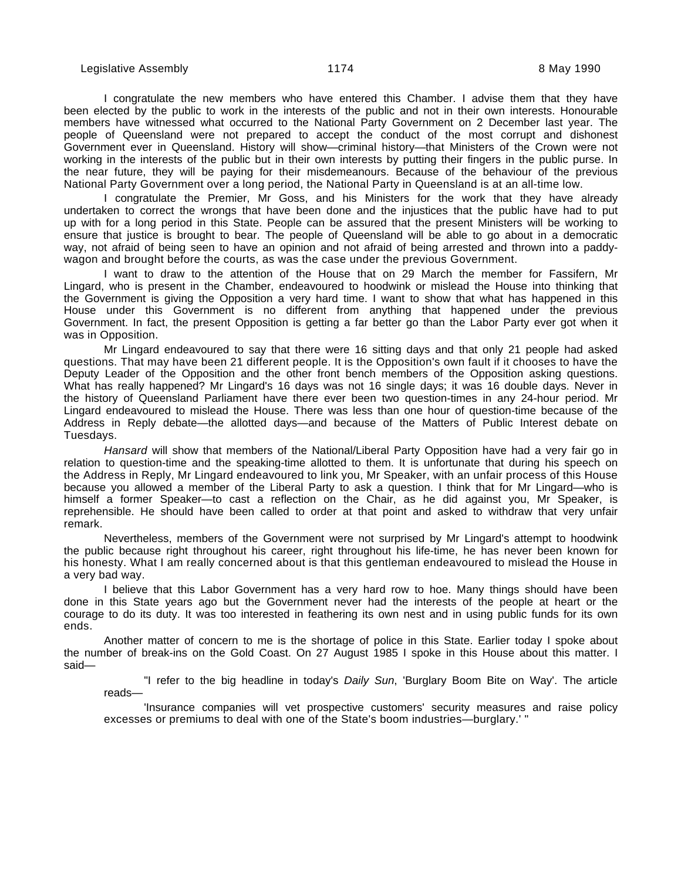Legislative Assembly 1174 8 May 1990

I congratulate the new members who have entered this Chamber. I advise them that they have been elected by the public to work in the interests of the public and not in their own interests. Honourable members have witnessed what occurred to the National Party Government on 2 December last year. The people of Queensland were not prepared to accept the conduct of the most corrupt and dishonest Government ever in Queensland. History will show—criminal history—that Ministers of the Crown were not working in the interests of the public but in their own interests by putting their fingers in the public purse. In the near future, they will be paying for their misdemeanours. Because of the behaviour of the previous National Party Government over a long period, the National Party in Queensland is at an all-time low.

I congratulate the Premier, Mr Goss, and his Ministers for the work that they have already undertaken to correct the wrongs that have been done and the injustices that the public have had to put up with for a long period in this State. People can be assured that the present Ministers will be working to ensure that justice is brought to bear. The people of Queensland will be able to go about in a democratic way, not afraid of being seen to have an opinion and not afraid of being arrested and thrown into a paddywagon and brought before the courts, as was the case under the previous Government.

I want to draw to the attention of the House that on 29 March the member for Fassifern, Mr Lingard, who is present in the Chamber, endeavoured to hoodwink or mislead the House into thinking that the Government is giving the Opposition a very hard time. I want to show that what has happened in this House under this Government is no different from anything that happened under the previous Government. In fact, the present Opposition is getting a far better go than the Labor Party ever got when it was in Opposition.

Mr Lingard endeavoured to say that there were 16 sitting days and that only 21 people had asked questions. That may have been 21 different people. It is the Opposition's own fault if it chooses to have the Deputy Leader of the Opposition and the other front bench members of the Opposition asking questions. What has really happened? Mr Lingard's 16 days was not 16 single days; it was 16 double days. Never in the history of Queensland Parliament have there ever been two question-times in any 24-hour period. Mr Lingard endeavoured to mislead the House. There was less than one hour of question-time because of the Address in Reply debate—the allotted days—and because of the Matters of Public Interest debate on Tuesdays.

Hansard will show that members of the National/Liberal Party Opposition have had a very fair go in relation to question-time and the speaking-time allotted to them. It is unfortunate that during his speech on the Address in Reply, Mr Lingard endeavoured to link you, Mr Speaker, with an unfair process of this House because you allowed a member of the Liberal Party to ask a question. I think that for Mr Lingard—who is himself a former Speaker—to cast a reflection on the Chair, as he did against you, Mr Speaker, is reprehensible. He should have been called to order at that point and asked to withdraw that very unfair remark.

Nevertheless, members of the Government were not surprised by Mr Lingard's attempt to hoodwink the public because right throughout his career, right throughout his life-time, he has never been known for his honesty. What I am really concerned about is that this gentleman endeavoured to mislead the House in a very bad way.

I believe that this Labor Government has a very hard row to hoe. Many things should have been done in this State years ago but the Government never had the interests of the people at heart or the courage to do its duty. It was too interested in feathering its own nest and in using public funds for its own ends.

Another matter of concern to me is the shortage of police in this State. Earlier today I spoke about the number of break-ins on the Gold Coast. On 27 August 1985 I spoke in this House about this matter. I said—

"I refer to the big headline in today's *Daily Sun*, 'Burglary Boom Bite on Way'. The article reads—

'Insurance companies will vet prospective customers' security measures and raise policy excesses or premiums to deal with one of the State's boom industries—burglary.' "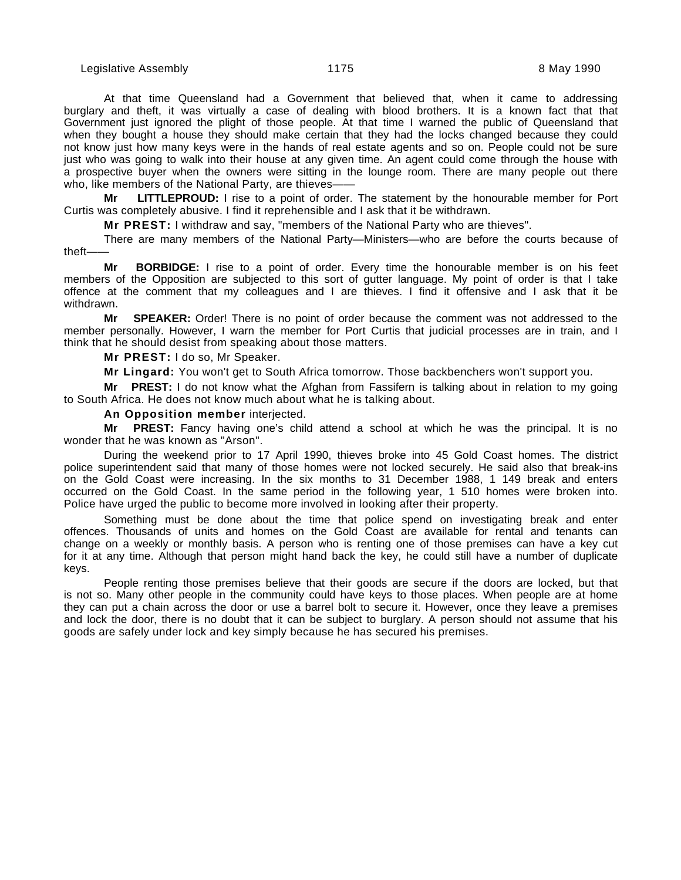Legislative Assembly **1175** Change 1175 **8 May 1990** 

At that time Queensland had a Government that believed that, when it came to addressing burglary and theft, it was virtually a case of dealing with blood brothers. It is a known fact that that Government just ignored the plight of those people. At that time I warned the public of Queensland that when they bought a house they should make certain that they had the locks changed because they could not know just how many keys were in the hands of real estate agents and so on. People could not be sure just who was going to walk into their house at any given time. An agent could come through the house with a prospective buyer when the owners were sitting in the lounge room. There are many people out there who, like members of the National Party, are thieves-

**Mr LITTLEPROUD:** I rise to a point of order. The statement by the honourable member for Port Curtis was completely abusive. I find it reprehensible and I ask that it be withdrawn.

**Mr PREST:** I withdraw and say, "members of the National Party who are thieves".

There are many members of the National Party—Ministers—who are before the courts because of theft——

**Mr BORBIDGE:** I rise to a point of order. Every time the honourable member is on his feet members of the Opposition are subjected to this sort of gutter language. My point of order is that I take offence at the comment that my colleagues and I are thieves. I find it offensive and I ask that it be withdrawn.

**Mr SPEAKER:** Order! There is no point of order because the comment was not addressed to the member personally. However, I warn the member for Port Curtis that judicial processes are in train, and I think that he should desist from speaking about those matters.

**Mr PREST:** I do so, Mr Speaker.

**Mr Lingard:** You won't get to South Africa tomorrow. Those backbenchers won't support you.

**Mr PREST:** I do not know what the Afghan from Fassifern is talking about in relation to my going to South Africa. He does not know much about what he is talking about.

#### **An Opposition member** interjected.

**Mr PREST:** Fancy having one's child attend a school at which he was the principal. It is no wonder that he was known as "Arson".

During the weekend prior to 17 April 1990, thieves broke into 45 Gold Coast homes. The district police superintendent said that many of those homes were not locked securely. He said also that break-ins on the Gold Coast were increasing. In the six months to 31 December 1988, 1 149 break and enters occurred on the Gold Coast. In the same period in the following year, 1 510 homes were broken into. Police have urged the public to become more involved in looking after their property.

Something must be done about the time that police spend on investigating break and enter offences. Thousands of units and homes on the Gold Coast are available for rental and tenants can change on a weekly or monthly basis. A person who is renting one of those premises can have a key cut for it at any time. Although that person might hand back the key, he could still have a number of duplicate keys.

People renting those premises believe that their goods are secure if the doors are locked, but that is not so. Many other people in the community could have keys to those places. When people are at home they can put a chain across the door or use a barrel bolt to secure it. However, once they leave a premises and lock the door, there is no doubt that it can be subject to burglary. A person should not assume that his goods are safely under lock and key simply because he has secured his premises.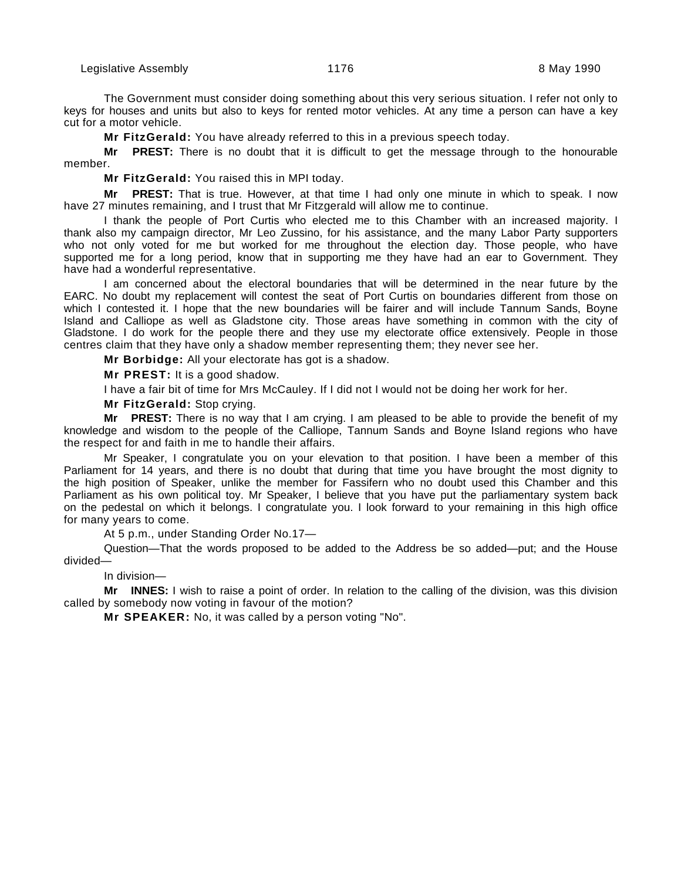The Government must consider doing something about this very serious situation. I refer not only to keys for houses and units but also to keys for rented motor vehicles. At any time a person can have a key cut for a motor vehicle.

**Mr FitzGerald:** You have already referred to this in a previous speech today.

**Mr PREST:** There is no doubt that it is difficult to get the message through to the honourable member.

**Mr FitzGerald:** You raised this in MPI today.

**Mr PREST:** That is true. However, at that time I had only one minute in which to speak. I now have 27 minutes remaining, and I trust that Mr Fitzgerald will allow me to continue.

I thank the people of Port Curtis who elected me to this Chamber with an increased majority. I thank also my campaign director, Mr Leo Zussino, for his assistance, and the many Labor Party supporters who not only voted for me but worked for me throughout the election day. Those people, who have supported me for a long period, know that in supporting me they have had an ear to Government. They have had a wonderful representative.

I am concerned about the electoral boundaries that will be determined in the near future by the EARC. No doubt my replacement will contest the seat of Port Curtis on boundaries different from those on which I contested it. I hope that the new boundaries will be fairer and will include Tannum Sands, Boyne Island and Calliope as well as Gladstone city. Those areas have something in common with the city of Gladstone. I do work for the people there and they use my electorate office extensively. People in those centres claim that they have only a shadow member representing them; they never see her.

**Mr Borbidge:** All your electorate has got is a shadow.

**Mr PREST:** It is a good shadow.

I have a fair bit of time for Mrs McCauley. If I did not I would not be doing her work for her.

**Mr FitzGerald:** Stop crying.

**Mr PREST:** There is no way that I am crying. I am pleased to be able to provide the benefit of my knowledge and wisdom to the people of the Calliope, Tannum Sands and Boyne Island regions who have the respect for and faith in me to handle their affairs.

Mr Speaker, I congratulate you on your elevation to that position. I have been a member of this Parliament for 14 years, and there is no doubt that during that time you have brought the most dignity to the high position of Speaker, unlike the member for Fassifern who no doubt used this Chamber and this Parliament as his own political toy. Mr Speaker, I believe that you have put the parliamentary system back on the pedestal on which it belongs. I congratulate you. I look forward to your remaining in this high office for many years to come.

At 5 p.m., under Standing Order No.17—

Question—That the words proposed to be added to the Address be so added—put; and the House divided—

In division—

**Mr INNES:** I wish to raise a point of order. In relation to the calling of the division, was this division called by somebody now voting in favour of the motion?

**Mr SPEAKER:** No, it was called by a person voting "No".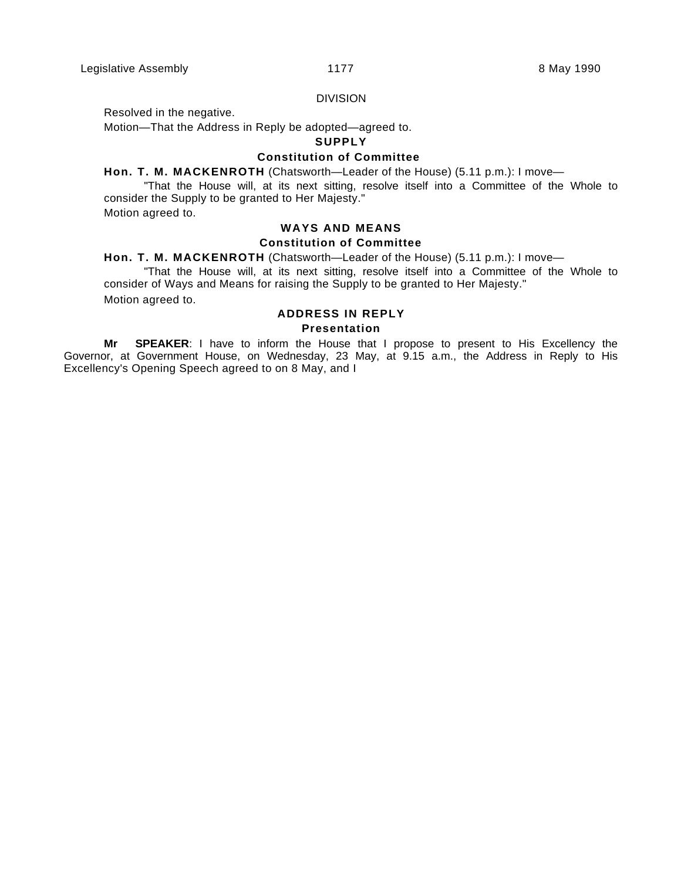#### DIVISION

Resolved in the negative.

Motion—That the Address in Reply be adopted—agreed to.

#### **SUPPLY**

#### **Constitution of Committee**

**Hon. T. M. MACKENROTH** (Chatsworth—Leader of the House) (5.11 p.m.): I move—

"That the House will, at its next sitting, resolve itself into a Committee of the Whole to consider the Supply to be granted to Her Majesty."

Motion agreed to.

## **WAYS AND MEANS Constitution of Committee**

**Hon. T. M. MACKENROTH** (Chatsworth—Leader of the House) (5.11 p.m.): I move—

"That the House will, at its next sitting, resolve itself into a Committee of the Whole to consider of Ways and Means for raising the Supply to be granted to Her Majesty."

Motion agreed to.

# **ADDRESS IN REPLY**

#### **Presentation**

**Mr SPEAKER**: I have to inform the House that I propose to present to His Excellency the Governor, at Government House, on Wednesday, 23 May, at 9.15 a.m., the Address in Reply to His Excellency's Opening Speech agreed to on 8 May, and I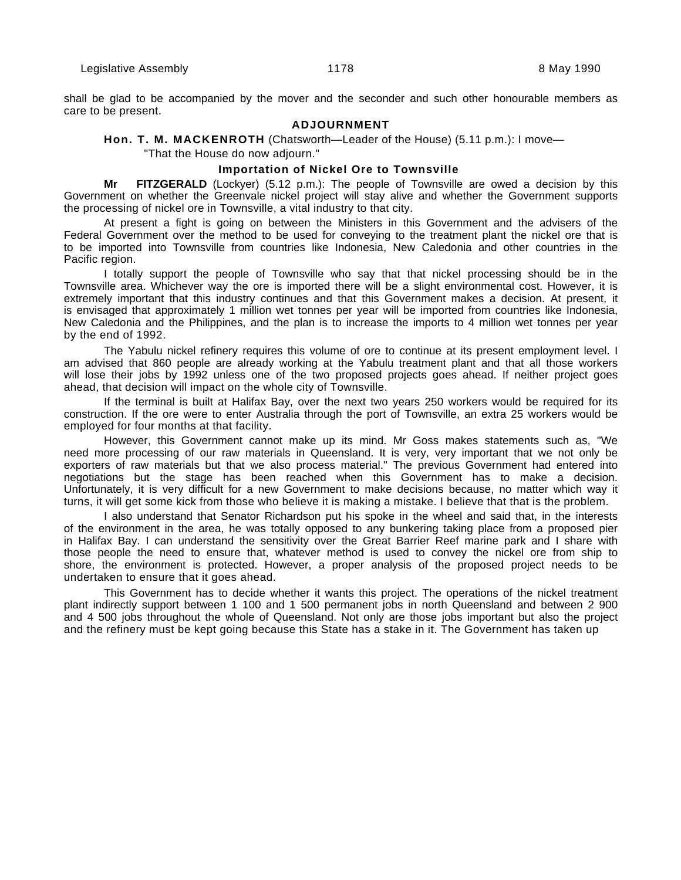Legislative Assembly **1178** All 2008 and 2009 **8 May 1990** 1178

shall be glad to be accompanied by the mover and the seconder and such other honourable members as care to be present.

# **ADJOURNMENT**

#### **Hon. T. M. MACKENROTH** (Chatsworth—Leader of the House) (5.11 p.m.): I move—

"That the House do now adjourn."

#### **Importation of Nickel Ore to Townsville**

**Mr FITZGERALD** (Lockyer) (5.12 p.m.): The people of Townsville are owed a decision by this Government on whether the Greenvale nickel project will stay alive and whether the Government supports the processing of nickel ore in Townsville, a vital industry to that city.

At present a fight is going on between the Ministers in this Government and the advisers of the Federal Government over the method to be used for conveying to the treatment plant the nickel ore that is to be imported into Townsville from countries like Indonesia, New Caledonia and other countries in the Pacific region.

I totally support the people of Townsville who say that that nickel processing should be in the Townsville area. Whichever way the ore is imported there will be a slight environmental cost. However, it is extremely important that this industry continues and that this Government makes a decision. At present, it is envisaged that approximately 1 million wet tonnes per year will be imported from countries like Indonesia, New Caledonia and the Philippines, and the plan is to increase the imports to 4 million wet tonnes per year by the end of 1992.

The Yabulu nickel refinery requires this volume of ore to continue at its present employment level. I am advised that 860 people are already working at the Yabulu treatment plant and that all those workers will lose their jobs by 1992 unless one of the two proposed projects goes ahead. If neither project goes ahead, that decision will impact on the whole city of Townsville.

If the terminal is built at Halifax Bay, over the next two years 250 workers would be required for its construction. If the ore were to enter Australia through the port of Townsville, an extra 25 workers would be employed for four months at that facility.

However, this Government cannot make up its mind. Mr Goss makes statements such as, "We need more processing of our raw materials in Queensland. It is very, very important that we not only be exporters of raw materials but that we also process material." The previous Government had entered into negotiations but the stage has been reached when this Government has to make a decision. Unfortunately, it is very difficult for a new Government to make decisions because, no matter which way it turns, it will get some kick from those who believe it is making a mistake. I believe that that is the problem.

I also understand that Senator Richardson put his spoke in the wheel and said that, in the interests of the environment in the area, he was totally opposed to any bunkering taking place from a proposed pier in Halifax Bay. I can understand the sensitivity over the Great Barrier Reef marine park and I share with those people the need to ensure that, whatever method is used to convey the nickel ore from ship to shore, the environment is protected. However, a proper analysis of the proposed project needs to be undertaken to ensure that it goes ahead.

This Government has to decide whether it wants this project. The operations of the nickel treatment plant indirectly support between 1 100 and 1 500 permanent jobs in north Queensland and between 2 900 and 4 500 jobs throughout the whole of Queensland. Not only are those jobs important but also the project and the refinery must be kept going because this State has a stake in it. The Government has taken up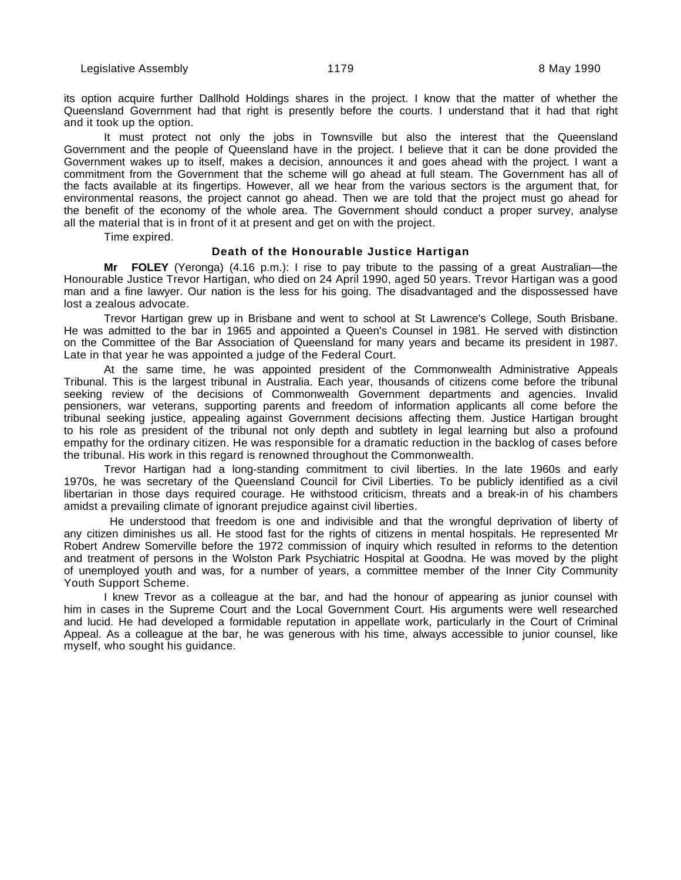its option acquire further Dallhold Holdings shares in the project. I know that the matter of whether the Queensland Government had that right is presently before the courts. I understand that it had that right and it took up the option.

It must protect not only the jobs in Townsville but also the interest that the Queensland Government and the people of Queensland have in the project. I believe that it can be done provided the Government wakes up to itself, makes a decision, announces it and goes ahead with the project. I want a commitment from the Government that the scheme will go ahead at full steam. The Government has all of the facts available at its fingertips. However, all we hear from the various sectors is the argument that, for environmental reasons, the project cannot go ahead. Then we are told that the project must go ahead for the benefit of the economy of the whole area. The Government should conduct a proper survey, analyse all the material that is in front of it at present and get on with the project.

Time expired.

#### **Death of the Honourable Justice Hartigan**

**Mr FOLEY** (Yeronga) (4.16 p.m.): I rise to pay tribute to the passing of a great Australian—the Honourable Justice Trevor Hartigan, who died on 24 April 1990, aged 50 years. Trevor Hartigan was a good man and a fine lawyer. Our nation is the less for his going. The disadvantaged and the dispossessed have lost a zealous advocate.

Trevor Hartigan grew up in Brisbane and went to school at St Lawrence's College, South Brisbane. He was admitted to the bar in 1965 and appointed a Queen's Counsel in 1981. He served with distinction on the Committee of the Bar Association of Queensland for many years and became its president in 1987. Late in that year he was appointed a judge of the Federal Court.

At the same time, he was appointed president of the Commonwealth Administrative Appeals Tribunal. This is the largest tribunal in Australia. Each year, thousands of citizens come before the tribunal seeking review of the decisions of Commonwealth Government departments and agencies. Invalid pensioners, war veterans, supporting parents and freedom of information applicants all come before the tribunal seeking justice, appealing against Government decisions affecting them. Justice Hartigan brought to his role as president of the tribunal not only depth and subtlety in legal learning but also a profound empathy for the ordinary citizen. He was responsible for a dramatic reduction in the backlog of cases before the tribunal. His work in this regard is renowned throughout the Commonwealth.

Trevor Hartigan had a long-standing commitment to civil liberties. In the late 1960s and early 1970s, he was secretary of the Queensland Council for Civil Liberties. To be publicly identified as a civil libertarian in those days required courage. He withstood criticism, threats and a break-in of his chambers amidst a prevailing climate of ignorant prejudice against civil liberties.

 He understood that freedom is one and indivisible and that the wrongful deprivation of liberty of any citizen diminishes us all. He stood fast for the rights of citizens in mental hospitals. He represented Mr Robert Andrew Somerville before the 1972 commission of inquiry which resulted in reforms to the detention and treatment of persons in the Wolston Park Psychiatric Hospital at Goodna. He was moved by the plight of unemployed youth and was, for a number of years, a committee member of the Inner City Community Youth Support Scheme.

I knew Trevor as a colleague at the bar, and had the honour of appearing as junior counsel with him in cases in the Supreme Court and the Local Government Court. His arguments were well researched and lucid. He had developed a formidable reputation in appellate work, particularly in the Court of Criminal Appeal. As a colleague at the bar, he was generous with his time, always accessible to junior counsel, like myself, who sought his guidance.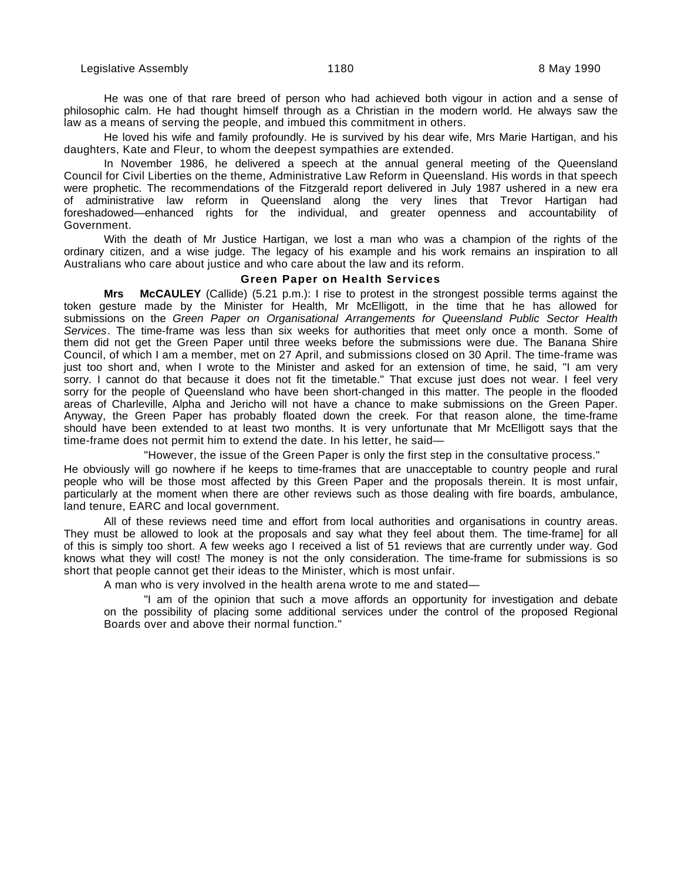He was one of that rare breed of person who had achieved both vigour in action and a sense of philosophic calm. He had thought himself through as a Christian in the modern world. He always saw the law as a means of serving the people, and imbued this commitment in others.

He loved his wife and family profoundly. He is survived by his dear wife, Mrs Marie Hartigan, and his daughters, Kate and Fleur, to whom the deepest sympathies are extended.

In November 1986, he delivered a speech at the annual general meeting of the Queensland Council for Civil Liberties on the theme, Administrative Law Reform in Queensland. His words in that speech were prophetic. The recommendations of the Fitzgerald report delivered in July 1987 ushered in a new era of administrative law reform in Queensland along the very lines that Trevor Hartigan had foreshadowed—enhanced rights for the individual, and greater openness and accountability of Government.

With the death of Mr Justice Hartigan, we lost a man who was a champion of the rights of the ordinary citizen, and a wise judge. The legacy of his example and his work remains an inspiration to all Australians who care about justice and who care about the law and its reform.

## **Green Paper on Health Services**

**Mrs McCAULEY** (Callide) (5.21 p.m.): I rise to protest in the strongest possible terms against the token gesture made by the Minister for Health, Mr McElligott, in the time that he has allowed for submissions on the Green Paper on Organisational Arrangements for Queensland Public Sector Health Services. The time-frame was less than six weeks for authorities that meet only once a month. Some of them did not get the Green Paper until three weeks before the submissions were due. The Banana Shire Council, of which I am a member, met on 27 April, and submissions closed on 30 April. The time-frame was just too short and, when I wrote to the Minister and asked for an extension of time, he said, "I am very sorry. I cannot do that because it does not fit the timetable." That excuse just does not wear. I feel very sorry for the people of Queensland who have been short-changed in this matter. The people in the flooded areas of Charleville, Alpha and Jericho will not have a chance to make submissions on the Green Paper. Anyway, the Green Paper has probably floated down the creek. For that reason alone, the time-frame should have been extended to at least two months. It is very unfortunate that Mr McElligott says that the time-frame does not permit him to extend the date. In his letter, he said—

"However, the issue of the Green Paper is only the first step in the consultative process."

He obviously will go nowhere if he keeps to time-frames that are unacceptable to country people and rural people who will be those most affected by this Green Paper and the proposals therein. It is most unfair, particularly at the moment when there are other reviews such as those dealing with fire boards, ambulance, land tenure, EARC and local government.

All of these reviews need time and effort from local authorities and organisations in country areas. They must be allowed to look at the proposals and say what they feel about them. The time-frame] for all of this is simply too short. A few weeks ago I received a list of 51 reviews that are currently under way. God knows what they will cost! The money is not the only consideration. The time-frame for submissions is so short that people cannot get their ideas to the Minister, which is most unfair.

A man who is very involved in the health arena wrote to me and stated—

"I am of the opinion that such a move affords an opportunity for investigation and debate on the possibility of placing some additional services under the control of the proposed Regional Boards over and above their normal function."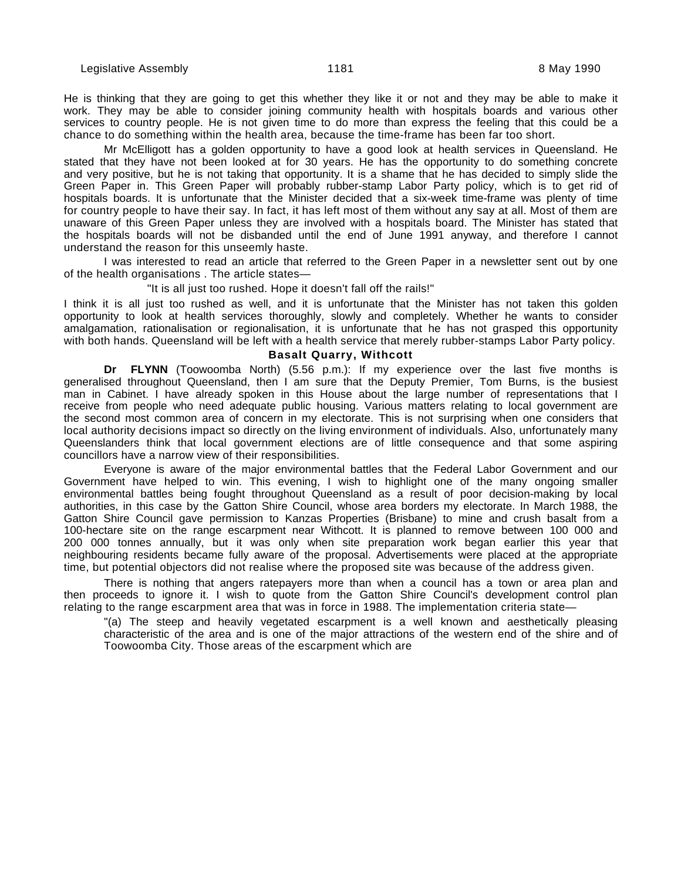He is thinking that they are going to get this whether they like it or not and they may be able to make it work. They may be able to consider joining community health with hospitals boards and various other services to country people. He is not given time to do more than express the feeling that this could be a chance to do something within the health area, because the time-frame has been far too short.

Mr McElligott has a golden opportunity to have a good look at health services in Queensland. He stated that they have not been looked at for 30 years. He has the opportunity to do something concrete and very positive, but he is not taking that opportunity. It is a shame that he has decided to simply slide the Green Paper in. This Green Paper will probably rubber-stamp Labor Party policy, which is to get rid of hospitals boards. It is unfortunate that the Minister decided that a six-week time-frame was plenty of time for country people to have their say. In fact, it has left most of them without any say at all. Most of them are unaware of this Green Paper unless they are involved with a hospitals board. The Minister has stated that the hospitals boards will not be disbanded until the end of June 1991 anyway, and therefore I cannot understand the reason for this unseemly haste.

I was interested to read an article that referred to the Green Paper in a newsletter sent out by one of the health organisations . The article states—

"It is all just too rushed. Hope it doesn't fall off the rails!"

I think it is all just too rushed as well, and it is unfortunate that the Minister has not taken this golden opportunity to look at health services thoroughly, slowly and completely. Whether he wants to consider amalgamation, rationalisation or regionalisation, it is unfortunate that he has not grasped this opportunity with both hands. Queensland will be left with a health service that merely rubber-stamps Labor Party policy.

#### **Basalt Quarry, Withcott**

**Dr FLYNN** (Toowoomba North) (5.56 p.m.): If my experience over the last five months is generalised throughout Queensland, then I am sure that the Deputy Premier, Tom Burns, is the busiest man in Cabinet. I have already spoken in this House about the large number of representations that I receive from people who need adequate public housing. Various matters relating to local government are the second most common area of concern in my electorate. This is not surprising when one considers that local authority decisions impact so directly on the living environment of individuals. Also, unfortunately many Queenslanders think that local government elections are of little consequence and that some aspiring councillors have a narrow view of their responsibilities.

Everyone is aware of the major environmental battles that the Federal Labor Government and our Government have helped to win. This evening, I wish to highlight one of the many ongoing smaller environmental battles being fought throughout Queensland as a result of poor decision-making by local authorities, in this case by the Gatton Shire Council, whose area borders my electorate. In March 1988, the Gatton Shire Council gave permission to Kanzas Properties (Brisbane) to mine and crush basalt from a 100-hectare site on the range escarpment near Withcott. It is planned to remove between 100 000 and 200 000 tonnes annually, but it was only when site preparation work began earlier this year that neighbouring residents became fully aware of the proposal. Advertisements were placed at the appropriate time, but potential objectors did not realise where the proposed site was because of the address given.

There is nothing that angers ratepayers more than when a council has a town or area plan and then proceeds to ignore it. I wish to quote from the Gatton Shire Council's development control plan relating to the range escarpment area that was in force in 1988. The implementation criteria state—

"(a) The steep and heavily vegetated escarpment is a well known and aesthetically pleasing characteristic of the area and is one of the major attractions of the western end of the shire and of Toowoomba City. Those areas of the escarpment which are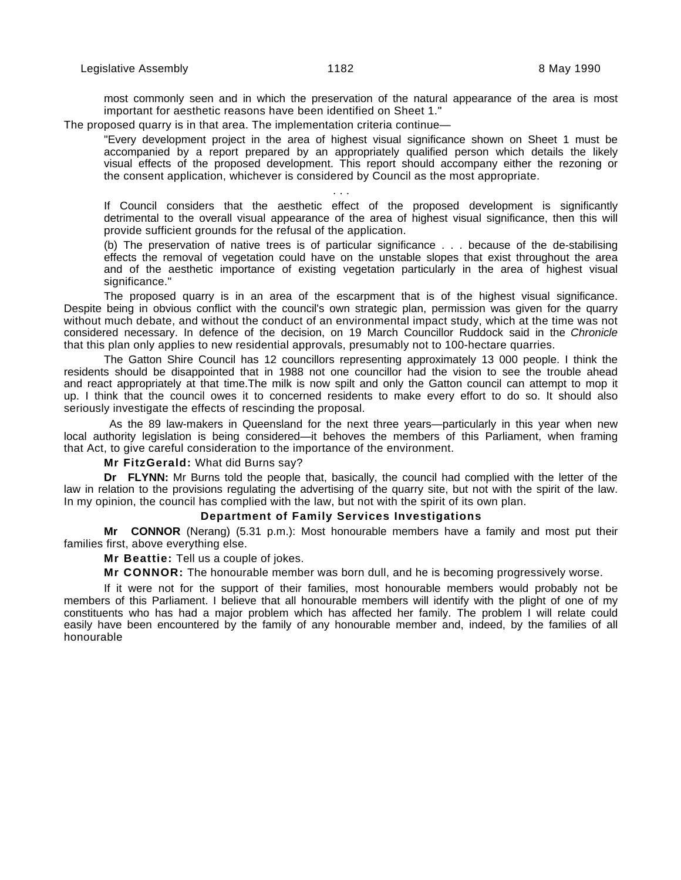. . .

most commonly seen and in which the preservation of the natural appearance of the area is most important for aesthetic reasons have been identified on Sheet 1."

The proposed quarry is in that area. The implementation criteria continue—

"Every development project in the area of highest visual significance shown on Sheet 1 must be accompanied by a report prepared by an appropriately qualified person which details the likely visual effects of the proposed development. This report should accompany either the rezoning or the consent application, whichever is considered by Council as the most appropriate.

If Council considers that the aesthetic effect of the proposed development is significantly detrimental to the overall visual appearance of the area of highest visual significance, then this will provide sufficient grounds for the refusal of the application.

(b) The preservation of native trees is of particular significance . . . because of the de-stabilising effects the removal of vegetation could have on the unstable slopes that exist throughout the area and of the aesthetic importance of existing vegetation particularly in the area of highest visual significance."

The proposed quarry is in an area of the escarpment that is of the highest visual significance. Despite being in obvious conflict with the council's own strategic plan, permission was given for the quarry without much debate, and without the conduct of an environmental impact study, which at the time was not considered necessary. In defence of the decision, on 19 March Councillor Ruddock said in the Chronicle that this plan only applies to new residential approvals, presumably not to 100-hectare quarries.

The Gatton Shire Council has 12 councillors representing approximately 13 000 people. I think the residents should be disappointed that in 1988 not one councillor had the vision to see the trouble ahead and react appropriately at that time.The milk is now spilt and only the Gatton council can attempt to mop it up. I think that the council owes it to concerned residents to make every effort to do so. It should also seriously investigate the effects of rescinding the proposal.

 As the 89 law-makers in Queensland for the next three years—particularly in this year when new local authority legislation is being considered—it behoves the members of this Parliament, when framing that Act, to give careful consideration to the importance of the environment.

**Mr FitzGerald:** What did Burns say?

**Dr FLYNN:** Mr Burns told the people that, basically, the council had complied with the letter of the law in relation to the provisions regulating the advertising of the quarry site, but not with the spirit of the law. In my opinion, the council has complied with the law, but not with the spirit of its own plan.

#### **Department of Family Services Investigations**

**Mr CONNOR** (Nerang) (5.31 p.m.): Most honourable members have a family and most put their families first, above everything else.

**Mr Beattie:** Tell us a couple of jokes.

**Mr CONNOR:** The honourable member was born dull, and he is becoming progressively worse.

If it were not for the support of their families, most honourable members would probably not be members of this Parliament. I believe that all honourable members will identify with the plight of one of my constituents who has had a major problem which has affected her family. The problem I will relate could easily have been encountered by the family of any honourable member and, indeed, by the families of all honourable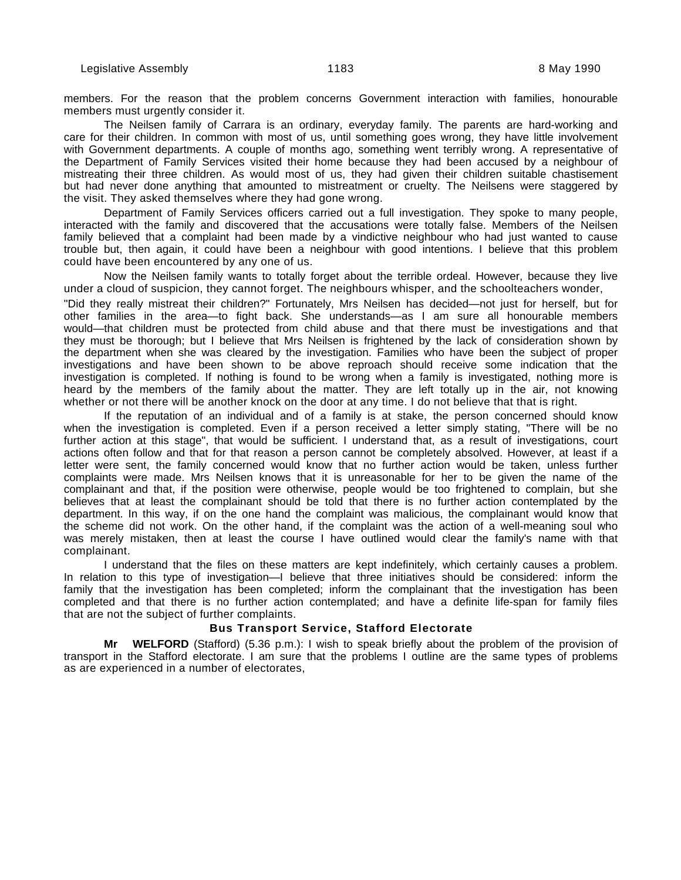members. For the reason that the problem concerns Government interaction with families, honourable members must urgently consider it.

The Neilsen family of Carrara is an ordinary, everyday family. The parents are hard-working and care for their children. In common with most of us, until something goes wrong, they have little involvement with Government departments. A couple of months ago, something went terribly wrong. A representative of the Department of Family Services visited their home because they had been accused by a neighbour of mistreating their three children. As would most of us, they had given their children suitable chastisement but had never done anything that amounted to mistreatment or cruelty. The Neilsens were staggered by the visit. They asked themselves where they had gone wrong.

Department of Family Services officers carried out a full investigation. They spoke to many people, interacted with the family and discovered that the accusations were totally false. Members of the Neilsen family believed that a complaint had been made by a vindictive neighbour who had just wanted to cause trouble but, then again, it could have been a neighbour with good intentions. I believe that this problem could have been encountered by any one of us.

Now the Neilsen family wants to totally forget about the terrible ordeal. However, because they live under a cloud of suspicion, they cannot forget. The neighbours whisper, and the schoolteachers wonder,

"Did they really mistreat their children?" Fortunately, Mrs Neilsen has decided—not just for herself, but for other families in the area—to fight back. She understands—as I am sure all honourable members would—that children must be protected from child abuse and that there must be investigations and that they must be thorough; but I believe that Mrs Neilsen is frightened by the lack of consideration shown by the department when she was cleared by the investigation. Families who have been the subject of proper investigations and have been shown to be above reproach should receive some indication that the investigation is completed. If nothing is found to be wrong when a family is investigated, nothing more is heard by the members of the family about the matter. They are left totally up in the air, not knowing whether or not there will be another knock on the door at any time. I do not believe that that is right.

If the reputation of an individual and of a family is at stake, the person concerned should know when the investigation is completed. Even if a person received a letter simply stating, "There will be no further action at this stage", that would be sufficient. I understand that, as a result of investigations, court actions often follow and that for that reason a person cannot be completely absolved. However, at least if a letter were sent, the family concerned would know that no further action would be taken, unless further complaints were made. Mrs Neilsen knows that it is unreasonable for her to be given the name of the complainant and that, if the position were otherwise, people would be too frightened to complain, but she believes that at least the complainant should be told that there is no further action contemplated by the department. In this way, if on the one hand the complaint was malicious, the complainant would know that the scheme did not work. On the other hand, if the complaint was the action of a well-meaning soul who was merely mistaken, then at least the course I have outlined would clear the family's name with that complainant.

I understand that the files on these matters are kept indefinitely, which certainly causes a problem. In relation to this type of investigation—I believe that three initiatives should be considered: inform the family that the investigation has been completed; inform the complainant that the investigation has been completed and that there is no further action contemplated; and have a definite life-span for family files that are not the subject of further complaints.

## **Bus Transport Service, Stafford Electorate**

**Mr WELFORD** (Stafford) (5.36 p.m.): I wish to speak briefly about the problem of the provision of transport in the Stafford electorate. I am sure that the problems I outline are the same types of problems as are experienced in a number of electorates,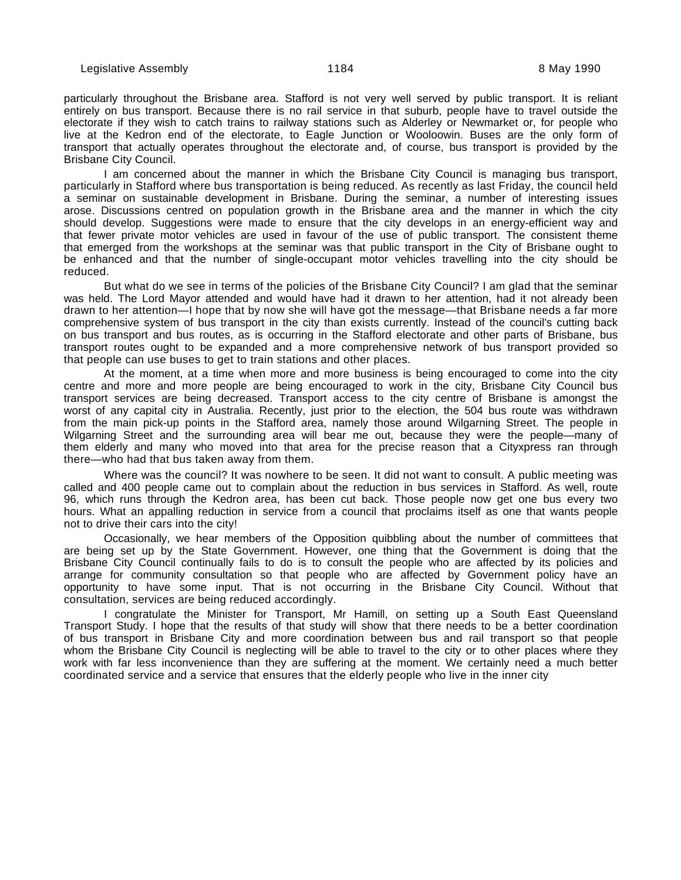particularly throughout the Brisbane area. Stafford is not very well served by public transport. It is reliant entirely on bus transport. Because there is no rail service in that suburb, people have to travel outside the electorate if they wish to catch trains to railway stations such as Alderley or Newmarket or, for people who live at the Kedron end of the electorate, to Eagle Junction or Wooloowin. Buses are the only form of transport that actually operates throughout the electorate and, of course, bus transport is provided by the Brisbane City Council.

I am concerned about the manner in which the Brisbane City Council is managing bus transport, particularly in Stafford where bus transportation is being reduced. As recently as last Friday, the council held a seminar on sustainable development in Brisbane. During the seminar, a number of interesting issues arose. Discussions centred on population growth in the Brisbane area and the manner in which the city should develop. Suggestions were made to ensure that the city develops in an energy-efficient way and that fewer private motor vehicles are used in favour of the use of public transport. The consistent theme that emerged from the workshops at the seminar was that public transport in the City of Brisbane ought to be enhanced and that the number of single-occupant motor vehicles travelling into the city should be reduced.

But what do we see in terms of the policies of the Brisbane City Council? I am glad that the seminar was held. The Lord Mayor attended and would have had it drawn to her attention, had it not already been drawn to her attention—I hope that by now she will have got the message—that Brisbane needs a far more comprehensive system of bus transport in the city than exists currently. Instead of the council's cutting back on bus transport and bus routes, as is occurring in the Stafford electorate and other parts of Brisbane, bus transport routes ought to be expanded and a more comprehensive network of bus transport provided so that people can use buses to get to train stations and other places.

At the moment, at a time when more and more business is being encouraged to come into the city centre and more and more people are being encouraged to work in the city, Brisbane City Council bus transport services are being decreased. Transport access to the city centre of Brisbane is amongst the worst of any capital city in Australia. Recently, just prior to the election, the 504 bus route was withdrawn from the main pick-up points in the Stafford area, namely those around Wilgarning Street. The people in Wilgarning Street and the surrounding area will bear me out, because they were the people—many of them elderly and many who moved into that area for the precise reason that a Cityxpress ran through there—who had that bus taken away from them.

Where was the council? It was nowhere to be seen. It did not want to consult. A public meeting was called and 400 people came out to complain about the reduction in bus services in Stafford. As well, route 96, which runs through the Kedron area, has been cut back. Those people now get one bus every two hours. What an appalling reduction in service from a council that proclaims itself as one that wants people not to drive their cars into the city!

Occasionally, we hear members of the Opposition quibbling about the number of committees that are being set up by the State Government. However, one thing that the Government is doing that the Brisbane City Council continually fails to do is to consult the people who are affected by its policies and arrange for community consultation so that people who are affected by Government policy have an opportunity to have some input. That is not occurring in the Brisbane City Council. Without that consultation, services are being reduced accordingly.

I congratulate the Minister for Transport, Mr Hamill, on setting up a South East Queensland Transport Study. I hope that the results of that study will show that there needs to be a better coordination of bus transport in Brisbane City and more coordination between bus and rail transport so that people whom the Brisbane City Council is neglecting will be able to travel to the city or to other places where they work with far less inconvenience than they are suffering at the moment. We certainly need a much better coordinated service and a service that ensures that the elderly people who live in the inner city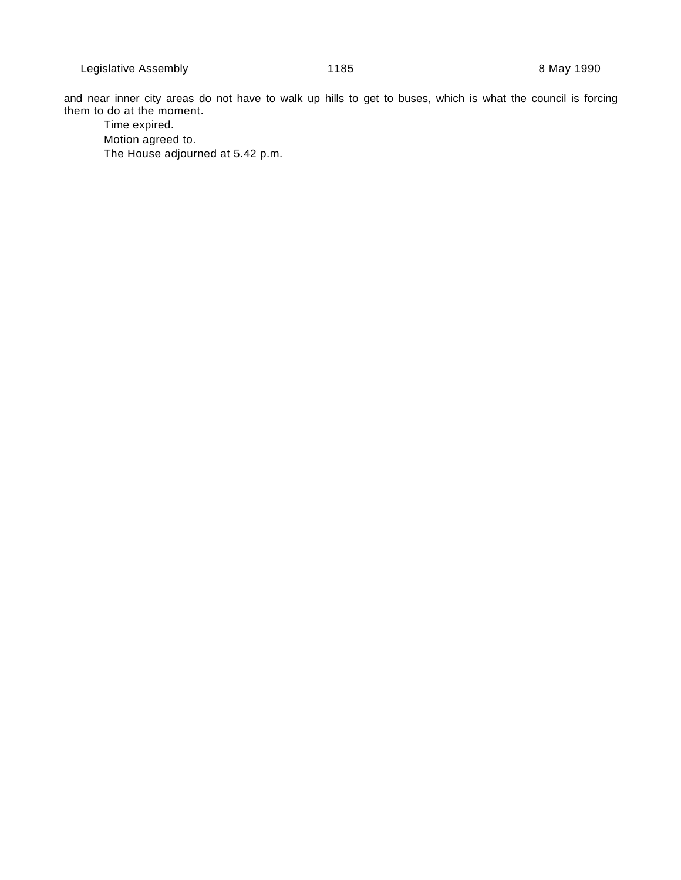and near inner city areas do not have to walk up hills to get to buses, which is what the council is forcing them to do at the moment.

Time expired. Motion agreed to. The House adjourned at 5.42 p.m.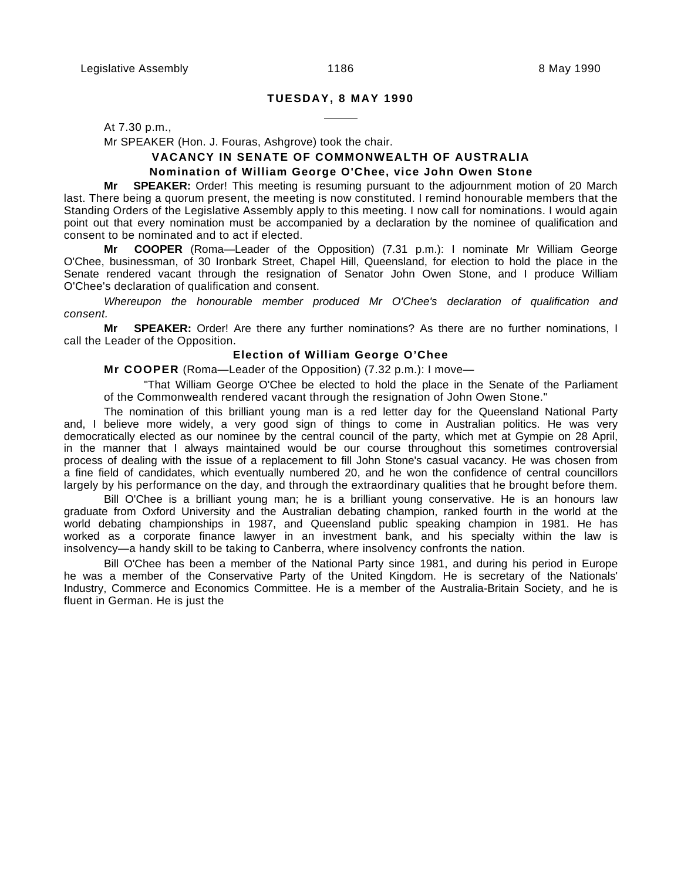## **TUESDAY, 8 MAY 1990**

 $\overline{a}$ 

At 7.30 p.m.,

Mr SPEAKER (Hon. J. Fouras, Ashgrove) took the chair.

## **VACANCY IN SENATE OF COMMONWEALTH OF AUSTRALIA Nomination of William George O'Chee, vice John Owen Stone**

**Mr SPEAKER:** Order! This meeting is resuming pursuant to the adjournment motion of 20 March last. There being a quorum present, the meeting is now constituted. I remind honourable members that the Standing Orders of the Legislative Assembly apply to this meeting. I now call for nominations. I would again point out that every nomination must be accompanied by a declaration by the nominee of qualification and consent to be nominated and to act if elected.

**Mr COOPER** (Roma—Leader of the Opposition) (7.31 p.m.): I nominate Mr William George O'Chee, businessman, of 30 Ironbark Street, Chapel Hill, Queensland, for election to hold the place in the Senate rendered vacant through the resignation of Senator John Owen Stone, and I produce William O'Chee's declaration of qualification and consent.

Whereupon the honourable member produced Mr O'Chee's declaration of qualification and consent.

**Mr SPEAKER:** Order! Are there any further nominations? As there are no further nominations, I call the Leader of the Opposition.

#### **Election of William George O'Chee**

**Mr COOPER** (Roma—Leader of the Opposition) (7.32 p.m.): I move—

"That William George O'Chee be elected to hold the place in the Senate of the Parliament of the Commonwealth rendered vacant through the resignation of John Owen Stone."

The nomination of this brilliant young man is a red letter day for the Queensland National Party and, I believe more widely, a very good sign of things to come in Australian politics. He was very democratically elected as our nominee by the central council of the party, which met at Gympie on 28 April, in the manner that I always maintained would be our course throughout this sometimes controversial process of dealing with the issue of a replacement to fill John Stone's casual vacancy. He was chosen from a fine field of candidates, which eventually numbered 20, and he won the confidence of central councillors largely by his performance on the day, and through the extraordinary qualities that he brought before them.

Bill O'Chee is a brilliant young man; he is a brilliant young conservative. He is an honours law graduate from Oxford University and the Australian debating champion, ranked fourth in the world at the world debating championships in 1987, and Queensland public speaking champion in 1981. He has worked as a corporate finance lawyer in an investment bank, and his specialty within the law is insolvency—a handy skill to be taking to Canberra, where insolvency confronts the nation.

Bill O'Chee has been a member of the National Party since 1981, and during his period in Europe he was a member of the Conservative Party of the United Kingdom. He is secretary of the Nationals' Industry, Commerce and Economics Committee. He is a member of the Australia-Britain Society, and he is fluent in German. He is just the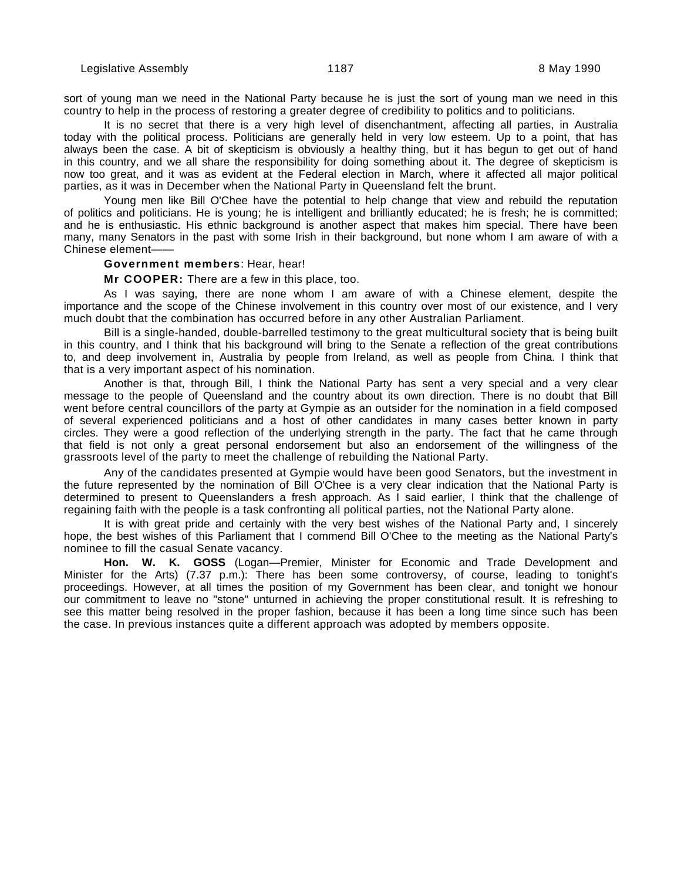sort of young man we need in the National Party because he is just the sort of young man we need in this country to help in the process of restoring a greater degree of credibility to politics and to politicians.

It is no secret that there is a very high level of disenchantment, affecting all parties, in Australia today with the political process. Politicians are generally held in very low esteem. Up to a point, that has always been the case. A bit of skepticism is obviously a healthy thing, but it has begun to get out of hand in this country, and we all share the responsibility for doing something about it. The degree of skepticism is now too great, and it was as evident at the Federal election in March, where it affected all major political parties, as it was in December when the National Party in Queensland felt the brunt.

Young men like Bill O'Chee have the potential to help change that view and rebuild the reputation of politics and politicians. He is young; he is intelligent and brilliantly educated; he is fresh; he is committed; and he is enthusiastic. His ethnic background is another aspect that makes him special. There have been many, many Senators in the past with some Irish in their background, but none whom I am aware of with a Chinese element——

#### **Government members**: Hear, hear!

**Mr COOPER:** There are a few in this place, too.

As I was saying, there are none whom I am aware of with a Chinese element, despite the importance and the scope of the Chinese involvement in this country over most of our existence, and I very much doubt that the combination has occurred before in any other Australian Parliament.

Bill is a single-handed, double-barrelled testimony to the great multicultural society that is being built in this country, and I think that his background will bring to the Senate a reflection of the great contributions to, and deep involvement in, Australia by people from Ireland, as well as people from China. I think that that is a very important aspect of his nomination.

Another is that, through Bill, I think the National Party has sent a very special and a very clear message to the people of Queensland and the country about its own direction. There is no doubt that Bill went before central councillors of the party at Gympie as an outsider for the nomination in a field composed of several experienced politicians and a host of other candidates in many cases better known in party circles. They were a good reflection of the underlying strength in the party. The fact that he came through that field is not only a great personal endorsement but also an endorsement of the willingness of the grassroots level of the party to meet the challenge of rebuilding the National Party.

Any of the candidates presented at Gympie would have been good Senators, but the investment in the future represented by the nomination of Bill O'Chee is a very clear indication that the National Party is determined to present to Queenslanders a fresh approach. As I said earlier, I think that the challenge of regaining faith with the people is a task confronting all political parties, not the National Party alone.

It is with great pride and certainly with the very best wishes of the National Party and, I sincerely hope, the best wishes of this Parliament that I commend Bill O'Chee to the meeting as the National Party's nominee to fill the casual Senate vacancy.

**Hon. W. K. GOSS** (Logan—Premier, Minister for Economic and Trade Development and Minister for the Arts) (7.37 p.m.): There has been some controversy, of course, leading to tonight's proceedings. However, at all times the position of my Government has been clear, and tonight we honour our commitment to leave no "stone" unturned in achieving the proper constitutional result. It is refreshing to see this matter being resolved in the proper fashion, because it has been a long time since such has been the case. In previous instances quite a different approach was adopted by members opposite.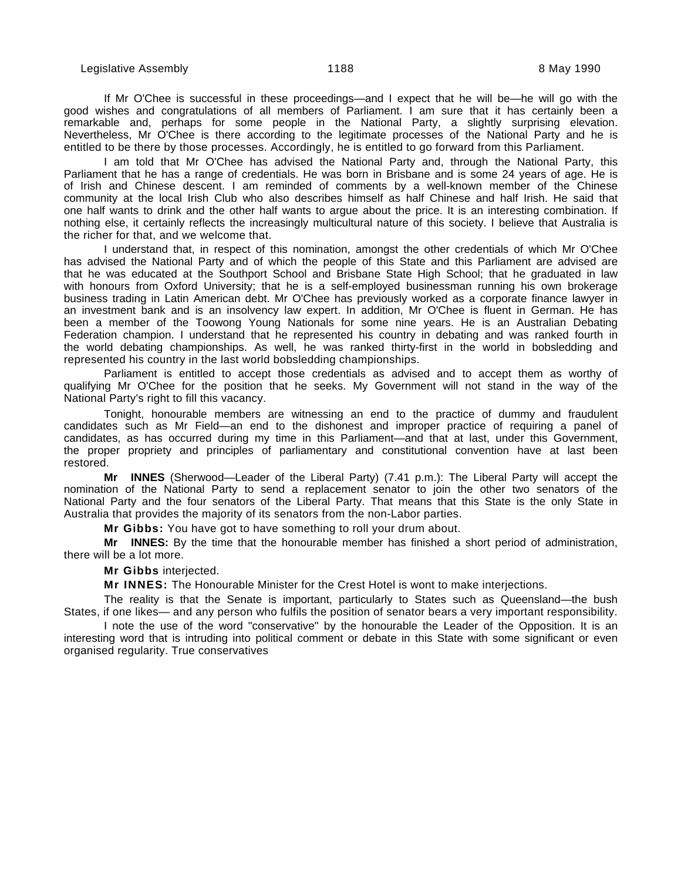If Mr O'Chee is successful in these proceedings—and I expect that he will be—he will go with the good wishes and congratulations of all members of Parliament. I am sure that it has certainly been a remarkable and, perhaps for some people in the National Party, a slightly surprising elevation. Nevertheless, Mr O'Chee is there according to the legitimate processes of the National Party and he is entitled to be there by those processes. Accordingly, he is entitled to go forward from this Parliament.

I am told that Mr O'Chee has advised the National Party and, through the National Party, this Parliament that he has a range of credentials. He was born in Brisbane and is some 24 years of age. He is of Irish and Chinese descent. I am reminded of comments by a well-known member of the Chinese community at the local Irish Club who also describes himself as half Chinese and half Irish. He said that one half wants to drink and the other half wants to argue about the price. It is an interesting combination. If nothing else, it certainly reflects the increasingly multicultural nature of this society. I believe that Australia is the richer for that, and we welcome that.

I understand that, in respect of this nomination, amongst the other credentials of which Mr O'Chee has advised the National Party and of which the people of this State and this Parliament are advised are that he was educated at the Southport School and Brisbane State High School; that he graduated in law with honours from Oxford University; that he is a self-employed businessman running his own brokerage business trading in Latin American debt. Mr O'Chee has previously worked as a corporate finance lawyer in an investment bank and is an insolvency law expert. In addition, Mr O'Chee is fluent in German. He has been a member of the Toowong Young Nationals for some nine years. He is an Australian Debating Federation champion. I understand that he represented his country in debating and was ranked fourth in the world debating championships. As well, he was ranked thirty-first in the world in bobsledding and represented his country in the last world bobsledding championships.

Parliament is entitled to accept those credentials as advised and to accept them as worthy of qualifying Mr O'Chee for the position that he seeks. My Government will not stand in the way of the National Party's right to fill this vacancy.

Tonight, honourable members are witnessing an end to the practice of dummy and fraudulent candidates such as Mr Field—an end to the dishonest and improper practice of requiring a panel of candidates, as has occurred during my time in this Parliament—and that at last, under this Government, the proper propriety and principles of parliamentary and constitutional convention have at last been restored.

**Mr INNES** (Sherwood—Leader of the Liberal Party) (7.41 p.m.): The Liberal Party will accept the nomination of the National Party to send a replacement senator to join the other two senators of the National Party and the four senators of the Liberal Party. That means that this State is the only State in Australia that provides the majority of its senators from the non-Labor parties.

**Mr Gibbs:** You have got to have something to roll your drum about.

**Mr INNES:** By the time that the honourable member has finished a short period of administration, there will be a lot more.

**Mr Gibbs** interjected.

**Mr INNES:** The Honourable Minister for the Crest Hotel is wont to make interjections.

The reality is that the Senate is important, particularly to States such as Queensland—the bush States, if one likes— and any person who fulfils the position of senator bears a very important responsibility.

I note the use of the word "conservative" by the honourable the Leader of the Opposition. It is an interesting word that is intruding into political comment or debate in this State with some significant or even organised regularity. True conservatives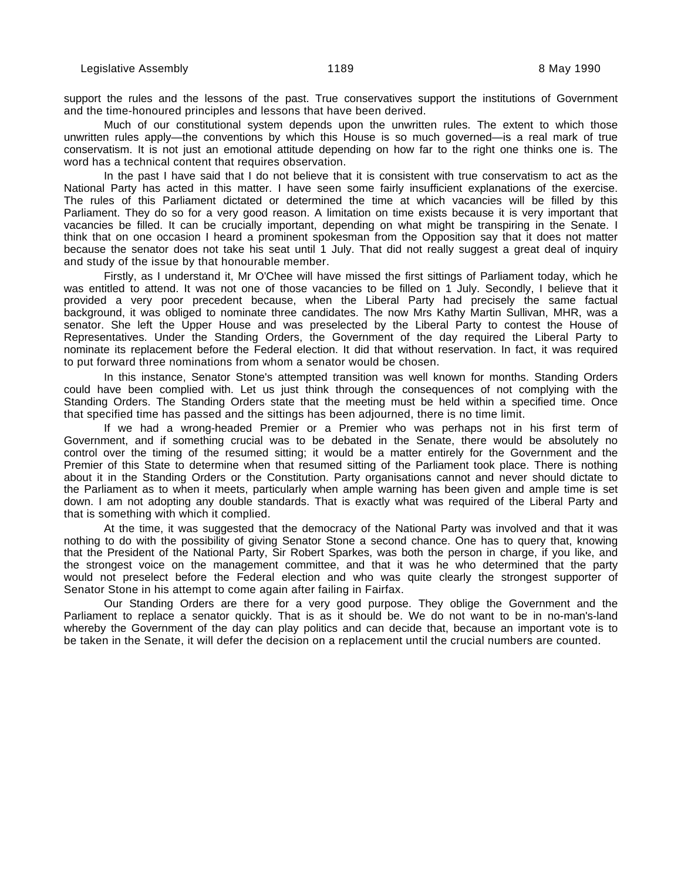support the rules and the lessons of the past. True conservatives support the institutions of Government and the time-honoured principles and lessons that have been derived.

Much of our constitutional system depends upon the unwritten rules. The extent to which those unwritten rules apply—the conventions by which this House is so much governed—is a real mark of true conservatism. It is not just an emotional attitude depending on how far to the right one thinks one is. The word has a technical content that requires observation.

In the past I have said that I do not believe that it is consistent with true conservatism to act as the National Party has acted in this matter. I have seen some fairly insufficient explanations of the exercise. The rules of this Parliament dictated or determined the time at which vacancies will be filled by this Parliament. They do so for a very good reason. A limitation on time exists because it is very important that vacancies be filled. It can be crucially important, depending on what might be transpiring in the Senate. I think that on one occasion I heard a prominent spokesman from the Opposition say that it does not matter because the senator does not take his seat until 1 July. That did not really suggest a great deal of inquiry and study of the issue by that honourable member.

Firstly, as I understand it, Mr O'Chee will have missed the first sittings of Parliament today, which he was entitled to attend. It was not one of those vacancies to be filled on 1 July. Secondly, I believe that it provided a very poor precedent because, when the Liberal Party had precisely the same factual background, it was obliged to nominate three candidates. The now Mrs Kathy Martin Sullivan, MHR, was a senator. She left the Upper House and was preselected by the Liberal Party to contest the House of Representatives. Under the Standing Orders, the Government of the day required the Liberal Party to nominate its replacement before the Federal election. It did that without reservation. In fact, it was required to put forward three nominations from whom a senator would be chosen.

In this instance, Senator Stone's attempted transition was well known for months. Standing Orders could have been complied with. Let us just think through the consequences of not complying with the Standing Orders. The Standing Orders state that the meeting must be held within a specified time. Once that specified time has passed and the sittings has been adjourned, there is no time limit.

If we had a wrong-headed Premier or a Premier who was perhaps not in his first term of Government, and if something crucial was to be debated in the Senate, there would be absolutely no control over the timing of the resumed sitting; it would be a matter entirely for the Government and the Premier of this State to determine when that resumed sitting of the Parliament took place. There is nothing about it in the Standing Orders or the Constitution. Party organisations cannot and never should dictate to the Parliament as to when it meets, particularly when ample warning has been given and ample time is set down. I am not adopting any double standards. That is exactly what was required of the Liberal Party and that is something with which it complied.

At the time, it was suggested that the democracy of the National Party was involved and that it was nothing to do with the possibility of giving Senator Stone a second chance. One has to query that, knowing that the President of the National Party, Sir Robert Sparkes, was both the person in charge, if you like, and the strongest voice on the management committee, and that it was he who determined that the party would not preselect before the Federal election and who was quite clearly the strongest supporter of Senator Stone in his attempt to come again after failing in Fairfax.

Our Standing Orders are there for a very good purpose. They oblige the Government and the Parliament to replace a senator quickly. That is as it should be. We do not want to be in no-man's-land whereby the Government of the day can play politics and can decide that, because an important vote is to be taken in the Senate, it will defer the decision on a replacement until the crucial numbers are counted.